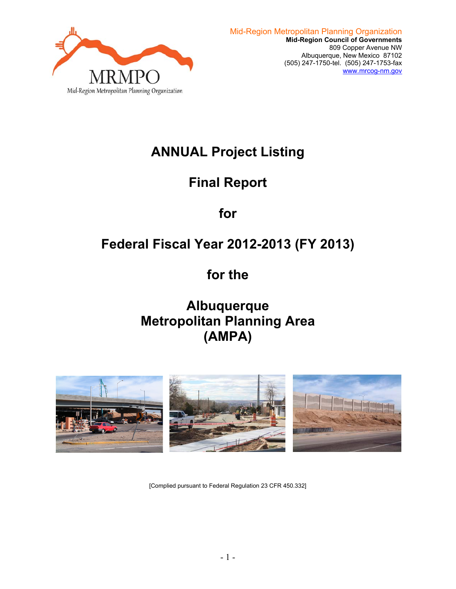

# **ANNUAL Project Listing**

# **Final Report**

**for** 

# **Federal Fiscal Year 2012-2013 (FY 2013)**

**for the** 

**Albuquerque Metropolitan Planning Area (AMPA)** 



[Complied pursuant to Federal Regulation 23 CFR 450.332]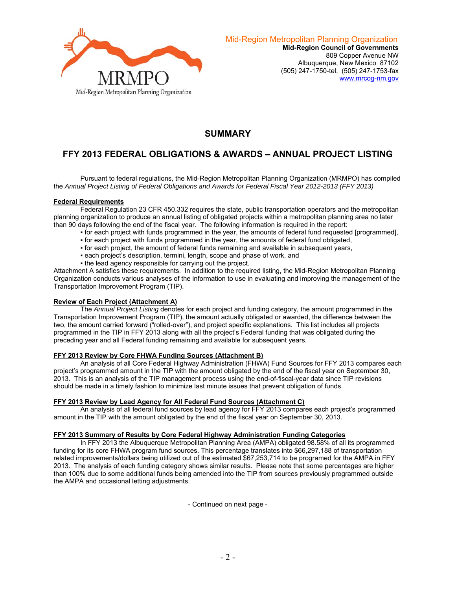

## **SUMMARY**

# **FFY 2013 FEDERAL OBLIGATIONS & AWARDS – ANNUAL PROJECT LISTING**

 Pursuant to federal regulations, the Mid-Region Metropolitan Planning Organization (MRMPO) has compiled the *Annual Project Listing of Federal Obligations and Awards for Federal Fiscal Year 2012-2013 (FFY 2013)* 

#### **Federal Requirements**

 Federal Regulation 23 CFR 450.332 requires the state, public transportation operators and the metropolitan planning organization to produce an annual listing of obligated projects within a metropolitan planning area no later than 90 days following the end of the fiscal year. The following information is required in the report:

- for each project with funds programmed in the year, the amounts of federal fund requested [programmed],
- for each project with funds programmed in the year, the amounts of federal fund obligated,
- for each project, the amount of federal funds remaining and available in subsequent years,
- **each project's description, termini, length, scope and phase of work, and**
- . the lead agency responsible for carrying out the project.

Attachment A satisfies these requirements. In addition to the required listing, the Mid-Region Metropolitan Planning Organization conducts various analyses of the information to use in evaluating and improving the management of the Transportation Improvement Program (TIP).

## **Review of Each Project (Attachment A)**

 The *Annual Project Listing* denotes for each project and funding category, the amount programmed in the Transportation Improvement Program (TIP), the amount actually obligated or awarded, the difference between the two, the amount carried forward ("rolled-over"), and project specific explanations. This list includes all projects programmed in the TIP in FFY 2013 along with all the project's Federal funding that was obligated during the preceding year and all Federal funding remaining and available for subsequent years.

## **FFY 2013 Review by Core FHWA Funding Sources (Attachment B)**

 An analysis of all Core Federal Highway Administration (FHWA) Fund Sources for FFY 2013 compares each project's programmed amount in the TIP with the amount obligated by the end of the fiscal year on September 30, 2013. This is an analysis of the TIP management process using the end-of-fiscal-year data since TIP revisions should be made in a timely fashion to minimize last minute issues that prevent obligation of funds.

## **FFY 2013 Review by Lead Agency for All Federal Fund Sources (Attachment C)**

 An analysis of all federal fund sources by lead agency for FFY 2013 compares each project's programmed amount in the TIP with the amount obligated by the end of the fiscal year on September 30, 2013.

#### **FFY 2013 Summary of Results by Core Federal Highway Administration Funding Categories**

 In FFY 2013 the Albuquerque Metropolitan Planning Area (AMPA) obligated 98.58% of all its programmed funding for its core FHWA program fund sources. This percentage translates into \$66,297,188 of transportation related improvements/dollars being utilized out of the estimated \$67,253,714 to be programed for the AMPA in FFY 2013. The analysis of each funding category shows similar results. Please note that some percentages are higher than 100% due to some additional funds being amended into the TIP from sources previously programmed outside the AMPA and occasional letting adjustments.

- Continued on next page -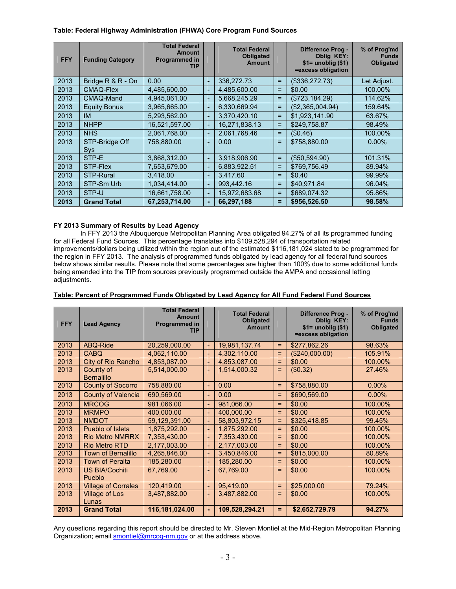#### **Table: Federal Highway Administration (FHWA) Core Program Fund Sources**

| <b>FFY</b> | <b>Funding Category</b> | <b>Total Federal</b><br><b>Amount</b><br>Programmed in<br><b>TIP</b> |    | <b>Total Federal</b><br><b>Obligated</b><br><b>Amount</b> |     | <b>Difference Prog -</b><br><b>Oblig KEY:</b><br>$$1=$ unoblig $$1)$<br>=excess obligation | % of Prog'md<br><b>Funds</b><br><b>Obligated</b> |
|------------|-------------------------|----------------------------------------------------------------------|----|-----------------------------------------------------------|-----|--------------------------------------------------------------------------------------------|--------------------------------------------------|
| 2013       | Bridge R & R - On       | 0.00                                                                 | H. | 336.272.73                                                | $=$ | (\$336,272.73)                                                                             | Let Adjust.                                      |
| 2013       | <b>CMAQ-Flex</b>        | 4,485,600.00                                                         | H. | 4,485,600.00                                              | $=$ | \$0.00                                                                                     | 100.00%                                          |
| 2013       | CMAQ-Mand               | 4,945,061.00                                                         | H. | 5,668,245.29                                              | $=$ | (\$723, 184.29)                                                                            | 114.62%                                          |
| 2013       | <b>Equity Bonus</b>     | 3,965,665.00                                                         | н  | 6.330.669.94                                              | $=$ | (\$2,365,004.94)                                                                           | 159.64%                                          |
| 2013       | IM                      | 5,293,562.00                                                         | L. | 3,370,420.10                                              | Ξ   | \$1,923,141.90                                                                             | 63.67%                                           |
| 2013       | <b>NHPP</b>             | 16,521,597.00                                                        | ш  | 16,271,838.13                                             | $=$ | \$249,758.87                                                                               | 98.49%                                           |
| 2013       | <b>NHS</b>              | 2.061.768.00                                                         | н  | 2.061.768.46                                              | Ξ   | (\$0.46)                                                                                   | 100.00%                                          |
| 2013       | STP-Bridge Off<br>Sys   | 758,880.00                                                           | L  | $0.00^{\circ}$                                            | $=$ | \$758,880.00                                                                               | $0.00\%$                                         |
| 2013       | STP-E                   | 3,868,312.00                                                         | н  | 3,918,906.90                                              | Ξ   | ( \$50,594.90)                                                                             | 101.31%                                          |
| 2013       | STP-Flex                | 7,653,679.00                                                         | ш  | 6,883,922.51                                              | $=$ | \$769,756.49                                                                               | 89.94%                                           |
| 2013       | <b>STP-Rural</b>        | 3.418.00                                                             | ш  | 3.417.60                                                  | $=$ | \$0.40                                                                                     | 99.99%                                           |
| 2013       | STP-Sm Urb              | 1,034,414.00                                                         | ц  | 993.442.16                                                | $=$ | \$40.971.84                                                                                | 96.04%                                           |
| 2013       | STP-U                   | 16,661,758.00                                                        | L  | 15,972,683.68                                             | $=$ | \$689,074.32                                                                               | 95.86%                                           |
| 2013       | <b>Grand Total</b>      | 67,253,714.00                                                        | ÷  | 66,297,188                                                | =   | \$956,526.50                                                                               | 98.58%                                           |

### **FY 2013 Summary of Results by Lead Agency**

 In FFY 2013 the Albuquerque Metropolitan Planning Area obligated 94.27% of all its programmed funding for all Federal Fund Sources. This percentage translates into \$109,528,294 of transportation related improvements/dollars being utilized within the region out of the estimated \$116,181,024 slated to be programmed for the region in FFY 2013. The analysis of programmed funds obligated by lead agency for all federal fund sources below shows similar results. Please note that some percentages are higher than 100% due to some additional funds being amended into the TIP from sources previously programmed outside the AMPA and occasional letting adjustments.

| <b>FFY</b> | <b>Lead Agency</b>             | <b>Total Federal</b><br><b>Amount</b><br>Programmed in<br>TIP |    | <b>Total Federal</b><br><b>Obligated</b><br><b>Amount</b> |   | Difference Prog -<br><b>Oblig KEY:</b><br>$$1=$ unoblig $($1)$<br>=excess obligation | % of Prog'md<br><b>Funds</b><br>Obligated |
|------------|--------------------------------|---------------------------------------------------------------|----|-----------------------------------------------------------|---|--------------------------------------------------------------------------------------|-------------------------------------------|
| 2013       | ABQ-Ride                       | 20,259,000.00                                                 | H. | 19,981,137.74                                             | Ξ | \$277,862.26                                                                         | 98.63%                                    |
| 2013       | <b>CABQ</b>                    | 4,062,110.00                                                  | н  | 4,302,110.00                                              | Ξ | (\$240,000.00)                                                                       | 105.91%                                   |
| 2013       | City of Rio Rancho             | 4,853,087.00                                                  | H. | 4,853,087.00                                              | ۰ | \$0.00                                                                               | 100.00%                                   |
| 2013       | County of<br><b>Bernalillo</b> | 5,514,000.00                                                  | ÷  | 1,514,000.32                                              | Ξ | (\$0.32)                                                                             | 27.46%                                    |
| 2013       | <b>County of Socorro</b>       | 758,880.00                                                    | H. | 0.00                                                      | Ξ | \$758,880.00                                                                         | $0.00\%$                                  |
| 2013       | <b>County of Valencia</b>      | 690,569.00                                                    | u, | 0.00                                                      | Ξ | \$690,569.00                                                                         | $0.00\%$                                  |
| 2013       | <b>MRCOG</b>                   | 981,066.00                                                    | H. | 981,066.00                                                | ۰ | \$0.00                                                                               | 100.00%                                   |
| 2013       | <b>MRMPO</b>                   | 400.000.00                                                    | ш  | 400.000.00                                                | ۰ | \$0.00                                                                               | 100.00%                                   |
| 2013       | <b>NMDOT</b>                   | 59,129,391.00                                                 | н  | 58,803,972.15                                             | Ξ | \$325,418.85                                                                         | 99.45%                                    |
| 2013       | Pueblo of Isleta               | 1,875,292.00                                                  | L. | 1,875,292.00                                              | ۰ | \$0.00                                                                               | 100.00%                                   |
| 2013       | <b>Rio Metro NMRRX</b>         | 7,353,430.00                                                  | н  | 7,353,430.00                                              | ۰ | \$0.00                                                                               | 100.00%                                   |
| 2013       | <b>Rio Metro RTD</b>           | 2,177,003.00                                                  | H. | 2,177,003.00                                              | Ξ | \$0.00                                                                               | 100.00%                                   |
| 2013       | <b>Town of Bernalillo</b>      | 4,265,846.00                                                  | н  | 3,450,846.00                                              | = | \$815,000.00                                                                         | 80.89%                                    |
| 2013       | <b>Town of Peralta</b>         | 185,280.00                                                    | H. | 185,280.00                                                | = | \$0.00                                                                               | 100.00%                                   |
| 2013       | <b>US BIA/Cochiti</b>          | 67,769.00                                                     | L  | 67,769.00                                                 | Ξ | \$0.00                                                                               | 100.00%                                   |
|            | Pueblo                         |                                                               |    |                                                           |   |                                                                                      |                                           |
| 2013       | <b>Village of Corrales</b>     | 120,419.00                                                    | н  | 95,419.00                                                 | ۰ | \$25,000.00                                                                          | 79.24%                                    |
| 2013       | Village of Los<br>Lunas        | 3,487,882.00                                                  | u, | 3,487,882.00                                              | Ξ | \$0.00                                                                               | 100.00%                                   |
| 2013       | <b>Grand Total</b>             | 116,181,024.00                                                | ۰  | 109,528,294.21                                            | Ξ | \$2,652,729.79                                                                       | 94.27%                                    |

#### **Table: Percent of Programmed Funds Obligated by Lead Agency for All Fund Federal Fund Sources**

Any questions regarding this report should be directed to Mr. Steven Montiel at the Mid-Region Metropolitan Planning Organization; email **smontiel@mrcog-nm.gov** or at the address above.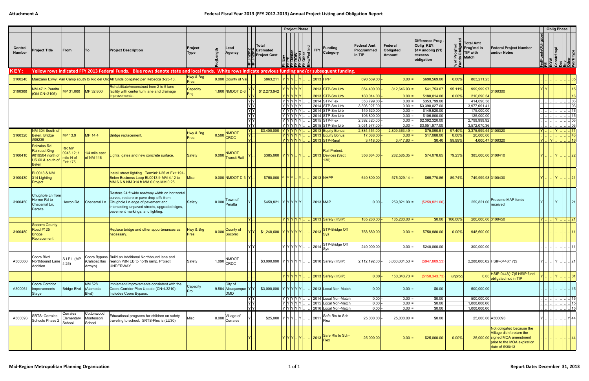|                          |                                                                                                |                                                    |                                    |                                                                                                                                                                                                                   |                          |          |                                                                                    |                                                                                        | <b>Project Phase</b>                                                                                                                                                                                                                 |         |                     |                                                                                                               |                                            |                                       |                                                                                   |                    |                                                          |                                                                                                                                            |                  | <b>Oblig Phase</b>                         |                    |
|--------------------------|------------------------------------------------------------------------------------------------|----------------------------------------------------|------------------------------------|-------------------------------------------------------------------------------------------------------------------------------------------------------------------------------------------------------------------|--------------------------|----------|------------------------------------------------------------------------------------|----------------------------------------------------------------------------------------|--------------------------------------------------------------------------------------------------------------------------------------------------------------------------------------------------------------------------------------|---------|---------------------|---------------------------------------------------------------------------------------------------------------|--------------------------------------------|---------------------------------------|-----------------------------------------------------------------------------------|--------------------|----------------------------------------------------------|--------------------------------------------------------------------------------------------------------------------------------------------|------------------|--------------------------------------------|--------------------|
| Control<br><b>Number</b> | <b>Project Title</b>                                                                           | From                                               | To                                 | <b>Project Description</b>                                                                                                                                                                                        | Project<br>Type          | ojLength | Lead<br>Agency                                                                     | ∣Total<br>인보 Estimated<br><b>COLORED</b><br><b>Project Cost</b><br><b>COLORED</b><br>립 | Enverse de la mondiale de la materiale de la materiale de la materiale de la materiale de la materiale de la m<br>En la materiale de la materiale de la materiale de la materiale de la materiale de la materiale de la materia<br>S |         | $ \tilde{\Xi} $ FFY | <b>Funding</b><br>Category                                                                                    | <b>Federal Amt</b><br>Programmed<br>in TIP | Federal<br>Obligated<br><b>Amount</b> | Difference Prog<br>Oblig KEY:<br>$$1=$ unoblig $($1)$<br>$=$ excess<br>obligation |                    | <b>Total Amt</b><br>은 Prog'md in<br>공유 TIP with<br>Match | <b>Federal Project Number</b><br>and/or Notes                                                                                              | adFundsObligatec | nstr/Impl                                  |                    |
| <b>KEY:</b>              |                                                                                                |                                                    |                                    | Yellow rows indicated FFY 2013 Federal Funds. Blue rows denote state and local funds. White rows indicate previous funding and/or subsequent funding.                                                             |                          |          |                                                                                    |                                                                                        |                                                                                                                                                                                                                                      |         |                     |                                                                                                               |                                            |                                       |                                                                                   |                    |                                                          |                                                                                                                                            |                  |                                            |                    |
| 3100240                  |                                                                                                |                                                    |                                    | Manzano Exwy: Van Camp south to Rio del Ord All funds obligated per Rebecca 3-25-13.                                                                                                                              | Hwy & Brg<br><b>Pres</b> |          | 0.000 County of Val                                                                | \$863,211                                                                              | YIY                                                                                                                                                                                                                                  |         |                     | 2013 HPP                                                                                                      | 690,569.00                                 | 0.00                                  | \$690,569.00                                                                      | 0.00%              | 863,211.25                                               |                                                                                                                                            |                  |                                            |                    |
| 3100300                  | <b>NM 47 in Peralta</b><br>(Old CN=2105)                                                       | MP 31.000                                          | MP 32.800                          | Rehabilitate/reconstruct from 2 to 5 lane<br>facility with center turn lane and drainage<br>improvements.                                                                                                         | Capacity<br>Proj         |          | 1.800 NMDOT D-3                                                                    | \$12,273,942                                                                           | Y Y Y Y Y                                                                                                                                                                                                                            | YIYIYIY |                     | $2013$ STP-Sm Urb<br>2013 STP-Sm Urb                                                                          | 854,400.00<br>180,014.00                   | 812,646.93<br> 0.00                   | \$41,753.07<br>\$180,014.00                                                       | 95.11%<br>$0.00\%$ | 999,999.97<br>210,690.54                                 | 3100300                                                                                                                                    |                  |                                            | 15<br>16           |
|                          |                                                                                                |                                                    |                                    |                                                                                                                                                                                                                   |                          |          |                                                                                    | YY                                                                                     | Y Y Y Y Y                                                                                                                                                                                                                            |         |                     | 2014 STP-Flex                                                                                                 | 353,799.00                                 | $0.00$ =                              | \$353,799.00                                                                      |                    | 414,090.58                                               |                                                                                                                                            |                  |                                            | 03                 |
|                          |                                                                                                |                                                    |                                    |                                                                                                                                                                                                                   |                          |          |                                                                                    | YY                                                                                     | Y Y Y Y Y                                                                                                                                                                                                                            |         |                     | 2014 STP-Sm Urb                                                                                               | 3,398,027.00                               | $0.00 =$                              | \$3,398,027.00                                                                    |                    | 3,977,091.41                                             |                                                                                                                                            |                  |                                            | 03                 |
|                          |                                                                                                |                                                    |                                    |                                                                                                                                                                                                                   |                          |          |                                                                                    | YY<br>YY                                                                               | $\overline{Y Y Y Y Y }$<br> Y Y Y Y Y                                                                                                                                                                                                |         |                     | 2014 STP-Sm Urb<br>2014 STP-Sm Urb                                                                            | 149,520.00<br>106,800.00                   | $0.00$ =<br>$0.00$ =                  | \$149,520.00<br>\$106,800.00                                                      |                    | 175,000.00<br>125,000.00                                 |                                                                                                                                            |                  |                                            | 16<br>15           |
|                          |                                                                                                |                                                    |                                    |                                                                                                                                                                                                                   |                          |          |                                                                                    | YY                                                                                     | Y Y Y Y Y                                                                                                                                                                                                                            |         |                     | 2015 STP-Flex                                                                                                 | 2,392,320.00                               | $0.00 =$                              | \$2,392,320.00                                                                    |                    | 2,799,999.92                                             |                                                                                                                                            |                  |                                            | 03                 |
|                          |                                                                                                |                                                    |                                    |                                                                                                                                                                                                                   |                          |          |                                                                                    | $\overline{Y}$                                                                         | Y Y Y Y Y                                                                                                                                                                                                                            |         |                     | 2015 STP-Sm Urb                                                                                               | 3,051,977.00                               | $0.00$ =                              | \$3,051,977.00                                                                    |                    | 3,572,070.36                                             |                                                                                                                                            |                  |                                            | 03                 |
| 3100320                  | NM 304 South of<br>Belen, Bridge                                                               | MP 13.9                                            | MP 14.4                            | Bridge replacement.                                                                                                                                                                                               | Hwy & Brg                | 0.500    | <b>NMDOT</b>                                                                       | \$3,400,000 YYYYYY                                                                     | $ \mathsf{Y} \mathsf{Y} \mathsf{Y} \mathsf{Y} $ Y $ \mathsf{Y} $                                                                                                                                                                     |         |                     | 2013 Equity Bonus<br>2013 Equity Bonus                                                                        | 2,884,454.00<br>17,088.00                  | $2,809,363.49$ =<br> 0.00             | \$75,090.51<br>\$17,088.00                                                        | $97.40\%$<br>0.00% | 3,375,999.44 3100320<br>20,000.00                        |                                                                                                                                            | $ Y $ $ $        | $\Box$ $\bm{\mathsf{Y}}$ $\bm{\mathsf{L}}$ | . 111<br> 43       |
|                          | #05235                                                                                         |                                                    |                                    |                                                                                                                                                                                                                   | <b>Pres</b>              |          | CRDC                                                                               |                                                                                        | <u>  Y Y Y Y Y Y</u>                                                                                                                                                                                                                 |         |                     | 2013 STP-Rural                                                                                                | 3,418.00                                   | $3,417.60 =$                          | \$0.40                                                                            | 99.99%             |                                                          | 4,000.47 3100320                                                                                                                           | $ Y $ $ Y $      |                                            | .16                |
| 3100410                  | Paizalas Rd<br><b>Railroad Xing</b><br>$\#019504$ north of<br>US 60 & south of<br><b>Belen</b> | RR MP<br> 0948.12;<br>mile N of<br><b>Exit 175</b> | 1/4 mile east<br>of NM 116         | Lights, gates and new concrete surface.                                                                                                                                                                           | <b>Safety</b>            | 0.000    | <b>NMDOT</b><br><b>Transit Rail</b>                                                | $$385,000$   Y   Y   Y      Y                                                          |                                                                                                                                                                                                                                      |         |                     | <b>Rail Protect.</b><br>2013 Devices (Sect<br>130)                                                            | 356,664.00                                 | $282,585.35$ =                        | \$74,078.65                                                                       | 79.23%             | 385,000.00 3100410                                       |                                                                                                                                            |                  |                                            | 22                 |
| 3100430                  | <b>BL0013 &amp; NM</b><br>$314$ Lighting<br>Project                                            |                                                    |                                    | Install street lighting. Termini: I-25 at Exit 191<br>Belen Business Loop BL0013 fr MM 4.12 to<br>MM 6.6 & NM 314 fr MM 0.0 to MM 0.25                                                                            | <b>Misc</b>              |          | $0.000$ NMDOT D-3 Y                                                                | $$750,000$ Y YY.                                                                       |                                                                                                                                                                                                                                      | IYI.    |                     | <b>2013 NHPP</b>                                                                                              | 640,800.00                                 | 575,029.14                            | \$65,770.86                                                                       | 89.74%             | 749,999.98 3100430                                       |                                                                                                                                            |                  |                                            | . 21               |
| 3100450                  | Chughole Ln from<br>Herron Rd to<br>Chaparral Ln,<br>Peralta                                   | Herron Rd                                          | Chaparral Ln                       | Restore 24 ft wide roadway width on horizontal<br>curves, restore or pave drop-offs from<br>Chughole Ln edge of pavement and<br>intersecting unpaved streets, upgraded signs,<br>pavement markings, and lighting. | Safety                   |          | Town of<br>$\begin{array}{ c c c }\n\hline\n0.000 & \text{Peralta}\n\end{array}$   | $$459,821$ $Y$ $Y$ $Y$ $Y$ $Y$                                                         |                                                                                                                                                                                                                                      |         |                     | 2013 MAP                                                                                                      | 0.00                                       | $259,821.00$ =                        | (\$259,821.00)                                                                    |                    | 259,821.00                                               | <b>Presume MAP funds</b><br>received                                                                                                       |                  |                                            |                    |
|                          |                                                                                                |                                                    |                                    |                                                                                                                                                                                                                   |                          |          |                                                                                    | IYL.                                                                                   | Y Y Y Y Y                                                                                                                                                                                                                            |         |                     | $\vert$ 2013 Safety (HSIP)                                                                                    | 185,280.00                                 | $185,280.00 =$                        |                                                                                   | $$0.00$   100.00%  | 200,000.00 3100450                                       |                                                                                                                                            | $ Y $            |                                            |                    |
| 3100480                  | <b>Socorro County</b><br><b>Road #125</b><br><b>Bridge</b><br>Replacement                      |                                                    |                                    | Replace bridge and other appurtenances as<br>necessary.                                                                                                                                                           | Hwy & Brg<br>Pres        | 0.000    | County of<br>Socorro                                                               | \$1,248,600  Y Y Y Y Y                                                                 |                                                                                                                                                                                                                                      |         | 2013                | STP-Bridge Off                                                                                                | 758,880.00                                 | $ 0.00 $ =                            | \$758,880.00                                                                      | $0.00\%$           | 948,600.00                                               |                                                                                                                                            |                  |                                            |                    |
|                          |                                                                                                |                                                    |                                    |                                                                                                                                                                                                                   |                          |          |                                                                                    | <b>YY</b>                                                                              | $ \gamma \gamma \gamma \gamma $                                                                                                                                                                                                      |         |                     | 2014 STP-Bridge Off<br>Sys                                                                                    | 240,000.00                                 | $0.00 =$                              | \$240,000.00                                                                      |                    | 300,000.00                                               |                                                                                                                                            |                  |                                            |                    |
| A300060                  | Coors Blvd<br>Northbound Lane<br>Addition                                                      | S.I.P.I. (MP<br>4.25)                              | (Calabacillas<br>Arroyo)           | Coors Bypass Build an Additional Northbound lane and<br>realign PdN EB to north ramp. Project<br>UNDERWAY.                                                                                                        | Safety                   |          | <b>NMDOT</b><br>$1.090$ CRDC                                                       | \$3,000,000  Y Y Y Y Y                                                                 |                                                                                                                                                                                                                                      |         |                     | 2010 Safety (HSIP)                                                                                            | 2,112,192.00                               | 3,060,001.53                          | (\$947,809.53)                                                                    |                    |                                                          | 2,280,000.02 HSIP-0448(17)5                                                                                                                |                  | $ Y $ $ $                                  | .  21              |
|                          |                                                                                                |                                                    |                                    |                                                                                                                                                                                                                   |                          |          |                                                                                    |                                                                                        | YYYYY                                                                                                                                                                                                                                |         |                     | 2013 Safety (HSIP)                                                                                            | 0.00                                       | $150,343.73$ =                        | (\$150,343.73)                                                                    | unprog             |                                                          | HSIP-0448(17)5 HSIP fund<br>0.00 obligated not in TIP                                                                                      |                  |                                            | 01                 |
| A300061                  | <b>Coors Corridor</b><br>Improvements<br>Stage I                                               | <b>Bridge Blvd</b>                                 | <b>NM 528</b><br>Alameda<br>Blvd)  | Implement improvements consistent with the<br>Coors Corridor Plan Update (CN=L3210).<br>Includes Coors Bypass.                                                                                                    | Capacity<br>Proj         |          | City of<br>9.584 Albuquerque-Y<br><b>DMD</b>                                       | \$3,000,000 Y Y Y Y Y                                                                  |                                                                                                                                                                                                                                      |         |                     | 2013 Local Non-Match                                                                                          | 0.00                                       | 0.00                                  | \$0.00                                                                            |                    | 500,000.00                                               |                                                                                                                                            |                  |                                            | 15                 |
|                          |                                                                                                |                                                    |                                    |                                                                                                                                                                                                                   |                          |          |                                                                                    | YY                                                                                     | Y Y Y Y<br> Y Y Y Y Y                                                                                                                                                                                                                |         |                     | 2014 Local Non-Match<br>2015 Local Non-Match                                                                  | $0.00$ -<br>$0.00 -$                       | $0.00 =$<br>$0.00 =$                  | \$0.00<br>\$0.00                                                                  |                    | 500,000.00<br>1,000,000.00                               |                                                                                                                                            |                  |                                            | $    $ 15<br>   15 |
|                          |                                                                                                |                                                    |                                    |                                                                                                                                                                                                                   |                          |          |                                                                                    | $\frac{Y}{Y} \frac{Y}{Y}$                                                              | Y Y Y Y Y                                                                                                                                                                                                                            |         |                     | 2016 Local Non-Match                                                                                          | $0.00$ -                                   | $0.00 =$                              | \$0.00                                                                            |                    | 1,000,000.00                                             |                                                                                                                                            |                  |                                            | . 15               |
| A300093                  | <b>SRTS: Corrales</b><br>Schools Phase 2                                                       | Corrales<br>Elementary<br>School                   | Cottonwood<br>Montessori<br>School | Educational programs for children on safety<br>traveling to school. SRTS-Flex is (LU30)                                                                                                                           | Misc                     |          | Village of<br>$0.000$ $\begin{array}{c} \sim \\ \sim \\ \sim \end{array}$ Corrales | \$25,000                                                                               | Y   Y   Y      Y                                                                                                                                                                                                                     |         |                     | 2011 Safe Rts to Sch-                                                                                         | 25,000.00                                  | $25,000.00$ =                         | \$0.00                                                                            |                    | 25,000.00 A300093                                        |                                                                                                                                            |                  |                                            | Y 44               |
|                          |                                                                                                |                                                    |                                    |                                                                                                                                                                                                                   |                          |          |                                                                                    |                                                                                        |                                                                                                                                                                                                                                      |         |                     | $\sqrt{\mathsf{Y}\mathsf{Y}\mathsf{Y}}\cdot\mathsf{Y}\cdot\mathsf{I}\cdot\mathsf{I}\cdot\mathsf{I}$ 2013 Flex | $25,000.00$ .                              | $ 0.00 $ =                            | \$25,000.00                                                                       | 0.00%              |                                                          | Not obligated because the<br>Village didn't return the<br>25,000.00 signed MOA amendment<br>prior to the MOA expiration<br>date of 6/30/13 |                  |                                            | . 44               |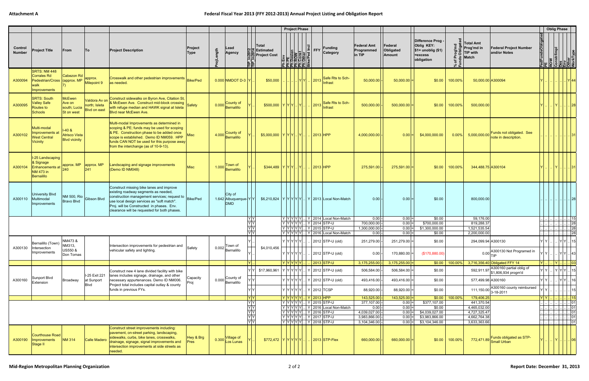## **Federal Fiscal Year 2013 (FFY 2012‐2013) Annual Project Listing and Obligation Report**

|                          |                                                                                           |                                                         |                                                       |                                                                                                                                                                                                                                                                                         |                                              |                                                  |                                                     |             | <b>Project Phase</b>                                                                                                                                                                                                                                                                               |                                                                                                                                                                                                                                                                              |                                            |                                |                                                                                        |                             |                                                                                                          |                                   | <b>Oblig Phase</b>                                                                                                       |                                                                                                                                                                  |             |
|--------------------------|-------------------------------------------------------------------------------------------|---------------------------------------------------------|-------------------------------------------------------|-----------------------------------------------------------------------------------------------------------------------------------------------------------------------------------------------------------------------------------------------------------------------------------------|----------------------------------------------|--------------------------------------------------|-----------------------------------------------------|-------------|----------------------------------------------------------------------------------------------------------------------------------------------------------------------------------------------------------------------------------------------------------------------------------------------------|------------------------------------------------------------------------------------------------------------------------------------------------------------------------------------------------------------------------------------------------------------------------------|--------------------------------------------|--------------------------------|----------------------------------------------------------------------------------------|-----------------------------|----------------------------------------------------------------------------------------------------------|-----------------------------------|--------------------------------------------------------------------------------------------------------------------------|------------------------------------------------------------------------------------------------------------------------------------------------------------------|-------------|
| Control<br><b>Number</b> | <b>Project Title</b>                                                                      | From                                                    | To                                                    | Project<br><b>Project Description</b><br>Type                                                                                                                                                                                                                                           | Lead<br>.ength<br><b>Agency</b>              | In2012<br>Lail<br>Tiel                           | <b>Total</b><br>부분 Estimated<br><b>Project Cost</b> |             | Environmental<br>Environment<br>Environment<br>Control<br>Control<br>Control<br>Control<br>Control<br>Control<br>Control<br>Control<br>Control<br>Control<br>Control<br>Control<br>Control<br>Control<br>Control<br>Control<br>Control<br>Control<br>Control<br>Control<br>C<br><u>ਵੇਤਿਸਤਵਿਸਤੀ</u> | $\left \frac{\overline{Q}}{P}\right $ FFY<br><b>Funding</b><br>Category                                                                                                                                                                                                      | <b>Federal Amt</b><br>Programmed<br>in TIP | Federal<br>Obligated<br>Amount | Difference Prog -<br><b>Oblig KEY:</b><br>$$1=$ unoblig (\$1)<br>=excess<br>obligation | $\frac{1}{2}$ $\frac{1}{2}$ | <b>Total Amt</b><br><b>Federal Project Number</b><br>.≌ ∣Prog'md in<br>and/or Notes<br>TIP with<br>Match | edFundsObligated                  | ROW<br>Constr/Impl<br>Des<br>Env<br>Other<br>WorkType                                                                    |                                                                                                                                                                  |             |
| A300094                  | SRTS: NM 448<br>Corrales Rd<br>Pedestrian/Cross (approx. MP<br>walk<br>Improvements       | Cabezon Rd                                              | approx.<br>Milepoint 9                                | Crosswalk and other pedestrian improvements<br>Bike/Ped<br>as needed.                                                                                                                                                                                                                   | $0.000$ NMDOT D-3 Y                          |                                                  | \$50,000                                            |             | $\left  \ldots \right  \ldots \left  \mathsf{Y} \right  \mathsf{Y} \left  \ldots \right $ 2013                                                                                                                                                                                                     | Safe Rts to Sch-<br>Infrast                                                                                                                                                                                                                                                  | 50,000.00                                  | $50,000.00$ =                  | \$0.00                                                                                 | 100.00%                     | 50,000.00 A300094                                                                                        |                                   |                                                                                                                          |                                                                                                                                                                  |             |
| A300095                  | <b>SRTS: South</b><br><b>Valley Safe</b><br><b>Routes to</b><br>Schools                   | McEwen<br>Ave on<br>south; Lucia<br>St on west          | Valdora Av on<br>north; Isleta<br><b>Blvd on east</b> | Construct sidewalks on Byron Ave, Citation St,<br>& McEwen Ave. Construct mid-block crossing<br>Safety<br>with refuge median and HAWK signal at Isleta<br>Blvd near McEwen Ave.                                                                                                         | County of<br>0.000<br><b>Bernalillo</b>      |                                                  | \$500,000  Y Y Y Y                                  |             |                                                                                                                                                                                                                                                                                                    | $\left\lfloor \frac{2013}{\text{Infrared Rts to Sch}} \right\rfloor$                                                                                                                                                                                                         | 500,000.00                                 | $500,000.00$ =                 | \$0.00                                                                                 | 100.00%                     | 500,000.00                                                                                               |                                   | IYL.                                                                                                                     |                                                                                                                                                                  | 28          |
| A300102                  | Multi-modal<br>Improvements a<br><b>West Central</b><br>Vicinity                          | $-40 &$<br><b>Atrisco Vista</b><br><b>Blvd</b> vicinity |                                                       | Multi-modal Improvements as determined in<br>scoping & PE; funds may be used for scoping<br>8 PE. Construction phase to be added once<br>/lisc<br>scope is established. Demo ID NM059. HPP<br>funds CAN NOT be used for this purpose away<br>from the interchange (as of 10-9-13).      | County of<br>4.000<br><b>Bernalillo</b>      |                                                  | \$5,000,000  Y Y Y Y .                              |             |                                                                                                                                                                                                                                                                                                    | $ 2013 $ HPP                                                                                                                                                                                                                                                                 | 4,000,000.00                               | $0.00 =$                       | \$4,000,000.00                                                                         | $0.00\%$                    | Funds not obligated. See<br>5,000,000.00<br>note in description.                                         |                                   |                                                                                                                          |                                                                                                                                                                  |             |
| A300104                  | I-25 Landscaping<br>8 Signage<br><b>Enhancements at</b><br><b>NM 473 in</b><br>Bernalillo | approx. MP<br>240                                       | approx. MP<br>241                                     | andscaping and signage improvements<br>Misc<br>(Demo ID NM048)                                                                                                                                                                                                                          | Town of<br>1.000<br>Bernalillo               |                                                  | \$344,489   Y Y Y Y                                 |             |                                                                                                                                                                                                                                                                                                    | . 2013 HPP                                                                                                                                                                                                                                                                   | 275,591.00                                 | $275,591.00$ =                 | \$0.00                                                                                 | 100.00%                     | 344,488.75 A300104                                                                                       |                                   | I Y L.I                                                                                                                  |                                                                                                                                                                  |             |
| A300110                  | <b>University Blvd</b><br>Multimodal<br>Improvements                                      | Bravo Blvd                                              | NM 500, Rio Gibson Blvd                               | Construct missing bike lanes and improve<br>existing roadway segments as needed,<br>construction management services; request to<br>Bike/Ped<br>use local design services as "soft match".<br>Proj. will be Constructed in phases. Env.<br>clearance will be requested for both phases. | City of<br>1.642 Albuquerque-Y<br><b>DMD</b> |                                                  |                                                     |             |                                                                                                                                                                                                                                                                                                    | \$6,210,824   Y   Y   Y   Y   Y   Y   2013   Local Non-Match                                                                                                                                                                                                                 | 0.00                                       | 0.00                           | \$0.00                                                                                 |                             | 800,000.00                                                                                               |                                   |                                                                                                                          |                                                                                                                                                                  |             |
|                          |                                                                                           |                                                         |                                                       |                                                                                                                                                                                                                                                                                         |                                              | YY                                               |                                                     |             |                                                                                                                                                                                                                                                                                                    | $ Y Y Y Y X $ Y 2014 Local Non-Match                                                                                                                                                                                                                                         | 0.00                                       | $0.00 =$                       | \$0.00                                                                                 |                             | 59,176.00                                                                                                |                                   |                                                                                                                          |                                                                                                                                                                  | 15          |
|                          |                                                                                           |                                                         |                                                       |                                                                                                                                                                                                                                                                                         |                                              | $\frac{1}{\sqrt{\frac{1}{x}}\sqrt{\frac{1}{x}}}$ |                                                     |             |                                                                                                                                                                                                                                                                                                    | Υ Υ Υ Υ Υ   Υ  2014  STP-U<br>  Y   Y   Y   Y   Y      Y   2015  STP-U                                                                                                                                                                                                       | 700,000.00<br>1,300,000.00                 | $0.00 =$<br>$0.00 =$           | \$700,000.00<br>\$1,300,000.00                                                         |                             | 819,288.37<br>1,521,535.54                                                                               |                                   |                                                                                                                          |                                                                                                                                                                  | 28<br>28    |
|                          |                                                                                           |                                                         |                                                       |                                                                                                                                                                                                                                                                                         |                                              |                                                  |                                                     |             |                                                                                                                                                                                                                                                                                                    | $ Y Y Y Y Y $   Y   2016 Local Non-Match                                                                                                                                                                                                                                     | 0.00                                       | $0.00 =$                       | \$0.00                                                                                 |                             | 2,200,000.00                                                                                             |                                   |                                                                                                                          |                                                                                                                                                                  |             |
|                          | Bernalillo (Town)                                                                         | NM473 &                                                 |                                                       |                                                                                                                                                                                                                                                                                         |                                              |                                                  |                                                     |             | $ \mathsf{Y} \mathsf{Y} \mathsf{Y} \mathsf{Y} \mathsf{Y} $                                                                                                                                                                                                                                         | 2012 STP-U (old)                                                                                                                                                                                                                                                             | 251,279.00                                 | 251,279.00                     | \$0.00                                                                                 |                             | 294,099.94 A300130                                                                                       |                                   | $\mathbf{Y}$ $\mathbf{Y}$ $\ldots$ $\mathbf{Y}$ $\mathbf{Y}$ $\ldots$ $\mathbf{Y}$ $\mathbf{Y}$ $\ldots$ $\mathbf{Y}$ 15 |                                                                                                                                                                  |             |
| A300130                  | Intersection<br>Improvements                                                              | NM313,<br><b>US550 &amp;</b><br>Don Tomas               |                                                       | Intersection improvements for pedestrian and<br>Safety<br>vehicular safety and lighting.                                                                                                                                                                                                | Town of<br>$0.002$ Bernalillo                |                                                  | \$4,010,456                                         | Y Y Y Y Y . |                                                                                                                                                                                                                                                                                                    | 2012 STP-U (old)                                                                                                                                                                                                                                                             | 0.00                                       | $170,880.00$ =                 | (\$170,880.00)                                                                         |                             | 0.00 A300130 Not Programed in                                                                            | YIYI                              |                                                                                                                          | . YY. 43                                                                                                                                                         |             |
|                          |                                                                                           |                                                         |                                                       |                                                                                                                                                                                                                                                                                         |                                              | IYL                                              |                                                     | Y Y Y Y Y   |                                                                                                                                                                                                                                                                                                    | $2013$ STP-U                                                                                                                                                                                                                                                                 | $3,175,255.00$ -                           | $3,175,255.00$ =               |                                                                                        | $$0.00$   100.00%           | 3,716,356.40 Obligated FFY 14                                                                            | $ Y $                             |                                                                                                                          | .   Y            03                                                                                                                                              |             |
|                          |                                                                                           |                                                         |                                                       | Construct new 4 lane divided facility with bike                                                                                                                                                                                                                                         |                                              | YY                                               |                                                     |             |                                                                                                                                                                                                                                                                                                    | \$17,960,961   Y   Y   Y   Y   Y      Y   2012   STP-U (old)                                                                                                                                                                                                                 | 506,584.00                                 | $506,584.00$ =                 | \$0.00                                                                                 |                             | 592,911.97 A300160 partial oblig of<br>\$1,806,934 progm'd                                               | $Y$ $Y$                           |                                                                                                                          | $ \mathsf{Y} \mathsf{Y} \mathsf{Y} $ 15                                                                                                                          |             |
| A300160                  | Sunport Blvd<br>Extension                                                                 | Broadway                                                | I-25 Exit 221<br>at Sunport                           | lanes includes signage, drainage, and other<br>Capacity<br>necessary appurtenances. Demo ID NM006.<br>Proj                                                                                                                                                                              | 0.000 County of                              |                                                  |                                                     |             |                                                                                                                                                                                                                                                                                                    | $Y Y Y Y Y $ $Y 2012$ STP-U (old)                                                                                                                                                                                                                                            | 493,416.00                                 | $493,416.00$ =                 | \$0.00                                                                                 |                             | 577,499.98 A300160                                                                                       | YY                                |                                                                                                                          | . YY. 16                                                                                                                                                         |             |
|                          |                                                                                           |                                                         | Blvd                                                  | Project total includes capital outlay & county<br>funds in previous FYs.                                                                                                                                                                                                                |                                              | <b>YY</b>                                        |                                                     |             |                                                                                                                                                                                                                                                                                                    | Y   Y   Y   Y   Y      Y   2012   TCSP                                                                                                                                                                                                                                       | 88,920.00                                  | $88,920.00$ =                  | \$0.00                                                                                 |                             | A300160 county reimbursed<br>111,150.00<br>3-18-2011                                                     |                                   |                                                                                                                          |                                                                                                                                                                  | 15          |
|                          |                                                                                           |                                                         |                                                       |                                                                                                                                                                                                                                                                                         |                                              | Y Y                                              |                                                     |             |                                                                                                                                                                                                                                                                                                    | Y   Y   Y   Y   Y      Y   2013  HPP                                                                                                                                                                                                                                         | 143,525.00                                 | $143,525.00$ =                 |                                                                                        | $$0.00$ 100.00%             | 179,406.25                                                                                               | $ {\mathsf Y}  \, {\mathsf Y} $ . |                                                                                                                          |                                                                                                                                                                  | 15          |
|                          |                                                                                           |                                                         |                                                       |                                                                                                                                                                                                                                                                                         |                                              |                                                  |                                                     |             |                                                                                                                                                                                                                                                                                                    | $ \hspace{.04cm}\t\mathsf{Y} \mathsf{Y} \mathsf{Y} \mathsf{Y} .\hspace{.04cm} \hspace{.04cm}\overline{\mathsf{Y}}\hspace{.04cm} \hspace{.04cm}\overline{\mathsf{2015}}\hspace{.04cm} \overline{\mathsf{STP\text{-}U}}\hspace{.04cm}$<br>$ Y Y Y Y $   Y 2016 Local Non-Match | 377,107.00<br>0.00                         | $0.00 =$<br>$0.00 =$           | \$377,107.00<br>\$0.00                                                                 |                             | 441,370.54<br>4,465,032.00                                                                               |                                   |                                                                                                                          | <u>    01</u><br>01                                                                                                                                              |             |
|                          |                                                                                           |                                                         |                                                       |                                                                                                                                                                                                                                                                                         |                                              |                                                  |                                                     |             |                                                                                                                                                                                                                                                                                                    | YYYYYY Y 2016 STP-U                                                                                                                                                                                                                                                          | 4,039,027.00                               | $0.00 =$                       | \$4,039,027.00                                                                         |                             | 4,727,325.47                                                                                             |                                   |                                                                                                                          |                                                                                                                                                                  | $\ldots$ 01 |
|                          |                                                                                           |                                                         |                                                       |                                                                                                                                                                                                                                                                                         |                                              |                                                  |                                                     |             |                                                                                                                                                                                                                                                                                                    | Y   Y   Y   Y   Y      Y   2017   STP-U                                                                                                                                                                                                                                      | 3,983,866.00                               | $0.00 =$                       | \$3,983,866.00                                                                         |                             | 4,662,764.38                                                                                             |                                   |                                                                                                                          | $\left\lfloor \frac{1}{2} \right\rfloor \left\lfloor \frac{1}{2} \right\rfloor \left\lfloor \frac{1}{2} \right\rfloor \left\lfloor \frac{1}{2} \right\rfloor$ 01 |             |
|                          |                                                                                           |                                                         |                                                       | Construct street improvements including:                                                                                                                                                                                                                                                |                                              |                                                  |                                                     |             |                                                                                                                                                                                                                                                                                                    | Y   Y   Y   Y   Y      Y   2018   STP-U                                                                                                                                                                                                                                      | 3,104,346.00                               | $0.00 =$                       | \$3,104,346.00                                                                         |                             | 3,633,363.66                                                                                             |                                   |                                                                                                                          |                                                                                                                                                                  | 01          |
| A300190                  | <b>Courthouse Road</b><br>Improvements<br>Stage II                                        | <b>NM 314</b>                                           | Calle Madero                                          | pavement, on-street parking, landscaping,<br>Hwy & Brg<br>sidewalks, curbs, bike lanes, crosswalks,<br>drainage, signage, signal improvements and<br>Pres<br>intersection improvements at side streets as<br>needed.                                                                    | Village of<br>0.300<br>Los Lunas             |                                                  | \$772,472  Y Y Y Y .                                |             |                                                                                                                                                                                                                                                                                                    | $\frac{1}{2013}$ STP-Flex                                                                                                                                                                                                                                                    | 660,000.00                                 | $660,000.00$ =                 | \$0.00                                                                                 | 100.00%                     | Funds obligated as STP-<br>$\sqrt{772,471.89}$ Small Urban                                               |                                   |                                                                                                                          | .   Y            06                                                                                                                                              |             |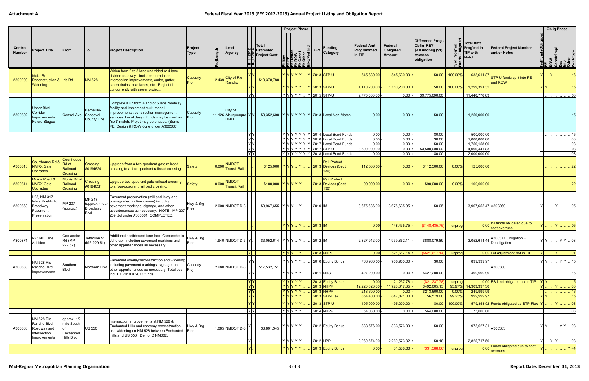|                          |                                                                                 |                                                              |                                              |                                                                                                                                                                                                                                                              |                   |          |                                                 |                                          |                                               | <b>Project Phase</b>                                                                                      |   |                                                                        |                                                                                             |                                     |                                       |                                                                                  |                       |                                                                          |                                                 |                  | <b>Oblig Phase</b>                                         |                                                                  |
|--------------------------|---------------------------------------------------------------------------------|--------------------------------------------------------------|----------------------------------------------|--------------------------------------------------------------------------------------------------------------------------------------------------------------------------------------------------------------------------------------------------------------|-------------------|----------|-------------------------------------------------|------------------------------------------|-----------------------------------------------|-----------------------------------------------------------------------------------------------------------|---|------------------------------------------------------------------------|---------------------------------------------------------------------------------------------|-------------------------------------|---------------------------------------|----------------------------------------------------------------------------------|-----------------------|--------------------------------------------------------------------------|-------------------------------------------------|------------------|------------------------------------------------------------|------------------------------------------------------------------|
| Control<br><b>Number</b> | <b>Project Title</b>                                                            | From                                                         | To                                           | <b>Project Description</b>                                                                                                                                                                                                                                   | Project<br>Type   | ojLength | Lead<br>Agency                                  | In201<br>Len<br>Tier                     | ∣Total<br>일본 Estimated<br><b>Project Cost</b> | Enveloped the Magnetic Science<br><b>E</b> MOON Const<br>Const<br>Const<br>Constant<br><u>로</u> 목 목 목 목 목 |   | $ \tilde{=} \text{FFY}$                                                | <b>Funding</b><br><b>Category</b>                                                           | Federal Amt<br>Programmed<br>in TIP | Federal<br>Obligated<br><b>Amount</b> | Difference Prog -<br>Oblig KEY:<br>$$1=$ unoblig $($1)$<br>=excess<br>obligation | - "                   | Total Amt<br><sup>)</sup> ∣Prog'md in<br><b>TIP with</b><br><b>Match</b> | <b>Federal Project Number</b><br>and/or Notes   | edFundsObligated | : COW<br>Constr/Impl<br>Des<br>Cother<br>Other<br>WorkType |                                                                  |
| A300200                  | Idalia Rd<br>Reconstruction & Iris Rd<br>Widening                               |                                                              | <b>NM 528</b>                                | Widen from 2 to 3 lane undivided or 4 lane<br>divided roadway. Includes: turn lanes,<br>intersection improvements, curbs, gutter,<br>storm drains, bike lanes, etc. Project t.b.d.<br>concurrently with sewer project.                                       | Capacity<br>Proj  | 2.439    | <b>City of Rio</b><br>Rancho                    |                                          | \$13,378,780                                  |                                                                                                           |   | Y   Y   Y   Y   Y   .   Y   2013   STP-U<br>Y Y Y Y Y Y L Y 2013 STP-U |                                                                                             | 545,630.00<br>1,110,200.00          | $545,630.00$ =<br>$1,110,200.00$ =    | \$0.00<br>\$0.00                                                                 | 100.00%<br>$100.00\%$ | 638,611.87<br>1,299,391.35                                               | STP-U funds split into PE<br>and ROW            |                  |                                                            | 16<br>15                                                         |
|                          |                                                                                 |                                                              |                                              |                                                                                                                                                                                                                                                              |                   |          |                                                 | $\overline{X}$                           |                                               |                                                                                                           |   | Y  Y Y Y Y   Y   2015  STP-U                                           |                                                                                             | 9,775,000.00                        | $0.00$ =                              | \$9,775,000.00                                                                   |                       | 11,440,776.83                                                            |                                                 |                  |                                                            | .  03                                                            |
| A300302                  | <b>Unser Blvd</b><br>Corridor<br>mprovements<br><b>Future Stages</b>            | Central Ave Sandoval                                         | <b>Bernalillo-</b><br>County Line            | Complete a uniform 4 and/or 6 lane roadway<br>facility and implement multi-modal<br>mprovements; construction management<br>services. Local design funds may be used as<br>"soft" match. Projet may be phased. (Some<br>PE, Design & ROW done under A300300) | Capacity<br>Proj  |          | City of<br>11.126 Albuquerque-Y Y<br><b>DMD</b> |                                          |                                               |                                                                                                           |   |                                                                        | \$9,352,600   Y   Y   Y   Y   Y   Y   Y   2013   Local Non-Match                            | 0.00                                | $0.00$ =                              | \$0.00                                                                           |                       | 1,250,000.00                                                             |                                                 |                  |                                                            |                                                                  |
|                          |                                                                                 |                                                              |                                              |                                                                                                                                                                                                                                                              |                   |          |                                                 | YY                                       |                                               |                                                                                                           |   |                                                                        | $ Y Y Y Y Y Y$ 2014 Local Bond Funds                                                        | 0.00                                | $0.00 =$                              | \$0.00                                                                           |                       | 500,000.00                                                               |                                                 |                  |                                                            | $\     15$                                                       |
|                          |                                                                                 |                                                              |                                              |                                                                                                                                                                                                                                                              |                   |          |                                                 | YY<br>Y                                  |                                               |                                                                                                           |   |                                                                        | $ Y Y Y Y Y Y Y $ 2016 Local Bond Funds<br>$ Y Y Y Y Y Y Z$ 2017 Local Bond Funds           | 0.00<br>0.00                        | $0.00$ =<br>$0.00 =$                  | \$0.00<br>\$0.00                                                                 |                       | 1,000,000.00<br>1,756,158.00                                             |                                                 |                  |                                                            | 03<br>. 03                                                       |
|                          |                                                                                 |                                                              |                                              |                                                                                                                                                                                                                                                              |                   |          |                                                 | $\frac{1}{\gamma}$<br>$\frac{1}{\gamma}$ |                                               |                                                                                                           |   | Y   Y   Y   Y   Y   Y   2017   STP-U                                   |                                                                                             | 3,500,000.00                        | $0.00 =$                              | \$3,500,000.00                                                                   |                       | 4,096,441.83                                                             |                                                 |                  |                                                            | $\vert$ 03                                                       |
|                          |                                                                                 |                                                              |                                              |                                                                                                                                                                                                                                                              |                   |          |                                                 |                                          |                                               |                                                                                                           |   |                                                                        | $ \mathsf{Y} \mathsf{Y} \mathsf{Y} \mathsf{Y} \mathsf{Y} \mathsf{Y} $ 2018 Local Bond Funds | 0.00                                | $0.00 =$                              | \$0.00                                                                           |                       | 2,000,000.00                                                             |                                                 |                  |                                                            |                                                                  |
| A300313                  | <b>Courthouse Rd</b><br>NMRX Gate<br><b>Upgrades</b>                            | Courthouse<br>Rd at<br>Railroad<br>Crossing                  | <b>Crossing</b><br>#0194624                  | Upgrade from a two-quadrant gate railroad<br>crossing to a four-quadrant railroad crossing.                                                                                                                                                                  | <b>Safety</b>     | 0.000    | <b>NMDOT</b><br><b>Transit Rail</b>             |                                          | \$125,000  Y Y Y .  Y                         |                                                                                                           |   |                                                                        | Rail Protect.<br>2013 Devices (Sect                                                         | 112,500.00                          | $ 0.00 =$                             | \$112,500.00                                                                     | 0.00%                 | 125,000.00                                                               |                                                 |                  |                                                            |                                                                  |
| A300314                  | Morris Road &<br><b>NMRX</b> Gate<br>Upgrades                                   | Morris Rd at<br>Railroad<br>Crossing                         | Crossing<br>#019463F                         | Upgrade two-quadrant gate railroad crossing<br>to a four-quadrant railroad crossing                                                                                                                                                                          | <b>Safety</b>     |          | <b>NMDOT</b><br>0.000 Transit Rail              |                                          | \$100,000  Y Y Y Y Y                          |                                                                                                           |   |                                                                        | Rail Protect.<br>2013 Devices (Sect                                                         | 90,000.00                           | $ 0.00 =$                             | \$90,000.00                                                                      | 0.00%                 | 100,000.00                                                               |                                                 |                  |                                                            |                                                                  |
| A300360                  | I-25, NM 317<br>Isleta Pueblo to<br>Broadway<br>Pavement<br>Preservation        | MP 207<br>(approx.)                                          | MP 217<br>(approx.) near<br>Broadway<br>Blvd | Pavement preservation (mill and inlay and<br>open-graded friction course) including<br>pavement markings, signage, and other<br>appurtenances as necessary. NOTE: MP 207-<br>209 tbd under A300361. COMPLETED.                                               | Hwy & Brg<br>Pres |          | 2.000 NMDOT D-3                                 |                                          | \$3.967,655  Y Y Y Y .                        |                                                                                                           |   | 2010 IM                                                                |                                                                                             | 3,675,636.00                        | $3,675,635.95$ =                      | \$0.05                                                                           |                       | 3,967,655.47 A300360                                                     |                                                 |                  |                                                            | 05                                                               |
|                          |                                                                                 |                                                              |                                              |                                                                                                                                                                                                                                                              |                   |          |                                                 |                                          |                                               | YYY                                                                                                       |   | $2013$ IM                                                              |                                                                                             | 0.00                                | $148,435.75$ =                        | (\$148,435.75)                                                                   | unprog                |                                                                          | IM funds obligated due to<br>0.00 cost overruns |                  |                                                            |                                                                  |
| A300371                  | I-25 NB Lane<br>Addition                                                        | Comanche<br>Rd (MP<br>227.57)                                | Jefferson St<br>(MP 229.51)                  | Additional northbound lane from Comanche to<br>Jefferson including pavement markings and<br>other appurtenances as necessary.                                                                                                                                | Hwy & Brg<br>Pres |          | 1.940 NMDOT D-3 $ Y $                           |                                          | $$3,052,614$ $Y Y Y$ .                        |                                                                                                           | Y | 2012 IM                                                                |                                                                                             | 2,827,942.00                        | 1,939,862.11                          | \$888,079.89                                                                     |                       |                                                                          | 3,052,614.44 A300371 Obligation +               |                  | lylyl.                                                     |                                                                  |
|                          |                                                                                 |                                                              |                                              |                                                                                                                                                                                                                                                              |                   |          |                                                 | ΙYΙ.                                     |                                               | $ Y Y Y $ $ Y $                                                                                           |   |                                                                        | $2013$ NHPP                                                                                 | 0.00                                | $521,617.14$ =                        | (S521, 617.14)                                                                   | unprog                |                                                                          | 0.00 Let adjustment-not in TIP                  | $ Y $            | .   Y            01                                        |                                                                  |
| A300380                  | <b>NM 528 Rio</b><br>Rancho Blvd                                                | Southern                                                     | Northern Blvd                                | Pavement overlay/reconstruction and widening<br>including pavement markings, signage, and                                                                                                                                                                    | Capacity          |          | 2.680 NMDOT D-3                                 | YY                                       | \$17,532,751                                  | Y Y Y Y Y Y                                                                                               |   |                                                                        | 2010 Equity Bonus                                                                           | 768,960.00                          | 768,960.00 =                          | \$0.00                                                                           |                       | 899,999.97                                                               | A300380                                         | YY               |                                                            | $Y Y $ 15                                                        |
|                          | Improvements                                                                    | <b>Blvd</b>                                                  |                                              | other appurtenances as necessary. Total cost Proj<br>incl. FY 2010 & 2011 funds.                                                                                                                                                                             |                   |          |                                                 |                                          |                                               | Y Y Y Y Y Y                                                                                               |   | <b>2011 NHS</b>                                                        |                                                                                             | 427,200.00                          | $0.00 =$                              | \$427,200.00                                                                     |                       | 499,999.99                                                               |                                                 |                  |                                                            | 15                                                               |
|                          |                                                                                 |                                                              |                                              |                                                                                                                                                                                                                                                              |                   |          |                                                 | YY                                       |                                               | Y Y Y Y Y                                                                                                 |   |                                                                        | 2013 Equity Bonus                                                                           | 0.00                                | 21,237.78                             | (S21, 237.78)                                                                    | unprog                |                                                                          | 0.00 EB fund obligated not in TIP               | <u>IYIYI</u>     | $\left\  \ldots \right\ $ $\left\  15 \right\ $            |                                                                  |
|                          |                                                                                 |                                                              |                                              |                                                                                                                                                                                                                                                              |                   |          |                                                 | $\overline{Y}$<br>$\overline{Y}$         |                                               | Y Y Y Y Y <br> Y Y Y Y Y                                                                                  |   |                                                                        | 2013 NHPP<br>2013 NHPP                                                                      | 12,220,823.00<br>213,600.00         | $11,728,817.85$ =<br>$ 0.00 $ =       | \$492,005.15<br>\$213,600.00                                                     | 95.97%<br>$0.00\%$    | 14,303,397.30<br>249,999.99                                              |                                                 | $Y$ .            | Y                                                          | .  03 <br>$\begin{array}{ c c }\n\hline\n\hline\n\end{array}$ 16 |
|                          |                                                                                 |                                                              |                                              |                                                                                                                                                                                                                                                              |                   |          |                                                 | $\overline{Y}$                           |                                               | Y Y Y Y Y                                                                                                 |   |                                                                        | $2013$ STP-Flex                                                                             | 854,400.00                          | $847,821.00$ =                        | \$6,579.00                                                                       | 99.23%                | 999,999.97                                                               |                                                 | $ Y Y $ .        |                                                            | 15                                                               |
|                          |                                                                                 |                                                              |                                              |                                                                                                                                                                                                                                                              |                   |          |                                                 |                                          |                                               | YYYYYY                                                                                                    |   |                                                                        | 2013 STP-U                                                                                  | 495,000.00                          | $495,000.00$ =                        | \$0.00                                                                           | 100.00%               |                                                                          | 579,353.92 Funds obligated as STP-Flex          |                  |                                                            | $\left  . \right $ 03                                            |
|                          |                                                                                 |                                                              |                                              |                                                                                                                                                                                                                                                              |                   |          |                                                 | $\overline{X}$                           |                                               | Y Y Y Y Y                                                                                                 |   |                                                                        | 2014 NHPP                                                                                   | 64,080.00                           | $0.00 =$                              | \$64,080.00                                                                      |                       | 75,000.00                                                                |                                                 |                  |                                                            | .  03                                                            |
| A300383                  | <b>NM 528 Rio</b><br>Rancho Blvd<br>Roadway and<br>Intersection<br>Improvements | approx. 1/2<br>mile South<br>l of<br>Enchanted<br>Hills Blvd | <b>US 550</b>                                | Intersection improvements at NM 528 &<br>Enchanted Hills and roadway reconstruction<br>and widening on NM 528 between Enchanted Pres<br>Hills and US 550. Demo ID NM062.                                                                                     | Hwy & Brg         |          | 1.085 NMDOT D-3                                 |                                          | \$3,801,345                                   | YIYIYIYI                                                                                                  |   |                                                                        | 2012 Equity Bonus                                                                           | 833,576.00                          | $833,576.00$ =                        | \$0.00                                                                           |                       | $975,627.31\big  {\rm A}300383$                                          |                                                 | YIYI             | Y Y   03                                                   |                                                                  |
|                          |                                                                                 |                                                              |                                              |                                                                                                                                                                                                                                                              |                   |          |                                                 | IYL.                                     |                                               | Y Y Y Y Y                                                                                                 |   | 2012 HPP                                                               |                                                                                             | 2,260,574.00                        | $2,260,573.82$ =                      | \$0.18                                                                           |                       | 2,825,717.50                                                             | Funds obligated due to cost                     | $Y$ $Y$ $Y$ 03   |                                                            |                                                                  |
|                          |                                                                                 |                                                              |                                              |                                                                                                                                                                                                                                                              |                   |          |                                                 |                                          |                                               | YYYYY                                                                                                     |   |                                                                        | 2013 Equity Bonus                                                                           | $ 0.00 $ -                          | $31,588.66$ =                         | (\$31,588.66)                                                                    | unprog                | 0.00                                                                     | overruns                                        |                  |                                                            | Y 44                                                             |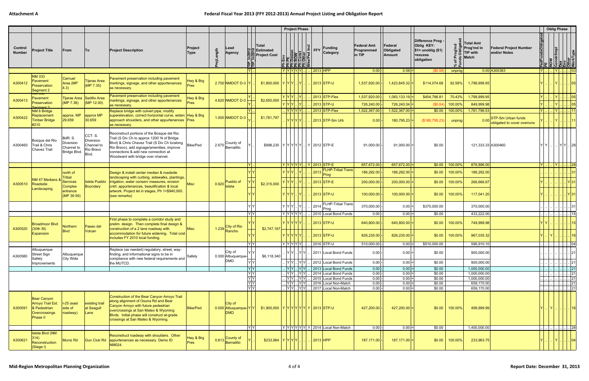|                          |                                                                               |                                                    |                                                          |                                                                                                                                                                                                                                                                       |                          |          |                                                                                      |                                                                                                                                                      |                                               | <b>Project Phase</b>                                                                                                                                             |                                                                                            |                                     |                                    |                                                                                  |                   |                                                                                                             |                           | <b>Oblig Phase</b>                                                      |                                                                                 |          |
|--------------------------|-------------------------------------------------------------------------------|----------------------------------------------------|----------------------------------------------------------|-----------------------------------------------------------------------------------------------------------------------------------------------------------------------------------------------------------------------------------------------------------------------|--------------------------|----------|--------------------------------------------------------------------------------------|------------------------------------------------------------------------------------------------------------------------------------------------------|-----------------------------------------------|------------------------------------------------------------------------------------------------------------------------------------------------------------------|--------------------------------------------------------------------------------------------|-------------------------------------|------------------------------------|----------------------------------------------------------------------------------|-------------------|-------------------------------------------------------------------------------------------------------------|---------------------------|-------------------------------------------------------------------------|---------------------------------------------------------------------------------|----------|
| Control<br><b>Number</b> | <b>Project Title</b>                                                          | From                                               | <b>To</b>                                                | <b>Project Description</b>                                                                                                                                                                                                                                            | Project<br>Type          | ojLength | Lead<br>Agency                                                                       | In201<br>In201<br>Lai<br>Thu                                                                                                                         | ∣Total<br>일본 Estimated<br><b>Project Cost</b> | Enveloped<br><b>Explosion</b><br><b>Explosion</b><br><b>Explosion</b><br><b>Explosion</b><br><b>Explosion</b><br><b>Explosion</b><br><b>Explosion</b><br>힃ן콜쿸ႀ눌는 | <b>Funding</b><br>$ \tilde{\mathsf{E}} $ FFY<br><b>Category</b>                            | Federal Amt<br>Programmed<br>in TIP | Federal<br>Obligated<br>Amount     | Difference Prog -<br>Oblig KEY:<br>$$1=$ unoblig $($1)$<br>=excess<br>obligation | - "               | Total Amt<br>Prog'md in<br><b>Federal Project Number</b><br>and/or Notes<br><b>TIP with</b><br><b>Match</b> | edFundsObligated          | onstr/Impl                                                              |                                                                                 |          |
|                          |                                                                               |                                                    |                                                          |                                                                                                                                                                                                                                                                       |                          |          |                                                                                      | ΙYΙ.                                                                                                                                                 |                                               | Y Y Y Y Y                                                                                                                                                        | $ 2013 $ HPP                                                                               | $ 0.00 $ -                          | $0.58 =$                           | (S0.58)                                                                          | unprog            | 0.00   A300383                                                                                              | $ Y $                     | IYL.                                                                    |                                                                                 |          |
| A300412                  | <b>NM 333</b><br>Pavement<br>Preservation<br>Segment 2                        | Carnuel<br>Area (MP<br>$ 4.3\rangle$               | Tijeras Area<br>(MP 7.35)                                | Pavement preservation including pavement<br>markings, signage, and other appurtenances<br>as necessary.                                                                                                                                                               | Hwy & Brg<br><b>Pres</b> |          | 2.700 NMDOT D-3 $ Y $                                                                |                                                                                                                                                      | $$1,800,000$ $Y$ $Y$ $Y$                      |                                                                                                                                                                  | $2013$ STP-U                                                                               | 1,537,920.00                        | 1,423,845.32 =                     | \$114,074.68                                                                     | 92.58%            | 1,799,999.95                                                                                                |                           |                                                                         |                                                                                 |          |
| A300413                  | Pavement<br>Preservation                                                      | Tijeras Area<br>(MP 7.38)                          | Sedillo Area<br>(MP 12.00)                               | Pavement preservation including pavement<br>markings, signage, and other appurtenances<br>as necessary.                                                                                                                                                               | Hwy & Brg<br><b>Pres</b> |          | 4.620 NMDOT D-3                                                                      |                                                                                                                                                      | \$2,650,000                                   | YYY<br>YYY                                                                                                                                                       | 2013 STP-Flex<br>2013 STP-U                                                                | 1,537,920.00<br>726,240.00          | $1,083,133.19$ =<br>$726,240.04$ = | \$454,786.81<br>(S0.04)                                                          | 70.43%<br>100.00% | 1,799,999.95<br>849,999.98                                                                                  |                           |                                                                         |                                                                                 | 05<br>05 |
|                          | <b>NM 6 Bridge</b>                                                            |                                                    |                                                          | Replace bridge with culvert pipe, modify                                                                                                                                                                                                                              |                          |          |                                                                                      |                                                                                                                                                      |                                               | <u>IYIYIYI</u>                                                                                                                                                   | $2013$ STP-Flex                                                                            | 1,522,367.00                        | $1,522,367.00 =$                   | \$0.00                                                                           | $100.00\%$        | 1,781,796.53                                                                                                | $ Y $                     | IYL.                                                                    |                                                                                 |          |
| A300422                  | Replacement<br><b>Timber Bridge</b><br>#210                                   | approx. MP<br>29.659                               | approx MP<br>30.659                                      | superelevation, correct horizontal curve, widen Hwy & Brg<br>approach shoulders, and other appurtenances   Pres<br>as necessary.                                                                                                                                      |                          |          | 1.000 NMDOT D-3                                                                      |                                                                                                                                                      | \$1,781,797                                   | YIYIYIY                                                                                                                                                          | 2013 STP-Sm Urb                                                                            | 0.00                                | $180,795.23$ =                     | (\$180,795.23)                                                                   | unprog            | <b>STP-Sm Urban funds</b><br>0.00<br>obligated to cover overruns                                            |                           |                                                                         |                                                                                 |          |
| A300460                  | Bosque del Rio<br>Trail & Chris<br><b>Chavez Trail</b>                        | BdR: S.<br>Diversion<br>Channel to<br>Bridge Blvd. | CCT: S.<br>Diversion<br>Channel to<br>Rio Bravo<br>Blvd. | Reconstruct portions of the Bosque del Rio<br>Trail (S Div Ch to approx 1200' N of Bridge<br>Blvd) & Chris Chavez Trail (S Div Ch to/along<br>Rio Bravo), add signage/amenities, improve<br>connections & add new connection at<br>Woodward with bridge over channel. | Bike/Ped                 |          | County of<br>2.670 Bernalillo                                                        |                                                                                                                                                      |                                               |                                                                                                                                                                  | \$998.230 Y Y Y Y Y Y J  Y 2012 STP-E                                                      | 91,000.00                           | 91,000.00                          | \$0.00                                                                           |                   | 121,333.33 A300460                                                                                          | Y Y I                     |                                                                         | YY. 28                                                                          |          |
|                          |                                                                               |                                                    |                                                          |                                                                                                                                                                                                                                                                       |                          |          |                                                                                      | IYL.                                                                                                                                                 |                                               |                                                                                                                                                                  | Y   Y   Y   Y   Y   .   Y   2013   STP-E                                                   | 657,672.00                          | $657,672.00 =$                     |                                                                                  | $$0.00$   100.00% | 876,896.00                                                                                                  | IYL.                      | $\left\vert \mathbf{Y}\right\vert$ . $\left\vert \mathbf{I}\right\vert$ |                                                                                 | 28       |
|                          |                                                                               | north of<br><b>Tribal</b>                          |                                                          | Design & install center median & roadside<br>landscaping with curbing, sidewalks, plantings,                                                                                                                                                                          |                          |          |                                                                                      |                                                                                                                                                      |                                               |                                                                                                                                                                  | <b>FLHP-Tribal Trans</b><br>2013<br>Prog                                                   | 186,292.00                          | $186,292.00$ =                     | \$0.00                                                                           | 100.00%           | 186,292.00                                                                                                  |                           |                                                                         |                                                                                 |          |
| A300510                  | NM 47 Medians 8<br>Roadside                                                   | Services                                           | <b>Isleta Pueblo</b>                                     | irrigation, water conserv measures, erosion                                                                                                                                                                                                                           | <b>Misc</b>              | 0.920    | Pueblo of                                                                            |                                                                                                                                                      | \$2,315,000                                   |                                                                                                                                                                  | 2013 STP-E                                                                                 | 200,000.00                          | $200,000.00$ =                     | \$0.00                                                                           | 100.00%           | 266,666.67                                                                                                  |                           |                                                                         |                                                                                 |          |
|                          | Landscaping                                                                   | Complex<br>entrance<br>(MP 39.59)                  | Boundary                                                 | cntrl, appurtenances, beautification & local<br>artwork. Project let in stages, Ph 1=\$940,000.<br>(see remarks)                                                                                                                                                      |                          |          |                                                                                      |                                                                                                                                                      |                                               | YIYIY                                                                                                                                                            | $2013$ STP-U                                                                               | 100,000.00                          | $ 100,000.00 $ =                   | \$0.00                                                                           | 100.00%           | 117,041.20                                                                                                  |                           |                                                                         |                                                                                 | Y 31     |
|                          |                                                                               |                                                    |                                                          |                                                                                                                                                                                                                                                                       |                          |          |                                                                                      | YY                                                                                                                                                   |                                               | YYY                                                                                                                                                              | <b>FLHP-Tribal Trans</b><br>2014                                                           | 370,000.00                          | $0.00 =$                           | \$370,000.00                                                                     |                   | 370,000.00                                                                                                  |                           |                                                                         |                                                                                 |          |
|                          |                                                                               |                                                    |                                                          |                                                                                                                                                                                                                                                                       |                          |          |                                                                                      | $\overline{X}$                                                                                                                                       |                                               | Y Y Y Y Y Y                                                                                                                                                      | 2010 Local Bond Funds                                                                      | $0.00 -$                            | $0.00 =$                           | \$0.00                                                                           |                   | 433,222.00                                                                                                  |                           |                                                                         |                                                                                 | 15       |
| A300520                  | <b>Broadmoor Blvd</b><br>(30th St)                                            | Northern                                           | Paseo del                                                | First phase to complete a corridor study and<br>prelim. design. Then complete final design &<br>construction of a 2 lane roadway with                                                                                                                                 | <b>Misc</b>              | 1.239    | City of Rio                                                                          |                                                                                                                                                      | \$2,747,167                                   | YIYIYIYI                                                                                                                                                         | $2013$ STP-U                                                                               | 640,800.00                          | $640,800.00$ =                     | \$0.00                                                                           | 100.00%           | 749,999.98                                                                                                  | $\mathbf{1}$ $\mathbf{1}$ |                                                                         |                                                                                 | 15       |
|                          | Expansion                                                                     | <b>B</b> lvd                                       | Volcan                                                   | accommodation for future widening. Total cost<br>includes FY 2010 local funding.                                                                                                                                                                                      |                          |          | Rancho                                                                               |                                                                                                                                                      |                                               | Y Y Y Y Y Y                                                                                                                                                      | $ 2013 $ STP-U                                                                             | 826,235.00                          | $826,235.00$ =                     | \$0.00                                                                           | 100.00%           | 967,035.32                                                                                                  |                           |                                                                         |                                                                                 |          |
|                          |                                                                               |                                                    |                                                          |                                                                                                                                                                                                                                                                       |                          |          |                                                                                      | $\overline{Y}$                                                                                                                                       |                                               | Y Y Y Y Y                                                                                                                                                        | 2016 STP-U                                                                                 | $510,000.00$ -                      | $0.00 =$                           | \$510,000.00                                                                     |                   | 596,910.10                                                                                                  |                           | .            04                                                         |                                                                                 |          |
| A300580                  | Albuquerque<br><b>Street Sign</b><br>Safety                                   | Albuquerque<br>City Wide                           |                                                          | Replace (as needed) regulatory, street, way-<br>finding, and informational signs to be in<br>compliance with new federal requirements and                                                                                                                             | Safety                   |          | City of<br>0.000 Albuquerque-<br><b>DMD</b>                                          |                                                                                                                                                      | \$6,118,340                                   | $Y Y $ . $ Y Y $                                                                                                                                                 | 2011 Local Bond Funds                                                                      | 0.00                                | $0.00 =$                           | \$0.00                                                                           |                   | 900,000.00                                                                                                  |                           |                                                                         |                                                                                 | 21       |
|                          | Improvements                                                                  |                                                    |                                                          | the MUTCD.                                                                                                                                                                                                                                                            |                          |          |                                                                                      | YY                                                                                                                                                   |                                               | $ Y Y $ . $ Y Y $                                                                                                                                                | 2012 Local Bond Funds                                                                      | $0.00 -$                            | $0.00 =$                           | \$0.00                                                                           |                   | 900,000.00                                                                                                  |                           |                                                                         |                                                                                 | 21       |
|                          |                                                                               |                                                    |                                                          |                                                                                                                                                                                                                                                                       |                          |          |                                                                                      | YY                                                                                                                                                   |                                               | .  Y Y   Y Y                                                                                                                                                     | 2013 Local Bond Funds                                                                      | 0.00                                | $ 0.00 $ =                         | \$0.00                                                                           |                   | 1,000,000.00                                                                                                |                           |                                                                         | .            21                                                                 |          |
|                          |                                                                               |                                                    |                                                          |                                                                                                                                                                                                                                                                       |                          |          |                                                                                      | $\frac{1}{\left  \frac{1}{\left  \mathbf{1} \right } \right } \times \frac{1}{\left  \mathbf{1} \right } \times \frac{1}{\left  \mathbf{1} \right }$ |                                               | $ Y Y $ $ Y Y $<br>. <u> </u> Y Y   Y Y                                                                                                                          | 2014 Local Bond Funds<br>2015 Local Bond Funds                                             | $0.00 -$<br>$0.00 -$                | $0.00 =$<br>$0.00 =$               | \$0.00<br>\$0.00                                                                 |                   | 1,000,000.00<br>1,000,000.00                                                                                |                           |                                                                         | 21                                                                              | 21       |
|                          |                                                                               |                                                    |                                                          |                                                                                                                                                                                                                                                                       |                          |          |                                                                                      |                                                                                                                                                      |                                               | .  Y Y   Y Y                                                                                                                                                     | 2016 Local Non-Match                                                                       | $0.00 -$                            | $0.00 =$                           | \$0.00                                                                           |                   | 659,170.00                                                                                                  |                           |                                                                         | $\begin{array}{c} \begin{array}{c} \begin{array}{c} \end{array} \\ \end{array}$ |          |
|                          |                                                                               |                                                    |                                                          |                                                                                                                                                                                                                                                                       |                          |          |                                                                                      |                                                                                                                                                      |                                               | .  Y Y   Y Y                                                                                                                                                     | 2017 Local Non-Match                                                                       | $0.00$ -                            | $0.00 =$                           | \$0.00                                                                           |                   | 659,170.00                                                                                                  |                           |                                                                         | $\ldots$ $\ldots$ $\ldots$ 21                                                   |          |
| A300591                  | Bear Canyon<br>Arroyo Trail Ext.<br>& Pedestrian<br>Overcrossings<br>Phase II | $\vert$ I-25 (east<br>side of<br>roadway)          | existing trail<br>at Seagull<br>$\vert$ Lane             | Construction of the Bear Canyon Arroyo Trail<br>along alignment of Osuna Rd and Bear<br>Canyon Arroyo with future pedestrian<br>overcrossings at San Mateo & Wyoming<br>Blvds. Initial phase will construct at-grade<br>crossings at San Mateo & Wyoming.             | <b>Bike/Ped</b>          |          | City of<br>0.000 Albuquerque YY<br><b>DMD</b>                                        |                                                                                                                                                      |                                               |                                                                                                                                                                  | _\$1,900,000   Y  Y  Y  Y  Y  Y   Y   2013  STP-U                                          | 427,200.00                          | $427,200.00$ =                     |                                                                                  | $$0.00$   100.00% | 499,999.99                                                                                                  | IY.                       |                                                                         |                                                                                 | .  16    |
|                          |                                                                               |                                                    |                                                          |                                                                                                                                                                                                                                                                       |                          |          |                                                                                      | YY                                                                                                                                                   |                                               |                                                                                                                                                                  | $ \mathsf{Y} \mathsf{Y} \mathsf{Y} \mathsf{Y} \mathsf{Y} \mathsf{Y} $ 2014 Local Non-Match | $0.00 -$                            | $0.00 =$                           | \$0.00                                                                           |                   | 1,400,000.00                                                                                                | $\cdot$ .                 |                                                                         | $\ldots$ $\ldots$ $\ldots$ 28                                                   |          |
| A300621                  | Isleta Blvd (NM<br>$ 314\rangle$<br>Reconstruction<br>(Stage I)               | Muniz Rd                                           | Gun Club Rd                                              | Reconstruct roadway with shoulders. Other<br>appurtenances as necessary. Demo ID<br>NM024.                                                                                                                                                                            | Hwy & Brg<br>Pres        |          | County of<br>$\begin{array}{ c c c }\n\hline\n0.813 & \text{Bernaililo} \end{array}$ |                                                                                                                                                      | $$233,964$ $Y Y Y Y$                          |                                                                                                                                                                  | 2013 HPP                                                                                   | 187,171.00                          | $187,171.00$ =                     | \$0.00                                                                           | $100.00\%$        | 233,963.75                                                                                                  |                           | .   Y            04                                                     |                                                                                 |          |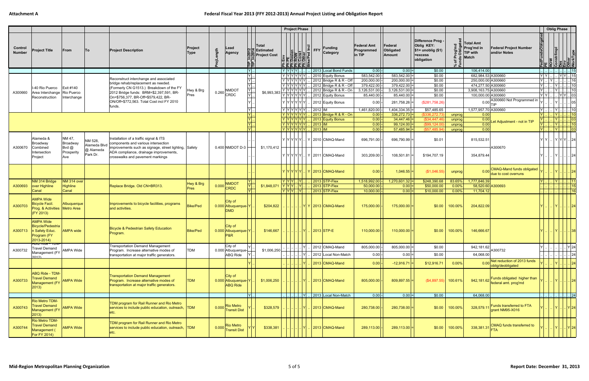|                          |                                                                                                     |                             |                         |                                                                                                                                        |                 |           |                                                     |                           |                                                                         | <b>Project Phase</b>    |                         |                                       |                                            |                                |                                                                                  |          |                                                                                                      |                  | <b>Oblig Phase</b>                                           |                             |
|--------------------------|-----------------------------------------------------------------------------------------------------|-----------------------------|-------------------------|----------------------------------------------------------------------------------------------------------------------------------------|-----------------|-----------|-----------------------------------------------------|---------------------------|-------------------------------------------------------------------------|-------------------------|-------------------------|---------------------------------------|--------------------------------------------|--------------------------------|----------------------------------------------------------------------------------|----------|------------------------------------------------------------------------------------------------------|------------------|--------------------------------------------------------------|-----------------------------|
| Control<br><b>Number</b> | <b>Project Title</b>                                                                                | From                        | lTo l                   | <b>Project Description</b>                                                                                                             | Project<br>Type | ngth<br>능 | Lead<br>Agency                                      |                           | ∣Total<br>일본 Estimated<br>Estimated<br>Elect Cost<br>France Cost<br>FFF | EN MARKING<br>휘려콰르르 초   | $ \tilde{=} \text{FFY}$ | <b>Funding</b><br>Category            | <b>Federal Amt</b><br>Programmed<br>in TIP | Federal<br>Obligated<br>Amount | Difference Prog -<br>Oblig KEY:<br>$$1=$ unoblig $($1)$<br>=excess<br>obligation |          | Total Amt<br>Prog'md in<br><b>Federal Project Number</b><br>and/or Notes<br>TIP with<br><b>Match</b> | edFundsObligated | : Constr/Impl<br>Des<br>Env<br>Other<br>WorkType<br>WorkType |                             |
|                          |                                                                                                     |                             |                         |                                                                                                                                        |                 |           |                                                     | $ Y $ .                   |                                                                         | $ Y Y Y Y$              |                         | 2013 Local Bond Funds                 | $0.00$ -                                   | $0.00$ =                       | \$0.00                                                                           |          | 106,414.00                                                                                           |                  |                                                              | 15                          |
|                          |                                                                                                     |                             |                         | Reconstruct interchange and associated                                                                                                 |                 |           |                                                     | $Y$ .                     |                                                                         | Y Y Y Y Y Y Y           |                         | 2010 Equity Bonus                     | 583,542.00                                 | 583,542.00                     | \$0.00                                                                           |          | 682,984.53 A300660                                                                                   | Y Y              |                                                              | . YY . 15                   |
|                          |                                                                                                     |                             |                         | bridge rehab/replacement as needed.                                                                                                    |                 |           |                                                     | $Y$ .                     |                                                                         | Y Y Y Y Y Y             |                         | 2012 Bridge R & R - Off               | 200,000.00                                 | $200,000.00$ =                 | \$0.00                                                                           |          | 250,000.00 A300660                                                                                   | $Y \cup Y$       |                                                              | 16                          |
|                          | I-40 Rio Puerco                                                                                     | Exit #140                   |                         | (Formerly CN G1513.) Breakdown of the FY                                                                                               |                 |           |                                                     | $\overline{\mathbf{Y}}$ . |                                                                         | Y Y Y Y Y Y             |                         | 2012 Bridge R & R - Off               | 379,422.00                                 | $379,422.00 =$                 | \$0.00                                                                           |          | 474,277.50 A300660                                                                                   | $ Y $            | $ Y $                                                        | $\overline{\ldots}$ 10      |
| A300660                  | Area Interchange                                                                                    | Rio Puerco                  |                         | 2012 Bridge funds: BRM=\$2,397,591, BR-                                                                                                | Hwy & Brg       |           | NMDO <sub>1</sub><br>$0.260$ CRDC                   | $ Y $<br>$\overline{Y}$   | \$6,993,383                                                             | Y Y Y Y Y               |                         | 2012 Bridge R & R - On                | 3,126,531.00                               | $3,126,531.00$ =               | \$0.00                                                                           |          | 3,908,163.75 A300660                                                                                 | $ Y $            | $ Y $                                                        | 10                          |
|                          | Reconstruction                                                                                      | Interchange                 |                         | On=\$756,377, BR-Off=\$579,422, BR-                                                                                                    | Pres            |           |                                                     |                           |                                                                         | Y Y Y Y Y Y             |                         | 2012 Equity Bonus                     | 85,440.00                                  | $85,440.00$ =                  | \$0.00                                                                           |          | 100,000.00 A300660                                                                                   | Y Y              |                                                              | YY  03                      |
|                          |                                                                                                     |                             |                         | ON/Off+\$772,563. Total Cost incl FY 2010                                                                                              |                 |           |                                                     |                           |                                                                         | Y Y Y Y Y Y Y           |                         | 2012 Equity Bonus                     | 0.00                                       | $281,758.26$ =                 | (\$281,758.26)                                                                   |          | 0.00 A300660 Not Programmed in                                                                       |                  |                                                              | 05                          |
|                          |                                                                                                     |                             |                         | funds.                                                                                                                                 |                 |           |                                                     | Y                         |                                                                         | Y Y Y Y Y               | 2012 IM                 |                                       | 1,461,820.00                               | $1,404,334.35$ =               | \$57,485.65                                                                      |          | 1,577,957.70 A300660                                                                                 | $ Y $            |                                                              |                             |
|                          |                                                                                                     |                             |                         |                                                                                                                                        |                 |           |                                                     | IYI.                      |                                                                         | Y Y Y Y Y Y             |                         | $2013$ Bridge R & R - On              | 0.00                                       | $336,272.73$ =                 | (\$336,272.73                                                                    | unprog   | 0.00                                                                                                 | $ Y $            | $\boxed{Y}$ 10                                               |                             |
|                          |                                                                                                     |                             |                         |                                                                                                                                        |                 |           |                                                     | $\overline{Y}$ .          |                                                                         | <u>  Y Y Y Y Y Y Y </u> |                         | 2013 Equity Bonus                     | 0.00                                       | $34,447.46$ =                  | \$34,447.46                                                                      | unprog   | 0.00 <br>et Adjustment - not in TIP                                                                  |                  | IYL.                                                         | $\left  . \right $ 03       |
|                          |                                                                                                     |                             |                         |                                                                                                                                        |                 |           |                                                     | $\overline{Y}$ .          |                                                                         | Y Y Y Y Y Y             | $ 2013 $ IM             |                                       | 0.00                                       | $99,124.00$ =                  | (\$99,124.00                                                                     | unprog   | 0.00                                                                                                 |                  | $\overline{Y}$ .                                             | $\overline{\phantom{a}}$ 10 |
|                          |                                                                                                     |                             |                         |                                                                                                                                        |                 |           |                                                     | Y                         |                                                                         | Y Y Y Y Y Y Y           | $2013$ IM               |                                       | 0.00                                       | $57,485.94$ =                  | (\$57,485.94                                                                     | unprog   | 0.00                                                                                                 | IYL.             | Y                                                            | . . 03                      |
| A300670                  | Alameda &<br>Broadway<br>Combined                                                                   | NM 47,<br>Broadway<br>Bvd @ | NM 528,<br>Alameda Blvd | Installation of a traffic signal & ITS<br>components and various intersection<br>improvements such as signage, street lighting, Safety |                 |           | 0.400 NMDOT D-3                                     |                           | \$1,170,412                                                             |                         |                         | $ Y Y Y Y $ . $ Y $ 2010 CMAQ-Mand    | 696,791.00                                 | 696,790.99                     | \$0.01                                                                           |          | 815,532.51<br>A300670                                                                                | YY               | .   Y   Y   Y      24                                        |                             |
|                          | Intersection<br>Project                                                                             | Prosperity<br>Ave           | @ Alameda<br>Park Dr.   | ADA compliance, drainage improvements,<br>crosswalks and pavement markings                                                             |                 |           |                                                     |                           |                                                                         |                         |                         | Y Y Y Y Y  Y  2011   CMAQ-Mand        | 303,209.00                                 | 108,501.81                     | \$194,707.19                                                                     |          | 354,879.44                                                                                           |                  | Y                                                            | 24                          |
|                          |                                                                                                     |                             |                         |                                                                                                                                        |                 |           |                                                     |                           |                                                                         |                         |                         | $Y Y Y Y Y$ $Y 2013 CMAQ-Mand$        | 0.00                                       | $1,046.55 =$                   | (\$1,046.55)                                                                     | unprog   | <b>CMAQ-Mand funds obligated</b><br>0.00<br>due to cost overruns                                     |                  |                                                              |                             |
|                          | NM 314 Bridge                                                                                       | NM 314 over                 |                         |                                                                                                                                        | Hwy & Brg       |           | <b>NMDOT</b>                                        | IYL                       |                                                                         | $Y Y Y $ $ Y $          |                         | $2013$ STP-Flex                       | 1,518,992.00                               | $1,270,601.32$ =               | \$248,390.68                                                                     | 83.65%   | 1,777,846.39                                                                                         | $Y \cup$         | Y                                                            | . 11                        |
| A300693                  | over Highline                                                                                       | <b>Highline</b>             |                         | Replace Bridge. Old CN=BR313.                                                                                                          | <b>Pres</b>     |           | 0.000 CRDC                                          | $\overline{Y}$            | $$1,848,071$ $Y$ $Y$ $Y$ $ Y$                                           |                         |                         | 2013 STP-Flex                         | 50,000.00                                  | 0.00                           | \$50,000.00                                                                      | 0.00%    | 58,520.60 A300693                                                                                    |                  |                                                              | 15                          |
|                          | Canal                                                                                               | Canal                       |                         |                                                                                                                                        |                 |           |                                                     | $\vee$                    |                                                                         | $ Y Y Y $ $ Y $         |                         | $2013$ STP-Flex                       | 10,000.00                                  | $ 0.00 $ =                     | \$10,000.00                                                                      | 0.00%    | 11,704.12                                                                                            |                  |                                                              |                             |
| A300703                  | <b>AMPA Wide</b><br><b>Bicycle Facil.</b><br>Prog. & Activities Metro Area<br>$ $ (FY 2013)         | Albuquerque                 |                         | Improvements to bicycle facilities, programs<br>and activities.                                                                        | <b>Bike/Ped</b> |           | <b>City of</b><br>0.000 Albuquerque-Y<br><b>DMD</b> |                           | \$204,822                                                               |                         |                         | $\left  \right $ Y   2013 CMAQ-Mand   | 175,000.00                                 | $175,000.00 =$                 | \$0.00                                                                           | 100.00%  | 204,822.09                                                                                           |                  | IYI                                                          | 24                          |
|                          | <b>AMPA Wide</b><br>Bicycle/Pedestria<br>A300713   n Safety Educ.<br>Program (FY<br>$ 2013 - 2014 $ | <b>AMPA</b> wide            |                         | <b>Bicycle &amp; Pedestrian Safety Education</b><br>Program.                                                                           | <b>Bike/Ped</b> |           | City of<br>0.000 Albuquerque-Y<br><b>P&amp;R</b>    |                           | \$146,667                                                               |                         | IYI                     | 2013 STP-E                            | 110,000.00                                 | $110,000.00$ =                 | \$0.00                                                                           | 100.00%  | 146,666.67                                                                                           |                  | 1 Y L.                                                       | 38                          |
|                          | <b>Travel Demand</b>                                                                                |                             |                         | <b>Transportation Demand Management</b>                                                                                                |                 |           | City of                                             |                           |                                                                         |                         |                         | 2012 CMAQ-Mand                        | 805,000.00                                 | $805,000.00$ =                 | \$0.00                                                                           |          | 942,181.62                                                                                           |                  |                                                              | Y 24                        |
| A300732                  | Management (FY                                                                                      | <b>AMPA Wide</b>            |                         | Program. Increase alternative modes of<br>transportation at major traffic generators.                                                  | <b>TDM</b>      |           | 0.000 Albuquerque-<br>ABQ Ride                      |                           | \$1,006,250                                                             |                         |                         | 2012 Local Non-Match                  | 0.00                                       | $0.00 =$                       | \$0.00                                                                           |          | A300732<br>64,068.00                                                                                 |                  |                                                              | 24                          |
|                          | 2012)                                                                                               |                             |                         |                                                                                                                                        |                 |           |                                                     |                           |                                                                         |                         |                         |                                       |                                            |                                |                                                                                  |          | Net reduction of 2013 funds                                                                          |                  |                                                              |                             |
|                          |                                                                                                     |                             |                         |                                                                                                                                        |                 |           |                                                     |                           |                                                                         |                         |                         | 2013 CMAQ-Mand                        | 0.00                                       | $-12,916.71$                   | \$12,916.71                                                                      | $0.00\%$ | 0.00 blig/deobligated                                                                                |                  |                                                              | $\lceil 24 \rceil$          |
| A300733                  | ABQ Ride - TDM-<br><b>Travel Demand</b><br>Management (FY<br>$ 2013\rangle$                         | <b>AMPA Wide</b>            |                         | <b>Transportation Demand Management</b><br>Program. Increase alternative modes of<br>transportation at major traffic generators.       | <b>TDM</b>      |           | City of<br>0.000 Albuquerque-Y<br><b>ABQ Ride</b>   |                           | \$1,006,250                                                             | … │ … │ … │ Y│ .        |                         | $\frac{1}{2013}$ CMAQ-Mand            | 805,000.00                                 | $809,897.55$ =                 | $(4,897.55)$ 100.61%                                                             |          | Funds obligated higher than<br>$\sqrt{942,181.62}$ $\left  \frac{1}{1}$ federal amt. prog'md         |                  | $ Y $ $ . $ 24                                               |                             |
|                          |                                                                                                     |                             |                         |                                                                                                                                        |                 |           |                                                     | $\overline{Y}$            |                                                                         |                         |                         | $     \times   $ 2013 Local Non-Match | $0.00$ -                                   | $ 0.00 $ =                     | \$0.00                                                                           |          | 64,068.00                                                                                            |                  | $ $ $ $ $ $ $ $ 24                                           |                             |
| A300743                  | Rio Metro TDM-<br><b>Travel Demand</b><br>Management (FY<br>2013)                                   | <b>AMPA Wide</b>            |                         | TDM program for Rail Runner and Rio Metro<br>services to include public education, outreach, TDM<br>etc.                               |                 |           | <b>Rio Metro</b><br>0.000 Transit Dist              |                           | \$328,579                                                               |                         |                         | 2013 CMAQ-Mand                        | 280,738.00                                 | $280,738.00$ =                 | \$0.00                                                                           | 100.00%  | Funds transferred to FTA<br>328,579.1<br>grant NM95-X016                                             |                  |                                                              | $\lfloor$ Y 24              |
| A300744                  | Rio Metro TDM-<br><b>Travel Demand</b><br>Management (<br>For FY 2014)                              | <b>AMPA Wide</b>            |                         | TDM program for Rail Runner and Rio Metro<br>services to include public education, outreach, TDM<br>etc.                               |                 |           | <b>Rio Metro</b><br>0.000 Transit Dist              |                           | \$338,381                                                               |                         |                         | 2013 CMAQ-Mand                        | 289,113.00                                 | $289,113.00$ =                 | \$0.00                                                                           | 100.00%  | CMAQ funds transferred to<br>338,381.31                                                              |                  | Y  .  .  Y  24                                               |                             |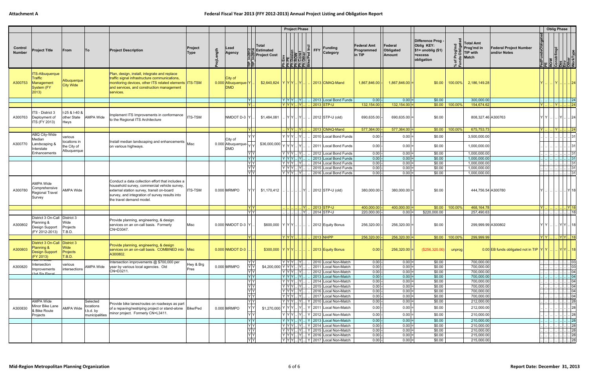|                          |                                                                                   |                                        |                             |                                                                                                                                                                                                                             |                 |          |                                              |                                                                                                                                                                                          | <b>Project Phase</b>                                                                                                                                                                                                                                                                                              |           |                                                                                              |                                     |                                  |                                                                                  |                   |                                                                                                             |                                                                                            | <b>Oblig Phase</b>                           |                                                                                                       |                                            |
|--------------------------|-----------------------------------------------------------------------------------|----------------------------------------|-----------------------------|-----------------------------------------------------------------------------------------------------------------------------------------------------------------------------------------------------------------------------|-----------------|----------|----------------------------------------------|------------------------------------------------------------------------------------------------------------------------------------------------------------------------------------------|-------------------------------------------------------------------------------------------------------------------------------------------------------------------------------------------------------------------------------------------------------------------------------------------------------------------|-----------|----------------------------------------------------------------------------------------------|-------------------------------------|----------------------------------|----------------------------------------------------------------------------------|-------------------|-------------------------------------------------------------------------------------------------------------|--------------------------------------------------------------------------------------------|----------------------------------------------|-------------------------------------------------------------------------------------------------------|--------------------------------------------|
| Control<br><b>Number</b> | <b>Project Title</b>                                                              | From                                   | <b>To</b>                   | <b>Project Description</b>                                                                                                                                                                                                  | Project<br>Type | ojLength | Lead<br><b>Agency</b>                        | ∣Total<br>일본 Estimated<br>Estimated<br>Solone Project Cost<br>FIFI                                                                                                                       | Env<br>E CON<br>Desien<br>Const<br>Const<br>Const<br>Const<br>Const<br>Const<br>Const<br>Const<br>Const<br>Const<br>Const<br>Const<br>Const<br>Const<br>Const<br>Const<br>Const<br>Const<br>Const<br>Const<br>Const<br>Const<br>Const<br>Const<br>Const<br>Const<br>Const<br>Const<br>Const<br><br><u>로</u> 론된된 및 |           | $\left \frac{\overline{C}}{2}\right $ FFY<br><b>Funding</b><br>Category                      | Federal Amt<br>Programmed<br>in TIP | Federal<br>Obligated<br>Amount   | Difference Prog -<br>Oblig KEY:<br>$$1=$ unoblig $($1)$<br>=excess<br>obligation | * ਦੌ              | Total Amt<br><b>Federal Project Number</b><br>Prog'md in<br>and/or Notes<br><b>TIP with</b><br><b>Match</b> | edFundsObligated<br><b>Text :</b><br>ROW<br>Constrimpl<br>Constrippe<br>Differ<br>MorkType |                                              |                                                                                                       |                                            |
| A300753                  | <b>ITS-Albuquerque</b><br>Traffic<br>Management<br>System (FY<br>$ 2013\rangle$   | Albuquerque<br>City Wide               |                             | Plan, design, install, integrate and replace<br>traffic signal infrastructure communications,<br>monitoring devices, other ITS related elements ITS-TSM<br>and services, and construction management<br>services.           |                 |          | City of<br>0.000 Albuquerque-Y<br><b>DMD</b> | \$2,640,824  Y Y Y .  Y                                                                                                                                                                  |                                                                                                                                                                                                                                                                                                                   |           | 2013 CMAQ-Mand                                                                               | 1,867,846.00                        | $1,867,846.00$ =                 | \$0.00                                                                           | $100.00\%$        | 2,186,149.28                                                                                                |                                                                                            | IYL.                                         |                                                                                                       | . 24                                       |
|                          |                                                                                   |                                        |                             |                                                                                                                                                                                                                             |                 |          |                                              | $ Y $ .                                                                                                                                                                                  | $ Y Y Y $ $ Y $                                                                                                                                                                                                                                                                                                   |           | 2013 Local Bond Funds                                                                        | 0.00                                | $ 0.00 $ =                       | \$0.00                                                                           |                   | 300,000.00                                                                                                  |                                                                                            |                                              | $\ldots$ $\ldots$ $\ldots$ 24                                                                         |                                            |
| A300763                  | ITS - District 3<br>Deployment of<br>ITS (FY 2013)                                | I-25 & I-40 &<br>other State<br>Hwys   | <b>AMPA Wide</b>            | Implement ITS Improvements in conformance<br>to the Regional ITS Architecture                                                                                                                                               | <b>ITS-TSM</b>  |          | NMDOT D-3 Y                                  | ΙYΙ.<br>\$1,484,081                                                                                                                                                                      | $ Y Y Y $ $ Y $<br>$ Y Y $ $ Y $                                                                                                                                                                                                                                                                                  |           | 2013 STP-U<br>2012 STP-U (old)                                                               | 132,154.00<br>690,635.00            | $132,154.00$ =<br>$690,635.00$ = | \$0.00                                                                           | $$0.00$   100.00% | 154,674.62<br>808,327.46 A300763                                                                            | IYL.<br>Y Y I                                                                              | IYI.                                         |                                                                                                       | 24 <br>24                                  |
|                          |                                                                                   |                                        |                             |                                                                                                                                                                                                                             |                 |          | IYI.                                         |                                                                                                                                                                                          | <u> Y Y  .  Y </u>                                                                                                                                                                                                                                                                                                |           | 2013 CMAQ-Mand                                                                               | 577,364.00                          | $577,364.00$ =                   |                                                                                  | $$0.00$ 100.00%   | 675,753.73                                                                                                  | $ Y $                                                                                      | <u>  Y 24</u>                                |                                                                                                       |                                            |
| A300770                  | ABQ City-Wide<br>Mediar<br>Landscaping &<br>nterstate                             | various<br>locations in<br>the City of |                             | Install median landscaping and enhancements<br>on various highways.                                                                                                                                                         | Misc            |          | City of<br>0.000 Albuquerque-<br><b>DMD</b>  | YY<br>$$36,000,000$ $\sqrt{\vert \gamma \vert \gamma \vert}$ .                                                                                                                           | YYY                                                                                                                                                                                                                                                                                                               | - IY      | 2010 Local Bond Funds<br>2011 Local Bond Funds                                               | 0.00<br>0.00                        | $0.00 =$<br>$0.00 =$             | \$0.00<br>\$0.00                                                                 |                   | 3,500,000.00<br>1,000,000.00                                                                                |                                                                                            |                                              |                                                                                                       |                                            |
|                          | Enhancements                                                                      | Albuquerque                            |                             |                                                                                                                                                                                                                             |                 |          |                                              | <u>YY</u>                                                                                                                                                                                | $ Y Y Y$ $ Y $                                                                                                                                                                                                                                                                                                    |           | 2012 Local Bond Funds                                                                        | 0.00                                | $0.00$ =                         | \$0.00                                                                           |                   | 1,000,000.00                                                                                                |                                                                                            |                                              |                                                                                                       |                                            |
|                          |                                                                                   |                                        |                             |                                                                                                                                                                                                                             |                 |          |                                              | Y Y                                                                                                                                                                                      | $ Y Y Y $ $ Y $                                                                                                                                                                                                                                                                                                   |           | 2013 Local Bond Funds                                                                        | 0.00                                | $ 0.00 $ =                       | \$0.00                                                                           |                   | 1,000,000.00                                                                                                |                                                                                            |                                              |                                                                                                       |                                            |
|                          |                                                                                   |                                        |                             |                                                                                                                                                                                                                             |                 |          |                                              | Y Y                                                                                                                                                                                      | $ Y Y Y $ $ Y $                                                                                                                                                                                                                                                                                                   |           | 2014 Local Bond Funds                                                                        | 0.00                                | $0.00 =$                         | \$0.00                                                                           |                   | 1,000,000.00                                                                                                |                                                                                            |                                              |                                                                                                       | .  31                                      |
|                          |                                                                                   |                                        |                             |                                                                                                                                                                                                                             |                 |          |                                              | YY<br>$\overline{Y}$                                                                                                                                                                     | $ \overline{Y Y} Y $ $ Y $<br>$ Y Y Y$ $ Y $                                                                                                                                                                                                                                                                      |           | 2015 Local Bond Funds<br>2016 Local Bond Funds                                               | 0.00<br>0.00                        | $0.00$ =<br>$0.00 =$             | \$0.00<br>\$0.00                                                                 |                   | 1,000,000.00<br>1,000,000.00                                                                                |                                                                                            |                                              |                                                                                                       | . 31<br>. 31                               |
| A300780                  | AMPA Wide<br>Comprehensive<br>Regional Travel<br>Survey                           | <b>AMPA Wide</b>                       |                             | Conduct a data collection effort that includes a<br>household survey, commercial vehicle survey,<br>external station survey, transit on-board<br>survey, and integration of survey results into<br>the travel demand model. | <b>ITS-TSM</b>  |          | 0.000 MRMPO                                  | \$1,170,412                                                                                                                                                                              |                                                                                                                                                                                                                                                                                                                   |           | 2012 STP-U (old)                                                                             | 380,000.00                          | 380,000.00                       | \$0.00                                                                           |                   | 444,756.54 A300780                                                                                          |                                                                                            |                                              |                                                                                                       |                                            |
|                          |                                                                                   |                                        |                             |                                                                                                                                                                                                                             |                 |          |                                              | $\begin{array}{c c} \mathsf{Y} & \mathsf{Y} \\ \hline \mathsf{Y} & \mathsf{Y} \end{array}$                                                                                               |                                                                                                                                                                                                                                                                                                                   |           | 2013 STP-U                                                                                   | 400,000.00                          | $400,000.00$ =                   |                                                                                  | $$0.00$   100.00% | 468, 164. 78                                                                                                | $ Y $                                                                                      |                                              | Y  18                                                                                                 |                                            |
| A300802                  | District 3 On-Call District 3<br>Planning &<br>Design Support<br>(FY 2012-2013)   | Wide<br>Projects<br>T.B.D.             |                             | Provide planning, engineering, & design<br>services on an on-call basis. Formerly<br>CN=D3047.                                                                                                                              | Misc            |          | $0.000$ NMDOT D-3 $ Y $                      | \$600,000  Y Y Y                                                                                                                                                                         |                                                                                                                                                                                                                                                                                                                   | <b>NY</b> | 2014 STP-U<br>2012 Equity Bonus                                                              | 220,000.00<br>256,320.00            | $0.00 =$<br>$256,320.00$ =       | \$220,000.00<br>\$0.00                                                           |                   | 257,490.63<br>299,999.99 A300802                                                                            | Y Y I                                                                                      |                                              | . YY . 18                                                                                             | . 18                                       |
|                          |                                                                                   |                                        |                             |                                                                                                                                                                                                                             |                 |          |                                              | IYL.                                                                                                                                                                                     | Y Y Y                                                                                                                                                                                                                                                                                                             |           | 2013 NHPP                                                                                    | 256,320.00                          | $256,320.00$ =                   |                                                                                  | $$0.00$   100.00% | 299,999.99                                                                                                  | Y Y                                                                                        |                                              | $ Y Y $ 18                                                                                            |                                            |
| A300803                  | District 3 On-Call District 3<br>Planning &<br><b>Design Support</b><br>(FY 2013) | Wide<br>Projects<br>T.B.D.             |                             | Provide planning, engineering, & design<br>services on an on-call basis. COMBINED into Misc<br>A300802.                                                                                                                     |                 |          | $0.000$ NMDOT D-3                            | \$300,000  Y Y Y .                                                                                                                                                                       |                                                                                                                                                                                                                                                                                                                   |           | 2013 Equity Bonus                                                                            | $\vert 0.00 \vert$ -                | $256,320.00$ =                   | $($ \$256,320.00)                                                                | unprog            | 0.00 EB funds obligated not in TIP $ Y Y $ .                                                                |                                                                                            |                                              | . YY 18                                                                                               |                                            |
| A300820                  | vii <del>n vviuc</del><br>Intersection                                            | various                                | AMPA Wide                   | Intersection improvements @ \$700,000 per                                                                                                                                                                                   | Hwy & Brg       |          | 0.000 MRMPO                                  | IYIY                                                                                                                                                                                     | $Y Y Y $ $ Y $                                                                                                                                                                                                                                                                                                    |           | 2010 Local Non-Match<br>2011 Local Non-Match                                                 | $0.00 -$<br>$0.00 -$                | $0.00 =$                         | \$0.00                                                                           |                   | 700,000.00                                                                                                  |                                                                                            |                                              | $\ldots$ $\ldots$ $\ldots$ 03                                                                         |                                            |
|                          | Improvements                                                                      | intersections                          |                             | year by various local agencies. Old<br>CN=D3211.                                                                                                                                                                            | Pres            |          |                                              | $Y$ $Y$<br>$$4,200,000$ $Y$ $Y$ $Y$ $Y$<br>YY                                                                                                                                            | $ Y Y Y$ $ Y $                                                                                                                                                                                                                                                                                                    |           | 2012 Local Non-Match                                                                         | $0.00 -$                            | $0.00 =$<br>$0.00 =$             | \$0.00<br>\$0.00                                                                 |                   | 700,000.00<br>700,000.00                                                                                    |                                                                                            | $\frac{1}{2}$ $\frac{1}{2}$ $\frac{1}{2}$ 03 | 04                                                                                                    |                                            |
|                          | (1st Six Fiscal                                                                   |                                        |                             |                                                                                                                                                                                                                             |                 |          |                                              |                                                                                                                                                                                          | $ Y Y Y $ $ Y $                                                                                                                                                                                                                                                                                                   |           | 2013 Local Non-Match                                                                         | $0.00$ -                            | $ 0.00 $ =                       | \$0.00                                                                           |                   | 700,000.00                                                                                                  |                                                                                            |                                              |                                                                                                       |                                            |
|                          |                                                                                   |                                        |                             |                                                                                                                                                                                                                             |                 |          |                                              | $\frac{1}{\sqrt{\frac{1}{x}}\sqrt{\frac{1}{x}}}$                                                                                                                                         | $ Y Y Y $ $ Y $                                                                                                                                                                                                                                                                                                   |           | 2014 Local Non-Match                                                                         | $0.00$ -                            | $0.00 =$                         | \$0.00                                                                           |                   | 700,000.00                                                                                                  |                                                                                            |                                              | $\begin{array}{c c c c c} \ldots & \ldots & \ldots & 04 \\ \ldots & \ldots & \ldots & 04 \end{array}$ |                                            |
|                          |                                                                                   |                                        |                             |                                                                                                                                                                                                                             |                 |          |                                              |                                                                                                                                                                                          | $\overline{Y}$ $Y$ $\overline{Y}$ $\ldots$ $\overline{Y}$                                                                                                                                                                                                                                                         |           | 2015 Local Non-Match                                                                         | 0.00                                | $0.00 =$                         | \$0.00                                                                           |                   | 700,000.00                                                                                                  |                                                                                            |                                              |                                                                                                       | $\overline{.}$ 04                          |
|                          |                                                                                   |                                        |                             |                                                                                                                                                                                                                             |                 |          |                                              | $\frac{1}{\sqrt{1}}$                                                                                                                                                                     | $ Y Y Y$ $ Y $<br>$ Y Y Y$ $ Y $                                                                                                                                                                                                                                                                                  |           | 2016 Local Non-Match<br>2017 Local Non-Match                                                 | $0.00 -$<br>$0.00 -$                | $0.00 =$<br>$0.00 =$             | \$0.00<br>\$0.00                                                                 |                   | 700,000.00<br>700,000.00                                                                                    |                                                                                            |                                              | 04<br>04                                                                                              |                                            |
|                          | <b>AMPA Wide</b>                                                                  |                                        | Selected                    |                                                                                                                                                                                                                             |                 |          |                                              | Y Y                                                                                                                                                                                      | $ Y Y Y $ $ Y $                                                                                                                                                                                                                                                                                                   |           | Y 2010 Local Non-Match                                                                       | $0.00$ -                            | $0.00 =$                         | \$0.00                                                                           |                   | 212,000.00                                                                                                  | المدام                                                                                     |                                              | 28                                                                                                    |                                            |
| A300830                  | Minor Bike Lane                                                                   | AMPA Wide                              | locations                   | Provide bike lanes/routes on roadways as part<br>of a repaving/restriping project or stand-alone   Bike/Ped                                                                                                                 |                 |          | 0.000 MRMPO                                  | \$1,270,000 Y Y Y Y  Y                                                                                                                                                                   |                                                                                                                                                                                                                                                                                                                   |           | Y 2011 Local Non-Match                                                                       | 0.00                                | $0.00 =$                         | \$0.00                                                                           |                   | 212,000.00                                                                                                  |                                                                                            |                                              |                                                                                                       | 28                                         |
|                          | & Bike Route<br>Projects                                                          |                                        | t.b.d. by<br>municipalities | minor project. Formerly CN=L3411.                                                                                                                                                                                           |                 |          |                                              | Y Y                                                                                                                                                                                      | $ Y Y Y $ $ Y $                                                                                                                                                                                                                                                                                                   |           | Y 2012 Local Non-Match                                                                       | 0.00                                | $0.00 =$                         | \$0.00                                                                           |                   | 210,000.00                                                                                                  |                                                                                            |                                              |                                                                                                       |                                            |
|                          |                                                                                   |                                        |                             |                                                                                                                                                                                                                             |                 |          |                                              | Y Y                                                                                                                                                                                      |                                                                                                                                                                                                                                                                                                                   |           | Y   Y   Y      Y      Y   2013   Local Non-Match                                             | 0.00                                | $ 0.00 $ =                       | \$0.00                                                                           |                   | 210,000.00                                                                                                  |                                                                                            |                                              | . $\left\vert .\right\vert$ $\left\vert 28\right\vert$                                                | $\begin{array}{c c} \hline 28 \end{array}$ |
|                          |                                                                                   |                                        |                             |                                                                                                                                                                                                                             |                 |          |                                              |                                                                                                                                                                                          |                                                                                                                                                                                                                                                                                                                   |           | Y   Y   Y      Y      Y   2014   Local Non-Match                                             | $0.00$ -                            | $0.00 =$                         | \$0.00                                                                           |                   | 210,000.00                                                                                                  |                                                                                            |                                              |                                                                                                       | $\overline{\phantom{1}}$ 28                |
|                          |                                                                                   |                                        |                             |                                                                                                                                                                                                                             |                 |          |                                              |                                                                                                                                                                                          |                                                                                                                                                                                                                                                                                                                   |           | $ Y Y Y $ $ Y $   Y   2015   Local Non-Match                                                 | $0.00 -$                            | $0.00 =$                         | \$0.00                                                                           |                   | 210,000.00                                                                                                  |                                                                                            |                                              | 28                                                                                                    |                                            |
|                          |                                                                                   |                                        |                             |                                                                                                                                                                                                                             |                 |          |                                              | $\begin{array}{c c c c} \hline \textbf{Y} & \textbf{Y} & \textbf{Y} \\ \hline \textbf{Y} & \textbf{Y} & \textbf{Y} \\ \hline \textbf{Y} & \textbf{Y} & \textbf{Y} \\ \hline \end{array}$ |                                                                                                                                                                                                                                                                                                                   |           | $ Y Y Y $ $ Y $   Y   2016   Local Non-Match<br>$ Y Y Y $ $ Y $   Y   2017   Local Non-Match | $0.00 -$<br>$0.00 -$                | $0.00 =$<br>$0.00 =$             | \$0.00<br>\$0.00                                                                 |                   | 215,000.00<br>215,000.00                                                                                    |                                                                                            |                                              | 28                                                                                                    | .  28                                      |
|                          |                                                                                   |                                        |                             |                                                                                                                                                                                                                             |                 |          |                                              |                                                                                                                                                                                          |                                                                                                                                                                                                                                                                                                                   |           |                                                                                              |                                     |                                  |                                                                                  |                   |                                                                                                             |                                                                                            |                                              |                                                                                                       |                                            |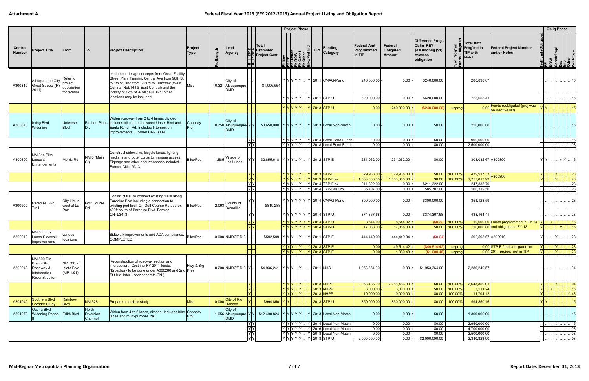|                          |                                                                                       |                                                |                               |                                                                                                                                                                                                                                                                       |                  |            |                                                 |                                                                                                   | <b>Project Phase</b>                                                                                                                                                                                                                                                                                               |                                                                                                                                                                        |                                              |                                    |                                                                                |                                        |                                                                   |                                                                   |                                                                                            | <b>Oblig Phase</b>         |                                                                |
|--------------------------|---------------------------------------------------------------------------------------|------------------------------------------------|-------------------------------|-----------------------------------------------------------------------------------------------------------------------------------------------------------------------------------------------------------------------------------------------------------------------|------------------|------------|-------------------------------------------------|---------------------------------------------------------------------------------------------------|--------------------------------------------------------------------------------------------------------------------------------------------------------------------------------------------------------------------------------------------------------------------------------------------------------------------|------------------------------------------------------------------------------------------------------------------------------------------------------------------------|----------------------------------------------|------------------------------------|--------------------------------------------------------------------------------|----------------------------------------|-------------------------------------------------------------------|-------------------------------------------------------------------|--------------------------------------------------------------------------------------------|----------------------------|----------------------------------------------------------------|
| Control<br><b>Number</b> | <b>Project Title</b>                                                                  | From                                           | <b>To</b>                     | <b>Project Description</b>                                                                                                                                                                                                                                            | Project<br>Type  | ength<br>금 | Lead<br>Agency                                  | ∣Total<br>일본 Estimated<br>Estimated<br>Solone Project Cost<br>FIPE<br>FIPE                        | Env<br><b>E</b><br><b>Desien</b><br>ROW<br>Const<br>Const<br>Const<br>Const<br>Const<br>Const<br>Const<br>Const<br>Const<br>Const<br>Const<br>Const<br>Const<br>Const<br>Const<br>Const<br>Const<br>Const<br>Const<br>Const<br>Const<br>Const<br>Const<br>Const<br>Const<br>Const<br>Const<br>Const<br>C<br>띛ョョ르르르 | <b>Funding</b><br>$ \tilde{=} \text{FFY}$<br>Category                                                                                                                  | <b>Federal Amt</b><br>Programmed<br>in TIP   | Federal<br>Obligated<br>Amount     | Difference Prog<br>Oblig KEY:<br>$$1=$ unoblig $($1)$<br>=excess<br>obligation |                                        | Total Amt<br><b>Prog'md in</b><br><b>TIP with</b><br><b>Match</b> | <b>Federal Project Number</b><br>and/or Notes                     | edFundsObligated<br>rtevi<br>ROW<br>Constrilmpl<br>Constriler<br>Discort Type<br>Work Type |                            |                                                                |
| A300840                  | Albuquerque City<br>Great Streets (FY project<br>2011)                                | Refer to<br>description<br>for termini         |                               | Implement design concepts from Great Facility<br>Street Plan. Termini: Central Ave from 98th St<br>to 8th St, and from Girard to Tramway (West<br>Central, Nob Hill & East Central) and the<br>vicinity of 12th St & Menaul Blvd; other<br>locations may be included. | Misc             |            | City of<br>10.321 Albuquerque-<br><b>DMD</b>    | \$1,006,554                                                                                       |                                                                                                                                                                                                                                                                                                                    | Y Y Y Y Y Y Y L Y 2011 CMAQ-Mand<br>Y Y Y Y Y Y  Y 2011 STP-U                                                                                                          | 240,000.00<br>620,000.00                     | $0.00 =$<br>$0.00 =$               | \$240,000.00<br>\$620,000.00                                                   |                                        | 280,898.87<br>725,655.41                                          |                                                                   |                                                                                            |                            |                                                                |
|                          |                                                                                       |                                                |                               |                                                                                                                                                                                                                                                                       |                  |            |                                                 |                                                                                                   |                                                                                                                                                                                                                                                                                                                    | $Y Y Y Y Y $ $Y 2013 STP-U$                                                                                                                                            | 0.00                                         | $240,000.00$ =                     | (\$240,000.00)                                                                 | unprog                                 | 0.00                                                              | Funds reobligated (proj was<br>on inactive list)                  |                                                                                            |                            |                                                                |
| A300870                  | <b>Irving Blvd</b><br>Widening                                                        | <b>Universe</b><br>Blvd.                       | Dr.                           | Widen roadway from 2 to 4 lanes, divided;<br>Rio Los Pinos   includes bike lanes between Unser Blvd and<br>Eagle Ranch Rd. Includes Intersection<br>improvements. Former CN-L3039.                                                                                    | Capacity<br>Proj |            | City of<br>0.750 Albuquerque- Y<br><b>DMD</b>   |                                                                                                   |                                                                                                                                                                                                                                                                                                                    | \$3,650,000   Y   Y   Y   Y   Y   Y   2013 Local Non-Match                                                                                                             | 0.00                                         | $ 0.00 $ =                         | \$0.00                                                                         |                                        | 250,000.00                                                        |                                                                   |                                                                                            |                            | 16                                                             |
|                          |                                                                                       |                                                |                               |                                                                                                                                                                                                                                                                       |                  |            |                                                 | $\frac{Y}{Y} \frac{Y}{Y}$                                                                         |                                                                                                                                                                                                                                                                                                                    | $ \mathsf{Y} \mathsf{Y} \mathsf{Y} \mathsf{Y}  \mathsf{Y} $ 2014 Local Bond Funds<br>$ \mathsf{Y} \mathsf{Y} \mathsf{Y} \mathsf{Y}  \mathsf{Y} $ 2018 Local Bond Funds | 0.00<br>0.00                                 | $0.00$ =<br>$0.00 =$               | \$0.00<br>\$0.00                                                               |                                        | 900,000.00<br>2,500,000.00                                        |                                                                   |                                                                                            |                            | 16                                                             |
| A300890                  | NM 314 Bike<br>Lanes &<br>Enhancements                                                | Morris Rd                                      | NM 6 (Main<br>St)             | Construct sidewalks, bicycle lanes, lighting,<br>medians and outer curbs to manage access.<br>Signage and other appurtenances included.<br>Former CN=L3313.                                                                                                           | Bike/Ped         |            | 1.585 Village of<br>Los Lunas                   |                                                                                                   |                                                                                                                                                                                                                                                                                                                    | $$2,855,618  Y Y Y Y Y 2012 STP-E$                                                                                                                                     | 231,062.00                                   | $231,062.00$ =                     | \$0.00                                                                         |                                        | 308,082.67 A300890                                                |                                                                   | YY                                                                                         |                            | .  Y Y    15                                                   |
|                          |                                                                                       |                                                |                               |                                                                                                                                                                                                                                                                       |                  |            |                                                 | <u>YY</u><br>$\overline{Y}$ $\overline{Y}$                                                        |                                                                                                                                                                                                                                                                                                                    | Y   Y   Y      Y      Y   2013   STP-E<br>$ \mathsf{Y} \mathsf{Y} \mathsf{Y} $ $ \mathsf{Y} $ $ \mathsf{Y} $ 2013 STP-Flex                                             | 329,938.00<br>1,500,000.00                   | $329.938.00 =$<br>$1,500,000.00$ = | \$0.00                                                                         | $$0.00$   100.00%<br>$  100.00\%  $    | 439,917.33 A300890<br>1,755,617.93                                |                                                                   | IYL.                                                                                       | Y  .  <br>$\overline{Y}$ . | 28 <br> 28                                                     |
|                          |                                                                                       |                                                |                               |                                                                                                                                                                                                                                                                       |                  |            |                                                 | $\begin{array}{c c} \hline \mathsf{Y} & \mathsf{Y} \\ \hline \mathsf{Y} & \mathsf{Y} \end{array}$ |                                                                                                                                                                                                                                                                                                                    |                                                                                                                                                                        | 211,322.00                                   | $0.00$ =                           | \$211,322.00                                                                   |                                        | 247,333.79                                                        |                                                                   |                                                                                            |                            | $\overline{\ldots}$ $\overline{\ldots}$ $\overline{\ldots}$ 28 |
|                          |                                                                                       |                                                |                               |                                                                                                                                                                                                                                                                       |                  |            |                                                 |                                                                                                   |                                                                                                                                                                                                                                                                                                                    | $\mid$ Y $\mid$ Y $\mid$ Y $\mid$ $\mid$ Y $\mid$ 2014 $\mid$ TAP-Sm Urb                                                                                               | 85,707.00                                    | $0.00 =$                           | \$85,707.00                                                                    |                                        | 100,312.50                                                        |                                                                   |                                                                                            |                            | . 28                                                           |
| A300900                  | Paradise Blvd<br>Trail                                                                | <b>City Limits</b><br>west of La<br><b>Paz</b> | <b>Golf Course</b><br>Rd      | Construct trail to connect existing trails along<br>Paradise Blvd including a connection to<br>existing ped facil. On Golf Course Rd approx<br>400ft south of Paradise Blvd. Former<br>CN=L3413                                                                       | Bike/Ped         |            | 2.093 County of                                 | \$819,288                                                                                         |                                                                                                                                                                                                                                                                                                                    | $ Y Y Y Y Y Y Y$ 2014 CMAQ-Mand<br>Y Y Y Y Y Y Y  2014 STP-U                                                                                                           | 300,000.00<br>374,367.68                     | $0.00 =$<br>$0.00 =$               | \$300,000.00<br>\$374,367.68                                                   |                                        | 351,123.59<br>438,164.41                                          |                                                                   |                                                                                            |                            | 28                                                             |
|                          |                                                                                       |                                                |                               |                                                                                                                                                                                                                                                                       |                  |            |                                                 | <u>IY</u> Y                                                                                       |                                                                                                                                                                                                                                                                                                                    | Y   Y   Y   Y   Y   Y   2014 <mark>  STP-U</mark>                                                                                                                      | 8,544.00                                     | $8,544.32$ =                       | (\$0.32)                                                                       | 100.00%                                |                                                                   | 10,000.00 Funds programmed in FY 14 $ Y $ $ Y $                   |                                                                                            |                            | 16                                                             |
|                          |                                                                                       |                                                |                               |                                                                                                                                                                                                                                                                       |                  |            |                                                 |                                                                                                   |                                                                                                                                                                                                                                                                                                                    | Y   Y   Y   Y   Y   Y   2014   STP-U                                                                                                                                   | 17,088.00                                    | $17,088.00 =$                      | \$0.00                                                                         | 100.00%                                |                                                                   | 20,000.00 and obligated in FY 13                                  |                                                                                            | IYI.                       | 15                                                             |
| A300910                  | NM 6 in Los<br>Lunas Sidewalk<br><i>improvements</i>                                  | various<br>locations                           |                               | Sidewalk improvements and ADA compliance.<br>COMPLETED.                                                                                                                                                                                                               | Bike/Ped         |            | 0.000 NMDOT D-3                                 |                                                                                                   |                                                                                                                                                                                                                                                                                                                    | \$592,599   Y   Y   Y      Y      Y   2011   STP-E                                                                                                                     | 444,449.00                                   | $444,449.04$ =                     | (\$0.04)                                                                       |                                        | 592,598.67 A300910                                                |                                                                   |                                                                                            | $ Y $                      | 28                                                             |
|                          |                                                                                       |                                                |                               |                                                                                                                                                                                                                                                                       |                  |            |                                                 |                                                                                                   |                                                                                                                                                                                                                                                                                                                    | <mark>  Ү   Ү   Ү      Ү   2</mark> 013  STP-Е<br>  Y   Y  Y     Y      Y   2013  STP-E                                                                                | $\vert 0.00 \vert$ -<br>$\vert 0.00 \vert$ - | 49,514.42<br>$1,080.48$ =          | (\$49,514.42)<br>(S1,080.48)                                                   | unprog<br>unprog                       |                                                                   | 0.00 STP-E funds obligated for<br>$0.00$ 2011 project -not in TIP | $\mathbf{Y}$ .<br>$ Y $                                                                    | <u> Ү 28</u><br>Ү 28       |                                                                |
| A300940                  | <b>NM 500 Rio</b><br><b>Bravo Blvd</b><br>Roadway &<br>Intersection<br>Reconstruction | NM 500 at<br><b>Isleta Blvd</b><br>(MP 1.91)   |                               | Reconstruction of roadway section and<br>intersection. Cost incl FY 2011 funds.<br>(Broadway to be done under A300280 and 2nd Pres<br>St t.b.d. later under separate CN.)                                                                                             | Hwy & Brg        |            | $0.200$ NMDOT D-3 $ Y $                         | $$4,936,241$ $ Y Y Y$ $ Y $                                                                       |                                                                                                                                                                                                                                                                                                                    | . 2011 NHS                                                                                                                                                             | 1,953,364.00                                 | $0.00 =$                           | \$1,953,364.00                                                                 |                                        | 2,286,240.57                                                      |                                                                   |                                                                                            |                            |                                                                |
|                          |                                                                                       |                                                |                               |                                                                                                                                                                                                                                                                       |                  |            |                                                 | $\frac{Y}{Y}$ .                                                                                   | $ Y Y Y $ $ Y $                                                                                                                                                                                                                                                                                                    | 2013 NHPP                                                                                                                                                              | 2,258,486.00                                 | $2,258,486.00$ =                   |                                                                                | $$0.00$   100.00%                      | 2,643,359.01                                                      |                                                                   |                                                                                            |                            |                                                                |
|                          |                                                                                       |                                                |                               |                                                                                                                                                                                                                                                                       |                  |            |                                                 |                                                                                                   | $ Y Y Y$ $ Y $<br>$ Y Y Y $ $ Y $                                                                                                                                                                                                                                                                                  | 2013 NHPP<br>2013 NHPP                                                                                                                                                 | 3,000.00<br>10,000.00                        | $3,000.00$ =<br>$10,000.00$ =      |                                                                                | $$0.00$   100.00%<br>$$0.00$   100.00% | 3,511.24<br>11,704.12                                             |                                                                   | $\left\vert \mathsf{Y}\right\vert$                                                         |                            | $  .  .  $ Y 43                                                |
| A301040                  | Southern Blvd<br>Corridor Study                                                       | Rainbow<br><b>Blvd</b>                         | <b>NM 528</b>                 | Prepare a corridor study                                                                                                                                                                                                                                              | <b>Misc</b>      |            | 0.000 City of Rio                               | \$994,850                                                                                         |                                                                                                                                                                                                                                                                                                                    | 2013 STP-U                                                                                                                                                             | 850,000.00                                   | $850,000.00$ =                     | \$0.00                                                                         | 100.00%                                | 994,850.16                                                        |                                                                   | YY                                                                                         |                            | 15                                                             |
| A301070                  | Osuna Blvd<br>Widening Phase Edith Blvd                                               |                                                | North<br>Diversion<br>Channel | Widen from 4 to 6 lanes, divided. Includes bike Capacity<br>lanes and multi-purpose trail.                                                                                                                                                                            | Proj             |            | City of<br>1.056 Albuquerque-Y Y <br><b>DMD</b> | $$12,490,824$ $Y Y Y Y Y$ .                                                                       |                                                                                                                                                                                                                                                                                                                    | $\lfloor$ Y 2013 Local Non-Match                                                                                                                                       | 0.00                                         | $0.00 =$                           | \$0.00                                                                         |                                        | 1,300,000.00                                                      |                                                                   |                                                                                            |                            | 15                                                             |
|                          |                                                                                       |                                                |                               |                                                                                                                                                                                                                                                                       |                  |            |                                                 | Y Y<br>YY                                                                                         | Y Y Y Y Y                                                                                                                                                                                                                                                                                                          | $\lfloor$ Y 2014 Local Non-Match<br>$ Y Y Y Y X $ $ Y $ 2016 Local Non-Match                                                                                           | $0.00$ -<br>$0.00 -$                         | $0.00 =$<br>$0.00 =$               | \$0.00<br>\$0.00                                                               |                                        | 2,950,000.00<br>4,700,000.00                                      |                                                                   |                                                                                            |                            | 15<br>.  03                                                    |
|                          |                                                                                       |                                                |                               |                                                                                                                                                                                                                                                                       |                  |            |                                                 | YY                                                                                                |                                                                                                                                                                                                                                                                                                                    | $ Y Y Y Y Y $   Y   2018   Local Non-Match                                                                                                                             | $0.00 -$                                     | $0.00 =$                           | \$0.00                                                                         |                                        | 2,500,000.00                                                      |                                                                   | $\ldots$ $\vert \ldots \vert$                                                              | <u>        </u>      03    |                                                                |
|                          |                                                                                       |                                                |                               |                                                                                                                                                                                                                                                                       |                  |            |                                                 | $v$ $\overline{v}$                                                                                |                                                                                                                                                                                                                                                                                                                    | $\vert$ Y $\vert$ Y $\vert$ Y $\vert$ Y $\vert$ ' $\vert$ $\vert$ Y $\vert$ 2018 $\vert$ STP-U                                                                         | 2,000,000.00                                 | $0.00$ =                           | \$2,000,000.00                                                                 |                                        | 2,340,823.90                                                      |                                                                   |                                                                                            |                            |                                                                |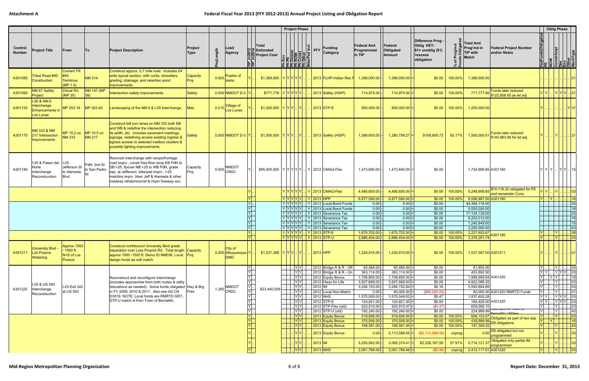## **Federal Fiscal Year 2013 (FFY 2012‐2013) Annual Project Listing and Obligation Report**

|                          |                                                              |                                                   |                             |                                                                                                                                                                                                                                                                                |                        |       |                                                           |                                                                          |                                                 |                                                  | <b>Project Phase</b>                                                     |                                                                                                                                                                                                                                                                        |                                            |                                       |                                                                                  |                    |                                                                                                          |                  | <b>Oblig Phase</b>                                                                                                                                                                                      |                                                                                        |
|--------------------------|--------------------------------------------------------------|---------------------------------------------------|-----------------------------|--------------------------------------------------------------------------------------------------------------------------------------------------------------------------------------------------------------------------------------------------------------------------------|------------------------|-------|-----------------------------------------------------------|--------------------------------------------------------------------------|-------------------------------------------------|--------------------------------------------------|--------------------------------------------------------------------------|------------------------------------------------------------------------------------------------------------------------------------------------------------------------------------------------------------------------------------------------------------------------|--------------------------------------------|---------------------------------------|----------------------------------------------------------------------------------|--------------------|----------------------------------------------------------------------------------------------------------|------------------|---------------------------------------------------------------------------------------------------------------------------------------------------------------------------------------------------------|----------------------------------------------------------------------------------------|
| Control<br><b>Number</b> | <b>Project Title</b>                                         | From                                              | <b>To</b>                   | <b>Project Description</b>                                                                                                                                                                                                                                                     | Project<br><b>Type</b> | ngth  | Lead<br>Agency                                            |                                                                          | Total<br>일본 Estimated<br><b>RR</b> Project Cost |                                                  | Env<br>PE<br>Desien<br>Const<br>Const<br>Const<br><u>है होइ होड  है </u> | $\left \frac{\overline{G}}{F}\right $ FFY<br>Funding<br>Category                                                                                                                                                                                                       | <b>Federal Amt</b><br>Programmed<br>in TIP | Federal<br><b>Obligated</b><br>Amount | Difference Prog -<br>Oblig KEY:<br>$$1=$ unoblig $($1)$<br>=excess<br>obligation | ※ 군                | <b>Total Amt</b><br>Prog'md in<br><b>Federal Project Number</b><br>8 응 TIP with<br>and/or Notes<br>Match | edFundsObligated | <b>Pexes</b><br>ROW<br>Constriimpl<br>Constriipe<br>Dispect<br>VorkType                                                                                                                                 |                                                                                        |
| A301085                  | ribal Road #40<br>Construction                               | Current TR<br>#40<br><b>Terminus</b><br>(MP 1.0)  | <b>NM 314</b>               | Construct approx. 0.7 mile road. Includes 24'<br>wide typical section, with curbs, shoulders,<br>grading, drainage, and retention pond<br>mprovements.                                                                                                                         | Capacity<br>Proj       | 0.000 | Pueblo of<br>Isleta                                       |                                                                          | \$1,389,000  Y Y Y Y Y                          |                                                  |                                                                          | 2013 FLHP-Indian Res F                                                                                                                                                                                                                                                 | 1,389,000.00                               | $1,389,000.00$ =                      | \$0.00                                                                           | 100.00%            | 1,389,000.00                                                                                             |                  |                                                                                                                                                                                                         |                                                                                        |
| A301090                  | NM 47 Safety<br>Project                                      | <b>Chical Rd</b><br>(MP 35)                       | NM 147 (MP<br>$ 38\rangle$  | Intersection safety improvements.                                                                                                                                                                                                                                              | Safety                 |       | $0.000$ NMDOT D-3 Y                                       |                                                                          | $$771,778$ $Y[Y Y Y Y]$                         |                                                  |                                                                          | 2013 Safety (HSIP)                                                                                                                                                                                                                                                     | 714,975.00                                 | $714,975.00$ =                        | \$0.00                                                                           | 100.00%            | Funds later reduced<br>$771,777.85$ \$122,658.65 as let adj                                              | $Y$ $Y$          |                                                                                                                                                                                                         |                                                                                        |
| A301120                  | $1-25$ & NM 6<br>Interchange<br>Enhancements in<br>Los Lunas | MP 203.19                                         | MP 203.40                   | andscaping of the NM 6 & I-25 Interchange.                                                                                                                                                                                                                                     | <b>Misc</b>            | 0.210 | Village of<br>Los Lunas                                   |                                                                          | \$1,200,000  Y Y Y                              | IYI                                              |                                                                          | 2013 STP-E                                                                                                                                                                                                                                                             | 900,000.00                                 | $900,000.00$ =                        | \$0.00                                                                           | 100.00%            | 1,200,000.00                                                                                             |                  |                                                                                                                                                                                                         | <u>Y31</u>                                                                             |
| A301170                  | NM 333 & NM<br>217 Intersection<br>Improvements              | MP 15.2 on MP 10.5 on<br><b>NM 333</b>            | <b>NM 217</b>               | Construct left turn lanes on NM 333 both EB<br>and WB & redefine the intersection reducing<br>its width, etc. Includes pavement markings,<br>signage, redefining access existing ingress &<br>egress access to selected mailbox clusters &<br>possible lighting improvements.  | <b>Safety</b>          |       | $0.000$ NMDOT D-3 Y                                       |                                                                          | \$1,500,000  Y Y Y Y                            |                                                  |                                                                          | $\vert$ 2013 Safety (HSIP)                                                                                                                                                                                                                                             | 1,389,600.00                               | $1,280,799.27$ =                      | \$108,800.73                                                                     | 92.17%             | Funds later reduced<br>1,500,000.07<br>\$140,983.96 for let adj                                          |                  | IYI                                                                                                                                                                                                     |                                                                                        |
| A301180                  | I-25 & Paseo del<br>Norte<br>Interchange<br>Reconstruction   | $1-25$ :<br>Jefferson St<br>to Alameda<br>Blvd    | PdN: 2nd St<br>to San Pedro | Reconstr interchange with ramps/frontage<br>road imprv., constr free-flow ramp EB PdN to<br>SB I-25, flyover NB I-25 to WB PdN, grade<br>sep. at Jefferson, bike/ped imprv., I-25<br>mainline imprv. btwn Jeff & Alameda & other<br>roadway rehab/reconst & imprv freeway acc. | Capacity<br>Proj       |       | NMDOT<br>$0.000$ CRDC                                     |                                                                          |                                                 |                                                  |                                                                          | \$95,000,000   Y   Y   Y   Y   Y      Y   2012   CMAQ-Flex                                                                                                                                                                                                             | 1,473,840.00                               | $1,473,840.00$ =                      | \$0.00                                                                           |                    | 1,724,999.95 A301180                                                                                     | YYY              |                                                                                                                                                                                                         | . YY 15                                                                                |
|                          |                                                              |                                                   |                             |                                                                                                                                                                                                                                                                                |                        |       |                                                           |                                                                          |                                                 |                                                  |                                                                          | $Y Y Y Y Y$   $Y 2013 CMAQ-Flex$                                                                                                                                                                                                                                       | 4,485,600.00                               | $4,485,600.00$ =                      | \$0.00                                                                           | 100.00%            | 5,249,999.85 <sup>\$74,116.32</sup> obligated for PE<br>and remainder Cons                               |                  |                                                                                                                                                                                                         | 03                                                                                     |
|                          |                                                              |                                                   |                             |                                                                                                                                                                                                                                                                                |                        |       |                                                           | YL<br>$Y$ .                                                              |                                                 |                                                  |                                                                          | Y   Y   Y   Y   Y      Y   2013   HPP<br>$ Y Y Y Y Y$ $ Y $ 2013 Local Bond Funds                                                                                                                                                                                      | 6,877,590.00<br>0.00                       | $6,877,590.00$ =<br>$0.00$ =          | \$0.00<br>\$0.00                                                                 | 100.00%            | 8,596,987.50 A301180<br>44,394,116.00                                                                    | $ Y $ $ Y $      |                                                                                                                                                                                                         | 16<br>$\sqrt{03}$                                                                      |
|                          |                                                              |                                                   |                             |                                                                                                                                                                                                                                                                                |                        |       |                                                           | $Y$ .                                                                    |                                                 |                                                  |                                                                          | $\boxed{Y}$ Y Y Y Y $\boxed{Y}$ Y 2013 Local Bond Funds                                                                                                                                                                                                                | 0.00                                       | $0.00$ =                              | \$0.00                                                                           |                    | 5,000,000.00                                                                                             |                  |                                                                                                                                                                                                         | 16                                                                                     |
|                          |                                                              |                                                   |                             |                                                                                                                                                                                                                                                                                |                        |       |                                                           | Y.<br>$Y$ .                                                              |                                                 |                                                  |                                                                          | $ Y Y Y Y Y $ 2013 Severance Tax<br>$ \hspace{.06cm}\mathsf{Y} \hspace{.06cm} \hspace{.06cm}\mathsf{Y} \hspace{.06cm} \hspace{.06cm}\mathsf{Y} \hspace{.06cm} \hspace{.06cm}\mathsf{Y} \hspace{.06cm} $ $ \hspace{.06cm}\mathsf{Y} \hspace{.06cm} $ 2013 Severance Tax | 0.00<br>0.00                               | $0.00$ =<br>$0.00$ =                  | \$0.00<br>\$0.00                                                                 |                    | 17, 124, 139.00<br>8,203,012.00                                                                          |                  |                                                                                                                                                                                                         | 03<br>$\begin{array}{ c c c c c }\n\hline\n\cdots & \cdots & \cdots & 16\n\end{array}$ |
|                          |                                                              |                                                   |                             |                                                                                                                                                                                                                                                                                |                        |       |                                                           | $Y$ .                                                                    |                                                 |                                                  |                                                                          | $ Y Y Y Y Y $ 2013 Severance Tax                                                                                                                                                                                                                                       | 0.00                                       | 0.00                                  | \$0.00                                                                           |                    | 1,240,849.00                                                                                             |                  |                                                                                                                                                                                                         | 15                                                                                     |
|                          |                                                              |                                                   |                             |                                                                                                                                                                                                                                                                                |                        |       |                                                           | $\overline{Y}$                                                           |                                                 |                                                  |                                                                          | $ Y Y Y Y Y $ 2013 Severance Tax                                                                                                                                                                                                                                       | 0.00                                       | $0.00$ =                              | \$0.00                                                                           |                    | 3,200,000.00                                                                                             |                  | Y  28                                                                                                                                                                                                   | $\frac{1}{2}$ $\frac{1}{2}$ $\frac{1}{2}$ $\frac{1}{2}$ $\frac{1}{43}$                 |
|                          |                                                              |                                                   |                             |                                                                                                                                                                                                                                                                                |                        |       |                                                           | $\frac{Y}{Y}$ .                                                          |                                                 |                                                  |                                                                          | Y   Y   Y   Y   Y      Y   2013   STP-E<br>  Y  Y  Y  Y  Y      Y   2013  STP-U                                                                                                                                                                                        | 1,670,702.00<br>2,886,404.00               | $1,670,702.00$ =<br>$2,886,404.00 =$  | \$0.00<br>\$0.00                                                                 | 100.00%<br>100.00% | 2,227,602.67<br>A301180<br>3,378,281.74                                                                  | $\mathbf{Y}$ .   | . Y 03                                                                                                                                                                                                  |                                                                                        |
| A301211                  | <b>University Blvd</b><br>Los Picaros<br><b>Widening</b>     | Approx 1000<br>1500 ft<br>$N+S$ of Los<br>Picaros |                             | Construct northbound University Blvd grade<br>separation over Loss Picaros Rd. Total length Capacity<br>approx 1000 -1500 ft. Demo ID NM038. Local Proj<br>design funds as soft match.                                                                                         |                        |       | City of<br>0.200 Albuquerque-Y<br><b>DMD</b>              |                                                                          | $$1,537,388$ $Y Y Y Y $                         |                                                  |                                                                          | 2013 HPP                                                                                                                                                                                                                                                               | 1,229,910.00                               | $1,229,910.00$ =                      | \$0.00                                                                           | $100.00\%$         | 1,537,387.50 A301211                                                                                     |                  | . Y 01                                                                                                                                                                                                  |                                                                                        |
|                          |                                                              |                                                   |                             |                                                                                                                                                                                                                                                                                |                        |       |                                                           | YI<br>$Y$ .                                                              |                                                 | .   Y   Y  <br>. YY.                             |                                                                          | . 2012 Bridge R & R - Off<br>2012 Bridge R & R - On                                                                                                                                                                                                                    | 65,484.00<br>363,114.00                    | $65,484.00$ =<br>$363,114.00$ =       | \$0.00<br>\$0.00                                                                 |                    | 81,855.00<br>453,892.50                                                                                  | $ Y $            | $\left\lfloor \frac{1}{2} \right\rfloor \left\lfloor \frac{1}{2} \right\rfloor \left\lfloor \frac{1}{2} \right\rfloor \left\lfloor \frac{1}{2} \right\rfloor \left\lfloor \frac{1}{2} \right\rfloor$ 03 |                                                                                        |
|                          |                                                              |                                                   |                             | Reconstruct and reconfigure Interchange                                                                                                                                                                                                                                        |                        |       |                                                           | Υ.                                                                       |                                                 | . YY.                                            |                                                                          | 2012 Equity Bonus                                                                                                                                                                                                                                                      | 1,708,800.00                               | $1,708,800.00$ =                      | \$0.00                                                                           |                    | 1,999,999.94 A301220                                                                                     |                  | Y Y  Y Y Y  03<br>Y  Y Y    16                                                                                                                                                                          |                                                                                        |
|                          | I-25 & US 550                                                |                                                   |                             | (includes approaches from both routes & utility                                                                                                                                                                                                                                |                        |       |                                                           | YI.                                                                      |                                                 | $ Y Y $ .                                        |                                                                          | 2012 Hwys for Life                                                                                                                                                                                                                                                     | 3,937,669.00                               | $3,937,669.00$ =                      | \$0.00                                                                           |                    | 4,922,086.25                                                                                             | Y                | Y   03                                                                                                                                                                                                  |                                                                                        |
| A301220                  | Interchange                                                  | I-25 Exit 242<br>at US 550                        |                             | relocations as needed). Some funds obligated Hwy & Brg<br>in FY 2009, 2010 & 2011. Also see old CN                                                                                                                                                                             | Pres                   |       | <b>NMDOT</b><br>$1.260$ <sup><math>\sim</math></sup> CRDC | Y <br>$\overline{Y}$ .                                                   | \$23,440,509                                    | Y Y .<br> Y Y .                                  |                                                                          | 2012 IM<br>2012 Local Non-Match                                                                                                                                                                                                                                        | 3,294,153.00<br>0.00                       | $3,294,152.84$ =<br>$60,000.00$ =     | \$0.16<br>(\$60,000.00)                                                          |                    | 3,555,864.66<br>60,000.00 A301220 RMRTD Funds                                                            | $Y$<br>$ Y $     | $\boxed{Y}$ 03<br>$Y$ 01                                                                                                                                                                                |                                                                                        |
|                          | Reconstruction                                               |                                                   |                             | D3019. NOTE: Local funds are RMRTD GRT,                                                                                                                                                                                                                                        |                        |       |                                                           | $Y$ .                                                                    |                                                 | Y Y                                              |                                                                          | 2012 NHS                                                                                                                                                                                                                                                               | 1,570,050.00                               | $1,570,049.53$ =                      | \$0.47                                                                           |                    | 1,837,605.28                                                                                             |                  | YY. YYY.03                                                                                                                                                                                              |                                                                                        |
|                          |                                                              |                                                   |                             | STP-U match is from Town of Bernalillo.                                                                                                                                                                                                                                        |                        |       |                                                           |                                                                          |                                                 | . YY                                             |                                                                          | $2012$ STP-E<br>2012 STP-Flex (old)                                                                                                                                                                                                                                    | 124,821.00                                 | $124,821.00 =$                        | \$0.00                                                                           |                    | 166,428.00 A301220<br>609,568.10                                                                         | $Y \cdot$        | $YY$ . $Y$ $Y$ . 03<br>$\boxed{Y}$ 03                                                                                                                                                                   |                                                                                        |
|                          |                                                              |                                                   |                             |                                                                                                                                                                                                                                                                                |                        |       |                                                           | $\begin{array}{c} Y \\ Y \\ \hline Y \\ \hline Y \\ \hline \end{array}.$ |                                                 | Y Y .<br>$\lfloor \mathsf{Y} \mathsf{Y} \rfloor$ |                                                                          | 2012 STP-U (old)                                                                                                                                                                                                                                                       | 520,815.00<br>192,240.00                   | $520,815.47$ =<br>$192,240.00$ =      | (\$0.47)<br>\$0.00                                                               |                    |                                                                                                          | $ Y $            |                                                                                                                                                                                                         |                                                                                        |
|                          |                                                              |                                                   |                             |                                                                                                                                                                                                                                                                                |                        |       |                                                           |                                                                          |                                                 | .         Y   Y   .                              |                                                                          | 2013 Equity Bonus                                                                                                                                                                                                                                                      | 519,606.00                                 | $519,606.00$ =                        |                                                                                  | $$0.00$ 100.00%    | 608,153.07 Obligated as part of two sep                                                                  | $ Y $            | . Y    43<br>. Y <mark> 03</mark>                                                                                                                                                                       |                                                                                        |
|                          |                                                              |                                                   |                             |                                                                                                                                                                                                                                                                                |                        |       |                                                           | $\begin{array}{c} Y \overline{Y} \overline{Y} \end{array}$ .             |                                                 | Y Y <br> Y Y                                     |                                                                          | 2013 Equity Bonus<br>2013 Equity Bonus                                                                                                                                                                                                                                 | 375,936.00<br>168,581.00                   | $375,936.00 =$<br>$168,581.00$ =      | \$0.00<br>\$0.00                                                                 | 100.00%<br>100.00% | $\sqrt{\frac{439,999.99}{439,999.99}}$ EB obligations<br>197,309.22                                      | $\overline{Y}$   | $\mathsf{Y}$<br>$\vert\vert$ Y $\vert$ $\vert$                                                                                                                                                          | . 16<br>. 43                                                                           |
|                          |                                                              |                                                   |                             |                                                                                                                                                                                                                                                                                |                        |       |                                                           |                                                                          |                                                 | <u>IYIYI</u>                                     |                                                                          | 2013 Equity Bonus                                                                                                                                                                                                                                                      | 0.00                                       | $2,113,589.55$ =                      | (\$2,113,589.55)                                                                 | unprog             | 0.00 EB obligated but not                                                                                |                  |                                                                                                                                                                                                         | $\cdot \vert$ 03                                                                       |
|                          |                                                              |                                                   |                             |                                                                                                                                                                                                                                                                                |                        |       |                                                           |                                                                          |                                                 | IYIYI                                            |                                                                          | $ 2013 $ IM                                                                                                                                                                                                                                                            | 5,293,562.00                               | $3,065,374.41$ =                      | \$2,228,187.59                                                                   | 57.91%             | programmed<br>5,714,121.37 Obligated only partial IM                                                     |                  |                                                                                                                                                                                                         |                                                                                        |
|                          |                                                              |                                                   |                             |                                                                                                                                                                                                                                                                                |                        |       |                                                           | $\overline{Y}$                                                           |                                                 | . YY                                             |                                                                          | $\frac{1}{2013}$ NHS                                                                                                                                                                                                                                                   | 2,061,768.00                               | $2,061,768.46$ =                      | (S0.46)                                                                          | unprog             | 2,413,117.91 A301220                                                                                     |                  | $\boxed{ \mathsf{Y} }$ $ \mathsf{Y} $ $ $ $ $ 03                                                                                                                                                        | $\cdot \vert$ 03                                                                       |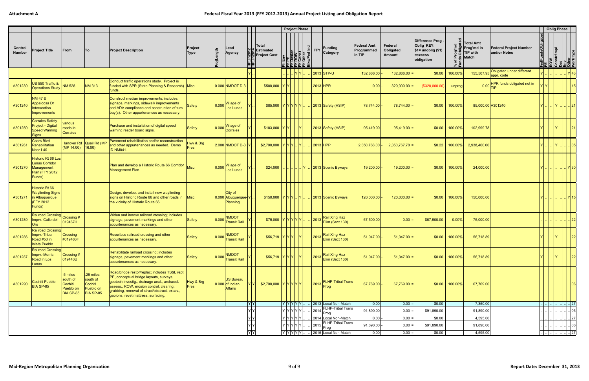|                          |                                                                                              |                                                                  |                                                                     |                                                                                                                                                                                                                                                                               |                          |       |                                                         |                               |                                                      |           | <b>Project Phase</b>                                                                             |   |                |                                                  |                                            |                                       |                                                                                |                   |                                                             |                                               |               | <b>Oblig Phase</b>                                              |                             |
|--------------------------|----------------------------------------------------------------------------------------------|------------------------------------------------------------------|---------------------------------------------------------------------|-------------------------------------------------------------------------------------------------------------------------------------------------------------------------------------------------------------------------------------------------------------------------------|--------------------------|-------|---------------------------------------------------------|-------------------------------|------------------------------------------------------|-----------|--------------------------------------------------------------------------------------------------|---|----------------|--------------------------------------------------|--------------------------------------------|---------------------------------------|--------------------------------------------------------------------------------|-------------------|-------------------------------------------------------------|-----------------------------------------------|---------------|-----------------------------------------------------------------|-----------------------------|
| Control<br><b>Number</b> | <b>Project Title</b>                                                                         | From                                                             | To                                                                  | <b>Project Description</b>                                                                                                                                                                                                                                                    | Project<br>Type          | ength | Lead<br><b>Agency</b>                                   | 맡                             | ∣Total<br><b>Estimated</b><br><b>QQ</b> Project Cost |           | <b>Them</b><br>Ph PE<br>Ph Dosien<br>Ph Const<br>Ph Other<br>Ph Other<br>Bike/Ped In             | ⊆ | FFY            | <b>Funding</b><br>Category                       | <b>Federal Amt</b><br>Programmed<br>in TIP | Federal<br>Obligated<br><b>Amount</b> | Difference Prog<br>Oblig KEY:<br>$$1=$ unoblig $($1)$<br>=excess<br>obligation |                   | Total Amt<br>∣Prog'md in<br><b>TIP with</b><br><b>Match</b> | <b>Federal Project Number</b><br>and/or Notes | edFundsObliga | <b>PE</b><br>ROW<br>Constr/Impl<br>Constr/Implement<br>NorkType |                             |
|                          |                                                                                              |                                                                  |                                                                     |                                                                                                                                                                                                                                                                               |                          |       |                                                         |                               |                                                      |           |                                                                                                  |   |                | 2013 STP-U                                       | 132,866.00                                 | $132,866.00 =$                        | \$0.00                                                                         | 100.00%           | 155,507.95                                                  | Obligated under different<br>appr. code       |               |                                                                 |                             |
| A301230                  | US 550 Traffic &<br><b>Operations Study</b>                                                  | <b>NM 528</b>                                                    | <b>NM 313</b>                                                       | Conduct traffic operations study. Project is<br>funded with SPR (State Planning & Research) Misc<br>funds.                                                                                                                                                                    |                          |       | $0.000$ NMDOT D-3                                       |                               | \$500,000   Y   Y                                    |           |                                                                                                  |   |                | 2013 HPR                                         | 0.00                                       | 320,000.00                            | (\$320,000.00                                                                  | unprog            | 0.00                                                        | HPR funds obligated not in                    |               |                                                                 |                             |
| A301240                  | NM 47 &<br>Appaloosa Dr<br>Intersection<br>Improvements                                      |                                                                  |                                                                     | Construct median improvements; includes:<br>signage, markings, sidewalk improvements<br>and ADA compliance and construction of turn-<br>bay(s). Other appurtenances as necessary.                                                                                             | <b>Safety</b>            | 0.000 | /illage of<br>Los Lunas                                 |                               | \$85,000 YYYYYY.                                     |           |                                                                                                  |   |                | 2013 Safety (HSIP)                               | 78,744.00                                  | 78,744.00                             | \$0.00                                                                         | 100.00%           | 85,000.00 A301240                                           |                                               |               | $\ \mathsf{Y}$ . $\ .\ $                                        | 21                          |
| A301250                  | <b>Corrales Safety</b><br><b>Project - Digital</b><br><b>Speed Warning</b><br><b>Signs</b>   | various<br>roads in<br><b>Corrales</b>                           |                                                                     | Purchase and installation of digital speed<br>warning reader board signs.                                                                                                                                                                                                     | <b>Safety</b>            | 0.000 | Village of<br>Corrales                                  |                               | $$103,000  Y Y$ .                                    |           | . IYL                                                                                            |   |                | 2013 Safety (HSIP)                               | 95,419.00                                  | $95,419.00$ =                         | \$0.00                                                                         | 100.00%           | 102,999.78                                                  |                                               |               |                                                                 |                             |
| A301261                  | <b>Coors Blvd</b><br>Rehabilitation<br>Near I-40                                             | Hanover Rd<br>(MP 14.00)                                         | Quail Rd (MP<br>16.00                                               | Pavement rehabilitation and/or reconstruction<br>and other appurtenances as needed. Demo<br><b>ID NM041.</b>                                                                                                                                                                  | Hwy & Brg<br><b>Pres</b> |       | $2.000$ NMDOT D-3 Y                                     |                               | \$2,700,000                                          | I YIYIYI. | <u>IYI</u>                                                                                       |   |                | 2013 HPP                                         | 2,350,768.00                               | $2,350,767.78$ =                      | \$0.22                                                                         | 100.00%           | 2,938,460.00                                                |                                               |               |                                                                 | 05                          |
| A301270                  | <b>Historic Rt 66 Los</b><br><b>Lunas Corridor</b><br>Management<br>Plan (FFY 2012<br>Funds) |                                                                  |                                                                     | Plan and develop a Historic Route 66 Corridor<br><b>Management Plan</b>                                                                                                                                                                                                       | <b>Misc</b>              | 0.000 | √illage of<br>Los Lunas                                 |                               | \$24,000                                             |           | Y                                                                                                |   |                | 2013 Scenic Byways                               | 19,200.00                                  | 19,200.00                             | \$0.00                                                                         | 100.00%           | 24,000.00                                                   |                                               |               |                                                                 | Y   30                      |
| A301271                  | Historic Rt 66<br><b>Wayfinding Signs</b><br>in Albuquerque<br>(FFY 2012<br>Funds)           |                                                                  |                                                                     | Design, develop, and install new wayfinding<br>signs on Historic Route 66 and other roads in<br>the vicinity of Historic Route 66.                                                                                                                                            | Misc                     |       | City of<br>0.000 Albuquerque-Y<br>Planning              |                               | _\$150,000   Y   Y   Y      Y   .                    |           |                                                                                                  |   |                | 2013 Scenic Byways                               | 120,000.00                                 | $120,000.00$ =                        | \$0.00                                                                         | 100.00%           | 150,000.00                                                  |                                               |               |                                                                 | $\left  \cdot \right $   15 |
| A301280                  | <b>Railroad Crossing</b><br>Imprv.-Calle del<br><b>Oro</b>                                   | Crossing #<br>019467H                                            |                                                                     | Widen and imrove railroad crossing; includes<br>signage, pavement markings and other<br>appurtenances as necessary.                                                                                                                                                           | Safety                   | 0.000 | NMDOT<br><b>Transit Rail</b>                            |                               | \$75,000  Y Y Y Y Y                                  |           |                                                                                                  |   | 2013           | Rail Xing Haz<br>Elim (Sect 130)                 | 67,500.00                                  | 0.00                                  | \$67,500.00                                                                    | 0.00%             | 75,000.00                                                   |                                               |               |                                                                 |                             |
| A301286                  | <b>Railroad Crossing</b><br>Imprv.-Tribal<br>Road #53 in<br><b>Isleta Pueblo</b>             | Crossing<br>#019463F                                             |                                                                     | Resurface railroad crossing and other<br>appurtenances as necessary.                                                                                                                                                                                                          | <b>Safety</b>            |       | <b>NMDOT</b><br>0.000 Transit Rail                      |                               | $$56,719  Y Y Y . Y$                                 |           |                                                                                                  |   |                | Rail Xing Haz<br>2013 Elim (Sect 130)            | 51,047.00                                  | $51,047.00$ =                         | \$0.00                                                                         | 100.00%           | 56,718.89                                                   |                                               |               | IYI                                                             | $\lvert . \rvert$ 22        |
| A301287                  | Railroad Crossing<br>Imprv.-Morris<br>Road in Los<br>Lunas                                   | Crossing #<br>019443U                                            |                                                                     | Rehabilitate railroad crossing; includes<br>signage, pavement markings and other<br>appurtenances as necessary.                                                                                                                                                               | Safety                   |       | NMDOT<br>0.000 Transit Rail                             |                               | $$56,719$ $Y[Y Y]$ $Y$                               |           |                                                                                                  |   | $\boxed{2013}$ | Rail Xing Haz<br>Elim (Sect 130)                 | 51,047.00                                  | $51,047.00$ =                         |                                                                                | $$0.00$   100.00% | 56,718.89                                                   |                                               |               | $ Y $ $ Y $ $ . 22$                                             |                             |
| A301290                  | Cochiti Pueblo:<br>BIA SP-85                                                                 | .5 miles<br>south of<br>Cochiti<br>Pueblo on<br><b>BIA SP-85</b> | $25 \text{ miles}$<br>south of<br>Cochiti<br>Pueblo on<br>BIA SP-85 | Road/bridge restor/replac; includes TS&L rept,<br>PE, conceptual bridge layouts, surveys,<br>geotech investig., drainage anal., archaeol.<br>assess., ROW, erosion control, clearing,<br>grubbing, removal of struct/obstruct, excav.,<br>gabions, revet mattress, surfacing. | Hwy & Brg<br>Pres        |       | <b>US Bureau</b><br>$0.000$ of Indian<br><b>Affairs</b> |                               | \$2,700,000 YYYYYY.                                  |           |                                                                                                  |   |                | $\left  \frac{\text{2013}}{\text{Prog}} \right $ | 67,769.00                                  | $67,769.00 =$                         | \$0.00                                                                         | $100.00\%$        | 67,769.00                                                   |                                               |               |                                                                 | 06                          |
|                          |                                                                                              |                                                                  |                                                                     |                                                                                                                                                                                                                                                                               |                          |       |                                                         | Y Y                           |                                                      |           | $ Y Y Y Y Y$ .                                                                                   |   |                | 2013 Local Non-Match<br><b>FLHP-Tribal Trans</b> | 0.00                                       | 0.00                                  | \$0.00                                                                         |                   | 7,350.00                                                    |                                               |               |                                                                 |                             |
|                          |                                                                                              |                                                                  |                                                                     |                                                                                                                                                                                                                                                                               |                          |       |                                                         | YY                            |                                                      |           | Y Y Y Y Y                                                                                        |   | 2014           | Prog                                             | 91,890.00                                  | $0.00 =$                              | \$91,890.00                                                                    |                   | 91,890.00                                                   |                                               |               |                                                                 | 06                          |
|                          |                                                                                              |                                                                  |                                                                     |                                                                                                                                                                                                                                                                               |                          |       |                                                         | $\overline{Y}$ $\overline{Y}$ |                                                      |           | Y Y Y Y Y                                                                                        |   |                | 2014 Local Non-Match                             | $0.00$ -                                   | $0.00 =$                              | \$0.00                                                                         |                   | 4,595.00                                                    |                                               |               |                                                                 | 27                          |
|                          |                                                                                              |                                                                  |                                                                     |                                                                                                                                                                                                                                                                               |                          |       |                                                         | YY                            |                                                      |           | Y Y Y Y Y                                                                                        |   |                | <b>FLHP-Tribal Trans</b><br>  2015   Frog        | 91,890.00                                  | $0.00 =$                              | \$91,890.00                                                                    |                   | 91,890.00                                                   |                                               |               |                                                                 | 06                          |
|                          |                                                                                              |                                                                  |                                                                     |                                                                                                                                                                                                                                                                               |                          |       |                                                         | YY                            |                                                      |           | $\boxed{\mathsf{Y} \boxed{\mathsf{Y}} \boxed{\mathsf{Y}} \boxed{\mathsf{Y}} \boxed{\mathsf{Y}}.$ |   |                | 2015 Local Non-Match                             | $0.00$ -                                   | $0.00 =$                              | \$0.00                                                                         |                   | 4,595.00                                                    |                                               |               |                                                                 | . 27                        |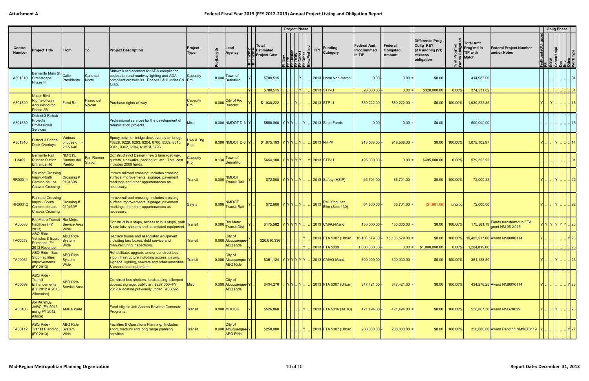|                          |                                                                                      |                                          |                               |                                                                                                                                                                           |                          |       |                                                   |      |                                                 |               | <b>Project Phase</b>                                                                                              |                                                                                    |                                            |                                       |                                                                                  |                     |                                                                              |                                                                | <b>Oblig Phase</b>                                                                                                                                                                                                                                                                                                                 |                                              |         |
|--------------------------|--------------------------------------------------------------------------------------|------------------------------------------|-------------------------------|---------------------------------------------------------------------------------------------------------------------------------------------------------------------------|--------------------------|-------|---------------------------------------------------|------|-------------------------------------------------|---------------|-------------------------------------------------------------------------------------------------------------------|------------------------------------------------------------------------------------|--------------------------------------------|---------------------------------------|----------------------------------------------------------------------------------|---------------------|------------------------------------------------------------------------------|----------------------------------------------------------------|------------------------------------------------------------------------------------------------------------------------------------------------------------------------------------------------------------------------------------------------------------------------------------------------------------------------------------|----------------------------------------------|---------|
| Control<br><b>Number</b> | <b>Project Title</b>                                                                 | From                                     | To                            | <b>Project Description</b>                                                                                                                                                | Project<br>Type          | ength | Lead<br>Agency                                    | ≘⊫'  | Total<br>일본 Estimated<br><b>QQ</b> Project Cost |               | <b>Env</b><br><b>PE</b><br><b>ROW</b><br>Const<br>Const<br>Const<br>Const<br>Const<br>Ke/Ped In<br><u>로</u> 목목목 목 | <b>Funding</b><br>∣≘∣<br>FFY<br>Category                                           | <b>Federal Amt</b><br>Programmed<br>in TIP | Federal<br>Obligated<br><b>Amount</b> | Difference Prog -<br>Oblig KEY:<br>$$1=$ unoblig $($1)$<br>=excess<br>obligation |                     | <b>Total Amt</b><br>Prog'md in<br><b>TIP with</b><br><b>Match</b>            | <b>Federal Project Number</b><br>and/or Notes                  | FedFundsObligate<br>PE<br>ROW<br>Constr/Impl<br>Des<br>Other<br>Other                                                                                                                                                                                                                                                              |                                              |         |
| A301310                  | Bernalillo Main St<br>Streetscape<br>Phase III                                       | Calle<br>Presidente                      | Calle del<br>Norte            | Sidewalk replacement for ADA compliance,<br>pedestrian and roadway lighting and ADA<br>compliant crosswalks. Phases I & II under CN Proj<br>3450.                         | Capacity                 | 0.000 | Town of<br>Bernalillo                             |      | \$789,515                                       |               |                                                                                                                   | 2013 Local Non-Match                                                               | 0.00                                       | 0.00                                  | \$0.00                                                                           |                     | 414,983.00                                                                   |                                                                |                                                                                                                                                                                                                                                                                                                                    |                                              |         |
| A301320                  | <b>Unser Blvd</b><br>Rights-of-way<br><b>Acquisition for</b><br>Phase 2B             | <b>Farol Rd</b>                          | Paseo del<br>Volcan           | Purchase rights-of-way                                                                                                                                                    | Capacity<br>Proj         | 0.000 | City of Rio<br>Rancho                             | IYI. | \$789,515<br>\$1,030,222                        |               | .IYI.                                                                                                             | 2013 STP-U<br>2013 STP-U                                                           | 320,000.00<br>880,222.00                   | $0.00 =$<br>$880,222.00$ =            | \$320,000.00<br>\$0.00                                                           | $0.00\%$<br>100.00% | 374,531.82<br>1,030,222.35                                                   |                                                                |                                                                                                                                                                                                                                                                                                                                    |                                              |         |
| A301330                  | District 3 Rehab<br>Projects<br>Professional<br>Services                             |                                          |                               | Professional services for the development of<br>rehabilitation projects.                                                                                                  | Misc                     |       | $0.000$ NMDOT D-3 Y                               |      | $$500,000  Y Y Y$ .                             |               | . I. . IY                                                                                                         | 2013 State Funds                                                                   | 0.00                                       | $0.00$ =                              | \$0.00                                                                           |                     | 500,000.00                                                                   |                                                                |                                                                                                                                                                                                                                                                                                                                    |                                              |         |
| A301340                  | <b>District 3 Bridge</b><br><b>Deck Overlays</b>                                     | Various<br>bridges on I-<br>25 & I-40    |                               | Epoxy polymer bridge deck overlay on bridge<br>#6228, 6229, 6203, 6204, 8700, 8509, 8510,<br>9341, 9342, 6104, 6105 & 8793.                                               | Hwy & Brg<br><b>Pres</b> |       | $0.000$ NMDOT D-3                                 |      | \$1,075,103  Y Y Y                              |               | . IYI                                                                                                             | 2013 NHPP                                                                          | 918,568.00                                 | $918,568.00$ =                        | \$0.00                                                                           | 100.00%             | 1,075,102.97                                                                 |                                                                |                                                                                                                                                                                                                                                                                                                                    |                                              | 14      |
| L3409                    | <b>Bernalillo Rail</b><br><b>Runner Station</b><br><b>Entrance Rd</b>                | NM 313,<br>Camino del<br>Pueblo          | <b>Rail Runner</b><br>Station | Construct (incl Design) new 2 lane roadway,<br>gutters, sidewalks, parking lot, etc. Total cost<br>includes 2009 funds.                                                   | Capacity                 | 0.130 | Town of<br>Bernalillo                             |      |                                                 |               |                                                                                                                   | \$654,108 Y Y Y Y Y Y Y  Y 2013 STP-U                                              | 495,000.00                                 | 0.00                                  | \$495,000.00                                                                     | 0.00%               | 579,353.92                                                                   |                                                                |                                                                                                                                                                                                                                                                                                                                    |                                              |         |
| RR00011                  | <b>Railroad Crossing</b><br>Imprv.-North<br>Camino de Los<br><b>Chavez Crossing</b>  | Crossing #<br>019469N                    |                               | Imrove railroad crossing; includes crossing<br>surface improvements, signage, pavement<br>markings and other appurtenances as<br>necessary.                               | Transit                  | 0.000 | NMDOT<br><b>Transit Rail</b>                      |      | \$72,000  Y Y Y .  Y .                          |               |                                                                                                                   | 2013 Safety (HSIP)                                                                 | 66,701.00                                  | $66,701.00$ =                         | \$0.00                                                                           | 100.00%             | 72,000.22                                                                    |                                                                | IYI                                                                                                                                                                                                                                                                                                                                |                                              | 22      |
| RR00012                  | <b>Railroad Crossing</b><br>Imprv.- South<br>Camino de Los<br><b>Chavez Crossing</b> | Crossing #<br>019469P                    |                               | Imrove railroad crossing; includes crossing<br>surface improvements, signage, pavement<br>markings and other appurtenances as<br>necessary.                               | <b>Safety</b>            | 0.000 | <b>NMDOT</b><br><b>Transit Rail</b>               |      | $$72,000  Y Y Y$ .                              |               | .IYI.                                                                                                             | Rail Xing Haz<br>$ 2013\rangle$<br>Elim (Sect 130)                                 | 64,800.00                                  | 66,701.00                             | (\$1,901.00)                                                                     | unprog              | 72,000.00                                                                    |                                                                | IY.                                                                                                                                                                                                                                                                                                                                |                                              | 22      |
| TA00033                  | <b>Rio Metro Transit</b><br><b>Facilities (FY</b><br>2013)                           | Rio Metro<br>Service Area<br><b>Wide</b> |                               | Construct bus stops, access to bus stops, park<br>& ride lots, shelters and associated equipment.                                                                         | Transit                  | 0.000 | <b>Rio Metro</b><br><b>Transit Dist</b>           |      | $$175,562$ $Y Y Y Y Y$                          |               |                                                                                                                   | 2013 CMAQ-Mand                                                                     | 150,000.00                                 | $150,000.00$ =                        | \$0.00                                                                           | 100.00%             | 175,561.79                                                                   | Funds transferred to FTA<br>grant NM 95-X015                   | $\mathbf{Y}$ $\mathbf{Y}$ $\mathbf{Y}$ $\mathbf{Y}$ $\mathbf{Y}$ $\mathbf{Y}$ $\mathbf{Y}$ $\mathbf{X}$ $\mathbf{Y}$ $\mathbf{Y}$ $\mathbf{Y}$ $\mathbf{Y}$ $\mathbf{Y}$ $\mathbf{Y}$ $\mathbf{Y}$ $\mathbf{Y}$ $\mathbf{Y}$ $\mathbf{Y}$ $\mathbf{Y}$ $\mathbf{Y}$ $\mathbf{Y}$ $\mathbf{Y}$ $\mathbf{Y}$ $\mathbf{Y}$ $\mathbf{$ |                                              |         |
| TA00053                  | ABQ Ride -<br>Vehicles & Equip.<br>Purchase (FY<br>2013 Revenue                      | <b>ABQ Ride</b><br>System<br>Wide        |                               | Replace buses and associated equipment<br>including fare boxes, debt service and<br>manufacturing inspections.                                                            | Transit                  |       | City of<br>0.000 Albuquerque-<br>ABQ Ride         |      | \$20,610,336                                    |               |                                                                                                                   | 2013   FTA 5307 (Urban)<br>$\frac{1}{2}$ . $\frac{1}{2}$ . $ Y $ . . 2013 FTA 5339 | 16,106,579.00<br>1,000,000.00              | $16,106,579.00$ =                     | \$0.00<br>$ 0.00 $ = \$1,000,000.00                                              | 100.00%             | $\begin{array}{ c c c c c } \hline 0.00\% & 1,204,819.00 \hline \end{array}$ | 19,405,517.00 Award NM90X0114                                  |                                                                                                                                                                                                                                                                                                                                    |                                              | $Y$  23 |
| TA00061                  | ABQ Ride - Bus<br><b>Stop Facilities</b><br>Improvements<br>(FY 2013)                | <b>ABQ Ride</b><br>System<br>Wide        |                               | Rehabilitate, upgrade and/or construct bus<br>stop infrastructure including access, paving,<br>signage, lighting, shelters and other amenities<br>& associated equipment. | Transit                  |       | City of<br>0.000 Albuquerque-<br>ABQ Ride         |      |                                                 |               |                                                                                                                   | $$351,124   Y Y Y Y Y.$ 2013 CMAQ-Mand                                             | 300,000.00                                 | $300,000.00$ =                        |                                                                                  | $$0.00$   100.00%   | 351,123.59                                                                   |                                                                | Y         <mark>  23</mark>                                                                                                                                                                                                                                                                                                        |                                              |         |
| TA00093                  | ABQ Ride -<br>Transit<br><b>Enhancements</b><br>(FY 2012 & 2013<br>Allocation)       | <b>ABQ Ride</b><br>Service Area          |                               | Construct bus shelters, landscaping, bike/ped<br>access, signage, public art. \$237,000=FY<br>2012 allocation previously under TA00092.                                   | Misc                     |       | City of<br>0.000 Albuquerque-Y<br><b>ABQ Ride</b> |      | \$434,276                                       | $ Y Y $ $ Y $ |                                                                                                                   | 2013   FTA 5307 (Urban)                                                            | 347,421.00                                 | $347,421.00$ =                        |                                                                                  | $$0.00$   100.00%   |                                                                              | 434,276.25 Award NM90X0114                                     |                                                                                                                                                                                                                                                                                                                                    | $\left\  . \right\  \left\  . \right\ $ Y 23 |         |
| TA00103                  | <b>AMPA Wide</b><br><b>JARC (FY 2013</b><br>using FY 2012<br>Alloca)                 | <b>AMPA Wide</b>                         |                               | Fund eligible Job Access Reverse Commute<br>Programs.                                                                                                                     | <b>Transit</b>           |       | $0.000$ MRCOG                                     |      | \$526,868                                       |               | . I  IYE                                                                                                          | $\vert$ 2013 FTA 5316 (JARC)                                                       | 421,494.00                                 | $421,494.00$ =                        | \$0.00                                                                           | 100.00%             |                                                                              | 526,867.50 Award NM37X029                                      | Y         <mark>  23</mark>                                                                                                                                                                                                                                                                                                        |                                              |         |
| TA00112                  | ABQ Ride -<br><b>Transit Planning</b><br>(FY 2013)                                   | ABQ Ride<br>System<br>Wide               |                               | Facilities & Operations Planning. Includes<br>short, medium and long range planning<br>activities.                                                                        | <b>Transit</b>           |       | City of<br>0.000 Albuquerque-<br>ABQ Ride         |      | \$250,000                                       |               |                                                                                                                   | 2013 FTA 5307 (Urban)                                                              | 200,000.00                                 | $200,000.00$ =                        | \$0.00                                                                           | 100.00%             |                                                                              | 250,000.00 Award Pending NM90X0119   Y                  Y   27 |                                                                                                                                                                                                                                                                                                                                    |                                              |         |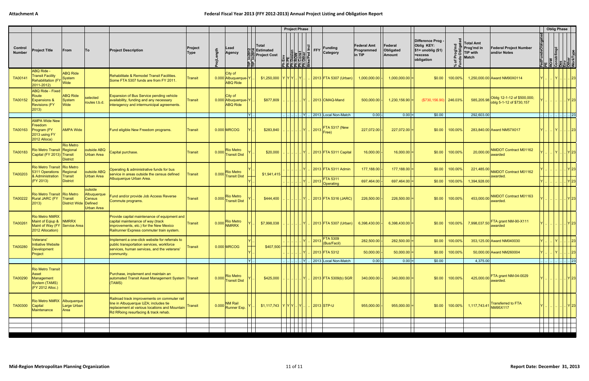|                          |                                                                                                                                     |                                     |                                                       |                                                                                                                                                                                |                                |                                                                     |                                                                                 | <b>Project Phase</b>                                                                                                                                                                                                                                                                                           |      |                         |                                        |                                            |                                       |                                                                                         |                   |                                                     |                                                                | <b>Oblig Phase</b>                                             |         |
|--------------------------|-------------------------------------------------------------------------------------------------------------------------------------|-------------------------------------|-------------------------------------------------------|--------------------------------------------------------------------------------------------------------------------------------------------------------------------------------|--------------------------------|---------------------------------------------------------------------|---------------------------------------------------------------------------------|----------------------------------------------------------------------------------------------------------------------------------------------------------------------------------------------------------------------------------------------------------------------------------------------------------------|------|-------------------------|----------------------------------------|--------------------------------------------|---------------------------------------|-----------------------------------------------------------------------------------------|-------------------|-----------------------------------------------------|----------------------------------------------------------------|----------------------------------------------------------------|---------|
| Control<br><b>Number</b> | <b>Project Title</b>                                                                                                                | From                                | <b>To</b>                                             | <b>Project Description</b>                                                                                                                                                     | Project<br>ngth<br><b>Type</b> | Lead<br>Agency                                                      | Total<br>일본 Estimated<br><b>SIP</b><br><b>Project Cost</b><br><b>E</b> E<br>EE' | Env<br>E Bosien<br>Desien<br>Const<br>Const<br>Const<br>Const<br>Const<br>Const<br>Const<br>Const<br>Const<br>Const<br>Const<br>Const<br>Const<br>Const<br>Const<br>Const<br>Const<br>Const<br>Const<br>Const<br>Const<br>Const<br>Const<br>Const<br>Const<br>Const<br>Const<br>Const<br>Con<br><u>토토토토토 및</u> |      | $ \tilde{=} \text{FFY}$ | <b>Funding</b><br>Category             | <b>Federal Amt</b><br>Programmed<br>in TIP | Federal<br>Obligated<br><b>Amount</b> | Difference Prog -<br><b>Oblig KEY:</b><br>$$1=$ unoblig $($1)$<br>=excess<br>obligation |                   | Total Amt<br>Prog'md in<br>TIP with<br><b>Match</b> | edFundsObliga<br><b>Federal Project Number</b><br>and/or Notes | <b>PE</b><br>ROW<br>Constr/Impl<br>Des<br>NorkType<br>NorkType |         |
| TA00141                  | ABQ Ride -<br><b>Transit Facility</b><br><b>Transit Facility</b><br>Rehabilitation (FY System<br>Read LOAN<br>$ 2011 - 2012\rangle$ | <b>ABQ Ride</b>                     |                                                       | Rehabilitate & Remodel Transit Facilities.<br>Some FTA 5307 funds are from FY 2011.                                                                                            | Transit                        | City of<br>0.000 Albuquerque-Y<br><b>ABQ Ride</b>                   | $$1,250,000$ $Y$ $Y$ $Y$ $.1Y$                                                  |                                                                                                                                                                                                                                                                                                                |      |                         | 2013   FTA 5307 (Urban)                | 1,000,000.00                               | 1,000,000.00                          | \$0.00                                                                                  | 100.00%           | 1,250,000.00 Award NM90X0114                        |                                                                |                                                                | 23      |
| TA00152                  | <b>ABQ Ride - Fixed</b><br>Route<br><b>Expansions &amp;</b><br><b>Revisions (FY</b><br>$ 2013\rangle$                               | <b>ABQ Ride</b><br>System<br>Wide   | selected<br>routes t.b.d.                             | <b>Expansion of Bus Service pending vehicle</b><br>availability, funding and any necessary<br>interagency and intermunicipal agreements.                                       | Transit                        | City of<br>0.000 Albuquerque-Y<br><b>ABQ Ride</b>                   | \$877,809                                                                       |                                                                                                                                                                                                                                                                                                                |      |                         | $ 2013 $ CMAQ-Mand                     | 500,000.00                                 | $1,230,156.90 =$                      | $($ \$730,156.90) 246.03%                                                               |                   | 585,205.98                                          | Oblig 12-1-12 of \$500,000;<br>oblg 5-1-12 of \$730,157        |                                                                |         |
|                          |                                                                                                                                     |                                     |                                                       |                                                                                                                                                                                |                                | ΙYΙ.                                                                |                                                                                 |                                                                                                                                                                                                                                                                                                                | IYI  |                         | 2013 Local Non-Match                   | 0.00                                       | $ 0.00 $ =                            | \$0.00                                                                                  |                   | 292,603.00                                          |                                                                |                                                                | 23      |
| TA00163                  | <b>AMPA Wide New</b><br>Freedom<br>Program (FY<br>2013 using FY<br>2012 Alloca)                                                     | <b>AMPA Wide</b>                    |                                                       | Fund eligible New Freedom programs.                                                                                                                                            | Transit                        | $0.000$ MRCOG                                                       | \$283,840                                                                       |                                                                                                                                                                                                                                                                                                                |      |                         | 2013 FTA 5317 (New<br>Free)            | 227,072.00                                 | $227,072.00$ =                        | \$0.00                                                                                  | 100.00%           | 283,840.00 Award NM57X017                           |                                                                |                                                                | 23      |
| TA00183                  | Rio Metro Transit Regional<br>Capital (FY 2013) Transit                                                                             | <b>Rio Metro</b><br><b>District</b> | outside ABQ<br><b>Urban Area</b>                      | Capital purchase.                                                                                                                                                              | Transit                        | <b>Rio Metro</b><br>0.000 Transit Dist                              | \$20,000                                                                        |                                                                                                                                                                                                                                                                                                                |      |                         | 2013   FTA 5311 Capital                | 16,000.00                                  | $16,000.00$ =                         | \$0.00                                                                                  | 100.00%           | 20,000.00                                           | NMDOT Contract M01162<br>awarded                               |                                                                | Y 23    |
| TA00203                  | Rio Metro Transit   Rio Metro<br>5311 Operations Regional<br>& Administration<br>$ $ (FY 2013)                                      | Transit<br><b>District</b>          | outside ABQ<br>Urban Area                             | Operating & administrative funds for bus<br>service in areas outside the census defined<br>Albuquerque Urban Area.                                                             | Transit                        | <b>Rio Metro</b><br>0.000 Transit Dist                              | \$1,941,415                                                                     |                                                                                                                                                                                                                                                                                                                |      |                         | 2013 FTA 5311 Admin<br><b>FTA 5311</b> | 177,188.00                                 | $177,188.00$ =                        | \$0.00                                                                                  | 100.00%           | 221,485.00                                          | NMDOT Contract M01162<br>awarded                               |                                                                |         |
|                          |                                                                                                                                     |                                     |                                                       |                                                                                                                                                                                |                                |                                                                     |                                                                                 |                                                                                                                                                                                                                                                                                                                |      | 2013                    | Operating                              | 697,464.00                                 | $697,464.00$ =                        | \$0.00                                                                                  | $100.00\%$        | 1,394,928.00                                        |                                                                |                                                                | Y 23    |
| TA00222                  | Rio Metro Transit Rio Metro<br><b>Rural JARC (FY</b><br>$ 2013\rangle$                                                              | Transit<br>District Wide Defined    | outside<br>Albuquerque<br>Census<br><b>Urban Area</b> | Fund and/or provide Job Access Reverse<br>Commute programs.                                                                                                                    | Transit                        | <b>Rio Metro</b><br>0.000 Transit Dist                              | \$444,400                                                                       |                                                                                                                                                                                                                                                                                                                |      |                         | 2013   FTA 5316 (JARC)                 | 226,500.00                                 | $226,500.00$ =                        | \$0.00                                                                                  | 100.00%           | 453,000.00                                          | <b>NMDOT Contract M01163</b><br>awarded                        |                                                                | IYI 23  |
| TA00261                  | <b>Rio Metro NMRX</b><br>Maint of Eqiup & NMRRX<br>Maint of Way (FY Service Area<br>2012 Allocation)                                |                                     |                                                       | Provide capital maintenance of equipment and<br>capital maintenance of way (track<br>improvements, etc.) for the New Mexico<br>Railrunner Express commuter train system.       | <b>Transit</b>                 | <b>Rio Metro</b><br>$\boxed{0.000}$ NMRRX                           | \$7,998,038                                                                     |                                                                                                                                                                                                                                                                                                                |      |                         | 2013   FTA 5307 (Urban)                | $6,398,430.00$ -                           | $6,398,430.00$ =                      | \$0.00                                                                                  | $100.00\%$        | 7,998,037.50                                        | FTA grant NM-90-X111<br>awarded                                |                                                                | $Y$  23 |
|                          | Veterans'                                                                                                                           |                                     |                                                       | Implement a one-click website for referrals to                                                                                                                                 |                                |                                                                     |                                                                                 |                                                                                                                                                                                                                                                                                                                |      |                         | 2013 FTA 5309                          | 282,500.00                                 | 282,500.00                            | \$0.00                                                                                  | 100.00%           | 353,125.00 Award NM040030                           |                                                                |                                                                |         |
| TA00280                  | Initiative Website<br>Development<br>Project                                                                                        |                                     |                                                       | public transportation services, workforce<br>services, human services, and the veterans'<br>community.                                                                         | <b>Transit</b>                 | $0.000$ MRCOG                                                       | \$407,500                                                                       |                                                                                                                                                                                                                                                                                                                |      |                         | (Bus/Facil)<br>2013 FTA 5312           | 50,000.00                                  | $50,000.00$ =                         |                                                                                         | $$0.00$   100.00% | 50,000.00 Award NM260004                            |                                                                | Y  .  .  .  .  23                                              |         |
|                          |                                                                                                                                     |                                     |                                                       |                                                                                                                                                                                |                                |                                                                     | $Y$ .                                                                           |                                                                                                                                                                                                                                                                                                                | Y  . |                         | . 2013 Local Non-Match                 | $0.00 -$                                   | $ 0.00 $ =                            | \$0.00                                                                                  |                   | 4,375.00                                            |                                                                |                                                                |         |
| TA00290                  | <b>Rio Metro Transit</b><br>Asset<br>Management<br>System (TAMS)<br>$CFY 2012$ Alloc.)                                              |                                     |                                                       | Purchase, implement and maintain an<br>automated Transit Asset Management System Transit<br>(TAMS)                                                                             |                                | <b>Rio Metro</b><br>0.000 Transit Dist                              | \$425,000                                                                       |                                                                                                                                                                                                                                                                                                                | IYI  |                         | . 2013 FTA 5309(b) SGR                 | $340,000.00$ .                             | $340,000.00$ =                        | \$0.00                                                                                  | $100.00\%$        |                                                     | 425,000.00 FTA grant NM-04-0029<br>awarded.                    |                                                                | Y 23    |
| TA00300                  | Rio Metro NMRX Albuquerque<br>$ $ Capital<br>Maintenance                                                                            | Large Urban<br>Area                 |                                                       | Railroad track improvements on commuter rail<br>line in Albuquerque UZA; includes tie<br>replacement at various locations and Mountain<br>Rd RRxing resurfacing & track rehab. | <b>Transit</b>                 | <b>NM Rail</b><br>$\bigcap_{n=1}^{\infty} 0.000 \bigg $ Runner Exp. | - \$1,117,743   Y   Y   Y     Y                                                 |                                                                                                                                                                                                                                                                                                                |      |                         | . 2013 STP-U                           | $955,000.00$ -                             | $955,000.00$ =                        |                                                                                         | $$0.00$   100.00% | 1,117,743.41                                        | <b>Transferred to FTA</b><br>NM95X117                          | Y   23                                                         |         |
|                          |                                                                                                                                     |                                     |                                                       |                                                                                                                                                                                |                                |                                                                     |                                                                                 |                                                                                                                                                                                                                                                                                                                |      |                         |                                        |                                            |                                       |                                                                                         |                   |                                                     |                                                                |                                                                |         |
|                          |                                                                                                                                     |                                     |                                                       |                                                                                                                                                                                |                                |                                                                     |                                                                                 |                                                                                                                                                                                                                                                                                                                |      |                         |                                        |                                            |                                       |                                                                                         |                   |                                                     |                                                                |                                                                |         |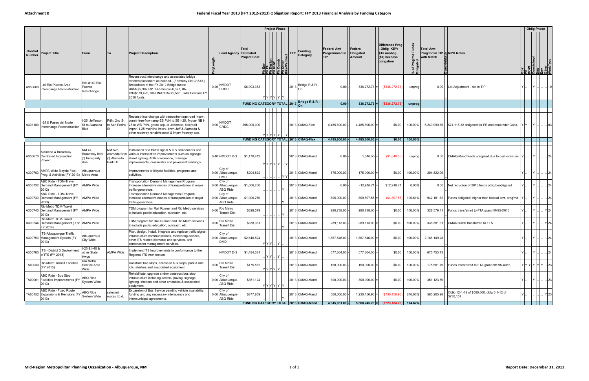|                          |                                                                               |                                                  |                                                  |                                                                                                                                                                                                                                                                              |                                                 |           |                                                              | <b>Project Phase</b>                               |                                                                  |                                                   |                                |                                                                                |                |                                                              |                                                         |     | <b>Oblig Phase</b> |                                                            |      |
|--------------------------|-------------------------------------------------------------------------------|--------------------------------------------------|--------------------------------------------------|------------------------------------------------------------------------------------------------------------------------------------------------------------------------------------------------------------------------------------------------------------------------------|-------------------------------------------------|-----------|--------------------------------------------------------------|----------------------------------------------------|------------------------------------------------------------------|---------------------------------------------------|--------------------------------|--------------------------------------------------------------------------------|----------------|--------------------------------------------------------------|---------------------------------------------------------|-----|--------------------|------------------------------------------------------------|------|
| Control<br><b>Number</b> | <b>Project Title</b>                                                          | From                                             | To                                               | <b>Project Description</b>                                                                                                                                                                                                                                                   |                                                 |           | Total<br><b>Lead Agency Estimated</b><br><b>Project Cost</b> | $\frac{\text{wcl}}{\text{uQN}}$<br>ن تم ام ام      | <b>Funding</b><br><b>FFY</b><br>Category<br>Other<br>ce/Ped Incl | <b>Federal Amt</b><br>Programmed in<br><b>TIP</b> | Federal<br>Obligated<br>Amount | Difference Prog<br>Oblig KEY:<br>\$1= unoblig<br>$($1)$ = excess<br>obligation | `চ ≣<br>్టీ డి | <b>Total Amt</b><br>Prog'md in TIP & MPO Notes<br>with Match |                                                         |     |                    | PE<br>ROW<br>Constrilmpl<br>Des<br>Other<br>Other<br>Other |      |
| A300660                  | -40 Rio Puerco Area<br>nterchange Reconstruction                              | Exit #140 Rio<br>Puerco<br>Interchange           |                                                  | Reconstruct interchange and associated bridge<br>rehab/replacement as needed. (Formerly CN G1513.)<br>Breakdown of the FY 2012 Bridge funds:<br>BRM=\$2,397,591, BR-On=\$756,377, BR-<br>Off=\$579,422, BR-ON/Off+\$772,563. Total Cost incl FY<br>2010 funds.               | NMDOT<br>$0.26$ CRDC                            |           | \$6,993,383                                                  | Y Y Y Y Y Y                                        | Bridge R & R -<br>$ 2013 _{\text{On}}$                           | 0.00                                              | $336,272.73$ =                 | (\$336,272.73)                                                                 | unprog         |                                                              | 0.00 Let Adjustment - not in TIP                        |     |                    |                                                            |      |
|                          |                                                                               |                                                  |                                                  |                                                                                                                                                                                                                                                                              |                                                 |           | FUNDING CATEGORY TOTAL 2013                                  |                                                    | Bridge R & R -<br>lOn                                            | 0.00                                              | 336,272.73                     | (\$336,272.73)                                                                 | unprog         |                                                              |                                                         |     |                    |                                                            |      |
| A301180                  | I-25 & Paseo del Norte<br>Interchange Reconstruction                          | I-25: Jefferson<br>St to Alameda<br><b>B</b> lvd | PdN: 2nd St<br>to San Pedro                      | Reconstr interchange with ramps/frontage road imprv.,<br>constr free-flow ramp EB PdN to SB I-25, flyover NB I-<br>25 to WB PdN, grade sep. at Jefferson, bike/ped<br>imprv., I-25 mainline imprv. btwn Jeff & Alameda &<br>other roadway rehab/reconst & imprv freeway acc. | <b>NMDOT</b><br>$0.00$ CRDC                     |           | \$95,000,000                                                 |                                                    | 2013 CMAQ-Flex                                                   | 4,485,600.00                                      | 4,485,600.00                   | \$0.00                                                                         | 100.00%        | 5,249,999.85                                                 | \$74,116.32 obligated for PE and remainder Cons.        | YY. |                    | $ Y $ $ 03 $                                               |      |
|                          |                                                                               |                                                  |                                                  |                                                                                                                                                                                                                                                                              |                                                 |           |                                                              |                                                    | FUNDING CATEGORY TOTAL 2013 CMAQ-Flex                            | 4,485,600.00                                      | 4,485,600.00                   | \$0.00                                                                         | 100.00%        |                                                              |                                                         |     |                    |                                                            |      |
|                          | Alameda & Broadway<br>A300670 Combined Intersection<br>Project                | NM 47,<br>Broadway Bvd<br>@ Prosperity<br>Ave    | NM 528,<br>Alameda Blvd<br>@ Alameda<br>Park Dr. | Installation of a traffic signal & ITS components and<br>various intersection improvements such as signage,<br>street lighting, ADA compliance, drainage<br>improvements, crosswalks and pavement markings                                                                   | 0.40 NMDOT D-3                                  |           | \$1,170,412                                                  | Y Y Y Y Y                                          | 2013 CMAQ-Mand                                                   | 0.00                                              | 1,046.55                       | (\$1,046.55)                                                                   | unprog         | 0.00                                                         | CMAQ-Mand funds obligated due to cost overruns  Y .     |     | Y                  |                                                            |      |
| A300703                  | AMPA Wide Bicycle Facil.<br>Prog. & Activities (FY 2013) Metro Area           | Albuquerque                                      |                                                  | Improvements to bicycle facilities, programs and<br>activities.                                                                                                                                                                                                              | City of<br>0.00 Albuquerque-<br>DMD             |           | \$204,822                                                    |                                                    | 2013 CMAQ-Mand                                                   | 175,000.00                                        | $175,000.00$ =                 | \$0.00                                                                         | 100.00%        | 204,822.09                                                   |                                                         |     |                    |                                                            | . 24 |
|                          | ABQ Ride - TDM-Travel<br>A300732 Demand Management (FY   AMPA Wide<br>2012)   |                                                  |                                                  | Transportation Demand Management Program<br>Increase alternative modes of transportation at major<br>traffic generators.                                                                                                                                                     | City of<br>0.00 Albuquerque-<br><b>ABQ Ride</b> |           | \$1,006,250                                                  |                                                    | 2013 CMAQ-Mand                                                   | 0.00                                              | $-12,916.71$                   | \$12,916.71                                                                    | 0.00%          | 0.00                                                         | Net reduction of 2013 funds oblig/deobligated           |     |                    |                                                            |      |
|                          | ABQ Ride - TDM-Travel<br>A300733   Demand Management (FY   AMPA Wide<br>2013) |                                                  |                                                  | Transportation Demand Management Program<br>Increase alternative modes of transportation at major<br>traffic generators.                                                                                                                                                     | City of<br>0.00 Albuquerque-<br><b>ABQ Ride</b> |           | \$1,006,250                                                  |                                                    | 2013 CMAQ-Mand                                                   | 805,000.00                                        | 809,897.55                     | (\$4,897.55)                                                                   | 100.61%        | 942,181.62                                                   | Funds obligated higher than federal amt. prog'md        |     |                    |                                                            |      |
|                          | Rio Metro TDM-Travel<br>A300743 Demand Management (FY   AMPA Wide<br>2013)    |                                                  |                                                  | TDM program for Rail Runner and Rio Metro services<br>to include public education, outreach, etc.                                                                                                                                                                            | Rio Metro<br>0.00<br><b>Transit Dist</b>        |           | \$328,579                                                    |                                                    | 2013 CMAQ-Mand                                                   | 280,738.00                                        | 280,738.00                     | \$0.00                                                                         | 100.00%        | 328,579.1                                                    | Funds transferred to FTA grant NM95-X016                |     | l Y I              | .      Y   24                                              |      |
|                          | Rio Metro TDM-Travel<br>A300744 Demand Management (For AMPA Wide<br>FY 2014)  |                                                  |                                                  | TDM program for Rail Runner and Rio Metro services<br>to include public education, outreach, etc.                                                                                                                                                                            | Rio Metro<br>0.00<br><b>Transit Dist</b>        |           | \$338,381                                                    |                                                    | 2013 CMAQ-Mand                                                   | 289,113.00                                        | $289,113.00$ =                 | \$0.00                                                                         | 100.00%        | 338,381.31                                                   | CMAQ funds transferred to FTA                           |     |                    | Y 24                                                       |      |
|                          | TS-Albuquerque Traffic<br>A300753 Management System (FY<br>2013)              | Albuquerque<br>City Wide                         |                                                  | Plan, design, install, integrate and replace traffic signal<br>infrastructure communications, monitoring devices,<br>other ITS related elements and services, and<br>construction management services.                                                                       | City of<br>0.00 Albuquerque-<br>DMD             |           | \$2,640,824                                                  | $\mathbf{y}[\mathbf{y} \mathbf{y}  \mathbf{y} ]$ . | 2013 CMAQ-Mand                                                   | 1,867,846.00                                      | $1,867,846.00$ =               | \$0.00                                                                         | 100.00%        | 2,186,149.28                                                 |                                                         |     |                    |                                                            | . 24 |
| A300763                  | TS - District 3 Deployment<br>of ITS (FY 2013)                                | I-25 & I-40 &<br>other State<br>Hwys             | <b>AMPA Wide</b>                                 | Implement ITS Improvements in conformance to the<br>Regional ITS Architecture                                                                                                                                                                                                |                                                 | NMDOT D-3 | \$1,484,081                                                  | IYM                                                | 2013 CMAQ-Mand                                                   | 577,364.00                                        | $577,364.00$ =                 | \$0.00                                                                         | 100.00%        | 675,753.73                                                   |                                                         |     |                    | . Y 24                                                     |      |
| TA00033                  | Rio Metro Transit Facilities<br>(FY 2013)                                     | Rio Metro<br>Service Area<br>Wide                |                                                  | Construct bus stops, access to bus stops, park & ride<br>lots, shelters and associated equipment.                                                                                                                                                                            | 0.00 Rio Metro<br>Transit Dist                  |           | \$175,562                                                    | YYYYY Y                                            | 2013 CMAQ-Mand                                                   | 150,000.00                                        | $150,000.00$ =                 | \$0.00                                                                         | 100.00%        | 175,561.79                                                   | Funds transferred to FTA grant NM 95-X015               |     |                    | Y Y Y Y Y Y  23                                            |      |
|                          | ABQ Ride - Bus Stop<br>TA00061 Facilities Improvements (FY<br>2013)           | ABQ Ride<br><b>System Wide</b>                   |                                                  | Rehabilitate, upgrade and/or construct bus stop<br>infrastructure including access, paving, signage,<br>lighting, shelters and other amenities & associated<br>equipment.                                                                                                    | City of<br>0.00 Albuquerque-<br>ABQ Ride        |           | \$351,124                                                    | Y Y Y Y Y Y                                        | 2013 CMAQ-Mand                                                   | 300,000.00                                        | 300,000.00                     | \$0.00                                                                         | 100.00%        | 351,123.59                                                   |                                                         |     |                    | Y          23                                              |      |
|                          | ABQ Ride - Fixed Route<br>TA00152 Expansions & Revisions (FY<br>2013)         | ABQ Ride<br>System Wide                          | selected<br>routes t.b.d.                        | Expansion of Bus Service pending vehicle availability,<br>funding and any necessary interagency and<br>intermunicipal agreements.                                                                                                                                            | City of<br>0.00 Albuquerque-<br><b>ABQ Ride</b> |           | \$877,809                                                    |                                                    | 2013 CMAQ-Mand                                                   | 500,000.00                                        | 1,230,156.90                   | (\$730, 156.90)                                                                | 246.03%        | 585,205.98                                                   | Oblig 12-1-12 of \$500,000; oblg 5-1-12 of<br>\$730,157 |     |                    | Y23                                                        |      |
|                          |                                                                               |                                                  |                                                  |                                                                                                                                                                                                                                                                              |                                                 |           |                                                              |                                                    | FUNDING CATEGORY TOTAL 2013 CMAQ-Mand                            | 4,945,061.00 -                                    |                                | $5,668,245.29$ = $( $723,184.29)$ 114.62%                                      |                |                                                              |                                                         |     |                    | .                                                          |      |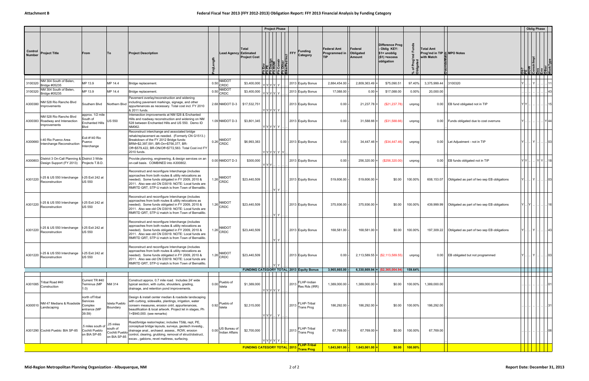|                   |                                                                                          |                                                                 |                                                         |                                                                                                                                                                                                                                                                           |      |                                                            |                              |         | <b>Project Phase</b> |                                                                                      |                                            |                                |                                                                                   |               |                                                              |                                                        |     |                           | <b>Oblig Phase</b> |      |
|-------------------|------------------------------------------------------------------------------------------|-----------------------------------------------------------------|---------------------------------------------------------|---------------------------------------------------------------------------------------------------------------------------------------------------------------------------------------------------------------------------------------------------------------------------|------|------------------------------------------------------------|------------------------------|---------|----------------------|--------------------------------------------------------------------------------------|--------------------------------------------|--------------------------------|-----------------------------------------------------------------------------------|---------------|--------------------------------------------------------------|--------------------------------------------------------|-----|---------------------------|--------------------|------|
| Control<br>Number | <b>Project Title</b>                                                                     | From                                                            | To                                                      | <b>Project Description</b>                                                                                                                                                                                                                                                |      | <b>Lead Agency Estimated</b>                               | Total<br><b>Project Cost</b> |         | $\frac{1}{\sqrt{2}}$ | Funding<br><b>FFY</b><br>Category                                                    | <b>Federal Amt</b><br>Programmed in<br>TIP | Federal<br>Obligated<br>Amount | Difference Prog<br>- Oblig KEY:<br>$$1=$ unoblig<br>$($1)$ = excess<br>obligation | % of<br>Oblig | <b>Total Amt</b><br>Prog'md in TIP F MPO Notes<br>with Match |                                                        |     | ROW<br>Constr/Impl<br>Des |                    |      |
| 3100320           | NM 304 South of Belen.                                                                   | MP 13.9                                                         | MP 14.4                                                 | Bridge replacement.                                                                                                                                                                                                                                                       | 0.50 | <b>NMDOT</b>                                               | \$3,400,000                  |         |                      | 2013 Equity Bonus                                                                    | 2,884,454.00                               | 2,809,363.49                   | \$75,090.51                                                                       | 97.40%        | 3,375,999.44                                                 | 3100320                                                |     |                           |                    |      |
|                   | Bridge #05235<br>NM 304 South of Belen,                                                  | MP 13.9                                                         | MP 14.4                                                 | Bridge replacement.                                                                                                                                                                                                                                                       |      | <b>CRDC</b><br>NMDO <sub>1</sub><br>$0.50$ <sub>CRDC</sub> | \$3,400,000                  |         | Y Y Y Y  Y           | 2013 Equity Bonus                                                                    | 17,088.00                                  | $0.00 =$                       | \$17,088.00                                                                       | 0.00%         | 20,000.00                                                    |                                                        |     |                           |                    |      |
| A300380           | 3100320   WWW 02<br>NM 528 Rio Rancho Blvd<br>mprovements                                | Southern Blvd                                                   | Northern Blvd                                           | Pavement overlay/reconstruction and widening<br>including pavement markings, signage, and other<br>appurtenances as necessary. Total cost incl. FY 2010<br>& 2011 funds.                                                                                                  |      | 2.68 NMDOT D-3 \ \$17,532,751                              |                              |         | Y Y Y Y Y <br>YYYYY  | 2013 Equity Bonus                                                                    | 0.00                                       | $21,237.78$ =                  | (\$21,237.78)                                                                     | unprog        |                                                              | 0.00 EB fund obligated not in TIP                      |     |                           |                    |      |
|                   | NM 528 Rio Rancho Blvd<br>A300383 Roadway and Intersection<br>mprovements                | approx. 1/2 mile<br>South of<br><b>Enchanted Hills</b><br>Blvd  | <b>US 550</b>                                           | Intersection improvements at NM 528 & Enchanted<br>Hills and roadway reconstruction and widening on NM<br>528 between Enchanted Hills and US 550. Demo ID<br>NM062.                                                                                                       |      | 1.09 NMDOT D-3                                             | \$3,801,345                  |         | Y Y Y Y Y            | 2013 Equity Bonus                                                                    | 0.00                                       | 31,588.66                      | (\$31,588.66)                                                                     | unprog        |                                                              | 0.00 Funds obligated due to cost overruns              |     |                           |                    | Y 44 |
| A300660           | -40 Rio Puerco Area<br>nterchange Reconstruction                                         | Exit #140 Rio<br>Puerco<br>Interchange                          |                                                         | Reconstruct interchange and associated bridge<br>rehab/replacement as needed. (Formerly CN G1513.)<br>Breakdown of the FY 2012 Bridge funds:<br>BRM=\$2,397,591, BR-On=\$756,377, BR-<br>Off=\$579,422, BR-ON/Off+\$772,563. Total Cost incl FY<br>2010 funds.            |      | <b>NMDOT</b><br>$0.26$ <sub>CRDC</sub>                     | \$6,993,383                  |         | Y Y Y Y Y Y          | 2013 Equity Bonus                                                                    | 0.00                                       | $34,447.46$ =                  | (\$34,447.46)                                                                     | unprog        |                                                              | 0.00   Let Adjustment - not in TIP                     |     |                           |                    | .103 |
| A300803           | District 3 On-Call Planning & District 3 Wide<br>Design Support (FY 2013)                | Projects T.B.D.                                                 |                                                         | Provide planning, engineering, & design services on an<br>on-call basis. COMBINED into A300802.                                                                                                                                                                           |      | $0.00$ NMDOT D-3                                           | \$300,000                    | Y Y Y . |                      | 2013 Equity Bonus                                                                    | 0.00                                       | $256,320.00 =$                 | (\$256,320.00)                                                                    | unprog        |                                                              | 0.00 EB funds obligated not in TIP                     | YY. |                           | $ Y Y $ 18         |      |
|                   | I-25 & US 550 Interchange  I-25 Exit 242 at<br>A301220 $ ^{\sim}$ A301220                | <b>US 550</b>                                                   |                                                         | Reconstruct and reconfigure Interchange (includes<br>approaches from both routes & utility relocations as<br>needed). Some funds obligated in FY 2009, 2010 &<br>2011. Also see old CN D3019. NOTE: Local funds are<br>RMRTD GRT, STP-U match is from Town of Bernalillo. |      |                                                            | \$23,440,509                 |         | .         Y   Y      | 2013 Equity Bonus                                                                    | 519,606.00                                 | $519,606.00$ =                 | \$0.00                                                                            | 100.00%       | 608,153.07                                                   | Obligated as part of two sep EB obligations            |     |                           | $ Y $ $  $ 03      |      |
| A301220           | -25 & US 550 Interchange<br>Reconstruction                                               | I-25 Exit 242 at<br><b>US 550</b>                               |                                                         | Reconstruct and reconfigure Interchange (includes<br>approaches from both routes & utility relocations as<br>needed). Some funds obligated in FY 2009, 2010 &<br>2011. Also see old CN D3019. NOTE: Local funds are<br>RMRTD GRT, STP-U match is from Town of Bernalillo. |      | <b>NMDOT</b><br>$1.26$ CRDC                                | \$23,440,509                 |         | IY Y                 | 2013 Equity Bonus                                                                    | 375,936.00                                 | 375,936.00 =                   | \$0.00                                                                            | 100.00%       |                                                              | 439,999.99 Obligated as part of two sep EB obligations |     |                           |                    |      |
| A301220           | I-25 & US 550 Interchange<br>Reconstruction                                              | I-25 Exit 242 at<br><b>US 550</b>                               |                                                         | Reconstruct and reconfigure Interchange (includes<br>approaches from both routes & utility relocations as<br>needed). Some funds obligated in FY 2009, 2010 &<br>2011. Also see old CN D3019. NOTE: Local funds are<br>RMRTD GRT, STP-U match is from Town of Bernalillo. |      | 1.26 NMDOT                                                 | \$23,440,509                 |         |                      | 2013 Equity Bonus                                                                    | 168,581.00                                 | $168,581.00$ =                 | \$0.00                                                                            | 100.00%       | 197,309.22                                                   | Obligated as part of two sep EB obligations            |     |                           |                    |      |
|                   | I-25 & US 550 Interchange   I-25 Exit 242 at<br>A301220 $ ^{\sim}$ $\sim$ Reconstruction | <b>US 550</b>                                                   |                                                         | Reconstruct and reconfigure Interchange (includes<br>approaches from both routes & utility relocations as<br>needed). Some funds obligated in FY 2009, 2010 &<br>2011. Also see old CN D3019. NOTE: Local funds are<br>RMRTD GRT, STP-U match is from Town of Bernalillo. |      | 1.26 NMDOT                                                 | \$23,440,509                 |         | IY Y                 | 2013 Equity Bonus                                                                    | 0.00                                       |                                | $2,113,589.55$ = $(S2,113,589.55)$                                                | unprog        |                                                              | 0.00 EB obligated but not programmed                   |     |                           | $ Y $ 03           |      |
|                   |                                                                                          |                                                                 |                                                         |                                                                                                                                                                                                                                                                           |      |                                                            |                              |         |                      | FUNDING CATEGORY TOTAL 2013 Equity Bonus                                             | 3,965,665.00                               |                                | 6,330,669.94 $=$ (\$2,365,004.94)                                                 | 159.64%       |                                                              |                                                        |     |                           |                    |      |
| A301085           | Tribal Road #40<br>Construction                                                          | Current TR #40<br>Terminus (MP<br>1.0)                          | NM 314                                                  | Construct approx. 0.7 mile road. Includes 24' wide<br>typical section, with curbs, shoulders, grading,<br>drainage, and retention pond improvements.                                                                                                                      |      | 0.00 Pueblo of                                             | \$1,389,000                  |         | Y Y Y Y Y            | FLHP-Indian<br>$\left  \frac{2013}{\text{Res Rds}} \right _{\text{R}}^{\text{F-LH}}$ | 1,389,000.00                               | 1,389,000.00                   | \$0.00                                                                            | 100.00%       | 1,389,000.00                                                 |                                                        |     |                           |                    |      |
| A300510           | NM 47 Medians & Roadside<br>Landscaping                                                  | north ofTribal<br>Services<br>Complex<br>entrance (MP<br>39.59) | Isleta Pueblo<br>Boundary                               | Design & install center median & roadside landscaping<br>with curbing, sidewalks, plantings, irrigation, water<br>conserv measures, erosion cntrl, appurtenances,<br>beautification & local artwork. Project let in stages, Ph<br>1=\$940,000. (see remarks)              |      | 0.92 Pueblo of                                             | \$2,315,000                  |         | $Y Y Y $ $Y $        | FLHP-Tribal<br>2013<br>Trans Prog                                                    | 186,292.00                                 | 186,292.00                     | \$0.00                                                                            | 100.00%       | 186,292.00                                                   |                                                        |     |                           |                    |      |
|                   | A301290 Cochiti Pueblo: BIA SP-85                                                        | .5 miles south of<br>Cochiti Pueblo<br>on BIA SP-85             | .25 miles<br>south of<br>Cochiti Pueblo<br>on BIA SP-85 | Road/bridge restor/replac; includes TS&L rept, PE,<br>conceptual bridge layouts, surveys, geotech investig.<br>drainage anal., archaeol. assess., ROW, erosion<br>control, clearing, grubbing, removal of struct/obstruct,<br>excav., gabions, revet mattress, surfacing. |      | 0.00 US Bureau of                                          | \$2,700,000                  |         | Y Y Y Y Y            | FLHP-Tribal<br>$ 2013 $ Trans Prog                                                   | 67,769.00                                  | 67,769.00                      | \$0.00                                                                            | 100.00%       | 67,769.00                                                    |                                                        |     |                           |                    |      |
|                   |                                                                                          |                                                                 |                                                         |                                                                                                                                                                                                                                                                           |      |                                                            |                              |         |                      | FUNDING CATEGORY TOTAL 2013 FLHP-Tribal<br><b>Trans Prog</b>                         | 1,643,061.00                               | $1,643,061.00$ =               | \$0.00                                                                            | 100.00%       |                                                              |                                                        |     |                           |                    |      |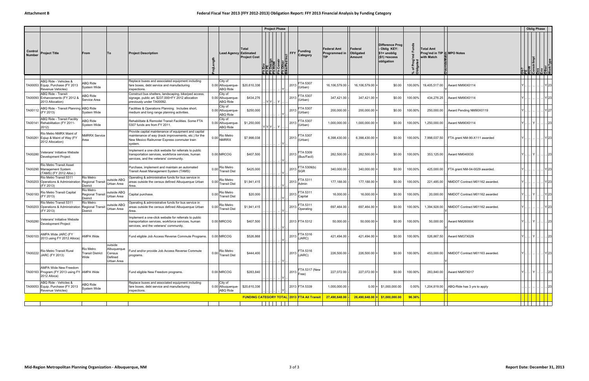|                          |                                                                                      |                                                                |                                                           |                                                                                                                                                                          |                                                 |                                                              | <b>Project Phase</b>                                 |                                    |                                                    |                              |                                       |                                                                                 |          |                                                              |                                | <b>Oblig Phase</b>               |               |
|--------------------------|--------------------------------------------------------------------------------------|----------------------------------------------------------------|-----------------------------------------------------------|--------------------------------------------------------------------------------------------------------------------------------------------------------------------------|-------------------------------------------------|--------------------------------------------------------------|------------------------------------------------------|------------------------------------|----------------------------------------------------|------------------------------|---------------------------------------|---------------------------------------------------------------------------------|----------|--------------------------------------------------------------|--------------------------------|----------------------------------|---------------|
| Control<br><b>Number</b> | <b>Project Title</b>                                                                 | From                                                           | To                                                        | <b>Project Description</b>                                                                                                                                               |                                                 | Total<br><b>Lead Agency Estimated</b><br><b>Project Cost</b> | $\frac{\text{esign}}{\text{OW}}$<br>بتاقافات<br>회뢰귋들 | <b>FFY</b><br>Other<br>ce/Ped Incl | <b>Funding</b><br>Category                         | Federal Amt<br>Programmed in | Federal<br>Obligated<br><b>Amount</b> | Difference Prog<br>Oblig KEY:<br>$$1=$ unoblig<br>$($1)$ = excess<br>obligation | 'ত :     | <b>Total Amt</b><br>Prog'md in TIP 등 MPO Notes<br>with Match |                                | ROW<br>Constr/Impl<br>Des<br>Env |               |
|                          |                                                                                      |                                                                |                                                           |                                                                                                                                                                          |                                                 |                                                              |                                                      |                                    |                                                    |                              |                                       |                                                                                 |          |                                                              |                                |                                  |               |
|                          | ABQ Ride - Vehicles &<br>TA00053 Equip. Purchase (FY 2013<br>Revenue Vehicles)       | ABQ Ride<br>System Wide                                        |                                                           | Replace buses and associated equipment including<br>fare boxes, debt service and manufacturing<br>inspections.                                                           | City of<br>0.00 Albuquerque-<br><b>ABQ Ride</b> | \$20,610,336                                                 |                                                      | 2013<br>IY                         | FTA 5307<br>(Urban)                                | 16,106,579.00                | $16, 106, 579.00$ =                   | \$0.00                                                                          | 100.00%  | 19,405,517.00                                                | Award NM90X0114                |                                  | $Y$ 23        |
|                          | <b>ABQ Ride - Transit</b><br>TA00093 Enhancements (FY 2012 &<br>2013 Allocation)     | <b>ABQ Ride</b><br>Service Area                                |                                                           | Construct bus shelters, landscaping, bike/ped access<br>signage, public art. \$237,000=FY 2012 allocation<br>previously under TA00092.                                   | City of<br>0.00 Albuquerque-<br><b>ABQ Ride</b> | \$434,276                                                    | $ Y Y $ $ Y $                                        | 2013                               | FTA 5307<br>(Urban)                                | 347,421.00                   | 347,421.00                            | \$0.00                                                                          | 100.00%  | 434,276.25                                                   | Award NM90X0114                |                                  | Y 23          |
| TA00112                  | ABQ Ride - Transit Planning ABQ Ride<br>(FY 2013)                                    | System Wide                                                    |                                                           | Facilities & Operations Planning. Includes short,<br>medium and long range planning activities.                                                                          | City of<br>0.00 Albuquerque-<br><b>ABQ Ride</b> | \$250,000                                                    |                                                      | 2013                               | FTA 5307<br>(Urban)                                | 200,000.00                   | 200,000.00                            | \$0.00                                                                          | 100.00%  | 250,000.00                                                   | Award Pending NM90X0119        |                                  | Y 27          |
|                          | ABQ Ride - Transit Facility<br>TA00141 Rehabilitation (FY 2011-<br>2012)             | ABQ Ride<br>System Wide                                        |                                                           | Rehabilitate & Remodel Transit Facilities. Some FTA<br>5307 funds are from FY 2011                                                                                       | City of<br>0.00 Albuquerque-<br><b>ABQ Ride</b> | \$1,250,000                                                  | Y   Y   Y      Y                                     | 2013                               | FTA 5307<br>(Urban)                                | 1,000,000.00                 | 1,000,000.00                          | \$0.00                                                                          | 100.00%  | 1,250,000.00                                                 | Award NM90X0114                |                                  | 23            |
| TA00261                  | Rio Metro NMRX Maint of<br>Eqiup & Maint of Way (FY<br>2012 Allocation)              | MRRX Service<br>Area                                           |                                                           | Provide capital maintenance of equipment and capital<br>maintenance of way (track improvements, etc.) for the<br>New Mexico Railrunner Express commuter train<br>system. | Rio Metro<br>$0.00$ NMRRX                       | \$7,998,038                                                  |                                                      | 2013                               | FTA 5307<br>(Urban)                                | 6,398,430.00                 | 6,398,430.00                          | \$0.00                                                                          | 100.00%  | 7,998,037.50                                                 | FTA grant NM-90-X111 awarded   |                                  | $Y$  23       |
| TA00280                  | Veterans' Initiative Website<br>Development Project                                  |                                                                |                                                           | Implement a one-click website for referrals to public<br>transportation services, workforce services, human<br>services, and the veterans' community.                    | 0.00 MRCOG                                      | \$407,500                                                    |                                                      |                                    | FTA 5309<br>$ 2013 $ <sub>(Bus/Facil)</sub>        | 282,500.00                   | 282,500.00                            | \$0.00                                                                          | 100.00%  | 353,125.00                                                   | Award NM040030                 |                                  | . 1231        |
|                          | Rio Metro Transit Asset<br>TA00290 Management System<br>(TAMS) (FY 2012 Alloc.)      |                                                                |                                                           | Purchase, implement and maintain an automated<br>Transit Asset Management System (TAMS)                                                                                  | Rio Metro<br>0.00 Transit Dist                  | \$425,000                                                    |                                                      |                                    | FTA 5309(b)<br>$ 2013 _{\text{SGR}}$               | 340,000.00                   | 340,000.00                            | \$0.00                                                                          | 100.00%  | 425,000.00                                                   | FTA grant NM-04-0029 awarded.  |                                  | Y 23          |
|                          | Rio Metro Transit 5311<br>TA00203 Operations & Administration<br>(FY 2013)           | <b>Rio Metro</b><br><b>Regional Transit</b><br><b>District</b> | outside ABQ<br>Urban Area                                 | Operating & administrative funds for bus service in<br>areas outside the census defined Albuquerque Urban<br>Area.                                                       | Rio Metro<br>0.00 Transit Dist                  | \$1,941,415                                                  |                                                      | 2013                               | FTA 5311<br>Admin                                  | 177,188.00                   | 177,188.00                            | \$0.00                                                                          | 100.00%  | 221,485.00                                                   | NMDOT Contract M01162 awarded. |                                  | Y 23          |
| TA00183                  | Rio Metro Transit Capital<br>(FY 2013)                                               | Rio Metro<br><b>Regional Transit</b><br><b>District</b>        | outside ABQ<br>Urban Area                                 | Capital purchase.                                                                                                                                                        | Rio Metro<br>0.00 Transit Dist                  | \$20,000                                                     |                                                      | 2013                               | FTA 5311<br>Capital                                | 16,000.00                    | $16,000.00$ :                         | \$0.00                                                                          | 100.00%  | 20,000.00                                                    | NMDOT Contract M01162 awarded  |                                  | Y 23          |
|                          | Rio Metro Transit 5311<br>TA00203 Operations & Administration<br>(FY 2013)           | <b>Rio Metro</b><br><b>Regional Transit</b><br><b>District</b> | outside ABQ<br>Urban Area                                 | Operating & administrative funds for bus service in<br>areas outside the census defined Albuquerque Urban<br>Area.                                                       | Rio Metro<br>$0.00$ Transit Dist                | \$1,941,415                                                  |                                                      | 2013                               | FTA 5311<br>Operating                              | 697,464.00                   | 697,464.00                            | \$0.00                                                                          | 100.00%  | 1,394,928.00                                                 | NMDOT Contract M01162 awarded. |                                  | $Y$  23       |
| TA00280                  | Veterans' Initiative Website<br><b>Development Project</b>                           |                                                                |                                                           | Implement a one-click website for referrals to public<br>transportation services, workforce services, human<br>services, and the veterans' community.                    | 0.00 MRCOG                                      | \$407,500                                                    |                                                      |                                    | 2013 FTA 5312                                      | 50,000.00                    | 50,000.00                             | \$0.00                                                                          | 100.00%  | 50,000.00                                                    | Award NM260004                 |                                  | . 23          |
| TA00103                  | AMPA Wide JARC (FY<br>2013 using FY 2012 Alloca)                                     | AMPA Wide                                                      |                                                           | Fund eligible Job Access Reverse Commute Programs.                                                                                                                       | 0.00 MRCOG                                      | \$526,868                                                    |                                                      | 2013                               | FTA 5316<br>JARC)                                  | 421,494.00                   | 421,494.00                            | \$0.00                                                                          | 100.00%  | 526,867.50                                                   | Award NM37X029                 |                                  | 23            |
| TA00222                  | Rio Metro Transit Rural<br><b>JARC (FY 2013)</b>                                     | Rio Metro<br><b>Transit District</b><br>Wide                   | outside<br>Albuquerque<br>Census<br>Defined<br>Urban Area | Fund and/or provide Job Access Reverse Commute<br>programs.                                                                                                              | 0.00 Rio Metro<br>Transit Dist                  | \$444,400                                                    |                                                      |                                    | FTA 5316<br>$ 2013 $ (JARC)                        | 226,500.00                   | 226,500.00                            | \$0.00                                                                          | 100.00%  | 453,000.00                                                   | NMDOT Contract M01163 awarded. |                                  | Y23           |
|                          | AMPA Wide New Freedom<br>TA00163 Program (FY 2013 using FY AMPA Wide<br>2012 Alloca) |                                                                |                                                           | Fund eligible New Freedom programs.                                                                                                                                      | 0.00 MRCOG                                      | \$283,840                                                    |                                                      | IY                                 | FTA 5317 (New<br>$ 2013 $ Free)                    | 227,072.00                   | 227,072.00                            | \$0.00                                                                          | 100.00%  | 283,840.00                                                   | Award NM57X017                 |                                  | .  Y       23 |
|                          | ABQ Ride - Vehicles &<br>TA00053 Equip. Purchase (FY 2013<br>Revenue Vehicles)       | ABQ Ride<br>System Wide                                        |                                                           | Replace buses and associated equipment including<br>fare boxes, debt service and manufacturing<br>inspections.                                                           | City of<br>0.00 Albuquerque-<br>ABQ Ride        | \$20,610,336                                                 |                                                      |                                    | 2013 FTA 5339                                      | 1,000,000.00                 |                                       | $0.00$ = \$1,000,000.00                                                         | $0.00\%$ | 1,204,819.00                                                 | ABQ-Ride has 3 yrs to apply    |                                  | 23            |
|                          |                                                                                      |                                                                |                                                           |                                                                                                                                                                          |                                                 |                                                              |                                                      |                                    | <b>FUNDING CATEGORY TOTAL 2013 FTA AII Transit</b> | 27,490,648.00                |                                       | $26,490,648.00 = $1,000,000.00$                                                 | 96.36%   |                                                              |                                |                                  |               |
|                          |                                                                                      |                                                                |                                                           |                                                                                                                                                                          |                                                 |                                                              |                                                      |                                    |                                                    |                              |                                       |                                                                                 |          |                                                              |                                |                                  | .             |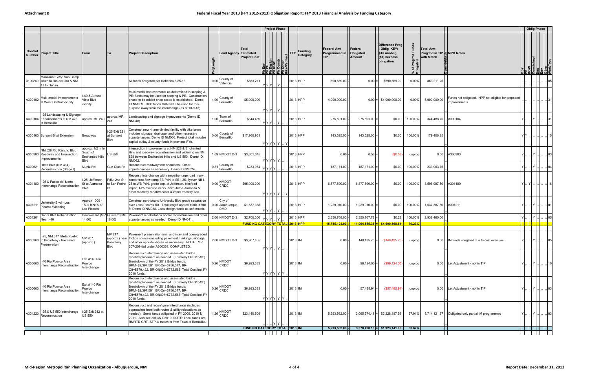| Difference Prog<br>Ξő<br><b>Federal Amt</b><br>- Oblig KEY:<br><b>Total Amt</b><br>Total<br>Federal<br>Control<br>Funding<br>FFY<br>Prog'md in TIP - MPO Notes<br><b>Project Title</b><br><b>Project Description</b><br><b>Lead Agency Estimated</b><br>Obligated<br><b>From</b><br> To<br>Programmed in<br>$$1=$ unoblig<br>Category<br><b>Number</b><br>Other<br>ce/Ped Incl<br><b>Project Cost</b><br><b>TIP</b><br>$($1)$ =excess<br>with Match<br>Amount<br><b>Ob?</b><br>ROW<br>Constrinpl<br>Des<br>Chher<br>Chher<br>Design<br>ROW<br>Constr<br>obligation<br>Ā<br>% of<br>Oblig<br>Manzano Exwy: Van Camp<br>0.00 County of<br>Valencia<br>2013 HPP<br>\$863,211<br>690,569.00<br>$0.00 =$<br>\$690,569.00<br>0.00%<br>3100240 south to Rio del Oro & NM<br>All funds obligated per Rebecca 3-25-13.<br>863,211.25<br>47 to Dehan<br>Y Y Y <br>. I Y<br>Multi-modal Improvements as determined in scoping &<br>-40 & Atrisco<br>PE; funds may be used for scoping & PE. Construction<br>Funds not obligated. HPP not eligible for proposed<br>Multi-modal Improvements<br>4.00 County of<br>2013 HPP<br>A300102<br>\$5,000,000<br>4,000,000.00<br>$0.00$ = \$4,000,000.00<br>0.00%<br>5,000,000.00<br>Vista Blvd<br>phase to be added once scope is established. Demo<br>at West Central Vicinity<br>improvements<br>vicinity<br>ID NM059. HPP funds CAN NOT be used for this<br>purpose away from the interchange (as of 10-9-13).<br>Y Y Y  Y<br>I-25 Landscaping & Signage<br>approx. MP<br>Landscaping and signage improvements (Demo ID<br>1.00 Town of<br>Bernalillo<br>2013 HPP<br>A300104 Enhancements at NM 473<br>approx. MP 240<br>\$344,489<br>275,591.00<br>$275,591.00$ =<br>\$0.00<br>100.00%<br>344,488.75<br>A300104<br>Y<br>241<br>NM048)<br>Y Y Y   Y<br>in Bernalillo<br>Construct new 4 lane divided facility with bike lanes<br>-25 Exit 221<br>includes signage, drainage, and other necessary<br>$0.00$ County of Bernalillo<br>2013 HPP<br>143,525.00<br>A300160 Sunport Blvd Extension<br>\$17,960,961<br>143,525.00<br>\$0.00<br>100.00%<br>179,406.25<br>Broadway<br>at Sunport<br>YIYI<br>appurtenances. Demo ID NM006. Project total includes<br>Blvd<br>capital outlay & county funds in previous FYs.<br>Y Y Y Y Y<br>approx. 1/2 mile<br>Intersection improvements at NM 528 & Enchanted<br>NM 528 Rio Rancho Blvd<br>South of<br>Hills and roadway reconstruction and widening on NM<br>1.09 NMDOT D-3<br>\$3,801,345<br>2013 HPP<br>0.00<br>0.58<br>A300383 Roadway and Intersection<br><b>US 550</b><br>(\$0.58)<br>A300383<br>0.00<br>unprog<br><b>Enchanted Hills</b><br>528 between Enchanted Hills and US 550. Demo ID<br>mprovements<br><b>Blvd</b><br>NM062.<br>Y Y Y Y  Y<br>Isleta Blvd (NM 314)<br>Reconstruct roadway with shoulders. Other<br>0.81 County of<br>A300621<br>Gun Club Rd<br>\$233,964<br>2013 HPP<br>187,171.00<br>$187,171.00$ =<br>\$0.00<br>100.00%<br>Muniz Rd<br>233,963.75<br>Bernalillo<br>Reconstruction (Stage I)<br>appurtenances as necessary. Demo ID NM024.<br>Y Y Y Y<br>Reconstr interchange with ramps/frontage road imprv.<br>constr free-flow ramp EB PdN to SB I-25, flyover NB I-<br>I-25: Jefferson<br>PdN: 2nd St<br><b>NMDOT</b><br>I-25 & Paseo del Norte<br>2013 HPP<br>A301180<br>to San Pedro<br>25 to WB PdN, grade sep. at Jefferson, bike/ped<br>$0.00$ CRDC<br>\$95,000,000<br>6,877,590.00<br>$6,877,590.00$ :<br>\$0.00<br>8,596,987.50<br>A301180<br>St to Alameda<br>100.00%<br>$Y \cup Y$<br>Interchange Reconstruction<br>imprv., I-25 mainline imprv. btwn Jeff & Alameda &<br>other roadway rehab/reconst & imprv freeway acc.<br>Y Y Y Y Y I<br>IY<br>Approx 1000 -<br>Construct northbound University Blvd grade separation<br>City of<br>University Blvd - Los<br>2013 HPP<br>1500 ft N+S of<br>over Loss Picaros Rd. Total length approx 1000 -1500<br>\$1,537,388<br>1,229,910.00<br>1,229,910.00<br>\$0.00<br>100.00%<br>1,537,387.50<br>A301211<br>A301211 Picaros Widening<br>0.20 Albuquerque-<br><b>DMD</b><br>Los Picaros<br>ft. Demo ID NM038. Local design funds as soft match.<br>Y Y Y Y Y<br>Hanover Rd (MP Quail Rd (MP<br>Coors Blvd Rehabilitation<br>Pavement rehabilitation and/or reconstruction and other<br>lYl.<br>A301261<br>2.00 NMDOT D-3<br>2013 HPP<br>2,350,768.00<br>2,350,767.78<br>100.00%<br>\$2,700,000<br>\$0.22<br>2,938,460.00<br>14.00)<br>16.00)<br>Y Y Y<br>IY.<br>Near I-40<br>appurtenances as needed. Demo ID NM041.<br><b>FUNDING CATEGORY TOTAL 2013 HPP</b><br><mark>.15,755,124.00<sup> </sup></mark><br>$11,064,555.36$ = \$4,690,568.64<br>70.23%<br>MP 217<br>Pavement preservation (mill and inlay and open-graded<br>I-25, NM 317 Isleta Pueblo<br><b>MP 207</b><br>(approx.) near friction course) including pavement markings, signage,<br>\$3,967,655<br>A300360 to Broadway - Pavement<br>2.00 NMDOT D-3<br>$2013$ IM<br>$148,435.75$ = $( $148,435.75)$<br>$0.00 -$<br>0.00   IM funds obligated due to cost overruns<br>$Y \cup$<br>unprog<br>$ Y $<br>and other appurtenances as necessary. NOTE: MP<br>(approx.)<br>Broadway<br>Preservation<br><b>Blvd</b><br>207-209 tbd under A300361. COMPLETED.<br>Y Y Y  Y I<br>Reconstruct interchange and associated bridge<br>rehab/replacement as needed. (Formerly CN G1513.)<br>Exit #140 Rio<br>Breakdown of the FY 2012 Bridge funds:<br>I-40 Rio Puerco Area<br>A300660<br>\$6,993,383<br>2013 IM<br>$0.00 -$<br>$99,124.00$ =<br>$(\$99,124.00)$<br>0.00 Let Adjustment - not in TIP<br>unprog<br>$ Y $<br>Puerco<br>  Y      <br>Interchange Reconstruction<br>BRM=\$2,397,591, BR-On=\$756,377, BR-<br>Interchange<br>Off=\$579,422, BR-ON/Off+\$772,563. Total Cost incl FY<br>2010 funds.<br>Y Y Y Y  Y  Y<br>Reconstruct interchange and associated bridge<br>rehab/replacement as needed. (Formerly CN G1513.)<br>Exit #140 Rio<br>Breakdown of the FY 2012 Bridge funds:<br>0.26 NMDOT<br>I-40 Rio Puerco Area<br>\$6,993,383<br>2013 IM<br>$57,485.94$ =<br>(\$57,485.94)<br>A300660<br>0.00<br>0.00 Let Adjustment - not in TIP<br>Puerco<br>unprog<br>$Y \cup$<br>.I Y II<br>BRM=\$2,397,591, BR-On=\$756,377, BR-<br>Interchange Reconstruction<br>Interchange<br>Off=\$579,422, BR-ON/Off+\$772,563. Total Cost incl FY<br>2010 funds.<br>Y Y Y Y Y Y<br>Reconstruct and reconfigure Interchange (includes<br>approaches from both routes & utility relocations as<br><b>NMDOT</b><br>I-25 Exit 242 at<br>I-25 & US 550 Interchange<br>\$23,440,509<br>2013 IM<br>$3,065,374.41$ = \$2,228,187.59<br>$ $ A301220 $ $ Reconstruction<br>needed). Some funds obligated in FY 2009, 2010 &<br>$1.26$ CRDC<br>5,293,562.00 -<br>57.91%<br>5,714,121.37   Obligated only partial IM programmed<br><b>US 550</b><br>2011. Also see old CN D3019. NOTE: Local funds are<br>RMRTD GRT, STP-U match is from Town of Bernalillo.<br>YI Y<br>FUNDING CATEGORY TOTAL 2013 IM<br>$5,293,562.00$ .<br>$3,370,420.10$ = \$1,923,141.90<br>63.67%<br>. |  |  |  |  | <b>Project Phase</b> |  |  |  |  | <b>Oblig Phase</b> |       |
|-------------------------------------------------------------------------------------------------------------------------------------------------------------------------------------------------------------------------------------------------------------------------------------------------------------------------------------------------------------------------------------------------------------------------------------------------------------------------------------------------------------------------------------------------------------------------------------------------------------------------------------------------------------------------------------------------------------------------------------------------------------------------------------------------------------------------------------------------------------------------------------------------------------------------------------------------------------------------------------------------------------------------------------------------------------------------------------------------------------------------------------------------------------------------------------------------------------------------------------------------------------------------------------------------------------------------------------------------------------------------------------------------------------------------------------------------------------------------------------------------------------------------------------------------------------------------------------------------------------------------------------------------------------------------------------------------------------------------------------------------------------------------------------------------------------------------------------------------------------------------------------------------------------------------------------------------------------------------------------------------------------------------------------------------------------------------------------------------------------------------------------------------------------------------------------------------------------------------------------------------------------------------------------------------------------------------------------------------------------------------------------------------------------------------------------------------------------------------------------------------------------------------------------------------------------------------------------------------------------------------------------------------------------------------------------------------------------------------------------------------------------------------------------------------------------------------------------------------------------------------------------------------------------------------------------------------------------------------------------------------------------------------------------------------------------------------------------------------------------------------------------------------------------------------------------------------------------------------------------------------------------------------------------------------------------------------------------------------------------------------------------------------------------------------------------------------------------------------------------------------------------------------------------------------------------------------------------------------------------------------------------------------------------------------------------------------------------------------------------------------------------------------------------------------------------------------------------------------------------------------------------------------------------------------------------------------------------------------------------------------------------------------------------------------------------------------------------------------------------------------------------------------------------------------------------------------------------------------------------------------------------------------------------------------------------------------------------------------------------------------------------------------------------------------------------------------------------------------------------------------------------------------------------------------------------------------------------------------------------------------------------------------------------------------------------------------------------------------------------------------------------------------------------------------------------------------------------------------------------------------------------------------------------------------------------------------------------------------------------------------------------------------------------------------------------------------------------------------------------------------------------------------------------------------------------------------------------------------------------------------------------------------------------------------------------------------------------------------------------------------------------------------------------------------------------------------------------------------------------------------------------------------------------------------------------------------------------------------------------------------------------------------------------------------------------------------------------------------------------------------------------------------------------------------------------------------------------------------------------------------------------------------------------------------------------------------------------------------------------------------------------------------------------------------------------------------------------------------------------------------------------------------------------------------------------------------------------------------------------------------------------------------------------------------------------------------------------------------------------------------------------------------------------------------------------------------------------------------------------------------------------------------------------------------------------------------------------------------------------------------------------------------------------------------------------------------------------------------------------------------------------------------------------------------------------------------------------------------------------------------------------------------------------------------------------------------------------------------------|--|--|--|--|----------------------|--|--|--|--|--------------------|-------|
|                                                                                                                                                                                                                                                                                                                                                                                                                                                                                                                                                                                                                                                                                                                                                                                                                                                                                                                                                                                                                                                                                                                                                                                                                                                                                                                                                                                                                                                                                                                                                                                                                                                                                                                                                                                                                                                                                                                                                                                                                                                                                                                                                                                                                                                                                                                                                                                                                                                                                                                                                                                                                                                                                                                                                                                                                                                                                                                                                                                                                                                                                                                                                                                                                                                                                                                                                                                                                                                                                                                                                                                                                                                                                                                                                                                                                                                                                                                                                                                                                                                                                                                                                                                                                                                                                                                                                                                                                                                                                                                                                                                                                                                                                                                                                                                                                                                                                                                                                                                                                                                                                                                                                                                                                                                                                                                                                                                                                                                                                                                                                                                                                                                                                                                                                                                                                                                                                                                                                                                                                                                                                                                                                                                                                                                                                                                                                                                                                                                                                                                                                                                                                                                                                                                                                                                                                                                                                                                                                                               |  |  |  |  |                      |  |  |  |  |                    |       |
|                                                                                                                                                                                                                                                                                                                                                                                                                                                                                                                                                                                                                                                                                                                                                                                                                                                                                                                                                                                                                                                                                                                                                                                                                                                                                                                                                                                                                                                                                                                                                                                                                                                                                                                                                                                                                                                                                                                                                                                                                                                                                                                                                                                                                                                                                                                                                                                                                                                                                                                                                                                                                                                                                                                                                                                                                                                                                                                                                                                                                                                                                                                                                                                                                                                                                                                                                                                                                                                                                                                                                                                                                                                                                                                                                                                                                                                                                                                                                                                                                                                                                                                                                                                                                                                                                                                                                                                                                                                                                                                                                                                                                                                                                                                                                                                                                                                                                                                                                                                                                                                                                                                                                                                                                                                                                                                                                                                                                                                                                                                                                                                                                                                                                                                                                                                                                                                                                                                                                                                                                                                                                                                                                                                                                                                                                                                                                                                                                                                                                                                                                                                                                                                                                                                                                                                                                                                                                                                                                                               |  |  |  |  |                      |  |  |  |  |                    | 05    |
|                                                                                                                                                                                                                                                                                                                                                                                                                                                                                                                                                                                                                                                                                                                                                                                                                                                                                                                                                                                                                                                                                                                                                                                                                                                                                                                                                                                                                                                                                                                                                                                                                                                                                                                                                                                                                                                                                                                                                                                                                                                                                                                                                                                                                                                                                                                                                                                                                                                                                                                                                                                                                                                                                                                                                                                                                                                                                                                                                                                                                                                                                                                                                                                                                                                                                                                                                                                                                                                                                                                                                                                                                                                                                                                                                                                                                                                                                                                                                                                                                                                                                                                                                                                                                                                                                                                                                                                                                                                                                                                                                                                                                                                                                                                                                                                                                                                                                                                                                                                                                                                                                                                                                                                                                                                                                                                                                                                                                                                                                                                                                                                                                                                                                                                                                                                                                                                                                                                                                                                                                                                                                                                                                                                                                                                                                                                                                                                                                                                                                                                                                                                                                                                                                                                                                                                                                                                                                                                                                                               |  |  |  |  |                      |  |  |  |  |                    |       |
|                                                                                                                                                                                                                                                                                                                                                                                                                                                                                                                                                                                                                                                                                                                                                                                                                                                                                                                                                                                                                                                                                                                                                                                                                                                                                                                                                                                                                                                                                                                                                                                                                                                                                                                                                                                                                                                                                                                                                                                                                                                                                                                                                                                                                                                                                                                                                                                                                                                                                                                                                                                                                                                                                                                                                                                                                                                                                                                                                                                                                                                                                                                                                                                                                                                                                                                                                                                                                                                                                                                                                                                                                                                                                                                                                                                                                                                                                                                                                                                                                                                                                                                                                                                                                                                                                                                                                                                                                                                                                                                                                                                                                                                                                                                                                                                                                                                                                                                                                                                                                                                                                                                                                                                                                                                                                                                                                                                                                                                                                                                                                                                                                                                                                                                                                                                                                                                                                                                                                                                                                                                                                                                                                                                                                                                                                                                                                                                                                                                                                                                                                                                                                                                                                                                                                                                                                                                                                                                                                                               |  |  |  |  |                      |  |  |  |  |                    | . 31  |
|                                                                                                                                                                                                                                                                                                                                                                                                                                                                                                                                                                                                                                                                                                                                                                                                                                                                                                                                                                                                                                                                                                                                                                                                                                                                                                                                                                                                                                                                                                                                                                                                                                                                                                                                                                                                                                                                                                                                                                                                                                                                                                                                                                                                                                                                                                                                                                                                                                                                                                                                                                                                                                                                                                                                                                                                                                                                                                                                                                                                                                                                                                                                                                                                                                                                                                                                                                                                                                                                                                                                                                                                                                                                                                                                                                                                                                                                                                                                                                                                                                                                                                                                                                                                                                                                                                                                                                                                                                                                                                                                                                                                                                                                                                                                                                                                                                                                                                                                                                                                                                                                                                                                                                                                                                                                                                                                                                                                                                                                                                                                                                                                                                                                                                                                                                                                                                                                                                                                                                                                                                                                                                                                                                                                                                                                                                                                                                                                                                                                                                                                                                                                                                                                                                                                                                                                                                                                                                                                                                               |  |  |  |  |                      |  |  |  |  |                    |       |
|                                                                                                                                                                                                                                                                                                                                                                                                                                                                                                                                                                                                                                                                                                                                                                                                                                                                                                                                                                                                                                                                                                                                                                                                                                                                                                                                                                                                                                                                                                                                                                                                                                                                                                                                                                                                                                                                                                                                                                                                                                                                                                                                                                                                                                                                                                                                                                                                                                                                                                                                                                                                                                                                                                                                                                                                                                                                                                                                                                                                                                                                                                                                                                                                                                                                                                                                                                                                                                                                                                                                                                                                                                                                                                                                                                                                                                                                                                                                                                                                                                                                                                                                                                                                                                                                                                                                                                                                                                                                                                                                                                                                                                                                                                                                                                                                                                                                                                                                                                                                                                                                                                                                                                                                                                                                                                                                                                                                                                                                                                                                                                                                                                                                                                                                                                                                                                                                                                                                                                                                                                                                                                                                                                                                                                                                                                                                                                                                                                                                                                                                                                                                                                                                                                                                                                                                                                                                                                                                                                               |  |  |  |  |                      |  |  |  |  |                    | 103   |
|                                                                                                                                                                                                                                                                                                                                                                                                                                                                                                                                                                                                                                                                                                                                                                                                                                                                                                                                                                                                                                                                                                                                                                                                                                                                                                                                                                                                                                                                                                                                                                                                                                                                                                                                                                                                                                                                                                                                                                                                                                                                                                                                                                                                                                                                                                                                                                                                                                                                                                                                                                                                                                                                                                                                                                                                                                                                                                                                                                                                                                                                                                                                                                                                                                                                                                                                                                                                                                                                                                                                                                                                                                                                                                                                                                                                                                                                                                                                                                                                                                                                                                                                                                                                                                                                                                                                                                                                                                                                                                                                                                                                                                                                                                                                                                                                                                                                                                                                                                                                                                                                                                                                                                                                                                                                                                                                                                                                                                                                                                                                                                                                                                                                                                                                                                                                                                                                                                                                                                                                                                                                                                                                                                                                                                                                                                                                                                                                                                                                                                                                                                                                                                                                                                                                                                                                                                                                                                                                                                               |  |  |  |  |                      |  |  |  |  |                    | 04    |
|                                                                                                                                                                                                                                                                                                                                                                                                                                                                                                                                                                                                                                                                                                                                                                                                                                                                                                                                                                                                                                                                                                                                                                                                                                                                                                                                                                                                                                                                                                                                                                                                                                                                                                                                                                                                                                                                                                                                                                                                                                                                                                                                                                                                                                                                                                                                                                                                                                                                                                                                                                                                                                                                                                                                                                                                                                                                                                                                                                                                                                                                                                                                                                                                                                                                                                                                                                                                                                                                                                                                                                                                                                                                                                                                                                                                                                                                                                                                                                                                                                                                                                                                                                                                                                                                                                                                                                                                                                                                                                                                                                                                                                                                                                                                                                                                                                                                                                                                                                                                                                                                                                                                                                                                                                                                                                                                                                                                                                                                                                                                                                                                                                                                                                                                                                                                                                                                                                                                                                                                                                                                                                                                                                                                                                                                                                                                                                                                                                                                                                                                                                                                                                                                                                                                                                                                                                                                                                                                                                               |  |  |  |  |                      |  |  |  |  |                    | .  16 |
|                                                                                                                                                                                                                                                                                                                                                                                                                                                                                                                                                                                                                                                                                                                                                                                                                                                                                                                                                                                                                                                                                                                                                                                                                                                                                                                                                                                                                                                                                                                                                                                                                                                                                                                                                                                                                                                                                                                                                                                                                                                                                                                                                                                                                                                                                                                                                                                                                                                                                                                                                                                                                                                                                                                                                                                                                                                                                                                                                                                                                                                                                                                                                                                                                                                                                                                                                                                                                                                                                                                                                                                                                                                                                                                                                                                                                                                                                                                                                                                                                                                                                                                                                                                                                                                                                                                                                                                                                                                                                                                                                                                                                                                                                                                                                                                                                                                                                                                                                                                                                                                                                                                                                                                                                                                                                                                                                                                                                                                                                                                                                                                                                                                                                                                                                                                                                                                                                                                                                                                                                                                                                                                                                                                                                                                                                                                                                                                                                                                                                                                                                                                                                                                                                                                                                                                                                                                                                                                                                                               |  |  |  |  |                      |  |  |  |  |                    |       |
|                                                                                                                                                                                                                                                                                                                                                                                                                                                                                                                                                                                                                                                                                                                                                                                                                                                                                                                                                                                                                                                                                                                                                                                                                                                                                                                                                                                                                                                                                                                                                                                                                                                                                                                                                                                                                                                                                                                                                                                                                                                                                                                                                                                                                                                                                                                                                                                                                                                                                                                                                                                                                                                                                                                                                                                                                                                                                                                                                                                                                                                                                                                                                                                                                                                                                                                                                                                                                                                                                                                                                                                                                                                                                                                                                                                                                                                                                                                                                                                                                                                                                                                                                                                                                                                                                                                                                                                                                                                                                                                                                                                                                                                                                                                                                                                                                                                                                                                                                                                                                                                                                                                                                                                                                                                                                                                                                                                                                                                                                                                                                                                                                                                                                                                                                                                                                                                                                                                                                                                                                                                                                                                                                                                                                                                                                                                                                                                                                                                                                                                                                                                                                                                                                                                                                                                                                                                                                                                                                                               |  |  |  |  |                      |  |  |  |  |                    | 05    |
|                                                                                                                                                                                                                                                                                                                                                                                                                                                                                                                                                                                                                                                                                                                                                                                                                                                                                                                                                                                                                                                                                                                                                                                                                                                                                                                                                                                                                                                                                                                                                                                                                                                                                                                                                                                                                                                                                                                                                                                                                                                                                                                                                                                                                                                                                                                                                                                                                                                                                                                                                                                                                                                                                                                                                                                                                                                                                                                                                                                                                                                                                                                                                                                                                                                                                                                                                                                                                                                                                                                                                                                                                                                                                                                                                                                                                                                                                                                                                                                                                                                                                                                                                                                                                                                                                                                                                                                                                                                                                                                                                                                                                                                                                                                                                                                                                                                                                                                                                                                                                                                                                                                                                                                                                                                                                                                                                                                                                                                                                                                                                                                                                                                                                                                                                                                                                                                                                                                                                                                                                                                                                                                                                                                                                                                                                                                                                                                                                                                                                                                                                                                                                                                                                                                                                                                                                                                                                                                                                                               |  |  |  |  |                      |  |  |  |  |                    |       |
|                                                                                                                                                                                                                                                                                                                                                                                                                                                                                                                                                                                                                                                                                                                                                                                                                                                                                                                                                                                                                                                                                                                                                                                                                                                                                                                                                                                                                                                                                                                                                                                                                                                                                                                                                                                                                                                                                                                                                                                                                                                                                                                                                                                                                                                                                                                                                                                                                                                                                                                                                                                                                                                                                                                                                                                                                                                                                                                                                                                                                                                                                                                                                                                                                                                                                                                                                                                                                                                                                                                                                                                                                                                                                                                                                                                                                                                                                                                                                                                                                                                                                                                                                                                                                                                                                                                                                                                                                                                                                                                                                                                                                                                                                                                                                                                                                                                                                                                                                                                                                                                                                                                                                                                                                                                                                                                                                                                                                                                                                                                                                                                                                                                                                                                                                                                                                                                                                                                                                                                                                                                                                                                                                                                                                                                                                                                                                                                                                                                                                                                                                                                                                                                                                                                                                                                                                                                                                                                                                                               |  |  |  |  |                      |  |  |  |  |                    |       |
|                                                                                                                                                                                                                                                                                                                                                                                                                                                                                                                                                                                                                                                                                                                                                                                                                                                                                                                                                                                                                                                                                                                                                                                                                                                                                                                                                                                                                                                                                                                                                                                                                                                                                                                                                                                                                                                                                                                                                                                                                                                                                                                                                                                                                                                                                                                                                                                                                                                                                                                                                                                                                                                                                                                                                                                                                                                                                                                                                                                                                                                                                                                                                                                                                                                                                                                                                                                                                                                                                                                                                                                                                                                                                                                                                                                                                                                                                                                                                                                                                                                                                                                                                                                                                                                                                                                                                                                                                                                                                                                                                                                                                                                                                                                                                                                                                                                                                                                                                                                                                                                                                                                                                                                                                                                                                                                                                                                                                                                                                                                                                                                                                                                                                                                                                                                                                                                                                                                                                                                                                                                                                                                                                                                                                                                                                                                                                                                                                                                                                                                                                                                                                                                                                                                                                                                                                                                                                                                                                                               |  |  |  |  |                      |  |  |  |  |                    | .  10 |
|                                                                                                                                                                                                                                                                                                                                                                                                                                                                                                                                                                                                                                                                                                                                                                                                                                                                                                                                                                                                                                                                                                                                                                                                                                                                                                                                                                                                                                                                                                                                                                                                                                                                                                                                                                                                                                                                                                                                                                                                                                                                                                                                                                                                                                                                                                                                                                                                                                                                                                                                                                                                                                                                                                                                                                                                                                                                                                                                                                                                                                                                                                                                                                                                                                                                                                                                                                                                                                                                                                                                                                                                                                                                                                                                                                                                                                                                                                                                                                                                                                                                                                                                                                                                                                                                                                                                                                                                                                                                                                                                                                                                                                                                                                                                                                                                                                                                                                                                                                                                                                                                                                                                                                                                                                                                                                                                                                                                                                                                                                                                                                                                                                                                                                                                                                                                                                                                                                                                                                                                                                                                                                                                                                                                                                                                                                                                                                                                                                                                                                                                                                                                                                                                                                                                                                                                                                                                                                                                                                               |  |  |  |  |                      |  |  |  |  |                    | . 03  |
|                                                                                                                                                                                                                                                                                                                                                                                                                                                                                                                                                                                                                                                                                                                                                                                                                                                                                                                                                                                                                                                                                                                                                                                                                                                                                                                                                                                                                                                                                                                                                                                                                                                                                                                                                                                                                                                                                                                                                                                                                                                                                                                                                                                                                                                                                                                                                                                                                                                                                                                                                                                                                                                                                                                                                                                                                                                                                                                                                                                                                                                                                                                                                                                                                                                                                                                                                                                                                                                                                                                                                                                                                                                                                                                                                                                                                                                                                                                                                                                                                                                                                                                                                                                                                                                                                                                                                                                                                                                                                                                                                                                                                                                                                                                                                                                                                                                                                                                                                                                                                                                                                                                                                                                                                                                                                                                                                                                                                                                                                                                                                                                                                                                                                                                                                                                                                                                                                                                                                                                                                                                                                                                                                                                                                                                                                                                                                                                                                                                                                                                                                                                                                                                                                                                                                                                                                                                                                                                                                                               |  |  |  |  |                      |  |  |  |  |                    |       |
|                                                                                                                                                                                                                                                                                                                                                                                                                                                                                                                                                                                                                                                                                                                                                                                                                                                                                                                                                                                                                                                                                                                                                                                                                                                                                                                                                                                                                                                                                                                                                                                                                                                                                                                                                                                                                                                                                                                                                                                                                                                                                                                                                                                                                                                                                                                                                                                                                                                                                                                                                                                                                                                                                                                                                                                                                                                                                                                                                                                                                                                                                                                                                                                                                                                                                                                                                                                                                                                                                                                                                                                                                                                                                                                                                                                                                                                                                                                                                                                                                                                                                                                                                                                                                                                                                                                                                                                                                                                                                                                                                                                                                                                                                                                                                                                                                                                                                                                                                                                                                                                                                                                                                                                                                                                                                                                                                                                                                                                                                                                                                                                                                                                                                                                                                                                                                                                                                                                                                                                                                                                                                                                                                                                                                                                                                                                                                                                                                                                                                                                                                                                                                                                                                                                                                                                                                                                                                                                                                                               |  |  |  |  |                      |  |  |  |  |                    |       |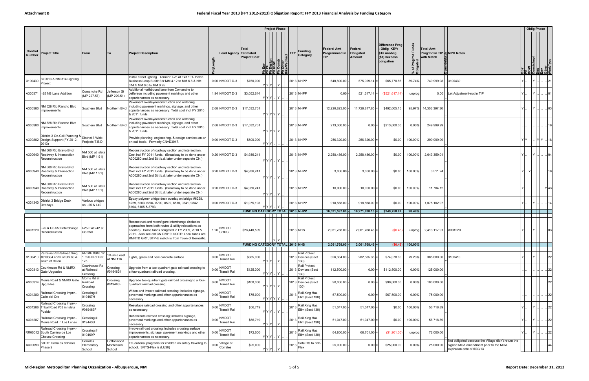|                          |                                                                                   |                                           |                                    |                                                                                                                                                                                                                                                                           |                                                       |                                         | <b>Project Phase</b>                                                 |      |                                                       |                              |                                       |                                                                                     |          |                                                              |                                                                                                                            |      | <b>Oblig Phase</b>                                   |                                                                                                                |
|--------------------------|-----------------------------------------------------------------------------------|-------------------------------------------|------------------------------------|---------------------------------------------------------------------------------------------------------------------------------------------------------------------------------------------------------------------------------------------------------------------------|-------------------------------------------------------|-----------------------------------------|----------------------------------------------------------------------|------|-------------------------------------------------------|------------------------------|---------------------------------------|-------------------------------------------------------------------------------------|----------|--------------------------------------------------------------|----------------------------------------------------------------------------------------------------------------------------|------|------------------------------------------------------|----------------------------------------------------------------------------------------------------------------|
| Control<br><b>Number</b> | <b>Project Title</b>                                                              | From                                      | To                                 | <b>Project Description</b>                                                                                                                                                                                                                                                | <b>Lead Agency Estimated</b>                          | Total<br><b>Project Cost</b>            | TENV<br>Pesign<br>Design<br>Constr<br>Constr<br>Construction<br>로벌리로 | FFY  | <b>Funding</b><br>Category                            | Federal Amt<br>Programmed in | Federal<br>Obligated<br><b>Amount</b> | Difference Prog<br>- Oblig KEY:<br>$$1=$ unoblig<br>$($ \$1) = excess<br>obligation | ৳        | <b>Total Amt</b><br>Prog'md in TIP F MPO Notes<br>with Match |                                                                                                                            |      | ROW<br>Constr/Impl<br>Des<br>Other<br>Other<br>Other |                                                                                                                |
| 3100430                  | 3L0013 & NM 314 Lighting<br>Project                                               |                                           |                                    | Install street lighting. Termini: I-25 at Exit 191- Belen<br>Business Loop BL0013 fr MM 4.12 to MM 6.6 & NM<br>314 fr MM 0.0 to MM 0.25                                                                                                                                   | $0.00$ NMDOT D-3                                      | \$750,000                               |                                                                      |      | 2013 NHPP                                             | 640,800.00                   | 575,029.14                            | \$65,770.86                                                                         | 89.74%   | 749,999.98                                                   | 3100430                                                                                                                    |      |                                                      |                                                                                                                |
|                          | A300371   I-25 NB Lane Addition                                                   | Comanche Rd<br>(MP 227.57)                | Jefferson St<br>(MP 229.51)        | Additional northbound lane from Comanche to<br>Jefferson including pavement markings and other<br>appurtenances as necessary.                                                                                                                                             | 1.94 NMDOT D-3                                        | \$3,052,614                             | Y Y Y H                                                              |      | 2013 NHPP                                             | 0.00                         | $521,617.14$ =                        | (\$521, 617.14)                                                                     | unprog   |                                                              | 0.00 Let Adjustment-not in TIP                                                                                             |      |                                                      |                                                                                                                |
| A300380                  | NM 528 Rio Rancho Blvd<br>mprovements                                             | Southern Blvd                             | Northern Blvd                      | Pavement overlay/reconstruction and widening<br>including pavement markings, signage, and other<br>appurtenances as necessary. Total cost incl. FY 2010<br>& 2011 funds.                                                                                                  | 2.68 NMDOT D-3                                        | \$17,532,751                            | Y Y Y Y Y                                                            |      | 2013 NHPP                                             | 12,220,823.00                | 11,728,817.85                         | \$492,005.15                                                                        |          | 95.97% 14,303,397.30                                         |                                                                                                                            |      |                                                      | 03                                                                                                             |
| A300380                  | NM 528 Rio Rancho Blvd<br>Improvements                                            | Southern Blvd                             | Northern Blvc                      | Pavement overlay/reconstruction and widening<br>including pavement markings, signage, and other<br>appurtenances as necessary. Total cost incl. FY 2010<br>& 2011 funds.                                                                                                  | 2.68 NMDOT D-3                                        | \$17,532,751                            | Y Y Y Y  Y                                                           |      | 2013 NHPP                                             | 213,600.00                   | 0.00:                                 | \$213,600.00                                                                        | $0.00\%$ | 249,999.99                                                   |                                                                                                                            |      |                                                      |                                                                                                                |
|                          | District 3 On-Call Planning &<br>A300802 Design Support (FY 2012-<br>2013)        | District 3 Wide<br>Projects T.B.D.        |                                    | Provide planning, engineering, & design services on an<br>on-call basis. Formerly CN=D3047.                                                                                                                                                                               | 0.00 NMDOT D-3                                        | \$600,000                               | YYY.                                                                 |      | 2013 NHPP                                             | 256,320.00                   | 256,320.00                            | \$0.00                                                                              | 100.00%  | 299,999.99                                                   |                                                                                                                            | YIYI |                                                      | $ Y Y $ 18                                                                                                     |
|                          | NM 500 Rio Bravo Blvd<br>A300940 Roadway & Intersection<br>Reconstruction         | NM 500 at Isleta<br>Blvd (MP 1.91)        |                                    | Reconstruction of roadway section and intersection.<br>Cost incl FY 2011 funds. (Broadway to be done under<br>A300280 and 2nd St t.b.d. later under separate CN.)                                                                                                         | 0.20 NMDOT D-3                                        | \$4,936,241                             |                                                                      |      | 2013 NHPP                                             | 2,258,486.00                 | 2,258,486.00                          | \$0.00                                                                              | 100.00%  | 2,643,359.01                                                 |                                                                                                                            |      | —∨ I                                                 | .104                                                                                                           |
|                          | NM 500 Rio Bravo Blvd<br>A300940 Roadway & Intersection<br>Reconstruction         | NM 500 at Isleta<br>Blvd (MP 1.91)        |                                    | Reconstruction of roadway section and intersection.<br>Cost incl FY 2011 funds. (Broadway to be done under<br>A300280 and 2nd St t.b.d. later under separate CN.)                                                                                                         | 0.20 NMDOT D-3                                        | \$4,936,241                             |                                                                      |      | 2013 NHPP                                             | 3,000.00                     | 3,000.00                              | \$0.00                                                                              | 100.00%  | 3,511.24                                                     |                                                                                                                            |      |                                                      | 16                                                                                                             |
|                          | NM 500 Rio Bravo Blvd<br>A300940 Roadway & Intersection<br>Reconstruction         | NM 500 at Isleta<br>Blvd (MP 1.91)        |                                    | Reconstruction of roadway section and intersection.<br>Cost incl FY 2011 funds. (Broadway to be done under<br>A300280 and 2nd St t.b.d. later under separate CN.)                                                                                                         | 0.20 NMDOT D-3                                        | \$4,936,241                             | Y Y Y  Y I                                                           |      | 2013 NHPP                                             | 10,000.00                    | 10,000.00                             | \$0.00                                                                              | 100.00%  | 11,704.12                                                    |                                                                                                                            |      |                                                      | . IY 43                                                                                                        |
|                          | District 3 Bridge Deck<br>$A301340$ Overlays                                      | Various bridges<br>on I-25 & I-40         |                                    | Epoxy polymer bridge deck overlay on bridge #6228,<br>6229, 6203, 6204, 8700, 8509, 8510, 9341, 9342,<br>6104, 6105 & 8793.                                                                                                                                               | $0.00$ NMDOT D-3                                      | \$1,075,103                             | Y Y Y I                                                              |      | 2013 NHPP                                             | 918,568.00                   | 918,568.00                            | \$0.00                                                                              | 100.00%  | 1,075,102.97                                                 |                                                                                                                            |      |                                                      |                                                                                                                |
|                          |                                                                                   |                                           |                                    |                                                                                                                                                                                                                                                                           |                                                       | <b>FUNDING CATEGORY TOTAL 2013 NHPP</b> |                                                                      |      |                                                       | 16,521,597.00                | 16,271,838.13                         | \$249,758.87                                                                        | 98.49%   |                                                              |                                                                                                                            |      |                                                      |                                                                                                                |
| A301220                  | I-25 & US 550 Interchange<br>Reconstruction                                       | I-25 Exit 242 at<br><b>US 550</b>         |                                    | Reconstruct and reconfigure Interchange (includes<br>approaches from both routes & utility relocations as<br>needed). Some funds obligated in FY 2009, 2010 &<br>2011. Also see old CN D3019. NOTE: Local funds are<br>RMRTD GRT, STP-U match is from Town of Bernalillo. | 1.26 NMDOT                                            | \$23,440,509                            |                                                                      |      | 2013 NHS                                              | 2,061,768.00                 | 2,061,768.46                          | (S0.46)                                                                             | unprog   | 2,413,117.91                                                 | A301220                                                                                                                    |      |                                                      | $Y \cup  \cup 03$                                                                                              |
|                          |                                                                                   |                                           |                                    |                                                                                                                                                                                                                                                                           |                                                       | <b>FUNDING CATEGORY TOTAL 2013 NHS</b>  |                                                                      |      |                                                       | 2,061,768.00                 | $2,061,768.46$ =                      | (\$0.46)                                                                            | 100.00%  |                                                              |                                                                                                                            |      |                                                      | de la contrata de la contrata de la contrata de la contrata de la contrata de la contrata de la contrata de la |
|                          | Paizalas Rd Railroad Xing<br>3100410 #019504 north of US 60 &<br>south of Belen   | RR MP 0948.12;<br>1 mile N of Exit<br>175 | 1/4 mile east<br>of NM 116         | Lights, gates and new concrete surface.                                                                                                                                                                                                                                   | NMDOT<br>0.00 Transit Rail                            | \$385,000                               | Y Y Y  Y I                                                           |      | Rail Protect.<br>2013 Devices (Sect<br>130)           | 356,664.00                   | 282,585.35                            | \$74,078.65                                                                         | 79.23%   | 385,000.00                                                   | 3100410                                                                                                                    |      |                                                      | . 22                                                                                                           |
| A300313                  | Courthouse Rd & NMRX<br>Gate Upgrades                                             | Courthouse Rd<br>at Railroad<br>Crossing  | Crossing<br>#0194624               | Upgrade from a two-quadrant gate railroad crossing to<br>a four-quadrant railroad crossing.                                                                                                                                                                               | <b>NMDOT</b><br>0.00 Transit Rail                     | \$125,000                               | Y Y Y I  I Y I                                                       |      | Rail Protect.<br>2013 Devices (Sect<br>130)           | 112,500.00                   | $0.00 =$                              | \$112,500.00                                                                        | 0.00%    | 125,000.00                                                   |                                                                                                                            |      |                                                      | 22                                                                                                             |
| A300314                  | Morris Road & NMRX Gate<br>Upgrades                                               | Morris Rd at<br>Railroad<br>Crossing      | Crossing<br>#019463F               | Upgrade two-quadrant gate railroad crossing to a four-<br>quadrant railroad crossing.                                                                                                                                                                                     | NMDOT<br>0.00 Transit Rail                            | \$100,000                               | Y Y Y Y Y I                                                          |      | Rail Protect.<br>2013 Devices (Sect<br>130)           | 90,000.00                    | $0.00$ =                              | \$90,000.00                                                                         | 0.00%    | 100,000.00                                                   |                                                                                                                            |      |                                                      | 22                                                                                                             |
| A301280                  | Railroad Crossing Imprv.-<br>Calle del Oro                                        | Crossing #<br>019467H                     |                                    | Widen and imrove railroad crossing; includes signage,<br>pavement markings and other appurtenances as<br>necessary.                                                                                                                                                       | NMDOT<br>0.00 Transit Rail                            | \$75,000                                | Y Y Y Y Y                                                            | 2013 | Rail Xing Haz<br>Elim (Sect 130)                      | 67,500.00                    | 0.00                                  | \$67,500.00                                                                         | 0.00%    | 75,000.00                                                    |                                                                                                                            |      |                                                      | 22                                                                                                             |
|                          | Railroad Crossing Imprv.<br>A301286 Tribal Road #53 in Isleta<br>Pueblo           | Crossing<br>#019463F                      |                                    | Resurface railroad crossing and other appurtenances<br>as necessary.                                                                                                                                                                                                      | <b>NMDOT</b><br>0.00 Transit Rail                     | \$56,719                                | Y Y Y  Y                                                             |      | Rail Xing Haz<br>$ 2013 $ Elim (Sect 130)             | 51,047.00                    | $51,047.00$ =                         | \$0.00                                                                              | 100.00%  | 56,718.89                                                    |                                                                                                                            |      |                                                      | 22                                                                                                             |
| A301287                  | Railroad Crossing Imprv.-<br>Morris Road in Los Lunas                             | Crossing #<br>019443U                     |                                    | Rehabilitate railroad crossing; includes signage,<br>pavement markings and other appurtenances as<br>necessary.                                                                                                                                                           | NMDOT<br>0.00 Transit Rail                            | \$56,719                                | $Y[Y Y]$ $Y$                                                         |      | Rail Xing Haz<br>$2013$ Elim (Sect 130)               | 51,047.00                    | 51,047.00                             | \$0.00                                                                              | 100.00%  | 56,718.89                                                    |                                                                                                                            |      |                                                      | 22                                                                                                             |
|                          | Railroad Crossing Imprv.<br>RR00012 South Camino de Los<br><b>Chavez Crossing</b> | Crossing #<br>019469P                     |                                    | Imrove railroad crossing; includes crossing surface<br>improvements, signage, pavement markings and other<br>appurtenances as necessary                                                                                                                                   | NMDOT<br>0.00 Transit Rail                            | \$72,000                                | Y   Y   Y      Y                                                     |      | Rail Xing Haz<br>$\vert$ 2013 $\vert$ Elim (Sect 130) | 64,800.00                    | 66,701.00                             | (\$1,901.00)                                                                        | unprog   | 72,000.00                                                    |                                                                                                                            |      |                                                      | .        22                                                                                                    |
| A300093                  | SRTS: Corrales Schools<br>Phase 2                                                 | Corrales<br>Elementary<br>School          | Cottonwood<br>Montessori<br>School | Educational programs for children on safety traveling to<br>school. SRTS-Flex is (LU30)                                                                                                                                                                                   | Village of<br>$0.00 \Big  \text{V} \text{m}$ Corrales | \$25,000                                | Y Y Y   Y                                                            |      | 2013 Safe Rts to Sch-<br>Flex                         | 25,000.00                    | 0.00:                                 | \$25,000.00                                                                         | 0.00%    | 25,000.00                                                    | Not obligated because the Village didn't return the<br>signed MOA amendment prior to the MOA<br>expiration date of 6/30/13 |      |                                                      |                                                                                                                |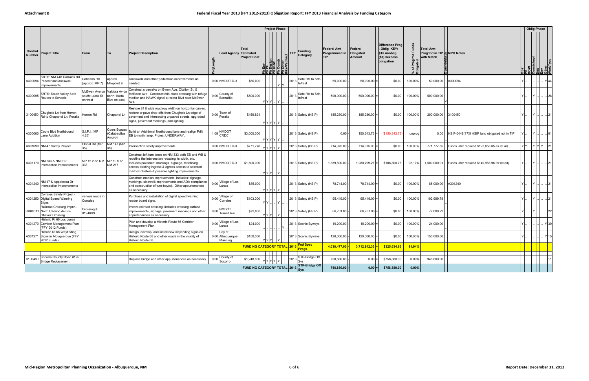|                          |                                                                                    |                                                           |                                          |                                                                                                                                                                                                                                                                           |                                          |                     |                                                              |                                | <b>Project Phase</b>                 |                                     |                                            |                                |                                                                                       |                       |                                                              |                                               | <b>Oblig Phase</b>                             |                    |    |
|--------------------------|------------------------------------------------------------------------------------|-----------------------------------------------------------|------------------------------------------|---------------------------------------------------------------------------------------------------------------------------------------------------------------------------------------------------------------------------------------------------------------------------|------------------------------------------|---------------------|--------------------------------------------------------------|--------------------------------|--------------------------------------|-------------------------------------|--------------------------------------------|--------------------------------|---------------------------------------------------------------------------------------|-----------------------|--------------------------------------------------------------|-----------------------------------------------|------------------------------------------------|--------------------|----|
| Control<br><b>Number</b> | <b>Project Title</b>                                                               | From                                                      | To                                       | <b>Project Description</b>                                                                                                                                                                                                                                                | gth                                      |                     | Total<br><b>Lead Agency Estimated</b><br><b>Project Cost</b> | EN SIGN<br>EN SIGN<br>EN CONST | FFY<br>Other<br>Other<br>ce/Ped Incl | <b>Funding</b><br>Category          | <b>Federal Amt</b><br>Programmed in<br>TIP | Federal<br>Obligated<br>Amount | <b>Difference Prog</b><br>Oblig KEY:<br>$$1=$ unoblig<br>$$1)$ = excess<br>obligation | Prog<br>Jated<br>`5 ፡ | <b>Total Amt</b><br>Prog'md in TIP & MPO Notes<br>with Match |                                               | Ob?<br>PE<br>Constr/Impl<br>Constr/Impl<br>Des |                    |    |
| A300094                  | SRTS: NM 448 Corrales Rd<br>Pedestrian/Crosswalk<br>mprovements                    | Cabezon Rd<br>(approx. MP 7)                              | approx.<br>Milepoint 9                   | Crosswalk and other pedestrian improvements as<br>needed.                                                                                                                                                                                                                 | 0.00 NMDOT D-3                           |                     | \$50,000                                                     |                                | YY                                   | Safe Rts to Sch<br>$ 2013 $ Infrast | 50,000.00                                  | 50,000.00                      | \$0.00                                                                                | 100.00%               | 50,000.00                                                    | A300094                                       |                                                | $Y$ 44             |    |
| A300095                  | <b>SRTS: South Valley Safe</b><br>Routes to Schools                                | McEwen Ave on Valdora Av or<br>south; Lucia St<br>on west | north; Isleta<br>Blvd on east            | Construct sidewalks on Byron Ave, Citation St, &<br>McEwen Ave. Construct mid-block crossing with refuge<br>median and HAWK signal at Isleta Blvd near McEwen<br>Ave.                                                                                                     | 0.00 County of                           |                     | \$500,000                                                    | YIYIYI                         |                                      | 2013 Safe Rts to Sch-               | 500,000.00                                 | 500,000.00                     | \$0.00                                                                                | 100.00%               | 500,000.00                                                   |                                               |                                                |                    | 28 |
| 3100450                  | Chughole Ln from Herron<br>Rd to Chaparral Ln, Peralta                             | lerron Rd                                                 | Chaparral Ln                             | Restore 24 ft wide roadway width on horizontal curves,<br>restore or pave drop-offs from Chughole Ln edge of<br>pavement and intersecting unpaved streets, upgraded<br>signs, pavement markings, and lighting.                                                            | 0.00 Town of                             |                     | \$459,821                                                    | Y Y Y Y  Y                     |                                      | 2013 Safety (HSIP)                  | 185,280.00                                 | 185,280.00                     | \$0.00                                                                                | 100.00%               | 200,000.00                                                   | 3100450                                       |                                                |                    |    |
| A300060                  | Coors Blvd Northbound<br>Lane Addition                                             | S.I.P.I. (MP<br>4.25)                                     | Coors Bypass<br>(Calabacillas<br>Arroyo) | Build an Additional Northbound lane and realign PdN<br>EB to north ramp. Project UNDERWAY.                                                                                                                                                                                | <b>NMDOT</b><br>$1.09$ CRDC              |                     | \$3,000,000                                                  | YYYYY                          |                                      | 2013 Safety (HSIP)                  | 0.00                                       | 150,343.73                     | (\$150,343.73)                                                                        | unprog                | 0.00                                                         | HSIP-0448(17)5 HSIP fund obligated not in TIP |                                                |                    | 01 |
|                          | A301090 NM 47 Safety Project                                                       | Chical Rd (MP<br>35)                                      | NM 147 (MP<br>38)                        | Intersection safety improvements.                                                                                                                                                                                                                                         | 0.00 NMDOT D-3                           |                     | \$771,778                                                    | YYYYY Y                        |                                      | 2013 Safety (HSIP)                  | 714,975.00                                 | 714,975.00                     | \$0.00                                                                                | 100.00%               | 771,777.85                                                   | Funds later reduced \$122,658.65 as let adj   |                                                | $Y[Y]$ $Y[Y Y]$ 21 |    |
| A301170                  | NM 333 & NM 217<br>Intersection Improvements                                       | MP 15.2 on NM MP 10.5 on<br>333                           | NM 217                                   | Construct left turn lanes on NM 333 both EB and WB &<br>redefine the intersection reducing its width, etc<br>Includes pavement markings, signage, redefining<br>access existing ingress & egress access to selected<br>mailbox clusters & possible lighting improvements. | 0.00 NMDOT D-3                           |                     | \$1,500,000                                                  | Y Y Y .                        | Y                                    | 2013 Safety (HSIP)                  | 1,389,600.00                               | 1,280,799.27                   | \$108,800.73                                                                          | 92.17%                | 1,500,000.01                                                 | Funds later reduced \$140,983.96 for let adj  |                                                |                    |    |
| A301240                  | NM 47 & Appaloosa Dr<br>Intersection Improvements                                  |                                                           |                                          | Construct median improvements; includes: signage,<br>markings, sidewalk improvements and ADA compliance<br>and construction of turn-bay(s). Other appurtenances<br>as necessary.                                                                                          | 0.00 Village of Los                      |                     | \$85,000                                                     | Y Y Y Y Y                      |                                      | 2013 Safety (HSIP)                  | 78,744.00                                  | 78,744.00                      | \$0.00                                                                                | 100.00%               | 85,000.00                                                    | A301240                                       |                                                | 21                 |    |
|                          | Corrales Safety Project<br>A301250 Digital Speed Warning<br>Signs                  | arious roads in<br>Corrales                               |                                          | Purchase and installation of digital speed warning<br>reader board signs.                                                                                                                                                                                                 | 0.00 Village of                          |                     | \$103,000                                                    | YY                             | $\checkmark$                         | 2013 Safety (HSIP)                  | 95,419.00                                  | 95,419.00                      | \$0.00                                                                                | 100.00%               | 102,999.78                                                   |                                               |                                                |                    |    |
|                          | Railroad Crossing Imprv.-<br>RR00011 North Camino de Los<br><b>Chavez Crossing</b> | Crossing #<br>019469N                                     |                                          | Imrove railroad crossing; includes crossing surface<br>improvements, signage, pavement markings and other<br>appurtenances as necessary.                                                                                                                                  | NMDOT<br>0.00                            | <b>Transit Rail</b> | \$72,000                                                     | $Y Y Y$ $Y$                    |                                      | 2013 Safety (HSIP)                  | 66,701.00                                  | 66,701.00                      | \$0.00                                                                                | 100.00%               | 72,000.22                                                    |                                               |                                                |                    | 22 |
|                          | Historic Rt 66 Los Lunas<br>A301270 Corridor Management Plan<br>(FFY 2012 Funds)   |                                                           |                                          | Plan and develop a Historic Route 66 Corridor<br>Management Plan.                                                                                                                                                                                                         | 0.00<br>Lunas                            | Village of Los      | \$24,000                                                     |                                |                                      | 2013 Scenic Byways                  | 19,200.00                                  | 19,200.00                      | \$0.00                                                                                | 100.00%               | 24,000.00                                                    |                                               |                                                | Y 30               |    |
|                          | Historic Rt 66 Wayfinding<br>A301271 Signs in Albuquerque (FFY<br>2012 Funds)      |                                                           |                                          | Design, develop, and install new wayfinding signs on<br>Historic Route 66 and other roads in the vicinity of<br>Historic Route 66.                                                                                                                                        | City of<br>0.00 Albuquerque-<br>Planning |                     | \$150,000                                                    | $Y Y Y $   Y                   |                                      | 2013 Scenic Byways                  | 120,000.00                                 | 120,000.00                     | \$0.00                                                                                | 100.00%               | 150,000.00                                                   |                                               |                                                | Y 15               |    |
|                          |                                                                                    |                                                           |                                          |                                                                                                                                                                                                                                                                           |                                          |                     | <b>FUNDING CATEGORY TOTAL 2013</b>                           |                                |                                      | <b>Fed Spec</b><br><b>Progs</b>     | 4,038,477.00                               | 3,712,842.35                   | \$325,634.65                                                                          | 91.94%                |                                                              |                                               |                                                |                    |    |
| 3100480                  | Socorro County Road #125<br><b>Bridge Replacement</b>                              |                                                           |                                          | Replace bridge and other appurtenances as necessary.                                                                                                                                                                                                                      | County of<br>0.00<br>Socorro             |                     | \$1,248,600                                                  | YYYYY Y                        | 2013                                 | STP-Bridge Off<br>Sys               | 758,880.00                                 | 0.00                           | \$758,880.00                                                                          | 0.00%                 | 948,600.00                                                   |                                               |                                                |                    |    |
|                          |                                                                                    |                                                           |                                          |                                                                                                                                                                                                                                                                           |                                          |                     | <b>FUNDING CATEGORY TOTAL 2013</b> Sys                       |                                |                                      | <b>STP-Bridge Off</b>               | 758,880.00                                 | 0.00                           | \$758,880.00                                                                          | 0.00%                 |                                                              |                                               |                                                |                    |    |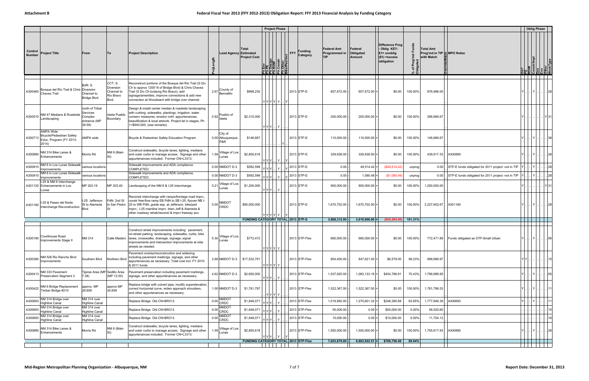|                                 |                                                                                   |                                                                  |                                                          |                                                                                                                                                                                                                                                                              |      |                                     |                              | <b>Project Phase</b>                                 |                                    |                     |                              |                                      |                                                                                       |                   |                                                             |                                                    | <b>Oblig Phase</b>            |                         |
|---------------------------------|-----------------------------------------------------------------------------------|------------------------------------------------------------------|----------------------------------------------------------|------------------------------------------------------------------------------------------------------------------------------------------------------------------------------------------------------------------------------------------------------------------------------|------|-------------------------------------|------------------------------|------------------------------------------------------|------------------------------------|---------------------|------------------------------|--------------------------------------|---------------------------------------------------------------------------------------|-------------------|-------------------------------------------------------------|----------------------------------------------------|-------------------------------|-------------------------|
| <b>Control</b><br><b>Number</b> | <b>Project Title</b>                                                              | From                                                             | Τo                                                       | <b>Project Description</b>                                                                                                                                                                                                                                                   |      | Lead Agency Estimated               | Total<br><b>Project Cost</b> | $\frac{MQ}{10}$<br>∟∣ם∣צ∣ ט                          | <b>FFY</b><br>Other<br>ce/Ped Incl | Funding<br>Category | Federal Amt<br>Programmed in | Federal<br>Obligated<br>Amount       | Difference Prog<br>- Oblig KEY:<br>∣\$1= unoblig<br>$($ \$1) = $excess$<br>obligation | % of<br>Oblig     | <b>Total Amt</b><br>Prog'md in TIP SMPO Notes<br>with Match |                                                    | <b>Istr/Impl</b><br>SFSS SFSS |                         |
| A300460                         | Bosque del Rio Trail & Chris Diversion<br>Chavez Trail                            | BdR: S.<br>Channel to<br>Bridge Blvd.                            | CCT: S.<br>Diversion<br>Channel to<br>Rio Bravo<br>Blvd. | Reconstruct portions of the Bosque del Rio Trail (S Div<br>Ch to approx 1200' N of Bridge Blvd) & Chris Chavez<br>Trail (S Div Ch to/along Rio Bravo), add<br>signage/amenities, improve connections & add new<br>connection at Woodward with bridge over channel.           |      | 2.67 County of                      | \$998,230                    | Y Y Y Y  Y   Y                                       |                                    | 2013 STP-E          | 657,672.00                   | $657,672.00$ =                       | \$0.00                                                                                | 100.00%           | 876,896.00                                                  |                                                    | .I Y I.                       |                         |
| A300510                         | NM 47 Medians & Roadside<br>Landscaping                                           | north of Tribal<br>Services<br>Complex<br>entrance (MP<br>39.59) | Isleta Pueblo<br>Boundary                                | Design & install center median & roadside landscaping<br>with curbing, sidewalks, plantings, irrigation, water<br>conserv measures, erosion cntrl, appurtenances,<br>beautification & local artwork. Project let in stages, Ph<br>1=\$940,000. (see remarks)                 |      | $0.92$ Pueblo of Isleta             | \$2,315,000                  | Y Y Y   Y                                            |                                    | 2013 STP-E          | 200,000.00                   | 200,000.00                           | \$0.00                                                                                | 100.00%           | 266,666.67                                                  |                                                    |                               | Y   31                  |
| A300713                         | <b>AMPA Wide</b><br>Bicycle/Pedestrian Safety<br>Educ. Program (FY 2013-<br>2014) | AMPA wide                                                        |                                                          | Bicycle & Pedestrian Safety Education Program.                                                                                                                                                                                                                               |      | City of<br>0.00 Albuquerque-<br>P&R | \$146,667                    |                                                      |                                    | 2013 STP-E          | 110,000.00                   | 110,000.00                           | \$0.00                                                                                | 100.00%           | 146,666.67                                                  |                                                    | . I Y I                       |                         |
| A300890                         | NM 314 Bike Lanes &<br>Enhancements                                               | Morris Rd                                                        | NM 6 (Main                                               | Construct sidewalks, bicycle lanes, lighting, medians<br>and outer curbs to manage access. Signage and other<br>appurtenances included. Former CN=L3313.                                                                                                                     |      | 1.59 Village of Los                 | \$2,855,618                  | Y Y Y   Y                                            |                                    | 2013 STP-E          | 329,938.00                   | 329,938.00                           | \$0.00                                                                                | 100.00%           | 439,917.33                                                  | A300890                                            | .I Y I                        | .128                    |
| A300910                         | NM 6 in Los Lunas Sidewalk<br>Improvements                                        | various locations                                                |                                                          | Sidewalk improvements and ADA compliance.<br>COMPLETED.                                                                                                                                                                                                                      |      | 0.00 NMDOT D-3                      | \$592,599                    | Y Y Y   Y  .                                         |                                    | 2013 STP-E          | $0.00 \cdot$                 | 49,514.42                            | (\$49,514.42)                                                                         | unprog            | 0.00                                                        | STP-E funds obligated for 2011 project -not in TIP |                               |                         |
| A300910                         | NM 6 in Los Lunas Sidewalk<br>Improvements                                        | various locations                                                |                                                          | Sidewalk improvements and ADA compliance.<br>COMPLETED.                                                                                                                                                                                                                      |      | 0.00 NMDOT D-3                      | \$592,599                    | Y                                                    |                                    | 2013 STP-E          | 0.00                         | 1,080.48                             | (\$1,080.48)                                                                          | unprog            | 0.00                                                        | STP-E funds obligated for 2011 project -not in TIP |                               | 28                      |
|                                 | I-25 & NM 6 Interchange<br>A301120 Enhancements in Los<br>Lunas                   | MP 203.19                                                        | MP 203.40                                                | Landscaping of the NM 6 & I-25 Interchange.                                                                                                                                                                                                                                  |      | Village of Los<br>$0.21$ Lunas      | \$1,200,000                  | Y Y Y  Y                                             |                                    | 2013 STP-E          | 900,000.00                   | 900,000.00                           | \$0.00                                                                                | 100.00%           | 1,200,000.00                                                |                                                    |                               | Y 31                    |
| A301180                         | I-25 & Paseo del Norte<br>Interchange Reconstruction                              | I-25: Jefferson<br>St to Alameda<br>Blvd                         | PdN: 2nd St<br>to San Pedro                              | Reconstr interchange with ramps/frontage road imprv.,<br>constr free-flow ramp EB PdN to SB I-25, flyover NB I-<br>25 to WB PdN, grade sep. at Jefferson, bike/ped<br>imprv., I-25 mainline imprv. btwn Jeff & Alameda &<br>other roadway rehab/reconst & imprv freeway acc. |      | 0.00 NMDOT                          | \$95,000,000                 | r Y Y Y  Y I                                         |                                    | 2013 STP-E          | 1,670,702.00                 | 1,670,702.00                         | \$0.00                                                                                | 100.00%           | 2,227,602.67                                                | A301180                                            | .I Y I.                       |                         |
|                                 |                                                                                   |                                                                  |                                                          |                                                                                                                                                                                                                                                                              |      |                                     |                              | FUNDING CATEGORY TOTAL 2013 STP-E                    |                                    |                     | 3,868,312.00                 | 3,918,906.90                         | (\$50,594.90                                                                          | 101.31%           |                                                             |                                                    |                               |                         |
|                                 | A300190 Courthouse Road<br>Improvements Stage II                                  | NM 314                                                           |                                                          | Construct street improvements including: pavement,<br>on-street parking, landscaping, sidewalks, curbs, bike<br>Calle Madero   lanes, crosswalks, drainage, signage, signal<br>improvements and intersection improvements at side<br>streets as needed.                      | 0.30 | Village of Los<br>Lunas             | \$772,472                    | Y Y Y Y  Y                                           |                                    | 2013 STP-Flex       | 660,000.00                   | 660,000.00                           | \$0.00                                                                                | 100.00%           |                                                             | 772,471.89 Funds obligated as STP-Small Urban      | .   Y                         |                         |
| A300380                         | NM 528 Rio Rancho Blvd<br>Improvements                                            | Southern Blvd                                                    | Northern Blvd                                            | Pavement overlay/reconstruction and widening<br>including pavement markings, signage, and other<br>appurtenances as necessary. Total cost incl. FY 2010<br>& 2011 funds.                                                                                                     |      | 2.68 NMDOT D-3 \ \$17,532,751       |                              | Y Y Y Y  Y                                           |                                    | 2013 STP-Flex       | 854,400.00                   | 847,821.00 =                         | \$6,579.00                                                                            | 99.23%            | 999,999.97                                                  |                                                    |                               |                         |
| A300413                         | NM 333 Pavement<br>Preservation Segment 3                                         | Tijeras Area (MP Sedillo Area<br>7.38)                           | (MP 12.00)                                               | Pavement preservation including pavement markings,<br>signage, and other appurtenances as necessary.                                                                                                                                                                         |      | 4.62 NMDOT D-3                      | \$2,650,000                  | Y Y Y  Y                                             |                                    | 2013 STP-Flex       | 1,537,920.00                 | $1,083,133.19$ =                     | \$454,786.81                                                                          | 70.43%            | 1,799,999.95                                                |                                                    | .I Y I                        | $\  \dots   \dots   05$ |
| A300422                         | NM 6 Bridge Replacement<br>Timber Bridge #210                                     | approx. MP<br>29.659                                             | approx MP<br>30.659                                      | Replace bridge with culvert pipe, modify superelevation,<br>correct horizontal curve, widen approach shoulders,<br>and other appurtenances as necessary.                                                                                                                     |      | 1.00 NMDOT D-3                      | \$1,781,797                  | Y Y Y Y                                              |                                    | 2013 STP-Flex       | 1,522,367.00                 | 1,522,367.00                         | \$0.00                                                                                | 100.00%           | 1,781,796.53                                                |                                                    | Y       11                    |                         |
| A300693                         | NM 314 Bridge over<br><b>Highline Canal</b>                                       | NM 314 over<br><b>Highline Canal</b>                             |                                                          | Replace Bridge. Old CN=BR313.                                                                                                                                                                                                                                                |      | 0.00 NMDOT                          | \$1,848,071                  | Y Y Y  I<br>Y                                        |                                    | 2013 STP-Flex       | 1,518,992.00                 | 1,270,601.32                         | \$248,390.68                                                                          | 83.65%            | 1,777,846.39                                                | A300693                                            |                               |                         |
| A300693                         | NM 314 Bridge over<br>Highline Canal                                              | NM 314 over<br><b>Highline Canal</b>                             |                                                          | Replace Bridge. Old CN=BR313.                                                                                                                                                                                                                                                |      | 0.00 NMDOT                          | \$1,848,071                  | Y Y Y .                                              |                                    | 2013 STP-Flex       | 50,000.00                    | 0.00                                 | \$50,000.00                                                                           | 0.00%             | 58,520.60                                                   |                                                    |                               |                         |
| A300693                         | NM 314 Bridge over<br><b>Highline Canal</b>                                       | NM 314 over<br><b>Highline Canal</b>                             |                                                          | Replace Bridge. Old CN=BR313.                                                                                                                                                                                                                                                |      | 0.00 NMDOT                          | \$1,848,071                  | YIYIYI<br>Y                                          |                                    | 2013 STP-Flex       | 10,000.00                    | 0.00                                 | \$10,000.00                                                                           | 0.00%             | 11,704.12                                                   |                                                    |                               |                         |
| A300890                         | NM 314 Bike Lanes &<br>Enhancements                                               | Morris Rd                                                        | NM 6 (Main                                               | Construct sidewalks, bicycle lanes, lighting, medians<br>and outer curbs to manage access. Signage and other<br>appurtenances included. Former CN=L3313.                                                                                                                     |      | 1.59 Village of Los                 | \$2,855,618                  | Y Y Y  <br>Y<br>FUNDING CATEGORY TOTAL 2013 STP-Flex |                                    | 2013 STP-Flex       | 1,500,000.00<br>7,653,679.00 | $1,500,000.00$ =<br>$6,883,922.51$ = | \$0.00<br>\$769,756.49                                                                | 100.00%<br>89.94% | 1,755,617.93                                                | A300890                                            | .l Y l<br>.                   | 28                      |
|                                 |                                                                                   |                                                                  |                                                          |                                                                                                                                                                                                                                                                              |      |                                     |                              |                                                      |                                    |                     |                              |                                      |                                                                                       |                   |                                                             |                                                    |                               |                         |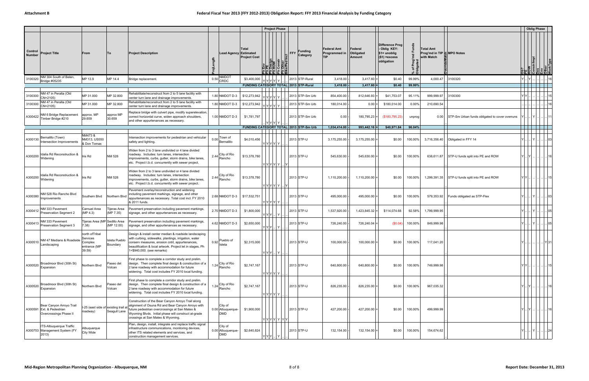|                          |                                                                                 |                                                                 |                           |                                                                                                                                                                                                                                                             |              |                                            | <b>Project Phase</b>                                                       |                      |                                          |                                     |                                |                                                                                |             |                                                              |                                                |        | <b>Oblig Phase</b>                                         |      |
|--------------------------|---------------------------------------------------------------------------------|-----------------------------------------------------------------|---------------------------|-------------------------------------------------------------------------------------------------------------------------------------------------------------------------------------------------------------------------------------------------------------|--------------|--------------------------------------------|----------------------------------------------------------------------------|----------------------|------------------------------------------|-------------------------------------|--------------------------------|--------------------------------------------------------------------------------|-------------|--------------------------------------------------------------|------------------------------------------------|--------|------------------------------------------------------------|------|
| Control<br><b>Number</b> | <b>Project Title</b>                                                            | From                                                            | To                        | <b>Project Description</b>                                                                                                                                                                                                                                  |              | Lead Agency Estimated                      | Total<br><b>Project Cost</b><br>$\frac{\text{AGD}}{\text{AGD}}$<br>ن  ∆ ם. | Other<br>ce/Ped Incl | <b>Funding</b><br><b>FFY</b><br>Category | Federal Amt<br>Programmed in<br>TIP | Federal<br>Obligated<br>Amount | Difference Prog<br>Oblig KEY:<br>\$1= unoblig<br>$($1)$ = excess<br>obligation | `চ ≣<br>҂ ర | <b>Total Amt</b><br>Prog'md in TIP & MPO Notes<br>with Match |                                                |        | PE<br>ROW<br>Constrilmpi<br>Des<br>Other<br>Other<br>Other |      |
| 3100320                  | NM 304 South of Belen.<br>Bridge #05235                                         | MP 13.9                                                         | MP 14.4                   | Bridge replacement.                                                                                                                                                                                                                                         |              | 0.50 NMDOT                                 | \$3,400,000                                                                |                      | 2013 STP-Rural                           | 3,418.00                            | 3,417.60                       | \$0.40                                                                         | 99.99%      | 4,000.47                                                     | 3100320                                        |        |                                                            |      |
|                          |                                                                                 |                                                                 |                           |                                                                                                                                                                                                                                                             |              |                                            | FUNDING CATEGORY TOTAL 2013 STP-Rural                                      |                      |                                          | 3,418.00                            | 3,417.60                       | \$0.40                                                                         | 99.99%      |                                                              |                                                |        |                                                            |      |
| 3100300                  | NM 47 in Peralta (Old<br>CN=2105)                                               | MP 31.000                                                       | MP 32.800                 | Rehabilitate/reconstruct from 2 to 5 lane facility with<br>center turn lane and drainage improvements.                                                                                                                                                      |              | 1.80 NMDOT D-3                             | \$12,273,942                                                               |                      | 2013 STP-Sm Urb                          | 854,400.00                          | 812,646.93                     | \$41,753.07                                                                    | 95.11%      | 999,999.97                                                   | 3100300                                        |        |                                                            |      |
| 3100300                  | NM 47 in Peralta (Old<br>CN=2105)                                               | MP 31.000                                                       | MP 32.800                 | Rehabilitate/reconstruct from 2 to 5 lane facility with<br>center turn lane and drainage improvements.                                                                                                                                                      |              | 1.80 NMDOT D-3                             | \$12,273,942<br>Y Y Y Y Y                                                  |                      | 2013 STP-Sm Urb                          | 180,014.00                          | 0.00                           | \$180,014.00                                                                   | 0.00%       | 210,690.54                                                   |                                                |        |                                                            |      |
| A300422                  | NM 6 Bridge Replacement<br>Timber Bridge #210                                   | approx. MP<br>29.659                                            | approx MP<br>30.659       | Replace bridge with culvert pipe, modify superelevation,<br>correct horizontal curve, widen approach shoulders,<br>and other appurtenances as necessary.                                                                                                    |              | 1.00 NMDOT D-3                             | \$1,781,797                                                                |                      | 2013 STP-Sm Urb                          | 0.00                                | $180,795.23$ =                 | (\$180,795.23)                                                                 | unprog      | 0.00                                                         | STP-Sm Urban funds obligated to cover overruns |        |                                                            |      |
|                          |                                                                                 |                                                                 |                           |                                                                                                                                                                                                                                                             |              |                                            | FUNDING CATEGORY TOTAL 2013 STP-Sm Urb                                     |                      |                                          | 1,034,414.00                        | 993,442.16                     | \$40,971.84                                                                    | 96.04%      |                                                              |                                                |        |                                                            |      |
| A300130                  | Bernalillo (Town)<br>Intersection Improvements                                  | NM473 &<br>VM313, US550<br>& Don Tomas                          |                           | Intersection improvements for pedestrian and vehicular<br>safety and lighting.                                                                                                                                                                              |              | Town of<br>$0.00$<br>Bernalillo            | \$4,010,456<br>YIYIYIYI Y                                                  |                      | 2013 STP-U                               | 3,175,255.00                        | $3,175,255.00$ =               | \$0.00                                                                         | 100.00%     | 3,716,356.40                                                 | Obligated in FFY 14                            |        |                                                            |      |
| A300200                  | dalia Rd Reconstruction &<br>Widening                                           | Iris Rd                                                         | NM 528                    | Widen from 2 to 3 lane undivided or 4 lane divided<br>roadway. Includes: turn lanes, intersection<br>improvements, curbs, gutter, storm drains, bike lanes,<br>etc. Project t.b.d. concurrently with sewer project.                                         |              | 2.44 City of Rio                           | \$13,378,780<br>Y Y Y Y Y                                                  | .IYI                 | 2013 STP-U                               | 545,630.00                          | 545,630.00                     | \$0.00                                                                         | 100.00%     | 638,611.87                                                   | STP-U funds split into PE and ROW              | IYI    |                                                            | 16   |
| A300200                  | Idalia Rd Reconstruction &<br>Widening                                          | Iris Rd                                                         | NM 528                    | Widen from 2 to 3 lane undivided or 4 lane divided<br>roadway. Includes: turn lanes, intersection<br>improvements, curbs, gutter, storm drains, bike lanes,<br>etc. Project t.b.d. concurrently with sewer project.                                         |              | 2.44 City of Rio<br>Rancho                 | \$13,378,780<br>Y Y Y Y Y                                                  | .IYI                 | 2013 STP-U                               | 1,110,200.00                        | 1,110,200.00                   | \$0.00                                                                         | 100.00%     | 1,299,391.35                                                 | STP-U funds split into PE and ROW              | YIYI   |                                                            | 15   |
| A300380                  | NM 528 Rio Rancho Blvd<br>Improvements                                          | Southern Blvd                                                   | Northern Blvo             | Pavement overlay/reconstruction and widening<br>including pavement markings, signage, and other<br>appurtenances as necessary. Total cost incl. FY 2010<br>& 2011 funds.                                                                                    |              |                                            | 2.68 NMDOT D-3 \ \$17,532,751<br>Y Y Y Y  Y                                |                      | 2013 STP-U                               | 495,000.00                          | 495,000.00                     | \$0.00                                                                         | 100.00%     | 579,353.92                                                   | Funds obligated as STP-Flex                    |        | .IY                                                        |      |
| A300412                  | NM 333 Pavement<br>Preservation Segment 2                                       | Carnuel Area<br>MP 4.3)                                         | Tijeras Area<br>(MP 7.35) | Pavement preservation including pavement markings,<br>signage, and other appurtenances as necessary.                                                                                                                                                        |              | 2.70 NMDOT D-3                             | \$1,800,000<br>Y Y Y                                                       | Y                    | 2013 STP-U                               | 1,537,920.00                        | 1,423,845.32                   | \$114,074.68                                                                   | 92.58%      | 1,799,999.95                                                 |                                                |        |                                                            | .105 |
| A300413                  | IM 333 Pavement<br>Preservation Segment 3                                       | Tijeras Area (MP Sedillo Area<br>7.38)                          | (MP 12.00)                | Pavement preservation including pavement markings,<br>signage, and other appurtenances as necessary                                                                                                                                                         |              | 4.62 NMDOT D-3                             | \$2,650,000<br>YIYIYI                                                      |                      | 2013 STP-U                               | 726,240.00                          | 726,240.04                     | $(\$0.04)$                                                                     | 100.00%     | 849,999.98                                                   |                                                |        | IY.                                                        | 05   |
|                          | NM 47 Medians & Roadside<br>$\overline{)1}$ A300510 $\overline{)1}$ Landscaping | north ofTribal<br>Services<br>Complex<br>entrance (MP<br>39.59) | Isleta Pueblo<br>Boundary | Design & install center median & roadside landscaping<br>with curbing, sidewalks, plantings, irrigation, water<br>conserv measures, erosion cntrl, appurtenances<br>beautification & local artwork. Project let in stages, Ph<br>1=\$940,000. (see remarks) | $0.92$ sleta | Pueblo of                                  | \$2,315,000<br>Y Y Y  I                                                    | Y                    | 2013 STP-U                               | 100,000.00                          | $100,000.00$ =                 | \$0.00                                                                         | 100.00%     | 117,041.20                                                   |                                                |        | Y 31                                                       |      |
| A300520                  | Broadmoor Blvd (30th St)<br>Expansion                                           | Northern Blvd                                                   | Paseo del<br>Volcan       | First phase to complete a corridor study and prelim.<br>design. Then complete final design & construction of a<br>2 lane roadway with accommodation for future<br>widening. Total cost includes FY 2010 local funding.                                      |              | 1.24 City of Rio                           | \$2,747,167<br>Y Y Y Y  Y                                                  |                      | 2013 STP-U                               | 640,800.00                          | 640,800.00                     | \$0.00                                                                         | 100.00%     | 749,999.98                                                   |                                                | Y Y L  |                                                            | 15   |
| A300520                  | Broadmoor Blvd (30th St)<br>Expansion                                           | Northern Blvd                                                   | Paseo del<br>Volcan       | First phase to complete a corridor study and prelim.<br>design. Then complete final design & construction of a<br>2 lane roadway with accommodation for future<br>widening. Total cost includes FY 2010 local funding.                                      |              | 1.24 City of Rio                           | \$2,747,167<br>Y Y Y Y  Y                                                  |                      | 2013 STP-U                               | 826,235.00                          | $826,235.00$ =                 | \$0.00                                                                         | 100.00%     | 967,035.32                                                   |                                                | YL.IYI |                                                            | 16   |
|                          | Bear Canyon Arroyo Trail<br>A300591 Ext. & Pedestrian<br>Overcrossings Phase II | -25 (east side of existing trail a<br>roadway)                  | Seagull Lane              | Construction of the Bear Canyon Arroyo Trail along<br>alignment of Osuna Rd and Bear Canyon Arroyo with<br>future pedestrian overcrossings at San Mateo &<br>Wyoming Blvds. Initial phase will construct at-grade<br>crossings at San Mateo & Wyoming.      |              | City of<br>0.00 Albuquerque-<br><b>DMD</b> | \$1,900,000                                                                | Y Y Y Y  Y  Y Y      | 2013 STP-U                               | 427,200.00                          | 427,200.00                     | \$0.00                                                                         | 100.00%     | 499,999.99                                                   |                                                | IYI    |                                                            | 16   |
|                          | ITS-Albuquerque Traffic<br>A300753 Management System (FY<br>2013)               | Albuquerque<br>City Wide                                        |                           | Plan, design, install, integrate and replace traffic signal<br>infrastructure communications, monitoring devices,<br>other ITS related elements and services, and<br>construction management services.                                                      |              | City of<br>0.00 Albuquerque-<br><b>DMD</b> | \$2,640,824                                                                |                      | 2013 STP-U                               | 132,154.00                          | 132,154.00                     | \$0.00                                                                         | 100.00%     | 154,674.62                                                   |                                                |        | I Y I  I                                                   | 24   |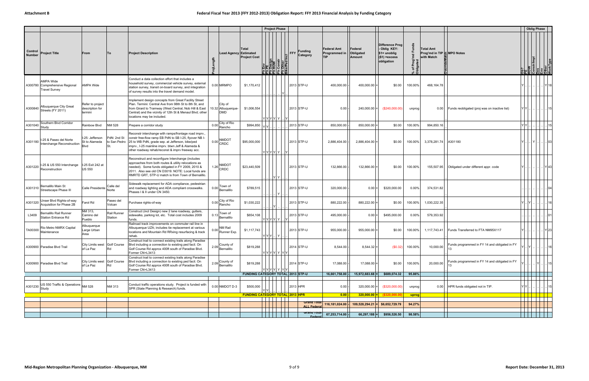|                          |                                                                     |                                                |                                   |                                                                                                                                                                                                                                                                              |                                             |                                        | <b>Project Phase</b>                    |                      |                                                                                  |                                                   |                                |                                                                                  |                    |                                                      |                                               |      | <b>Oblig Phase</b>                                           |      |
|--------------------------|---------------------------------------------------------------------|------------------------------------------------|-----------------------------------|------------------------------------------------------------------------------------------------------------------------------------------------------------------------------------------------------------------------------------------------------------------------------|---------------------------------------------|----------------------------------------|-----------------------------------------|----------------------|----------------------------------------------------------------------------------|---------------------------------------------------|--------------------------------|----------------------------------------------------------------------------------|--------------------|------------------------------------------------------|-----------------------------------------------|------|--------------------------------------------------------------|------|
| Control<br><b>Number</b> | <b>Project Title</b>                                                | From                                           | To                                | <b>Project Description</b>                                                                                                                                                                                                                                                   | <b>Lead Agency Estimated</b><br>능           | Total<br><b>Project Cost</b>           | <b>PE</b><br>Design<br>Constr<br>Constr | Other<br>ce/Ped Incl | <b>Funding</b><br>$\overline{\phantom{a}}$ FFY $\overline{\phantom{a}}$ Category | <b>Federal Amt</b><br>Programmed in<br><b>TIP</b> | Federal<br>Obligated<br>Amount | Difference Prog<br>- Oblig KEY:<br>$$1=$ unoblig<br>$($1)$ =excess<br>obligation | ᅕ<br>% of<br>Oblig | Total Amt<br>Prog'md in TIP SMPO Notes<br>with Match |                                               |      | Ob?<br>PE<br>ROW<br>Constrimpl<br>Discrime<br>Other<br>Other |      |
|                          | AMPA Wide<br>A300780 Comprehensive Regional<br><b>Travel Survey</b> | AMPA Wide                                      |                                   | Conduct a data collection effort that includes a<br>household survey, commercial vehicle survey, external<br>station survey, transit on-board survey, and integration<br>of survey results into the travel demand model.                                                     | 0.00 MRMPO                                  | \$1,170,412                            |                                         |                      | 2013 STP-U                                                                       | 400,000.00                                        | 400,000.00                     | \$0.00                                                                           | 100.00%            | 468,164.78                                           |                                               |      |                                                              | Y 18 |
| A300840                  | Albuquerque City Great<br>Streets (FY 2011)                         | Refer to project<br>description for<br>termini |                                   | Implement design concepts from Great Facility Street<br>Plan. Termini: Central Ave from 98th St to 8th St, and<br>from Girard to Tramway (West Central, Nob Hill & East<br>Central) and the vicinity of 12th St & Menaul Blvd; other<br>locations may be included.           | City of<br>10.32 Albuquerque-<br><b>DMD</b> | \$1,006,554                            | Y Y Y Y Y                               |                      | 2013 STP-U                                                                       | 0.00                                              | $240,000.00$ =                 | (\$240,000.00)                                                                   | unprog             | 0.00                                                 | Funds reobligated (proj was on inactive list) | YYI  |                                                              | 15   |
| A301040                  | Southern Blvd Corridor                                              | Rainbow Blvd                                   | NM 528                            | Prepare a corridor study                                                                                                                                                                                                                                                     | City of Rio<br>0.00<br>Rancho               | \$994,850                              |                                         |                      | 2013 STP-U                                                                       | 850,000.00                                        | 850,000.00                     | \$0.00                                                                           | 100.00%            | 994,850.16                                           |                                               |      |                                                              | 15   |
| A301180                  | I-25 & Paseo del Norte<br>Interchange Reconstruction                | -25: Jefferson<br>St to Alameda<br>Blvd        | PdN: 2nd St<br>to San Pedro<br>St | Reconstr interchange with ramps/frontage road imprv.,<br>constr free-flow ramp EB PdN to SB I-25, flyover NB I-<br>25 to WB PdN, grade sep. at Jefferson, bike/ped<br>imprv., I-25 mainline imprv. btwn Jeff & Alameda &<br>other roadway rehab/reconst & imprv freeway acc. | 0.00 NMDOT                                  | \$95,000,000                           | Y Y Y Y Y                               |                      | 2013 STP-U                                                                       | 2,886,404.00                                      | 2,886,404.00                   | \$0.00                                                                           | 100.00%            | 3,378,281.74                                         | A301180                                       |      |                                                              | 03   |
| A301220                  | -25 & US 550 Interchange<br>Reconstruction                          | I-25 Exit 242 at<br>US 550                     |                                   | Reconstruct and reconfigure Interchange (includes<br>approaches from both routes & utility relocations as<br>needed). Some funds obligated in FY 2009, 2010 &<br>2011. Also see old CN D3019. NOTE: Local funds are<br>RMRTD GRT, STP-U match is from Town of Bernalillo.    | <b>NMDOT</b><br>1.26<br>CRDC                | \$23,440,509                           | YY                                      |                      | 2013 STP-U                                                                       | 132,866.00                                        | 132,866.00                     | \$0.00                                                                           | 100.00%            | 155,507.95                                           | Obligated under different appr. code          |      |                                                              |      |
|                          | A301310 Bernalillo Main St<br>Streetscape Phase III                 | Calle Presidente Norte                         | Calle del                         | Sidewalk replacement for ADA compliance, pedestrian<br>and roadway lighting and ADA compliant crosswalks.<br>Phases I & II under CN 3450.                                                                                                                                    | 0.00 Town of<br>Bernalillo                  | \$789,515                              | Y                                       |                      | 2013 STP-U                                                                       | 320,000.00                                        | $0.00 =$                       | \$320,000.00                                                                     | 0.00%              | 374,531.82                                           |                                               |      |                                                              |      |
| A301320                  | Unser Blvd Rights-of-way<br>Acquisition for Phase 2B                | Farol Rd                                       | Paseo del<br>Volcan               | Purchase rights-of-way                                                                                                                                                                                                                                                       | 0.00 City of Rio<br>Rancho                  | \$1,030,222                            |                                         |                      | 2013 STP-U                                                                       | 880,222.00                                        | 880,222.00                     | \$0.00                                                                           | 100.00%            | 1,030,222.35                                         |                                               |      |                                                              |      |
| L3409                    | Bernalillo Rail Runner<br><b>Station Entrance Rd</b>                | NM 313,<br>Camino del<br>Pueblo                | Rail Runner<br>Station            | Construct (incl Design) new 2 lane roadway, gutters,<br>sidewalks, parking lot, etc. Total cost includes 2009<br>funds.                                                                                                                                                      | Town of<br>$0.13$ Bernalillo                | \$654,108                              | Y Y Y Y  Y                              |                      | 2013 STP-U                                                                       | 495,000.00                                        | $0.00$ =                       | \$495,000.00                                                                     | 0.00%              | 579,353.92                                           |                                               |      |                                                              |      |
| TA00300                  | Rio Metro NMRX Capital<br>Maintenance                               | Albuquerque<br>arge Urban<br>Area              |                                   | Railroad track improvements on commuter rail line in<br>Albuquerque UZA; includes tie replacement at various<br>locations and Mountain Rd RRxing resurfacing & track<br>rehab.                                                                                               | 0.00 NM Rail<br>Runner Exp.                 | \$1,117,743                            | Y Y Y   Y                               |                      | 2013 STP-U                                                                       | 955,000.00                                        | 955,000.00                     | \$0.00                                                                           | 100.00%            | 1,117,743.41                                         | Funds Transferred to FTA NM95X117             |      |                                                              | Y 23 |
|                          | A300900 Paradise Blvd Trail                                         | City Limits west Golf Course<br>of La Paz      | Rd                                | Construct trail to connect existing trails along Paradise<br>Blvd including a connection to existing ped facil. On<br>Golf Course Rd approx 400ft south of Paradise Blvd.<br>Former CN=L3413                                                                                 | 2.09 County of                              | \$819,288                              | Y Y Y Y  Y  Y Y                         |                      | 2014 STP-U                                                                       | 8,544.00                                          | $8,544.32 =$                   | (\$0.32)                                                                         | 100.00%            | 10,000.00                                            | Funds programmed in FY 14 and obligated in FY | -lY  |                                                              | 16   |
|                          | A300900 Paradise Blvd Trail                                         | City Limits west Golf Course<br>of La Paz      | Rd                                | Construct trail to connect existing trails along Paradise<br>Blvd including a connection to existing ped facil. On<br>Golf Course Rd approx 400ft south of Paradise Blvd.<br>Former CN=L3413                                                                                 | 2.09 County of<br>Bernalillo                | \$819,288                              | Y Y Y Y  Y  Y Y                         |                      | 2014 STP-U                                                                       | 17,088.00                                         | $17,088.00 =$                  | \$0.00                                                                           | 100.00%            | 20,000.00                                            | Funds programmed in FY 14 and obligated in FY |      |                                                              | 15   |
|                          |                                                                     |                                                |                                   |                                                                                                                                                                                                                                                                              |                                             |                                        |                                         |                      | <b>FUNDING CATEGORY TOTAL 2013 STP-U</b>                                         | 16,661,758.00 -                                   | 15,972,683.68                  | \$689,074.32                                                                     | 95.86%             |                                                      |                                               |      |                                                              |      |
|                          | $\big $ A301230 $\big $ US 550 Traffic & Operations $\big $ NM 528  |                                                | NM 313                            | Conduct traffic operations study. Project is funded with<br>SPR (State Planning & Research) funds.                                                                                                                                                                           | 0.00 NMDOT D-3                              | \$500,000                              |                                         |                      | 2013 HPR                                                                         | $0.00 -$                                          | $320,000.00$ =                 | (\$320,000.00)                                                                   | unprog             |                                                      | 0.00   HPR funds obligated not in TIP.        | YIY. |                                                              | 15   |
|                          |                                                                     |                                                |                                   |                                                                                                                                                                                                                                                                              |                                             | <b>FUNDING CATEGORY TOTAL 2013 HPR</b> |                                         |                      |                                                                                  | $ 0.00 $ -                                        |                                | $320,000.00 =$ (\$320,000.00)                                                    | uprog              |                                                      |                                               |      |                                                              |      |
|                          |                                                                     |                                                |                                   |                                                                                                                                                                                                                                                                              |                                             |                                        |                                         |                      | <b>Grand Total</b><br><b>ALL Federa</b>                                          | $116,181,024.00$ -                                | $109,528,294.21$ =             | \$6,652,729.79                                                                   | 94.27%             |                                                      |                                               |      |                                                              |      |
|                          |                                                                     |                                                |                                   |                                                                                                                                                                                                                                                                              |                                             |                                        |                                         |                      | Grand Total<br>Federal                                                           | 67,253,714.00                                     | $66,297,188$ =                 | \$956,526.50                                                                     | 98.58%             |                                                      |                                               |      |                                                              |      |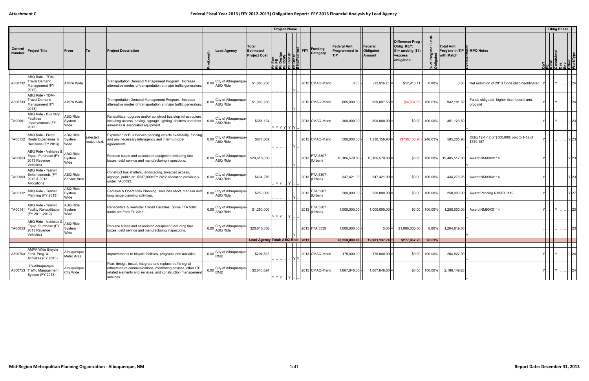|                          |                                                                           |                                   |                           |                                                                                                                                                                                                        |                                                 |                                                  | <b>Project Phase</b>                                                                                                    |                            |                                                   |                                       |                                                                                       |                |                                                            |                                                         |                                                                                                                                                                                                                                                                                                                                                                                                                                                                                       | <b>Oblig Phase</b> |              |
|--------------------------|---------------------------------------------------------------------------|-----------------------------------|---------------------------|--------------------------------------------------------------------------------------------------------------------------------------------------------------------------------------------------------|-------------------------------------------------|--------------------------------------------------|-------------------------------------------------------------------------------------------------------------------------|----------------------------|---------------------------------------------------|---------------------------------------|---------------------------------------------------------------------------------------|----------------|------------------------------------------------------------|---------------------------------------------------------|---------------------------------------------------------------------------------------------------------------------------------------------------------------------------------------------------------------------------------------------------------------------------------------------------------------------------------------------------------------------------------------------------------------------------------------------------------------------------------------|--------------------|--------------|
| Control<br><b>Number</b> | <b>Project Title</b>                                                      | From                              | lTo.                      | <b>Project Description</b>                                                                                                                                                                             | ead Agency.<br>ength<br>ᇹ                       | Total<br><b>Estimated</b><br><b>Project Cost</b> | $\vert \Xi \vert$<br><b>FFY</b><br>Env<br><b>PE Design<br/> ROW</b><br>Constr<br>Other<br>Construe Ded In<br>일뢰 코 코 코 코 | <b>Funding</b><br>Category | <b>Federal Amt</b><br>Programmed in<br><b>TIP</b> | Federal<br>Obligated<br><b>Amount</b> | <b>Difference Prog</b><br>Oblig KEY:<br>$$1=$ unoblig $($1)$<br>=excess<br>obligation | 군<br>҂ ನ       | Total Amt<br>Prog'md in TIP <b>MPO</b> Notes<br>with Match |                                                         | $\begin{array}{c l} \multicolumn{1}{l}{} & \multicolumn{1}{l}{} & \multicolumn{1}{l}{} \\ \multicolumn{1}{l}{} & \multicolumn{1}{l}{} & \multicolumn{1}{l}{} \\ \multicolumn{1}{l}{} & \multicolumn{1}{l}{} & \multicolumn{1}{l}{} \\ \multicolumn{1}{l}{} & \multicolumn{1}{l}{} & \multicolumn{1}{l}{} \\ \multicolumn{1}{l}{} & \multicolumn{1}{l}{} & \multicolumn{1}{l}{} \\ \multicolumn{1}{l}{} & \multicolumn{1}{l}{} & \multicolumn{1}{l}{} \\ \multicolumn{1}{l}{} & \mult$ |                    |              |
|                          |                                                                           |                                   |                           |                                                                                                                                                                                                        |                                                 |                                                  |                                                                                                                         |                            |                                                   |                                       |                                                                                       |                |                                                            |                                                         |                                                                                                                                                                                                                                                                                                                                                                                                                                                                                       |                    |              |
| A300732                  | ABQ Ride - TDM-<br>Travel Demand<br>Management (FY<br>2012)               | <b>AMPA Wide</b>                  |                           | Transportation Demand Management Program. Increase<br>alternative modes of transportation at major traffic generators.                                                                                 | City of Albuquerque<br>0.00<br><b>ABQ Ride</b>  | \$1,006,250                                      |                                                                                                                         | 2013 CMAQ-Mand             | 0.00                                              | $-12,916.71$                          | \$12,916.71                                                                           | $0.00\%$       | 0.00                                                       | Net reduction of 2013 funds oblig/deobligated Y         |                                                                                                                                                                                                                                                                                                                                                                                                                                                                                       | IY.                | . 24         |
| A300733                  | ABQ Ride - TDM-<br><b>Travel Demand</b><br>Management (FY<br>2013)        | <b>AMPA Wide</b>                  |                           | Transportation Demand Management Program. Increase<br>alternative modes of transportation at major traffic generators.                                                                                 | City of Albuquerque<br>0.00<br><b>ABQ Ride</b>  | \$1,006,250                                      |                                                                                                                         | 2013 CMAQ-Mand             | 805,000.00                                        | 809,897.55                            | (\$4,897.55)                                                                          | 100.61%        | 942,181.62                                                 | Funds obligated higher than federal amt.<br>prog'md     |                                                                                                                                                                                                                                                                                                                                                                                                                                                                                       | IYI                | . 24         |
| TA00061                  | ABQ Ride - Bus Stop<br>Facilities<br>Improvements (FY<br>2013)            | <b>ABQ Ride</b><br>System<br>Wide |                           | Rehabilitate, upgrade and/or construct bus stop infrastructure<br>including access, paving, signage, lighting, shelters and other<br>amenities & associated equipment.                                 | City of Albuquerque<br>0.00<br><b>ABQ Ride</b>  | \$351,124                                        | Y Y Y Y Y Y                                                                                                             | 2013 CMAQ-Mand             | 300,000.00                                        | 300,000.00                            | \$0.00                                                                                | 100.00%        | 351,123.59                                                 |                                                         |                                                                                                                                                                                                                                                                                                                                                                                                                                                                                       | Y                  | 23           |
|                          | ABQ Ride - Fixed<br>TA00152 Route Expansions &<br>Revisions (FY 2013)     | <b>ABQ Ride</b><br>System<br>Wide | selected<br>routes t.b.d. | Expansion of Bus Service pending vehicle availability, funding<br>and any necessary interagency and intermunicipal<br>agreements.                                                                      | City of Albuquerque-<br>0.00<br><b>ABQ Ride</b> | \$877,809                                        |                                                                                                                         | 2013 CMAQ-Mand             | 500,000.00                                        | 1,230,156.90                          | (\$730,156.90                                                                         | 246.03%        | 585,205.98                                                 | Oblig 12-1-12 of \$500,000; oblg 5-1-12 of<br>\$730,157 |                                                                                                                                                                                                                                                                                                                                                                                                                                                                                       |                    |              |
| TA00053                  | ABQ Ride - Vehicles &<br>Equip. Purchase (FY<br>2013 Revenue<br>Vehicles) | <b>ABQ Ride</b><br>System<br>Wide |                           | Replace buses and associated equipment including fare<br>boxes, debt service and manufacturing inspections.                                                                                            | City of Albuquerque<br>0.00<br><b>ABQ Ride</b>  | \$20,610,336                                     | 2013                                                                                                                    | <b>FTA 5307</b><br>(Urban) | 16,106,579.00                                     | 16,106,579.00                         | \$0.00                                                                                | 100.00%        | 19,405,517.00                                              | Award NM90X0114                                         |                                                                                                                                                                                                                                                                                                                                                                                                                                                                                       |                    | Y 23         |
| TA00093                  | ABQ Ride - Transit<br>Enhancements (FY<br>2012 & 2013<br>Allocation)      | ABQ Ride<br>Service Area          |                           | Construct bus shelters, landscaping, bike/ped access,<br>signage, public art. \$237,000=FY 2012 allocation previously<br>under TA00092.                                                                | City of Albuquerque-<br>0.00<br><b>ABQ Ride</b> | \$434,276                                        | 2013<br>$ Y Y $ $ Y $                                                                                                   | FTA 5307<br>(Urban)        | 347,421.00                                        | 347,421.00                            | \$0.00                                                                                | 100.00%        | 434,276.25                                                 | Award NM90X0114                                         |                                                                                                                                                                                                                                                                                                                                                                                                                                                                                       |                    | . IY 23      |
| TA00112                  | ABQ Ride - Transit<br>Planning (FY 2013)                                  | <b>ABQ Ride</b><br>System<br>Wide |                           | Facilities & Operations Planning. Includes short, medium and<br>long range planning activities.                                                                                                        | City of Albuquerque<br>$0.00$ ABQ Ride          | \$250,000                                        | 2013                                                                                                                    | FTA 5307<br>Urban)         | 200,000.00                                        | 200,000.00                            | \$0.00                                                                                | 100.00%        | 250,000.00                                                 | Award Pending NM90X0119                                 |                                                                                                                                                                                                                                                                                                                                                                                                                                                                                       |                    | Y 27         |
|                          | ABQ Ride - Transit<br>TA00141   Facility Rehabilitation<br>(FY 2011-2012) | <b>ABQ Ride</b><br>System<br>Wide |                           | Rehabilitate & Remodel Transit Facilities. Some FTA 5307<br>funds are from FY 2011.                                                                                                                    | City of Albuquerque<br>$0.00$ ABQ Ride          | \$1,250,000                                      | 2013<br>$Y Y Y$ $Y$                                                                                                     | FTA 5307<br>(Urban)        | 1,000,000.00                                      | 1,000,000.00                          | \$0.00                                                                                | 100.00%        |                                                            | 1,250,000.00 Award NM90X0114                            |                                                                                                                                                                                                                                                                                                                                                                                                                                                                                       |                    | $ 23\rangle$ |
| TA00053                  | ABQ Ride - Vehicles &<br>Equip. Purchase (FY<br>2013 Revenue<br>Vehicles) | <b>ABQ Ride</b><br>System<br>Wide |                           | Replace buses and associated equipment including fare<br>boxes, debt service and manufacturing inspections.                                                                                            | City of Albuquerque<br>0.00<br><b>ABQ Ride</b>  | \$20,610,336                                     |                                                                                                                         | 2013 FTA 5339              | 1,000,000.00                                      | 0.00                                  | \$1,000,000.00                                                                        | $0.00\%$       | 1,204,819.00                                               |                                                         |                                                                                                                                                                                                                                                                                                                                                                                                                                                                                       |                    |              |
|                          |                                                                           |                                   |                           |                                                                                                                                                                                                        |                                                 |                                                  | Lead Agency Total: ABQ-Ride   2013                                                                                      |                            | 20.259.000.00 -                                   | $19.981.137.74 =$                     | \$277,862.26                                                                          | 98.63%         |                                                            |                                                         |                                                                                                                                                                                                                                                                                                                                                                                                                                                                                       |                    |              |
|                          | AMPA Wide Bicycle<br>A300703   Facil. Prog. &<br>Activities (FY 2013)     | Albuquerque<br>Metro Area         |                           | Improvements to bicycle facilities, programs and activities.                                                                                                                                           | 0.00 City of Albuquerque-                       | \$204,822                                        | IYIY                                                                                                                    | 2013 CMAQ-Mand             | 175,000.00                                        | $175,000.00$ =                        |                                                                                       | \$0.00 100.00% | 204,822.09                                                 |                                                         | YI.                                                                                                                                                                                                                                                                                                                                                                                                                                                                                   | .I Y I             | . 24         |
|                          | ITS-Albuquerque<br>A300753 Traffic Management<br>System (FY 2013)         | Albuquerque<br>City Wide          |                           | Plan, design, install, integrate and replace traffic signal<br>infrastructure communications, monitoring devices, other ITS<br>related elements and services, and construction management<br>services. | 0.00 City of Albuquerque-                       | \$2,640,824                                      | $ Y Y Y $   $Y$                                                                                                         | 2013 CMAQ-Mand             | 1,867,846.00 -                                    | $1,867,846.00 =$                      | \$0.00                                                                                | 100.00%        | 2,186,149.28                                               |                                                         | Y I .                                                                                                                                                                                                                                                                                                                                                                                                                                                                                 | I Y I .            | 24           |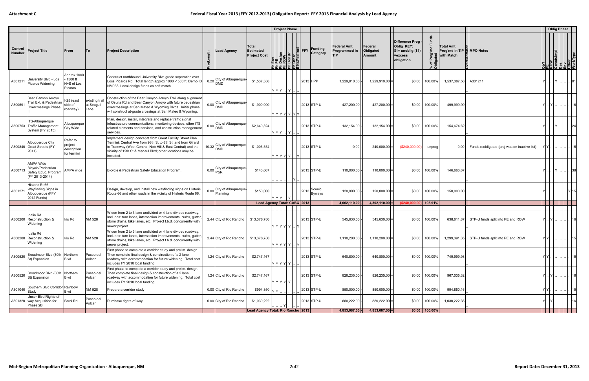|                   |                                                                                  |                                                   |                                     |                                                                                                                                                                                                                                                                   |                                 |                            |                                                  | <b>Project Phase</b>                                                                 |                   |                            |                                            |                                |                                                                                  |                   |                                                            |                                                    | <b>Oblig Phase</b>                                                            |                 |
|-------------------|----------------------------------------------------------------------------------|---------------------------------------------------|-------------------------------------|-------------------------------------------------------------------------------------------------------------------------------------------------------------------------------------------------------------------------------------------------------------------|---------------------------------|----------------------------|--------------------------------------------------|--------------------------------------------------------------------------------------|-------------------|----------------------------|--------------------------------------------|--------------------------------|----------------------------------------------------------------------------------|-------------------|------------------------------------------------------------|----------------------------------------------------|-------------------------------------------------------------------------------|-----------------|
| Control<br>Number | <b>Project Title</b>                                                             | <b>From</b>                                       | <b>To</b>                           | <b>Project Description</b><br>등                                                                                                                                                                                                                                   |                                 | <b>Lead Agency</b>         | Total<br><b>Estimated</b><br><b>Project Cost</b> | <b>PhiEnvisor</b><br>PhiDesign<br>PhiROW<br>PhiConst<br>PhiMelPed in<br>PhiMelPed in | $\frac{1}{2}$ FFY | <b>Funding</b><br>Category | Federal Amt<br>Programmed in<br><b>TIP</b> | Federal<br>Obligated<br>Amount | Difference Prog<br>Oblig KEY:<br>$\$1=$ unoblig $(\$1)$<br>=excess<br>obligation | ௳<br>ৢ<br>់កី     | Total Amt<br>Prog'md in TIP <b>MPO</b> Notes<br>with Match |                                                    | <b>Ob?</b><br>ROW<br>Constr/Impl<br>Constry<br>Dis<br>Other<br>Other<br>Other |                 |
| A301211           | University Blvd - Los<br>Picaros Widening                                        | Approx 1000<br>1500 ft<br>N+S of Los<br>Picaros   |                                     | Construct northbound University Blvd grade seperation over<br>Loss Picaros Rd. Total length approx 1000 -1500 ft. Demo ID<br>NM038. Local design funds as soft match.                                                                                             | $0.20$ DMD                      | City of Albuquerque-       | \$1,537,388                                      | YYYH.IY                                                                              |                   | 2013 HPP                   | 1,229,910.00                               | $1,229,910.00$ =               | \$0.00                                                                           | 100.00%           | 1,537,387.50 A301211                                       |                                                    |                                                                               | $ Y $ $  $   01 |
| A300591           | Bear Canyon Arroyo<br>Trail Ext. & Pedestrian<br><b>Overcrossings Phase</b>      | $I-25$ (east<br>side of<br>roadway)               | existing trai<br>at Seagull<br>Lane | Construction of the Bear Canyon Arroyo Trail along alignment<br>of Osuna Rd and Bear Canyon Arroyo with future pedestrian<br>overcrossings at San Mateo & Wyoming Blvds. Initial phase<br>will construct at-grade crossings at San Mateo & Wyoming.               | $0.00\vert_{\text{DMD}}^{0.00}$ | City of Albuquerque-       | \$1,900,000                                      | Y Y Y Y  Y  Y Y                                                                      |                   | 2013 STP-U                 | 427,200.00                                 | $427,200.00$ =                 | \$0.00                                                                           | 100.00%           | 499,999.99                                                 |                                                    |                                                                               | .16             |
|                   | ITS-Albuquerque<br>A300753 Traffic Management<br>System (FY 2013)                | Albuquerque<br>City Wide                          |                                     | Plan, design, install, integrate and replace traffic signal<br>infrastructure communications, monitoring devices, other ITS<br>related elements and services, and construction management<br>services.                                                            |                                 | 0.00 City of Albuquerque-  | \$2,640,824                                      | $ Y Y Y $ $ Y $                                                                      |                   | 2013 STP-U                 | 132,154.00                                 | $132, 154.00 =$                | \$0.00                                                                           | 100.00%           | 154,674.62                                                 |                                                    | l Y I                                                                         | . 24            |
|                   | Albuquerque City<br>A300840 Great Streets (FY<br>2011)                           | Refer to<br>project<br>description<br>for termini |                                     | Implement design concepts from Great Facility Street Plan.<br>Termini: Central Ave from 98th St to 8th St, and from Girard<br>to Tramway (West Central, Nob Hill & East Central) and the<br>vicinity of 12th St & Menaul Blvd; other locations may be<br>included |                                 | 10.32 City of Albuquerque- | \$1,006,554                                      | YYYYYY                                                                               |                   | 2013 STP-U                 | 0.00                                       | $240,000.00$ =                 | (\$240,000.00)                                                                   | unprog            |                                                            | 0.00 Funds reobligated (proj was on inactive list) |                                                                               |                 |
| A300713           | <b>AMPA Wide</b><br>Bicycle/Pedestrian<br>Safety Educ. Program<br>(FY 2013-2014) | AMPA wide                                         |                                     | Bicycle & Pedestrian Safety Education Program.                                                                                                                                                                                                                    | 0.00<br>P&R                     | City of Albuquerque-       | \$146,667                                        |                                                                                      |                   | 2013 STP-E                 | 110,000.00                                 | $110,000.00$ =                 | \$0.00                                                                           | 100.00%           | 146,666.67                                                 |                                                    | $\ Y\ _+$                                                                     | 38              |
| A301271           | Historic Rt 66<br>Wayfinding Signs in<br>Albuquerque (FFY<br>2012 Funds)         |                                                   |                                     | Design, develop, and install new wayfinding signs on Historic<br>Route 66 and other roads in the vicinity of Historic Route 66.                                                                                                                                   | $0.00$ Planning                 | City of Albuquerque-       | \$150,000                                        | $Y Y Y $                                                                             | 2013              | Scenic<br><b>Byways</b>    | 120,000.00                                 | $120,000.00$ =                 | \$0.00                                                                           | 100.00%           | 150,000.00                                                 |                                                    |                                                                               |                 |
|                   |                                                                                  |                                                   |                                     |                                                                                                                                                                                                                                                                   |                                 |                            | Lead Agency Total: CABQ 2013                     |                                                                                      |                   |                            | 4,062,110.00                               | $4,302,110.00$ =               | (\$240,000.00                                                                    | 105.91%           |                                                            |                                                    |                                                                               |                 |
|                   | Idalia Rd<br>A300200 Reconstruction &<br>Widening                                | Iris Rd                                           | <b>NM 528</b>                       | Widen from 2 to 3 lane undivided or 4 lane divided roadway<br>Includes: turn lanes, intersection improvements, curbs, gutter<br>storm drains, bike lanes, etc. Project t.b.d. concurrently with<br>sewer project.                                                 |                                 | 2.44 City of Rio Rancho    | \$13,378,780                                     | YYYYY Y                                                                              |                   | 2013 STP-U                 | 545,630.00                                 | $545,630.00$ =                 | \$0.00                                                                           | 100.00%           | 638,611.87                                                 | STP-U funds split into PE and ROW                  | . IYI                                                                         | 16              |
|                   | Idalia Rd<br>A300200 Reconstruction &<br>Widening                                | Iris Rd                                           | <b>NM 528</b>                       | Widen from 2 to 3 lane undivided or 4 lane divided roadway<br>Includes: turn lanes, intersection improvements, curbs, gutter<br>storm drains, bike lanes, etc. Project t.b.d. concurrently with<br>sewer project.                                                 |                                 | 2.44 City of Rio Rancho    | \$13,378,780                                     | $ \mathsf{Y}  \mathsf{Y}  \mathsf{Y}  \mathsf{Y}  \mathsf{Y} $ $ \mathsf{Y} $        |                   | 2013 STP-U                 | 1,110,200.00                               | $1,110,200.00$ =               | \$0.00                                                                           | 100.00%           |                                                            | 1,299,391.35 STP-U funds split into PE and ROW     |                                                                               | 15              |
| A300520           | Broadmoor Blvd (30th Northern<br>St) Expansion                                   | <b>Blvd</b>                                       | Paseo del<br>Volcan                 | First phase to complete a corridor study and prelim. design.<br>Then complete final design & construction of a 2 lane<br>roadway with accommodation for future widening. Total cost<br>includes FY 2010 local funding.                                            |                                 | 1.24 City of Rio Rancho    | \$2,747,167                                      | Y Y Y Y Y                                                                            |                   | 2013 STP-U                 | 640,800.00                                 | $640,800.00$ =                 | \$0.00                                                                           | 100.00%           | 749,999.98                                                 |                                                    | $+$ $+$ $+$ $+$                                                               | .15             |
| A300520           | Broadmoor Blvd (30th Northern<br>St) Expansion                                   | <b>Blvd</b>                                       | Paseo del<br>Volcan                 | First phase to complete a corridor study and prelim. design.<br>Then complete final design & construction of a 2 lane<br>roadway with accommodation for future widening. Total cost<br>includes FY 2010 local funding.                                            |                                 | 1.24 City of Rio Rancho    | \$2,747,167                                      | Y Y Y Y Y                                                                            |                   | 2013 STP-U                 | 826,235.00                                 | $826,235.00 =$                 | \$0.00                                                                           | 100.00%           | 967,035.32                                                 |                                                    |                                                                               | . 16            |
| A301040           | Southern Blvd Corridor Rainbow<br>Study                                          | <b>Blvd</b>                                       | NM 528                              | Prepare a corridor study                                                                                                                                                                                                                                          |                                 | 0.00 City of Rio Rancho    | \$994,850                                        | Y Y  I                                                                               |                   | 2013 STP-U                 | 850,000.00                                 | $850,000.00$ =                 | \$0.00                                                                           | 100.00%           | 994,850.16                                                 |                                                    | YY.                                                                           | 15              |
|                   | Unser Blvd Rights-of-<br>A301320   way Acquisition for<br>Phase 2B               | Farol Rd                                          | Paseo del<br>Volcan                 | Purchase rights-of-way                                                                                                                                                                                                                                            |                                 | 0.00 City of Rio Rancho    | \$1,030,222                                      |                                                                                      |                   | 2013 STP-U                 | 880,222.00                                 | $880,222.00$ =                 | \$0.00                                                                           | 100.00%           | 1,030,222.35                                               |                                                    |                                                                               | 16              |
|                   |                                                                                  |                                                   |                                     |                                                                                                                                                                                                                                                                   |                                 |                            | Lead Agency Total: Rio Rancho 2013               |                                                                                      |                   |                            | $4,853,087.00$ -                           | $4,853,087.00 =$               |                                                                                  | $$0.00$   100.00% |                                                            |                                                    |                                                                               |                 |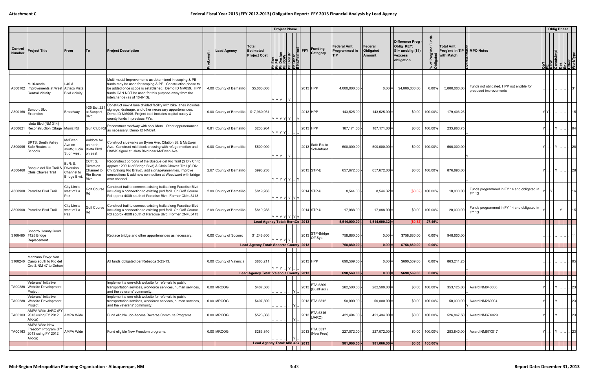|                          |                                                                              |                                                    |                                                          |                                                                                                                                                                                                                                                                        |                                          |                                                         | <b>Project Phase</b>                                                         |                   |                                |                                                   |                                       |                                                                                            |                         |                                                            |                                                                    |                                                      | <b>Oblig Phase</b> |                        |
|--------------------------|------------------------------------------------------------------------------|----------------------------------------------------|----------------------------------------------------------|------------------------------------------------------------------------------------------------------------------------------------------------------------------------------------------------------------------------------------------------------------------------|------------------------------------------|---------------------------------------------------------|------------------------------------------------------------------------------|-------------------|--------------------------------|---------------------------------------------------|---------------------------------------|--------------------------------------------------------------------------------------------|-------------------------|------------------------------------------------------------|--------------------------------------------------------------------|------------------------------------------------------|--------------------|------------------------|
| Control<br><b>Number</b> | <b>Project Title</b>                                                         | From                                               | To                                                       | <b>Project Description</b>                                                                                                                                                                                                                                             | Lead Agency                              | <b>Total</b><br><b>Estimated</b><br><b>Project Cost</b> | Env<br>PE Design<br>ROW<br>Constr<br>Cother<br>CelPed Ir<br><u>EEEE E EË</u> | $\frac{1}{2}$ FFY | Funding<br>Category            | <b>Federal Amt</b><br>Programmed in<br><b>TIP</b> | Federal<br>Obligated<br><b>Amount</b> | Difference Prog<br>Oblig KEY:<br>$\frac{1}{2}$ \$1= unoblig (\$1)<br>=excess<br>obligation | 군<br>ᅀ<br>% of<br>Oblig | Total Amt<br>Prog'md in TIP <b>MPO</b> Notes<br>with Match |                                                                    | <b>nstr/Impl</b><br>SES S S S S S                    |                    |                        |
|                          |                                                                              |                                                    |                                                          |                                                                                                                                                                                                                                                                        |                                          |                                                         |                                                                              |                   |                                |                                                   |                                       |                                                                                            |                         |                                                            |                                                                    |                                                      |                    |                        |
|                          | Multi-modal<br>A300102   Improvements at West<br><b>Central Vicinity</b>     | $-40.8$<br>Atrisco Vista<br><b>Blvd vicinity</b>   |                                                          | Multi-modal Improvements as determined in scoping & PE;<br>funds may be used for scoping & PE. Construction phase to<br>be added once scope is established. Demo ID NM059. HPP<br>funds CAN NOT be used for this purpose away from the<br>interchange (as of 10-9-13). | 4.00 County of Bernalillo                | \$5,000,000                                             | $ Y Y Y $ $ Y $                                                              | 2013 HPP          |                                | 4,000,000.00                                      | $0.00 =$                              | \$4,000,000.00                                                                             | $0.00\%$                | 5,000,000.00                                               | Funds not obligated. HPP not eligible for<br>proposed improvements |                                                      |                    |                        |
| A300160                  | Sunport Blvd<br>Extension                                                    | Broadway                                           | I-25 Exit 221<br>at Sunport<br>Blvd                      | Construct new 4 lane divided facility with bike lanes includes<br>signage, drainage, and other necessary appurtenances.<br>Demo ID NM006. Project total includes capital outlay &<br>county funds in previous FYs.                                                     | 0.00 County of Bernalillo   \$17,960,961 |                                                         | Y Y Y Y Y                                                                    | 2013 HPP          |                                | 143,525.00                                        | $143,525.00$ =                        | \$0.00                                                                                     | 100.00%                 | 179,406.25                                                 |                                                                    | YIYI.                                                |                    | 15                     |
| A300621                  | Isleta Blvd (NM 314)<br>Reconstruction (Stage   Muniz Rd                     |                                                    | Gun Club Rd                                              | Reconstruct roadway with shoulders. Other appurtenances<br>as necessary. Demo ID NM024.                                                                                                                                                                                | 0.81 County of Bernalillo                | \$233,964                                               | YYYYY                                                                        | 2013 HPP          |                                | 187,171.00                                        | $187,171.00$ =                        | \$0.00                                                                                     | 100.00%                 | 233,963.75                                                 |                                                                    |                                                      |                    |                        |
| A300095                  | <b>SRTS: South Vallev</b><br>Safe Routes to<br>Schools                       | McEwen<br>Ave on<br>south; Lucia<br>St on west     | Valdora Av<br>on north;<br><b>Isleta Blvd</b><br>on east | Construct sidewalks on Byron Ave, Citation St, & McEwen<br>Ave. Construct mid-block crossing with refuge median and<br>HAWK signal at Isleta Blvd near McEwen Ave.                                                                                                     | 0.00 County of Bernalillo                | \$500,000                                               | $ Y Y Y $                                                                    | 2013              | Safe Rts to<br>Sch-Infrast     | 500,000.00                                        | $500,000.00$ =                        | \$0.00                                                                                     | 100.00%                 | 500,000.00                                                 |                                                                    | .I Y I.                                              |                    | .         28           |
| A300460                  | Bosque del Rio Trail &<br>Chris Chavez Trail                                 | BdR: S.<br>Diversion<br>Channel to<br>Bridge Blvd. | CCT: S.<br>Diversion<br>Channel to<br>Rio Bravo<br>Blvd. | Reconstruct portions of the Bosque del Rio Trail (S Div Ch to<br>approx 1200' N of Bridge Blvd) & Chris Chavez Trail (S Div<br>Ch to/along Rio Bravo), add signage/amenities, improve<br>connections & add new connection at Woodward with bridge<br>over channel.     | 2.67 County of Bernalillo                | \$998,230                                               | Y Y Y Y Y .                                                                  |                   | 2013 STP-E                     | 657,672.00                                        | 657,672.00 =                          | \$0.00                                                                                     | 100.00%                 | 876,896.00                                                 |                                                                    | . I Y I                                              |                    | . 28                   |
|                          | A300900 Paradise Blvd Trail                                                  | <b>City Limits</b><br>west of La<br>Paz            | Golf Course<br><b>Rd</b>                                 | Construct trail to connect existing trails along Paradise Blvd<br>including a connection to existing ped facil. On Golf Course<br>Rd approx 400ft south of Paradise Blvd. Former CN=L3413                                                                              | 2.09 County of Bernalillo                | \$819,288                                               | Y Y Y Y Y Y Y                                                                |                   | 2014 STP-U                     | 8,544.00                                          | $8,544.32 =$                          |                                                                                            | $(S0.32)$ 100.00%       | 10,000.00                                                  | Funds programmed in FY 14 and obligated in<br><b>FY 13</b>         |                                                      |                    |                        |
|                          | A300900 Paradise Blvd Trail                                                  | <b>City Limits</b><br>west of La<br>Paz            | Golf Course                                              | Construct trail to connect existing trails along Paradise Blvd<br>including a connection to existing ped facil. On Golf Course<br>Rd approx 400ft south of Paradise Blvd. Former CN=L3413                                                                              | 2.09 County of Bernalillo                | \$819,288                                               | Y Y Y Y Y Y Y                                                                |                   | 2014 STP-U                     | 17,088.00                                         | $17,088.00$ =                         | \$0.00                                                                                     | 100.00%                 | 20,000.00                                                  | Funds programmed in FY 14 and obligated in<br>FY 13                |                                                      |                    |                        |
|                          |                                                                              |                                                    |                                                          |                                                                                                                                                                                                                                                                        |                                          |                                                         | Lead Agency Total: BernCo 2013                                               |                   |                                | 5,514,000.00                                      | $1,514,000.32$ =                      | (S0.32)                                                                                    | 27.46%                  |                                                            |                                                                    |                                                      |                    |                        |
|                          | Socorro County Road<br>3100480 #125 Bridge<br>Replacement                    |                                                    |                                                          | Replace bridge and other appurtenances as necessary.                                                                                                                                                                                                                   | 0.00 County of Socorro                   | \$1,248,600                                             | YYYYY Y L                                                                    |                   | STP-Bridge<br>$ 2013 $ Off Sys | 758,880.00                                        | $0.00 =$                              | \$758,880.00                                                                               | $0.00\%$                | 948,600.00                                                 |                                                                    |                                                      |                    |                        |
|                          |                                                                              |                                                    |                                                          |                                                                                                                                                                                                                                                                        |                                          |                                                         | Lead Agency Total: Socorro County 2013                                       |                   |                                | 758,880.00                                        | $0.00 =$                              | \$758,880.00                                                                               | $0.00\%$                |                                                            |                                                                    |                                                      |                    |                        |
|                          | Manzano Exwy: Van<br>3100240 Camp south to Rio del<br>Oro & NM 47 to Dehan   |                                                    |                                                          | All funds obligated per Rebecca 3-25-13.                                                                                                                                                                                                                               | 0.00 County of Valencia                  | \$863,211                                               | $ Y Y Y$                                                                     | 2013 HPP          |                                | 690,569.00                                        | $0.00 =$                              | \$690,569.00                                                                               | $0.00\%$                | 863,211.25                                                 |                                                                    |                                                      |                    | 05                     |
|                          |                                                                              |                                                    |                                                          |                                                                                                                                                                                                                                                                        |                                          |                                                         | Lead Agency Total: Valencia County 2013                                      |                   |                                | 690,569.00                                        | 0.00                                  | \$690,569.00                                                                               | $0.00\%$                |                                                            |                                                                    |                                                      |                    |                        |
|                          | Veterans' Initiative<br>TA00280 Website Development<br>Project               |                                                    |                                                          | Implement a one-click website for referrals to public<br>transportation services, workforce services, human services,<br>and the veterans' community.                                                                                                                  | 0.00 MRCOG                               | \$407,500                                               |                                                                              | 2013              | FTA 5309<br>(Bus/Facil)        | 282,500.00                                        | $282,500.00 =$                        | \$0.00                                                                                     | 100.00%                 |                                                            | 353,125.00 Award NM040030                                          | . I Y I                                              |                    | 23                     |
|                          | Veterans' Initiative<br>TA00280 Website Development<br>Project               |                                                    |                                                          | Implement a one-click website for referrals to public<br>transportation services, workforce services, human services,<br>and the veterans' community.                                                                                                                  | 0.00 MRCOG                               | \$407,500                                               |                                                                              |                   | 2013 FTA 5312                  | 50,000.00                                         | $50,000.00$ =                         | \$0.00                                                                                     | 100.00%                 |                                                            | 50,000.00 Award NM260004                                           | . I Y I                                              |                    | .  23                  |
|                          | AMPA Wide JARC (FY<br>TA00103 2013 using FY 2012<br>Alloca)                  | <b>AMPA Wide</b>                                   |                                                          | Fund eligible Job Access Reverse Commute Programs.                                                                                                                                                                                                                     | 0.00 MRCOG                               | \$526,868                                               |                                                                              | 2013              | FTA 5316<br>(JARC)             | 421,494.00                                        | $421,494.00 =$                        | \$0.00                                                                                     | 100.00%                 |                                                            | 526,867.50 Award NM37X029                                          | .I Y I                                               |                    | $\vert \dots \vert$ 23 |
| TA00163                  | <b>AMPA Wide New</b><br>Freedom Program (FY<br>2013 using FY 2012<br>Alloca) | <b>AMPA Wide</b>                                   |                                                          | Fund eligible New Freedom programs.                                                                                                                                                                                                                                    | 0.00 MRCOG                               | \$283,840                                               |                                                                              | 2013              | FTA 5317<br>(New Free)         | 227,072.00                                        | $227,072.00$ =                        |                                                                                            | \$0.00 100.00%          |                                                            | 283,840.00 Award NM57X017                                          | $ \mathsf{Y} $ $ $ $ \mathsf{Y} $ $ $ $ $ $ $ 23 $ $ |                    |                        |
|                          |                                                                              |                                                    |                                                          |                                                                                                                                                                                                                                                                        |                                          |                                                         | Lead Agency Total: MRCOG 2013                                                |                   |                                | 981,066.00                                        | $981,066.00 =$                        |                                                                                            | $$0.00$   100.00%       |                                                            |                                                                    |                                                      |                    |                        |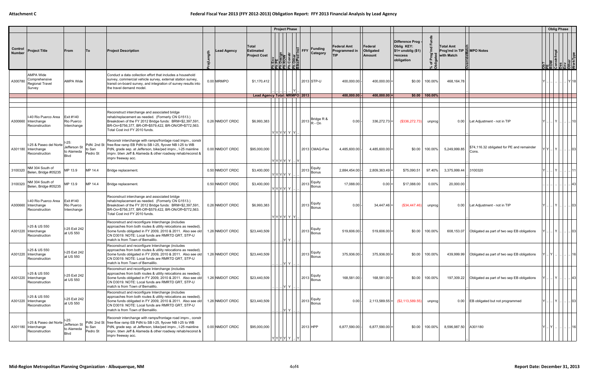|                          |                                                                   |                                               |                    |                                                                                                                                                                                                                                                                                         |                 |                                                         | <b>Project Phase</b>                                 |                                                                                 |                                                   |                                       |                                                                                  |                          |                                                              |                                                               |         | <b>Oblig Phase</b>           |                          |       |
|--------------------------|-------------------------------------------------------------------|-----------------------------------------------|--------------------|-----------------------------------------------------------------------------------------------------------------------------------------------------------------------------------------------------------------------------------------------------------------------------------------|-----------------|---------------------------------------------------------|------------------------------------------------------|---------------------------------------------------------------------------------|---------------------------------------------------|---------------------------------------|----------------------------------------------------------------------------------|--------------------------|--------------------------------------------------------------|---------------------------------------------------------------|---------|------------------------------|--------------------------|-------|
| Control<br><b>Number</b> | <b>Project Title</b>                                              | From                                          | ∣To                | <b>Project Description</b>                                                                                                                                                                                                                                                              | Lead Agency     | <b>Total</b><br><b>Estimated</b><br><b>Project Cost</b> | $\frac{1}{\cos(\theta)}$<br>ther<br>Ped<br>립뢰 코 [된품] | $\left  \frac{Q}{C} \right $ FFY $\left  \frac{Funding}{C} \right $<br>Category | <b>Federal Amt</b><br>Programmed in<br><b>TIP</b> | Federal<br>Obligated<br><b>Amount</b> | Difference Prog -<br>Oblig KEY:<br>$$1=$ unoblig $($1)$<br>=excess<br>obligation | ৳<br>: កី                | Total Amt<br>Prog'md in TIP <b>E</b> MPO Notes<br>with Match |                                                               |         | nstr/Impl<br>3 A 6 8 8 6 5 9 |                          |       |
| A300780                  | AMPA Wide<br>Comprehensive<br>Regional Travel<br>Survey           | <b>AMPA Wide</b>                              |                    | Conduct a data collection effort that includes a household<br>survey, commercial vehicle survey, external station survey,<br>transit on-board survey, and integration of survey results into<br>the travel demand model.                                                                | 0.00 MRMPO      | \$1,170,412                                             |                                                      | 2013 STP-U                                                                      | 400,000.00                                        | 400,000.00 =                          | \$0.00                                                                           | 100.00%                  | 468,164.78                                                   |                                                               |         |                              | Y 18                     |       |
|                          |                                                                   |                                               |                    |                                                                                                                                                                                                                                                                                         |                 |                                                         | Lead Agency Total: MRMPO 2013                        |                                                                                 | 400,000.00                                        | $400,000.00$ =                        |                                                                                  | $$0.00 \,   \, 100.00\%$ |                                                              |                                                               |         |                              |                          |       |
| A300660                  | I-40 Rio Puerco Area<br>Interchange<br>Reconstruction             | Exit #140<br>Rio Puerco<br>Interchange        |                    | Reconstruct interchange and associated bridge<br>rehab/replacement as needed. (Formerly CN G1513.)<br>Breakdown of the FY 2012 Bridge funds: BRM=\$2,397,591,<br>BR-On=\$756,377, BR-Off=\$579,422, BR-ON/Off+\$772,563.<br>Total Cost incl FY 2010 funds.                              | 0.26 NMDOT CRDC | \$6,993,383                                             | 2013<br>Y Y Y Y  Y  Y                                | Bridge R &<br>$R - On$                                                          | 0.00                                              | $336,272.73$ =                        | (\$336,272.73)                                                                   | unprog                   | 0.00                                                         | Let Adjustment - not in TIP                                   |         | .I Y I                       | .      10                |       |
|                          | I-25 & Paseo del Norte<br>A301180   Interchange<br>Reconstruction | $-25:$<br>Jefferson St<br>to Alameda<br>Blvd  | to San<br>Pedro St | Reconstr interchange with ramps/frontage road imprv., constr<br>PdN: 2nd St free-flow ramp EB PdN to SB I-25, flyover NB I-25 to WB<br>PdN, grade sep. at Jefferson, bike/ped imprv., I-25 mainline<br>imprv. btwn Jeff & Alameda & other roadway rehab/reconst &<br>imprv freeway acc. | 0.00 NMDOT CRDC | \$95,000,000                                            | Y Y Y Y Y <br>IYI                                    | 2013 CMAQ-Flex                                                                  | 4,485,600.00                                      | $4,485,600.00 =$                      | \$0.00                                                                           | 100.00%                  | 5,249,999.85                                                 | \$74,116.32 obligated for PE and remainder<br>Cons.           | YY.     | .l Y l                       |                          | . loз |
| 3100320                  | NM 304 South of<br>Belen, Bridge #05235                           | MP 13.9                                       | MP 14.4            | Bridge replacement.                                                                                                                                                                                                                                                                     | 0.50 NMDOT CRDC | \$3,400,000                                             | Y Y Y Y Y                                            | 2013 Equity<br>Bonus                                                            | 2,884,454.00                                      | $2,809,363.49$ =                      | \$75,090.51                                                                      | 97.40%                   | 3,375,999.44                                                 | 3100320                                                       | YL.     | . I Y I                      | 11                       |       |
| 3100320                  | NM 304 South of<br>Belen, Bridge #05235                           | MP 13.9                                       | MP 14.4            | Bridge replacement.                                                                                                                                                                                                                                                                     | 0.50 NMDOT CRDC | \$3,400,000                                             | Y Y Y Y Y                                            | Equity<br>$ 2013 $ Bonus                                                        | 17,088.00                                         | $0.00 =$                              | \$17,088.00                                                                      | $0.00\%$                 | 20,000.00                                                    |                                                               |         |                              |                          |       |
| A300660                  | I-40 Rio Puerco Area<br>Interchange<br>Reconstruction             | Exit #140<br>Rio Puerco<br>Interchange        |                    | Reconstruct interchange and associated bridge<br>rehab/replacement as needed. (Formerly CN G1513.)<br>Breakdown of the FY 2012 Bridge funds: BRM=\$2,397,591<br>BR-On=\$756,377, BR-Off=\$579,422, BR-ON/Off+\$772,563.<br>Total Cost incl FY 2010 funds.                               | 0.26 NMDOT CRDC | \$6,993,383                                             | 2013<br>Y Y Y Y Y Y                                  | Equity<br>Bonus                                                                 | 0.00                                              | 34,447.46                             | (\$34,447.46)                                                                    | unprog                   |                                                              | 0.00   Let Adjustment - not in TIP                            |         | .I Y I.                      | .    03                  |       |
|                          | I-25 & US 550<br>A301220 Interchange<br>Reconstruction            | I-25 Exit 242<br>at US 550                    |                    | Reconstruct and reconfigure Interchange (includes<br>approaches from both routes & utility relocations as needed).<br>Some funds obligated in FY 2009, 2010 & 2011. Also see old<br>CN D3019. NOTE: Local funds are RMRTD GRT, STP-U<br>match is from Town of Bernalillo.               | 1.26 NMDOT CRDC | \$23,440,509                                            | 2013                                                 | Equity<br><b>Bonus</b>                                                          | 519,606.00                                        | $519,606.00$ =                        | \$0.00                                                                           | 100.00%                  | 608,153.07                                                   | Obligated as part of two sep EB obligations                   |         | .I Y I.                      | .         03             |       |
|                          | -25 & US 550<br>A301220 Interchange<br>Reconstruction             | I-25 Exit 242<br>at US 550                    |                    | Reconstruct and reconfigure Interchange (includes<br>approaches from both routes & utility relocations as needed).<br>Some funds obligated in FY 2009, 2010 & 2011. Also see old<br>CN D3019. NOTE: Local funds are RMRTD GRT, STP-U<br>match is from Town of Bernalillo.               | 1.26 NMDOT CRDC | \$23,440,509                                            | . Y Y                                                | Equity<br>$ 2013 $ Bonus                                                        | 375,936.00                                        | $375,936.00$ =                        | \$0.00                                                                           | 100.00%                  |                                                              | 439,999.99   Obligated as part of two sep EB obligations      | . IYL   |                              | ا16 ا ا                  |       |
|                          | I-25 & US 550<br>A301220 Interchange<br>Reconstruction            | I-25 Exit 242<br>at US 550                    |                    | Reconstruct and reconfigure Interchange (includes<br>approaches from both routes & utility relocations as needed).<br>Some funds obligated in FY 2009, 2010 & 2011. Also see old<br>CN D3019. NOTE: Local funds are RMRTD GRT, STP-U<br>match is from Town of Bernalillo.               | 1.26 NMDOT CRDC | \$23,440,509                                            | Y  Y                                                 | Equity<br>$ 2013 $ Bonus                                                        | 168,581.00                                        | $168,581.00 =$                        | \$0.00                                                                           | 100.00%                  |                                                              | 197,309.22 <b>Obligated as part of two sep EB obligations</b> |         | .I Y L                       | .         43             |       |
|                          | I-25 & US 550<br>A301220 Interchange<br>Reconstruction            | I-25 Exit 242<br>at US 550                    |                    | Reconstruct and reconfigure Interchange (includes<br>approaches from both routes & utility relocations as needed).<br>Some funds obligated in FY 2009, 2010 & 2011. Also see old<br>CN D3019. NOTE: Local funds are RMRTD GRT, STP-U<br>match is from Town of Bernalillo.               | 1.26 NMDOT CRDC | \$23,440,509                                            | Y  Y                                                 | Equity<br>$ 2013 $ Bonus                                                        | 0.00                                              |                                       | $2,113,589.55$ = $( $2,113,589.55)$                                              | unprog                   |                                                              | 0.00 EB obligated but not programmed                          |         | . I Y I .                    | .      .   03            |       |
|                          | I-25 & Paseo del Norte<br>A301180 Interchange<br>Reconstruction   | $1-25:$<br>Jefferson St<br>to Alameda<br>Blvd | to San<br>Pedro St | Reconstr interchange with ramps/frontage road imprv., constr<br>PdN: 2nd St free-flow ramp EB PdN to SB I-25, flyover NB I-25 to WB<br>PdN, grade sep. at Jefferson, bike/ped imprv., I-25 mainline<br>imprv. btwn Jeff & Alameda & other roadway rehab/reconst &<br>imprv freeway acc. | 0.00 NMDOT CRDC | \$95,000,000                                            | Y Y Y Y Y                                            | 2013 HPP                                                                        | 6,877,590.00 -                                    | $6,877,590.00$ =                      | \$0.00                                                                           | 100.00%                  | 8,596,987.50 A301180                                         |                                                               | YL. IYL |                              | $\  \dots \  \dots   16$ |       |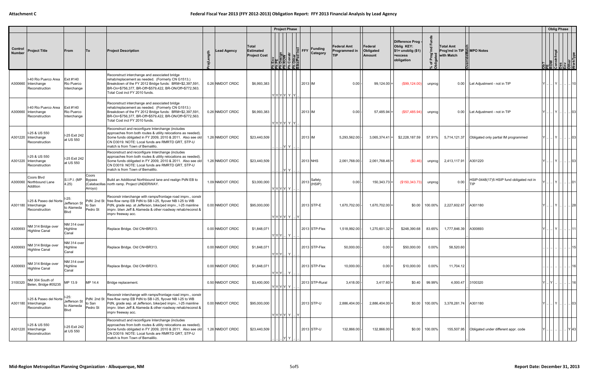|                          |                                                                 |                                                     |                            |                                                                                                                                                                                                                                                                                         |                    |                                                         | <b>Project Phase</b>                                                  |                   |                     |                                                   |                                       |                                                                                  |                           |                                                     |                                                        |                                                                  | <b>Oblig Phase</b>                  |            |    |
|--------------------------|-----------------------------------------------------------------|-----------------------------------------------------|----------------------------|-----------------------------------------------------------------------------------------------------------------------------------------------------------------------------------------------------------------------------------------------------------------------------------------|--------------------|---------------------------------------------------------|-----------------------------------------------------------------------|-------------------|---------------------|---------------------------------------------------|---------------------------------------|----------------------------------------------------------------------------------|---------------------------|-----------------------------------------------------|--------------------------------------------------------|------------------------------------------------------------------|-------------------------------------|------------|----|
| Control<br><b>Number</b> | <b>Project Title</b>                                            | From                                                | To                         | <b>Project Description</b>                                                                                                                                                                                                                                                              | <b>Lead Agency</b> | <b>Total</b><br><b>Estimated</b><br><b>Project Cost</b> | Env<br>PE Design<br>ROW<br>Constr<br>Cother<br>CelPed Ir<br>월국 국 남국국대 | $\frac{1}{2}$ FFY | Funding<br>Category | <b>Federal Amt</b><br>Programmed in<br><b>TIP</b> | Federal<br>Obligated<br><b>Amount</b> | Difference Prog -<br>Oblig KEY:<br>$$1=$ unoblig $($1)$<br>=excess<br>obligation | Γog<br>ᅕ<br>% of<br>Oblig | Total Amt<br>Prog'md in TIP MPO Notes<br>with Match |                                                        | Ob?<br>PE<br>ROW<br>Constr/Impl<br>Discrit von<br>Other<br>Other |                                     |            |    |
| A300660                  | I-40 Rio Puerco Area<br>Interchange<br>Reconstruction           | Exit #140<br>Rio Puerco<br>Interchange              |                            | Reconstruct interchange and associated bridge<br>rehab/replacement as needed. (Formerly CN G1513.)<br>Breakdown of the FY 2012 Bridge funds: BRM=\$2,397,591,<br>BR-On=\$756,377, BR-Off=\$579,422, BR-ON/Off+\$772,563.<br>Total Cost incl FY 2010 funds.                              | 0.26 NMDOT CRDC    | \$6,993,383                                             | Y Y Y Y  Y  Y                                                         | 2013 IM           |                     | 0.00                                              | $99,124.00 =$                         | (\$99,124.00)                                                                    | unprogl                   |                                                     | 0.00   Let Adjustment - not in TIP                     |                                                                  | . I Y I                             |            |    |
|                          | I-40 Rio Puerco Area<br>A300660   Interchange<br>Reconstruction | Exit #140<br>Rio Puerco<br>Interchange              |                            | Reconstruct interchange and associated bridge<br>rehab/replacement as needed. (Formerly CN G1513.)<br>Breakdown of the FY 2012 Bridge funds: BRM=\$2,397,591,<br>BR-On=\$756,377, BR-Off=\$579,422, BR-ON/Off+\$772,563<br>Total Cost incl FY 2010 funds.                               | 0.26 NMDOT CRDC    | \$6,993,383                                             | Y Y Y Y Y Y                                                           | 2013 IM           |                     | 0.00                                              | $57,485.94$ =                         | (\$57,485.94)                                                                    | unprog                    |                                                     | 0.00   Let Adjustment - not in TIP                     |                                                                  | Y                                   |            |    |
|                          | I-25 & US 550<br>A301220 Interchange<br>Reconstruction          | I-25 Exit 242<br>at US 550                          |                            | Reconstruct and reconfigure Interchange (includes<br>approaches from both routes & utility relocations as needed).<br>Some funds obligated in FY 2009, 2010 & 2011. Also see old<br>CN D3019. NOTE: Local funds are RMRTD GRT, STP-U<br>match is from Town of Bernalillo.               | 1.26 NMDOT CRDC    | \$23,440,509                                            | Y  Y                                                                  | 2013 IM           |                     | 5,293,562.00                                      | $3,065,374.41$ =                      | \$2,228,187.59                                                                   | 57.91%                    |                                                     | 5,714,121.37 Obligated only partial IM programmed      |                                                                  | .I Y I                              | 니       03 |    |
|                          | I-25 & US 550<br>A301220 Interchange<br>Reconstruction          | I-25 Exit 242<br>at US 550                          |                            | Reconstruct and reconfigure Interchange (includes<br>approaches from both routes & utility relocations as needed).<br>Some funds obligated in FY 2009, 2010 & 2011. Also see old<br>CN D3019. NOTE: Local funds are RMRTD GRT, STP-U<br>match is from Town of Bernalillo.               | 1.26 NMDOT CRDC    | \$23,440,509                                            | .         Y   Y                                                       |                   | 2013 NHS            | 2,061,768.00                                      | $2,061,768.46$ =                      | (S0.46)                                                                          | unprogl                   | 2,413,117.91                                        | A301220                                                |                                                                  | .IYI                                | . 03       |    |
| A300060                  | Coors Blvd<br>Northbound Lane<br>Addition                       | S.I.P.I. (MP<br>4.25)                               | Coors<br>Bypass<br>Arroyo) | Build an Additional Northbound lane and realign PdN EB to<br>(Calabacillas north ramp. Project UNDERWAY.                                                                                                                                                                                | 1.09 NMDOT CRDC    | \$3,000,000                                             | Y Y Y Y  Y                                                            | 2013              | Safety<br>(HSIP)    | 0.00                                              | $150,343.73 =$                        | (\$150,343.73)                                                                   | unprog                    | 0.00                                                | HSIP-0448(17)5 HSIP fund obligated not in<br>TIP       | YI.                                                              | .I Y I                              | . 01       |    |
|                          | I-25 & Paseo del Norte<br>A301180 Interchange<br>Reconstruction | $-25:$<br>Jefferson St<br>to Alameda<br><b>Blvd</b> | to San<br>Pedro St         | Reconstr interchange with ramps/frontage road imprv., constr<br>PdN: 2nd St free-flow ramp EB PdN to SB I-25, flyover NB I-25 to WB<br>PdN, grade sep. at Jefferson, bike/ped imprv., I-25 mainline<br>imprv. btwn Jeff & Alameda & other roadway rehab/reconst &<br>imprv freeway acc. | 0.00 NMDOT CRDC    | \$95,000,000                                            | Y Y Y Y Y                                                             | IY.               | 2013 STP-E          | 1,670,702.00                                      | $1,670,702.00 =$                      | \$0.00                                                                           | 100.00%                   | 2,227,602.67 A301180                                |                                                        |                                                                  | Y                                   |            |    |
| A300693                  | NM 314 Bridge over<br><b>Highline Canal</b>                     | NM 314 over<br>Highline<br>Canal                    |                            | Replace Bridge. Old CN=BR313.                                                                                                                                                                                                                                                           | 0.00 NMDOT CRDC    | \$1,848,071                                             | $ Y Y Y$ $ Y $ .                                                      |                   | 2013 STP-Flex       | 1,518,992.00                                      | $1,270,601.32$ =                      | \$248,390.68                                                                     | 83.65%                    | 1,777,846.39                                        | A300693                                                | YI.                                                              | Y         11                        |            |    |
| A300693                  | NM 314 Bridge over<br><b>Highline Canal</b>                     | NM 314 over<br>Highline<br>Canal                    |                            | Replace Bridge. Old CN=BR313.                                                                                                                                                                                                                                                           | 0.00 NMDOT CRDC    | \$1,848,071                                             | $ Y Y Y $ $ Y $                                                       |                   | 2013 STP-Flex       | 50,000.00                                         | $0.00 =$                              | \$50,000.00                                                                      | $0.00\%$                  | 58,520.60                                           |                                                        |                                                                  |                                     |            | 15 |
| A300693                  | NM 314 Bridge over<br><b>Highline Canal</b>                     | NM 314 over<br>Highline<br>Canal                    |                            | Replace Bridge. Old CN=BR313.                                                                                                                                                                                                                                                           | 0.00 NMDOT CRDC    | \$1,848,071                                             | $ Y Y Y $ $ Y $                                                       |                   | 2013 STP-Flex       | 10,000.00                                         | 0.00                                  | \$10,000.00                                                                      | $0.00\%$                  | 11,704.12                                           |                                                        |                                                                  |                                     |            |    |
| 3100320                  | NM 304 South of<br>Belen, Bridge #05235                         | MP 13.9                                             | MP 14.4                    | Bridge replacement.                                                                                                                                                                                                                                                                     | 0.50 NMDOT CRDC    | \$3,400,000                                             | Y Y Y Y Y                                                             |                   | 2013 STP-Rural      | 3,418.00                                          | $3,417.60 =$                          | \$0.40                                                                           | 99.99%                    | 4.000.47 3100320                                    |                                                        | YLJYL                                                            |                                     | .   16     |    |
|                          | I-25 & Paseo del Norte<br>A301180 Interchange<br>Reconstruction | $-25:$<br>Jefferson St<br>to Alameda<br><b>Blvd</b> | to San<br>Pedro St         | Reconstr interchange with ramps/frontage road imprv., constr<br>PdN: 2nd St free-flow ramp EB PdN to SB I-25, flyover NB I-25 to WB<br>PdN, grade sep. at Jefferson, bike/ped imprv., I-25 mainline<br>imprv. btwn Jeff & Alameda & other roadway rehab/reconst &<br>imprv freeway acc. | 0.00 NMDOT CRDC    | \$95,000,000                                            | $ Y Y Y Y Y $ $ Y $                                                   |                   | 2013 STP-U          | 2,886,404.00 -                                    | $2,886,404.00$ =                      | \$0.00                                                                           | 100.00%                   | 3,378,281.74 A301180                                |                                                        |                                                                  | Y       03                          |            |    |
|                          | I-25 & US 550<br>A301220 Interchange<br>Reconstruction          | I-25 Exit 242<br>at US 550                          |                            | Reconstruct and reconfigure Interchange (includes<br>approaches from both routes & utility relocations as needed).<br>Some funds obligated in FY 2009, 2010 & 2011. Also see old<br>CN D3019. NOTE: Local funds are RMRTD GRT, STP-U<br>match is from Town of Bernalillo.               | 1.26 NMDOT CRDC    | \$23,440,509                                            |                                                                       |                   | 2013 STP-U          | 132,866.00                                        | $132,866.00 =$                        |                                                                                  | \$0.00 100.00%            |                                                     | 155,507.95 <b>Obligated under different appr. code</b> |                                                                  | $\ldots$ $  \ldots   \ldots  $ Y 43 |            |    |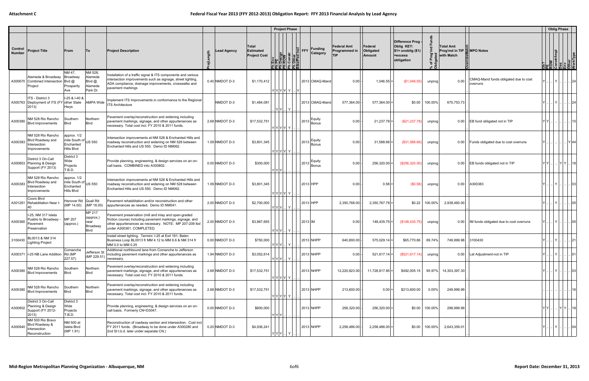|                          |                                                                         |                                                                  |                                                        |                                                                                                                                                                                                            |                  |                                                  |                                                                                             | <b>Project Phase</b> |                                                        |                                            |                                |                                                                                  |                              |                                                                     |                                                   |                                                                  | <b>Oblig Phase</b> |               |
|--------------------------|-------------------------------------------------------------------------|------------------------------------------------------------------|--------------------------------------------------------|------------------------------------------------------------------------------------------------------------------------------------------------------------------------------------------------------------|------------------|--------------------------------------------------|---------------------------------------------------------------------------------------------|----------------------|--------------------------------------------------------|--------------------------------------------|--------------------------------|----------------------------------------------------------------------------------|------------------------------|---------------------------------------------------------------------|---------------------------------------------------|------------------------------------------------------------------|--------------------|---------------|
| Control<br><b>Number</b> | <b>Project Title</b>                                                    | From                                                             | $\mathsf{T}\circ$                                      | <b>Project Description</b>                                                                                                                                                                                 | Lead Agency      | Total<br><b>Estimated</b><br><b>Project Cost</b> | Env<br><b>PENV</b><br><b>ROW</b><br>Constr<br>Other<br>Other<br>Construe Ped In<br>립크 로 들리로 |                      | <b>Funding</b><br>$\frac{1}{2}$ FFY<br><b>Category</b> | Federal Amt<br>Programmed in<br><b>TIP</b> | Federal<br>Obligated<br>Amount | Difference Prog<br>Oblig KEY:<br>$\$1=$ unoblig $(\$1)$<br>=excess<br>obligation | ৳<br>$\breve{\mathbf{s}}$ as | <b>Total Amt</b><br>Prog'md in TIP <b>E</b> MPO Notes<br>with Match |                                                   | <b>nstr/Impl</b><br><b>BERG SEE 55</b>                           |                    |               |
|                          | Alameda & Broadway<br>A300670 Combined Intersection Bvd @<br>Project    | NM 47.<br>Broadway<br>Prosperity<br>Ave                          | NM 528,<br>Alameda<br>Blvd @<br>Alameda<br>Park Dr.    | Installation of a traffic signal & ITS components and various<br>intersection improvements such as signage, street lighting,<br>ADA compliance, drainage improvements, crosswalks and<br>pavement markings | 0.40 NMDOT D-3   | \$1,170,412                                      | Y Y Y Y Y                                                                                   | IYI.                 | 2013 CMAQ-Mand                                         | 0.00                                       | $1,046.55$ =                   | (\$1,046.55)                                                                     | unprog                       | 0.00                                                                | CMAQ-Mand funds obligated due to cost<br>overruns | IYI.                                                             |                    | .      .   24 |
|                          | ITS - District 3<br>A300763 Deployment of ITS (FY other State<br>2013)  | -25 & I-40 &<br>Hwys                                             | AMPA Wide                                              | Implement ITS Improvements in conformance to the Regional<br><b>ITS Architecture</b>                                                                                                                       | NMDOT D-3        | \$1,484,081                                      | .  Y  Y      Y                                                                              |                      | 2013 CMAQ-Mand                                         | 577,364.00                                 | $577,364.00 =$                 | \$0.00                                                                           | 100.00%                      | 675,753.73                                                          |                                                   | .I Y I<br>YI                                                     |                    | 24            |
| A300380                  | <b>JM 528 Rio Rancho</b><br><b>Blvd Improvements</b>                    | Southern<br>Blvd                                                 | Northern<br><b>Blvd</b>                                | Pavement overlay/reconstruction and widening including<br>pavement markings, signage, and other appurtenances as<br>necessary. Total cost incl. FY 2010 & 2011 funds.                                      | 2.68 NMDOT D-3   | \$17,532,751                                     | Y Y Y Y Y                                                                                   |                      | 2013 Equity<br>Bonus                                   | 0.00                                       | $21,237.78 =$                  | (\$21,237.78)                                                                    | unprog                       |                                                                     | 0.00 EB fund obligated not in TIP                 | YYI.                                                             |                    | 15            |
| A300383                  | NM 528 Rio Rancho<br>Blvd Roadway and<br>ntersection<br>Improvements    | approx. 1/2<br>mile South of $US 550$<br>Enchanted<br>Hills Blvd |                                                        | Intersection improvements at NM 528 & Enchanted Hills and<br>roadway reconstruction and widening on NM 528 between<br>Enchanted Hills and US 550. Demo ID NM062.                                           | $1.09$ NMDOT D-3 | \$3,801,345                                      | Y Y Y Y Y                                                                                   |                      | Equity<br>Bonus<br>2013                                | 0.00                                       | $31,588.66$ =                  | (\$31,588.66)                                                                    | unprog                       |                                                                     | 0.00 Funds obligated due to cost overruns         |                                                                  |                    | . IY 44       |
|                          | District 3 On-Call<br>A300803 Planning & Design<br>Support (FY 2013)    | District 3<br>Nide<br>Projects<br>T.B.D.                         |                                                        | Provide planning, engineering, & design services on an on-<br>call basis. COMBINED into A300802                                                                                                            | $0.00$ NMDOT D-3 | \$300,000                                        | $Y Y Y$                                                                                     |                      | $2013$ Equity<br>Bonus                                 | 0.00                                       | $256,320.00$ =                 | (\$256,320.00                                                                    | unprog                       |                                                                     | 0.00 EB funds obligated not in TIP                | YY                                                               |                    | Y Y  18       |
| A300383                  | NM 528 Rio Rancho<br>Blvd Roadway and<br>าtersection<br>Improvements    | approx. 1/2<br>mile South of $US 550$<br>Enchanted<br>Hills Blvd |                                                        | Intersection improvements at NM 528 & Enchanted Hills and<br>roadway reconstruction and widening on NM 528 between<br>Enchanted Hills and US 550. Demo ID NM062                                            | 1.09 NMDOT D-3   | \$3,801,345                                      | Y Y Y Y Y                                                                                   |                      | 2013 HPP                                               | 0.00                                       | 0.58                           | (\$0.58)                                                                         | unprog                       |                                                                     | 0.00 A300383                                      | .I Y I.                                                          |                    | . 03          |
| A301261                  | Coors Blvd<br>Rehabilitation Near I                                     | Hanover Rd   Quail Rd<br>(MP 14.00)                              | (MP 16.00)                                             | Pavement rehabilitation and/or reconstruction and other<br>appurtenances as needed. Demo ID NM041.                                                                                                         | $2.00$ NMDOT D-3 | \$2,700,000                                      | $Y Y Y$ $Y$                                                                                 |                      | 2013 HPP                                               | 2,350,768.00                               | $2,350,767.78 =$               | \$0.22                                                                           | 100.00%                      | 2,938,460.00                                                        |                                                   | .IYI<br>YI.                                                      |                    | 105           |
| A300360                  | I-25, NM 317 Isleta<br>Pueblo to Broadway -<br>Pavement<br>Preservation | MP 207<br>(approx.)                                              | MP 217<br>(approx.)<br>near<br>Broadway<br><b>Blvd</b> | Pavement preservation (mill and inlay and open-graded<br>friction course) including pavement markings, signage, and<br>other appurtenances as necessary. NOTE: MP 207-209 tbd<br>under A300361. COMPLETED. | 2.00 NMDOT D-3   | \$3,967,655                                      | Y Y Y  Y                                                                                    |                      | 2013 IM                                                | 0.00                                       | $148,435.75$ =                 | (\$148,435.75)                                                                   | unprog                       |                                                                     | 0.00     IM funds obligated due to cost overruns  | . I Y I.                                                         |                    | .         05  |
|                          | 3100430 BL0013 & NM 314                                                 |                                                                  |                                                        | Install street lighting. Termini: I-25 at Exit 191- Belen<br>Business Loop BL0013 fr MM 4.12 to MM 6.6 & NM 314 fr<br>MM 0.0 to MM 0.25                                                                    | $0.00$ NMDOT D-3 | \$750,000                                        | $ {\mathsf Y} {\mathsf Y} {\mathsf Y} $ $ {\mathsf Y} $                                     |                      | 2013 NHPP                                              | 640,800.00                                 | $575,029.14$ =                 | \$65,770.86                                                                      | 89.74%                       | 749,999.98 3100430                                                  |                                                   | $\mathsf{v}$<br>YI                                               |                    |               |
|                          | A300371   I-25 NB Lane Addition                                         | Comanche<br>Rd (MP<br>227.57)                                    | Jefferson St<br>(MP 229.51)                            | Additional northbound lane from Comanche to Jefferson<br>including pavement markings and other appurtenances as<br>necessary.                                                                              | $1.94$ NMDOT D-3 | \$3,052,614                                      | $ Y Y Y $ $ Y $                                                                             |                      | 2013 NHPP                                              | 0.00                                       | $521,617.14$ =                 | (\$521,617.14)                                                                   | unprog                       |                                                                     | 0.00   Let Adjustment-not in TIP                  | $ \mathsf{Y} $ $ \,.\, $ $\mathsf{Y}$ $ \,.\, $ $ \,.\, $ 01 $ $ |                    |               |
| A300380                  | NM 528 Rio Rancho<br><b>Blvd Improvements</b>                           | Southern<br>Blvd                                                 | Northern<br><b>Blvd</b>                                | Pavement overlay/reconstruction and widening including<br>pavement markings, signage, and other appurtenances as<br>necessary. Total cost incl. FY 2010 & 2011 funds.                                      | 2.68 NMDOT D-3   | \$17,532,751                                     | Y Y Y Y Y                                                                                   |                      | 2013 NHPP                                              | 12,220,823.00                              | $11,728,817.85$ =              | \$492,005.15                                                                     | 95.97%                       | 14,303,397.30                                                       |                                                   | Y    Y        03                                                 |                    |               |
| A300380                  | NM 528 Rio Rancho<br><b>Blvd Improvements</b>                           | Southern<br>Blvd                                                 | Northern<br><b>Blvd</b>                                | Pavement overlay/reconstruction and widening including<br>pavement markings, signage, and other appurtenances as<br>necessary. Total cost incl. FY 2010 & 2011 funds.                                      | 2.68 NMDOT D-3   | \$17,532,751                                     | Y Y Y Y Y                                                                                   |                      | 2013 NHPP                                              | 213,600.00                                 | $0.00 =$                       | \$213,600.00                                                                     | $0.00\%$                     | 249,999.99                                                          |                                                   |                                                                  |                    | 16            |
| A300802                  | District 3 On-Call<br>Planning & Design<br>Support (FY 2012-<br>2013)   | District 3<br>Wide<br>Projects<br>T.B.D.                         |                                                        | Provide planning, engineering, & design services on an on-<br>call basis. Formerly CN=D3047.                                                                                                               | $0.00$ NMDOT D-3 | \$600,000                                        | $ Y Y Y $                                                                                   |                      | 2013 NHPP                                              | 256,320.00                                 | $256,320.00$ =                 |                                                                                  | \$0.00 100.00%               | 299,999.99                                                          |                                                   | $ Y Y$                                                           |                    | Y Y  18       |
| A300940                  | NM 500 Rio Bravo<br>Blvd Roadway &<br>Intersection<br>Reconstruction    | NM 500 at<br>Isleta Blvd<br>(MP 1.91)                            |                                                        | Reconstruction of roadway section and intersection. Cost incl<br>FY 2011 funds. (Broadway to be done under A300280 and<br>2nd St t.b.d. later under separate CN.)                                          | $0.20$ NMDOT D-3 | \$4,936,241                                      | $ Y Y Y $ $ Y $                                                                             |                      | 2013 NHPP                                              | 2,258,486.00 -                             | $2,258,486.00$ =               |                                                                                  | \$0.00 100.00%               | 2,643,359.01                                                        |                                                   | $ Y $ $  \cdot  Y $ $  \cdot  $ $  04$                           |                    |               |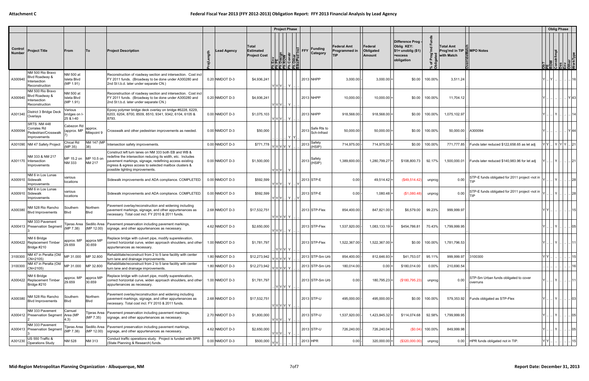|                          |                                                                            |                                       |                                    |                                                                                                                                                                                                                                                                            |                  |                                                  |                   | <b>Project Phase</b>                                                                          |                   |           |                            |                                            |                                |                                                                                       |                    |                                                              |                                                       | <b>Oblig Phase</b>                                                            |      |
|--------------------------|----------------------------------------------------------------------------|---------------------------------------|------------------------------------|----------------------------------------------------------------------------------------------------------------------------------------------------------------------------------------------------------------------------------------------------------------------------|------------------|--------------------------------------------------|-------------------|-----------------------------------------------------------------------------------------------|-------------------|-----------|----------------------------|--------------------------------------------|--------------------------------|---------------------------------------------------------------------------------------|--------------------|--------------------------------------------------------------|-------------------------------------------------------|-------------------------------------------------------------------------------|------|
| Control<br><b>Number</b> | <b>Project Title</b>                                                       | From                                  | <b>To</b>                          | <b>Project Description</b>                                                                                                                                                                                                                                                 | Lead Agency      | Total<br><b>Estimated</b><br><b>Project Cost</b> |                   | Env<br><b>PE</b><br><b>ROW</b><br>Constr<br>Cother<br>Cother<br>Cother<br><u>iaa a aaaaa </u> | $\frac{1}{2}$ FFY |           | <b>Funding</b><br>Category | Federal Amt<br>Programmed in<br><b>TIP</b> | Federal<br>Obligated<br>Amount | <b>Difference Prog</b><br>Oblig KEY:<br>$$1=$ unoblig $($1)$<br>=excess<br>obligation | . ਨ                | Total Amt<br>Prog'md in TIP <b>E</b> MPO Notes<br>with Match |                                                       | <b>Ob?</b><br>ROW<br>Constr/Impl<br>Constry<br>Dis<br>Other<br>Other<br>Other |      |
| A300940                  | NM 500 Rio Bravo<br>Blvd Roadway &<br>Intersection<br>Reconstruction       | NM 500 at<br>Isleta Blvd<br>(MP 1.91) |                                    | Reconstruction of roadway section and intersection. Cost incl<br>FY 2011 funds. (Broadway to be done under A300280 and<br>2nd St t.b.d. later under separate CN.)                                                                                                          | 0.20 NMDOT D-3   | \$4,936,241                                      | $ Y Y Y$          |                                                                                               |                   | 2013 NHPP |                            | 3,000.00                                   | $3,000.00$ =                   | \$0.00                                                                                | 100.00%            | 3,511.24                                                     |                                                       |                                                                               | 16   |
| A300940                  | NM 500 Rio Bravo<br>Blvd Roadway &<br>ntersection<br>Reconstruction        | NM 500 at<br>Isleta Blvd<br>(MP 1.91) |                                    | Reconstruction of roadway section and intersection. Cost incl<br>FY 2011 funds. (Broadway to be done under A300280 and<br>2nd St t.b.d. later under separate CN.)                                                                                                          | 0.20 NMDOT D-3   | \$4,936,241                                      | $ Y Y Y $         |                                                                                               |                   | 2013 NHPP |                            | 10,000.00                                  | $10,000.00$ =                  | \$0.00                                                                                | 100.00%            | 11,704.12                                                    |                                                       |                                                                               | YI43 |
| A301340                  | District 3 Bridge Deck<br>Overlays                                         | Various<br>bridges on I<br>25 & I-40  |                                    | Epoxy polymer bridge deck overlay on bridge #6228, 6229,<br>6203, 6204, 8700, 8509, 8510, 9341, 9342, 6104, 6105 &<br>8793.                                                                                                                                                | $0.00$ NMDOT D-3 | \$1,075,103                                      | Y Y Y Y           |                                                                                               |                   | 2013 NHPP |                            | 918,568.00                                 | $918,568.00$ =                 | \$0.00                                                                                | 100.00%            | 1,075,102.97                                                 |                                                       | Y                                                                             | 14   |
| A300094                  | <b>SRTS: NM 448</b><br>Corrales Rd<br>Pedestrian/Crosswalk<br>Improvements | Cabezon Rd<br>approx. MP              | approx.<br>Milepoint 9             | Crosswalk and other pedestrian improvements as needed.                                                                                                                                                                                                                     | $0.00$ NMDOT D-3 | \$50,000                                         |                   | YY                                                                                            | 2013              |           | Safe Rts to<br>Sch-Infrast | 50,000.00                                  | $50,000.00$ =                  | \$0.00                                                                                | 100.00%            | 50,000.00 A300094                                            |                                                       |                                                                               |      |
|                          | A301090   NM 47 Safety Project                                             | Chical Rd<br>(MP 35)                  | NM 147 (MP<br>38)                  | Intersection safety improvements.                                                                                                                                                                                                                                          | $0.00$ NMDOT D-3 | \$771,778                                        | YYYYY Y           |                                                                                               | 2013              |           | Safety<br>(HSIP)           | 714,975.00                                 | $714,975.00$ =                 | \$0.00                                                                                | 100.00%            | 771,777.85                                                   | Funds later reduced \$122,658.65 as let adj           | Y   Y  Y  Y   21                                                              |      |
|                          | NM 333 & NM 217<br>A301170   Intersection<br>Improvements                  | MP 15.2 on<br>NM 333                  | MP 10.5 on<br><b>NM 217</b>        | Construct left turn lanes on NM 333 both EB and WB &<br>redefine the intersection reducing its width, etc. Includes<br>pavement markings, signage, redefining access existing<br>ingress & egress access to selected mailbox clusters &<br>possible lighting improvements. | $0.00$ NMDOT D-3 | \$1,500,000                                      | $ Y Y Y $         |                                                                                               | 2013              |           | Safety<br>(HSIP)           | 1,389,600.00                               | 1,280,799.27                   | \$108,800.73                                                                          | 92.17%             | 1,500,000.01                                                 | Funds later reduced \$140,983.96 for let adj          | $\ Y\ _{\omega}\ _{\omega}$                                                   | .121 |
|                          | NM 6 in Los Lunas<br>A300910 Sidewalk<br>Improvements                      | various<br>locations                  |                                    | Sidewalk improvements and ADA compliance. COMPLETED.                                                                                                                                                                                                                       | $0.00$ NMDOT D-3 | \$592,599                                        | $ Y Y Y $ $ Y $   |                                                                                               |                   |           | 2013 STP-E                 | 0.00                                       | $49,514.42$ =                  | (\$49,514.42)                                                                         | unprog             | 0.00                                                         | STP-E funds obligated for 2011 project -not in<br>TIP |                                                                               |      |
|                          | NM 6 in Los Lunas<br>A300910 Sidewalk<br>Improvements                      | various<br>locations                  |                                    | Sidewalk improvements and ADA compliance. COMPLETED.                                                                                                                                                                                                                       | $0.00$ NMDOT D-3 | \$592,599                                        | $Y Y Y $ $Y $     |                                                                                               |                   |           | 2013 STP-E                 | 0.00                                       | 1,080.48                       | (S1,080.48)                                                                           | unprogl            | 0.00                                                         | STP-E funds obligated for 2011 project -not in<br>TIP |                                                                               | 28   |
| A300380                  | NM 528 Rio Rancho<br><b>Blvd Improvements</b>                              | Southern<br>Blvd                      | Northern<br><b>B</b> lvd           | Pavement overlay/reconstruction and widening including<br>pavement markings, signage, and other appurtenances as<br>necessary. Total cost incl. FY 2010 & 2011 funds.                                                                                                      | 2.68 NMDOT D-3   | \$17,532,751                                     | YYYYY             |                                                                                               |                   |           | 2013 STP-Flex              | 854,400.00                                 | 847,821.00 =                   | \$6,579.00                                                                            | 99.23%             | 999,999.97                                                   |                                                       |                                                                               | 15   |
|                          | NM 333 Pavement<br>A300413 Preservation Segment                            | ijeras Area<br>(MP 7.38)              | Sedillo Area<br>(MP 12.00)         | Pavement preservation including pavement markings,<br>signage, and other appurtenances as necessary.                                                                                                                                                                       | 4.62 NMDOT D-3   | \$2,650,000                                      | $Y[Y Y]$ $Y$      |                                                                                               |                   |           | 2013 STP-Flex              | 1,537,920.00                               | $1,083,133.19$ =               | \$454,786.81                                                                          | 70.43%             | 1,799,999.95                                                 |                                                       | $ Y $                                                                         | . 05 |
|                          | NM 6 Bridge<br>A300422   Replacement Timber<br>Bridge #210                 | 29.659                                | approx. $MP$ approx $MP$<br>30.659 | Replace bridge with culvert pipe, modify superelevation,<br>correct horizontal curve, widen approach shoulders, and other<br>appurtenances as necessary.                                                                                                                   | 1.00 NMDOT D-3   | \$1,781,797                                      | . Y Y Y Y         |                                                                                               |                   |           | 2013 STP-Flex              | 1,522,367.00 -                             | $1,522,367.00$ =               |                                                                                       |                    | $$0.00$   100.00%   1,781,796.53                             |                                                       | Y    Y       11                                                               |      |
| 3100300                  | NM 47 in Peralta (Old<br>CN=2105)                                          | MP 31.000                             | MP 32.800                          | Rehabilitate/reconstruct from 2 to 5 lane facility with center<br>turn lane and drainage improvements.                                                                                                                                                                     | 1.80 NMDOT D-3   | \$12,273,942                                     | Y Y Y Y  Y        |                                                                                               |                   |           | 2013 STP-Sm Urb            | 854,400.00                                 | $812,646.93$ =                 | \$41,753.07                                                                           | 95.11%             | 999,999.97                                                   | 3100300                                               |                                                                               | 15   |
| 3100300                  | NM 47 in Peralta (Old<br>CN=2105)                                          | MP 31.000                             | MP 32.800                          | Rehabilitate/reconstruct from 2 to 5 lane facility with center<br>turn lane and drainage improvements.                                                                                                                                                                     | 1.80 NMDOT D-3   | \$12,273,942                                     | Y Y Y Y           |                                                                                               |                   |           | 2013 STP-Sm Urb            | 180,014.00                                 | $0.00$ =                       | \$180,014.00                                                                          | $0.00\%$           | 210,690.54                                                   |                                                       |                                                                               | 16   |
|                          | NM 6 Bridge<br>A300422 Replacement Timber<br>Bridge #210                   | approx. MP<br>29.659                  | approx MP<br>30.659                | Replace bridge with culvert pipe, modify superelevation,<br>correct horizontal curve, widen approach shoulders, and other<br>appurtenances as necessary.                                                                                                                   | 1.00 NMDOT D-3   | \$1,781,797                                      | . YYYY Y          |                                                                                               |                   |           | 2013 STP-Sm Urb            | 0.00                                       | $180,795.23$ =                 | (\$180, 795.23)                                                                       | unprog             | 0.00                                                         | STP-Sm Urban funds obligated to cover<br>overruns     | .  Y       11'                                                                |      |
| A300380                  | NM 528 Rio Rancho<br><b>Blvd Improvements</b>                              | Southern<br><b>Blvd</b>               | Northern<br><b>Blvd</b>            | Pavement overlay/reconstruction and widening including<br>pavement markings, signage, and other appurtenances as<br>necessary. Total cost incl. FY 2010 & 2011 funds.                                                                                                      | 2.68 NMDOT D-3   | \$17,532,751                                     | Y Y Y Y Y         |                                                                                               |                   |           | 2013 STP-U                 | 495,000.00                                 | $495,000.00$ =                 | \$0.00                                                                                | 100.00%            |                                                              | 579,353.92 Funds obligated as STP-Flex                | $  \mathbf{Y}  _{\alpha}$                                                     | . 03 |
|                          | NM 333 Pavement<br>A300412 Preservation Segment                            | Carnuel<br>Area (MP<br>4.3)           | ïjeras Area<br>(MP 7.35)           | Pavement preservation including pavement markings,<br>signage, and other appurtenances as necessary.                                                                                                                                                                       | 2.70 NMDOT D-3   | \$1,800,000                                      | $ Y Y Y $   $Y$   |                                                                                               |                   |           | 2013 STP-U                 | 1,537,920.00                               | $1,423,845.32 =$               | \$114,074.68                                                                          | 92.58%             | 1,799,999.95                                                 |                                                       | Y   05                                                                        |      |
|                          | NM 333 Pavement<br>A300413 Preservation Segment                            | Tijeras Area<br>(MP 7.38)             | Sedillo Area<br>(MP 12.00)         | Pavement preservation including pavement markings,<br>signage, and other appurtenances as necessary.                                                                                                                                                                       | 4.62 NMDOT D-3   | \$2,650,000                                      | $ Y Y Y $   $ Y $ |                                                                                               |                   |           | 2013 STP-U                 | 726,240.00                                 | $726,240.04$ =                 |                                                                                       | $(\$0.04)$ 100.00% | 849,999.98                                                   |                                                       | .  Y                                                                          | .05  |
| A301230                  | US 550 Traffic &<br><b>Operations Study</b>                                | NM 528                                | NM 313                             | Conduct traffic operations study. Project is funded with SPR<br>(State Planning & Research) funds.                                                                                                                                                                         | 0.00 NMDOT D-3   | \$500,000                                        | IYIYI             |                                                                                               |                   | 2013 HPR  |                            | 0.00                                       | $320,000.00$ =                 | (\$320,000.00)                                                                        | unprog             |                                                              | 0.00 HPR funds obligated not in TIP.                  |                                                                               | 15   |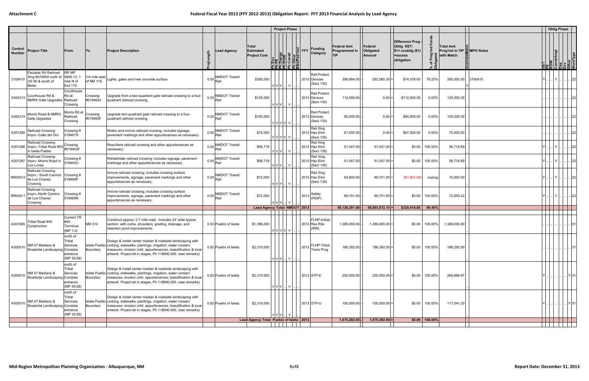|                          |                                                                                  |                                                                                 |                            |                                                                                                                                                                                                                                                                         |                    |                                     |                                                         | <b>Project Phase</b>                                                                                                                               |                                                   |                                       |                                                                                |                   |                                                            |         | <b>Oblig Phase</b>                                                       |      |
|--------------------------|----------------------------------------------------------------------------------|---------------------------------------------------------------------------------|----------------------------|-------------------------------------------------------------------------------------------------------------------------------------------------------------------------------------------------------------------------------------------------------------------------|--------------------|-------------------------------------|---------------------------------------------------------|----------------------------------------------------------------------------------------------------------------------------------------------------|---------------------------------------------------|---------------------------------------|--------------------------------------------------------------------------------|-------------------|------------------------------------------------------------|---------|--------------------------------------------------------------------------|------|
| Control<br><b>Number</b> | <b>Project Title</b>                                                             | From                                                                            | <b>To</b>                  | <b>Project Description</b>                                                                                                                                                                                                                                              | $\frac{2}{5}$<br>호 | <b>Lead Agency</b>                  | <b>Total</b><br><b>Estimated</b><br><b>Project Cost</b> | <b>Funding</b><br><b>ENEW PERIOD STATES AND REAL PROPERTY FOR SAFEKEEPING PROPERTY FRAMEWORK PROPERTY FRAMEWORK PROPERTY FRAMEWORK</b><br>Category | <b>Federal Amt</b><br>Programmed in<br><b>TIP</b> | Federal<br>Obligated<br><b>Amount</b> | Difference Prog<br>Oblig KEY:<br>$$1=$ unoblig $($1)$<br>=excess<br>obligation | Ā<br>৳<br>۱ŏ      | Total Amt<br>Prog'md in TIP <b>MPO</b> Notes<br>with Match |         | <b>Ob?</b><br>REW<br>Constr/Impl<br>Constripe<br>Chier<br>Other<br>Other |      |
| 3100410                  | Paizalas Rd Railroad<br>Xing #019504 north of<br>US 60 & south of<br>Belen       | <b>RR MP</b><br>0948.12;<br>mile N of<br><b>Exit 175</b>                        | 1/4 mile east<br>of NM 116 | Lights, gates and new concrete surface.                                                                                                                                                                                                                                 | 0.00               | <b>NMDOT Transit</b><br>Rail        | \$385,000                                               | <b>Rail Protect</b><br>2013 Devices<br>(Sect 130)<br>Y Y Y   Y  .                                                                                  | 356,664.00                                        | 282,585.35                            | \$74,078.65                                                                    | 79.23%            | 385,000.00                                                 | 3100410 | IYI.                                                                     | . 22 |
| A300313                  | Courthouse Rd &<br><b>NMRX Gate Upgrades</b>                                     | Courthouse<br>Rd at<br>Railroad<br>Crossing                                     | Crossing<br>#0194624       | Upgrade from a two-quadrant gate railroad crossing to a four-<br>quadrant railroad crossing.                                                                                                                                                                            | 0.00               | <b>NMDOT Transit</b><br>Rail        | \$125,000                                               | Rail Protect<br>2013 Devices<br>(Sect 130)<br>$ Y Y Y $ $ Y $                                                                                      | 112,500.00                                        | $0.00 =$                              | \$112,500.00                                                                   | 0.00%             | 125,000.00                                                 |         |                                                                          | 22   |
| A300314                  | Morris Road & NMRX<br>Gate Upgrades                                              | Morris Rd at<br>Railroad<br>Crossing                                            | Crossing<br>#019463F       | Upgrade two-quadrant gate railroad crossing to a four-<br>quadrant railroad crossing.                                                                                                                                                                                   |                    | <b>NMDOT Transit</b><br>$0.00$ Rail | \$100,000                                               | Rail Protect.<br>2013 Devices<br>(Sect 130)<br>Y Y Y Y Y .                                                                                         | 90,000.00                                         | $0.00 =$                              | \$90,000.00                                                                    | $0.00\%$          | 100,000.00                                                 |         |                                                                          |      |
| A301280                  | Railroad Crossing<br>Imprv.-Calle del Oro                                        | Crossing #<br>019467H                                                           |                            | Widen and imrove railroad crossing; includes signage,<br>pavement markings and other appurtenances as necessary.                                                                                                                                                        | 0.00               | <b>NMDOT Transit</b><br>Rail        | \$75,000                                                | Rail Xing<br>2013 Haz Elim<br>(Sect 130)<br>$Y Y Y Y Y$                                                                                            | 67,500.00                                         | $0.00 =$                              | \$67,500.00                                                                    | $0.00\%$          | 75,000.00                                                  |         |                                                                          | 22   |
|                          | <b>Railroad Crossing</b><br>A301286   Imprv.-Tribal Road #53<br>in Isleta Pueblo | Crossing<br>#019463F                                                            |                            | Resurface railroad crossing and other appurtenances as<br>necessary.                                                                                                                                                                                                    | 0.00               | <b>NMDOT Transit</b><br>Rail        | \$56,719                                                | Rail Xing<br>2013 Haz Elim<br>(Sect 130)                                                                                                           | 51,047.00                                         | $51,047.00$ =                         | \$0.00                                                                         | 100.00%           | 56,718.89                                                  |         | $\vert$ Y $\vert$                                                        | 22   |
|                          | Railroad Crossing<br>A301287   Imprv.-Morris Road in<br>Los Lunas                | Crossing #<br>019443U                                                           |                            | Rehabilitate railroad crossing; includes signage, pavement<br>markings and other appurtenances as necessary.                                                                                                                                                            |                    | <b>NMDOT Transit</b><br>$0.00$ Rail | \$56,719                                                | Rail Xing<br>2013 Haz Elim<br>(Sect 130)<br>Y Y Y   Y                                                                                              | 51,047.00                                         | $51,047.00$ =                         | \$0.00                                                                         | 100.00%           | 56,718.89                                                  |         | Y                                                                        | 22   |
| RR00012                  | Railroad Crossing<br>Imprv.- South Camino<br>de Los Chavez<br>Crossing           | Crossing #<br>019469P                                                           |                            | Imrove railroad crossing; includes crossing surface<br>improvements, signage, pavement markings and other<br>appurtenances as necessary.                                                                                                                                | 0.00               | <b>NMDOT Transit</b><br>Rail        | \$72,000                                                | Rail Xing<br>2013 Haz Elim<br>(Sect 130)<br>Y Y Y   Y                                                                                              | 64,800.00                                         | $66,701.00$ =                         | (\$1,901.00)                                                                   | unprogl           | 72,000.00                                                  |         | Y                                                                        | 22   |
| RR00011                  | Railroad Crossing<br>Imprv.-North Camino<br>de Los Chavez<br>Crossing            | Crossing #<br>019469N                                                           |                            | Imrove railroad crossing; includes crossing surface<br>improvements, signage, pavement markings and other<br>appurtenances as necessary.                                                                                                                                |                    | <b>NMDOT Transit</b><br>$0.00$ Rail | \$72,000                                                | Safety<br>$ 2013 $ <sup>OU</sup> $(HSIP)$<br>$ Y Y Y $ $ Y $                                                                                       | 66,701.00                                         | 66,701.00 =                           | \$0.00                                                                         | 100.00%           | 72,000.22                                                  |         |                                                                          | . 22 |
|                          |                                                                                  |                                                                                 |                            |                                                                                                                                                                                                                                                                         |                    |                                     |                                                         | Lead Agency Total: NMDOT 2013                                                                                                                      | $59,129,391.00$ -                                 | $58,803,972.15$ =                     | \$325,418.85                                                                   | 99.45%            |                                                            |         |                                                                          |      |
| A301085                  | ribal Road #40<br>Construction                                                   | <b>Current TR</b><br>#40<br>Terminus<br>(MP 1.0)                                | NM 314                     | Construct approx. 0.7 mile road. Includes 24' wide typical<br>section, with curbs, shoulders, grading, drainage, and<br>retention pond improvements.                                                                                                                    |                    | 0.00 Pueblo of Isleta               | \$1,389,000                                             | FLHP-Indian<br>2013 Res Rds<br>(IRR)<br>Y Y Y Y Y                                                                                                  | 1,389,000.00                                      | $1,389,000.00 =$                      | \$0.00                                                                         | 100.00%           | 1,389,000.00                                               |         |                                                                          |      |
| A300510                  | NM 47 Medians &<br>Roadside Landscaping Complex                                  | north of<br>Tribal<br>Services<br>entrance<br>(MP 39.59)                        | Boundary                   | Design & install center median & roadside landscaping with<br>Isleta Pueblo curbing, sidewalks, plantings, irrigation, water conserv<br>measures, erosion cntrl, appurtenances, beautification & local<br>artwork. Project let in stages, Ph 1=\$940,000. (see remarks) |                    | 0.92 Pueblo of Isleta               | \$2,315,000                                             | FLHP-Tribal<br>$ 2013 $ Trans Prog<br>$ Y Y Y $ $ Y $                                                                                              | 186,292.00                                        | $186,292.00 =$                        | \$0.00                                                                         | 100.00%           | 186,292.00                                                 |         |                                                                          | 31   |
| A300510                  | NM 47 Medians &<br>Roadside Landscaping                                          | north of<br>Tribal<br>Services<br>Complex<br>entrance<br>(MP 39.59)             | Boundary                   | Design & install center median & roadside landscaping with<br>Isleta Pueblo curbing, sidewalks, plantings, irrigation, water conserv<br>measures, erosion cntrl, appurtenances, beautification & local<br>artwork. Project let in stages, Ph 1=\$940,000. (see remarks) |                    | 0.92 Pueblo of Isleta               | \$2,315,000                                             | 2013 STP-E<br>$Y Y Y $ $Y $                                                                                                                        | 200,000.00                                        | $200,000.00$ =                        | \$0.00                                                                         | 100.00%           | 266,666.67                                                 |         | $\  \ldots \  \ldots   Y   31$                                           |      |
| A300510                  | <b>VM 47 Medians &amp;</b><br>Roadside Landscaping                               | north of<br>Tribal<br>Services<br>Complex<br>ntrance <sup>.</sup><br>(MP 39.59) | Boundary                   | Design & install center median & roadside landscaping with<br>Isleta Pueblo curbing, sidewalks, plantings, irrigation, water conserv<br>measures, erosion cntrl, appurtenances, beautification & local<br>artwork. Project let in stages, Ph 1=\$940,000. (see remarks) |                    | 0.92 Pueblo of Isleta               | \$2,315,000                                             | 2013 STP-U<br>$Y Y Y$ $Y$                                                                                                                          | 100,000.00                                        | $100,000.00$ =                        | \$0.00                                                                         | 100.00%           | 117,041.20                                                 |         | Y 31                                                                     |      |
|                          |                                                                                  |                                                                                 |                            |                                                                                                                                                                                                                                                                         |                    |                                     | Lead Agency Total: Pueblo of Isleta   2013              |                                                                                                                                                    | $1,875,292.00$ -                                  | $1,875,292.00 =$                      |                                                                                | $$0.00$   100.00% |                                                            |         |                                                                          |      |
|                          |                                                                                  |                                                                                 |                            |                                                                                                                                                                                                                                                                         |                    |                                     |                                                         |                                                                                                                                                    |                                                   |                                       |                                                                                |                   |                                                            |         |                                                                          |      |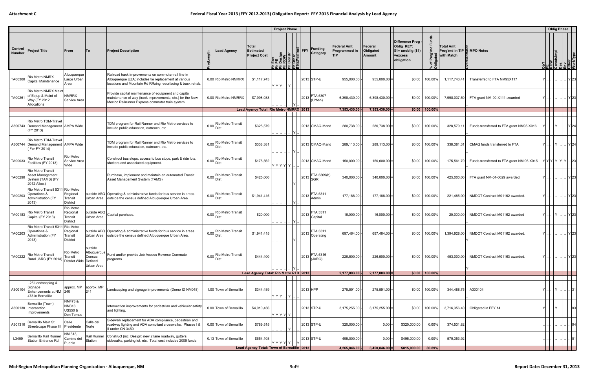|                                 |                                                                                        |                                                     |                                      |                                                                                                                                                                             |                |                                         |                                                         |                                                                | <b>Project Phase</b> |                |                                                             |                                                   |                                |                                                                                  |                        |                                                       |                                             |                                                                             | <b>Oblig Phase</b> |                      |
|---------------------------------|----------------------------------------------------------------------------------------|-----------------------------------------------------|--------------------------------------|-----------------------------------------------------------------------------------------------------------------------------------------------------------------------------|----------------|-----------------------------------------|---------------------------------------------------------|----------------------------------------------------------------|----------------------|----------------|-------------------------------------------------------------|---------------------------------------------------|--------------------------------|----------------------------------------------------------------------------------|------------------------|-------------------------------------------------------|---------------------------------------------|-----------------------------------------------------------------------------|--------------------|----------------------|
| <b>Control</b><br><b>Number</b> | <b>Project Title</b>                                                                   | From                                                | ∣To                                  | <b>Project Description</b>                                                                                                                                                  | gth            | <b>Lead Agency</b>                      | <b>Total</b><br><b>Estimated</b><br><b>Project Cost</b> | Env<br>Pesign<br>ROW<br>Constr<br>Constr<br>Constr<br>리 쾨 리코리로 |                      | $\sqrt{2}$ FFY | <b>Funding</b><br>Category                                  | <b>Federal Amt</b><br>Programmed in<br><b>TIP</b> | Federal<br>Obligated<br>Amount | Difference Prog -<br>Oblig KEY:<br>$$1=$ unoblig $($1)$<br>=excess<br>obligation | ᅌ<br>i ā               | Total Amt<br>Prog'md in TIP & MPO Notes<br>with Match |                                             | <b>Ob?</b><br>PE<br>ROW<br>Constr/Impl<br>Disper<br>Other<br>Other<br>Other |                    |                      |
| TA00300                         | Rio Metro NMRX<br>Capital Maintenance                                                  | Albuquerque<br>arge Urban<br>Area                   |                                      | Railroad track improvements on commuter rail line in<br>Albuquerque UZA; includes tie replacement at various<br>locations and Mountain Rd RRxing resurfacing & track rehab. |                | 0.00 Rio Metro NMRRX                    | \$1,117,743                                             | $Y Y Y$                                                        |                      |                | 2013 STP-U                                                  | 955,000.00                                        | $955,000.00$ =                 | \$0.00                                                                           | 100.00%                | 1,117,743.41                                          | Transferred to FTA NM95X117                 |                                                                             |                    | Y 23                 |
| TA00261                         | Rio Metro NMRX Maint<br>of Eqiup & Maint of<br>Way (FY 2012<br>Allocation)             | <b>NMRRX</b><br>Service Area                        |                                      | Provide capital maintenance of equipment and capital<br>maintenance of way (track improvements, etc.) for the New<br>Mexico Railrunner Express commuter train system.       |                | 0.00 Rio Metro NMRRX                    | \$7,998,038                                             |                                                                |                      | 2013           | FTA 5307<br>(Urban)                                         | 6,398,430.00                                      | $6,398,430.00$ =               | \$0.00                                                                           | 100.00%                |                                                       | 7,998,037.50   FTA grant NM-90-X111 awarded |                                                                             |                    | Y 23                 |
|                                 |                                                                                        |                                                     |                                      |                                                                                                                                                                             |                |                                         | Lead Agency Total: Rio Metro NMRRX 2013                 |                                                                |                      |                |                                                             | 7,353,430.00                                      | $7,353,430.00$ =               |                                                                                  | $$0.00 \, \, 100.00\%$ |                                                       |                                             |                                                                             |                    |                      |
|                                 | Rio Metro TDM-Travel<br>A300743 Demand Management AMPA Wide<br>(FY 2013)               |                                                     |                                      | TDM program for Rail Runner and Rio Metro services to<br>include public education, outreach, etc.                                                                           | 0.00           | Rio Metro Transit<br>Dist               | \$328,579                                               |                                                                |                      |                | 2013 CMAQ-Mand                                              | 280,738.00                                        | $280,738.00$ =                 | \$0.00                                                                           | 100.00%                | 328,579.11                                            | Funds transferred to FTA grant NM95-X016    | Y                                                                           |                    | Y 24                 |
|                                 | Rio Metro TDM-Travel<br>A300744 Demand Management AMPA Wide<br>(For FY 2014)           |                                                     |                                      | TDM program for Rail Runner and Rio Metro services to<br>include public education, outreach, etc.                                                                           | 0.00           | <b>Rio Metro Transit</b><br>Dist        | \$338,381                                               |                                                                |                      |                | 2013 CMAQ-Mand                                              | 289,113.00                                        | $289,113.00$ =                 | \$0.00                                                                           | 100.00%                | 338,381.31                                            | CMAQ funds transferred to FTA               | $ Y $ $  \cdot  Y $ $  \cdot  Y $ 24                                        |                    |                      |
| TA00033                         | <b>Rio Metro Transit</b><br>Facilities (FY 2013)                                       | Rio Metro<br>Service Area<br>Wide                   |                                      | Construct bus stops, access to bus stops, park & ride lots,<br>shelters and associated equipment                                                                            | $0.00 _{Dist}$ | <b>Rio Metro Transit</b>                | \$175,562                                               | YYYYY Y                                                        |                      |                | 2013 CMAQ-Mand                                              | 150,000.00                                        | $150,000.00 =$                 | \$0.00                                                                           | 100.00%                | 175,561.79                                            | Funds transferred to FTA grant NM 95-X015   | Y Y Y  Y  Y  Y    23                                                        |                    |                      |
| TA00290                         | Rio Metro Transit<br>Asset Management<br>System (TAMS) (FY<br>2012 Alloc.)             |                                                     |                                      | Purchase, implement and maintain an automated Transit<br>Asset Management System (TAMS)                                                                                     | 0.00           | <b>Rio Metro Transit</b><br>Dist        | \$425,000                                               |                                                                |                      | 2013           | FTA 5309(b)                                                 | 340,000.00                                        | $340,000.00 =$                 | \$0.00                                                                           | 100.00%                |                                                       | 425,000.00 FTA grant NM-04-0029 awarded.    |                                                                             |                    | . IY 23              |
| TA00203                         | Rio Metro Transit 5311 Rio Metro<br>Operations &<br>Administration (FY<br>2013)        | Regional<br>Transit<br><b>District</b>              |                                      | outside ABQ Operating & administrative funds for bus service in areas<br>Urban Area   outside the census defined Albuquerque Urban Area.                                    | 0.00           | Rio Metro Transit<br>Dist               | \$1,941,415                                             |                                                                |                      | 2013           | FTA 5311<br>Admin                                           | 177,188.00                                        | $177,188.00$ =                 | \$0.00                                                                           | 100.00%                |                                                       | 221,485.00 NMDOT Contract M01162 awarded.   |                                                                             |                    | Y 23                 |
| TA00183                         | Rio Metro Transit<br>Capital (FY 2013)                                                 | Rio Metro<br>Regional<br>Transit<br><b>District</b> | outside ABQ<br>Urban Area            | Capital purchase.                                                                                                                                                           | 0.00           | Rio Metro Transit<br>Dist               | \$20,000                                                |                                                                |                      |                | $\left  \begin{array}{cc} 2013 \end{array} \right $ Capital | 16,000.00                                         | $16,000.00 =$                  | \$0.00                                                                           | 100.00%                |                                                       | 20,000.00 NMDOT Contract M01162 awarded     | Y  Y                                                                        |                    | .   Y 23             |
| TA00203                         | Rio Metro Transit 5311 Rio Metro<br>Dperations &<br><b>Administration (FY</b><br>2013) | Regional<br>Transit<br><b>District</b>              |                                      | outside ABQ Operating & administrative funds for bus service in areas<br>Urban Area   outside the census defined Albuquerque Urban Area.                                    | 0.00           | Rio Metro Transit<br>Dist               | \$1,941,415                                             |                                                                |                      | 2013           | FTA 5311<br>Operating                                       | 697,464.00                                        | 697,464.00                     | \$0.00                                                                           | 100.00%                | 1,394,928.00                                          | NMDOT Contract M01162 awarded               |                                                                             |                    | . Y 23               |
| TA00222                         | <b>Rio Metro Transit</b><br>Rural JARC (FY 2013) District Wide Defined                 | Rio Metro                                           | outside<br>Albuquerque<br>Urban Area | Fund and/or provide Job Access Reverse Commute<br>programs.                                                                                                                 | 0.00           | <b>Rio Metro Transit</b><br><b>Dist</b> | \$444,400                                               |                                                                |                      | 2013           | FTA 5316<br>(JARC)                                          | 226,500.00                                        | $226,500.00$ =                 |                                                                                  | \$0.00 100.00%         |                                                       | 453,000.00 NMDOT Contract M01163 awarded.   |                                                                             |                    | $\vert$ $\vert$ Y 23 |
|                                 |                                                                                        |                                                     |                                      |                                                                                                                                                                             |                |                                         | Lead Agency Total: Rio Metro RTD 2013                   |                                                                |                      |                |                                                             | $2,177,003.00$ .                                  | $2,177,003.00 =$               |                                                                                  | $$0.00$   100.00%      |                                                       |                                             |                                                                             |                    |                      |
| A300104                         | I-25 Landscaping &<br>Signage<br>Enhancements at NM 240<br>473 in Bernalillo           | approx. MP                                          | approx. MP<br>241                    | Landscaping and signage improvements (Demo ID NM048)                                                                                                                        |                | 1.00 Town of Bernalillo                 | \$344,489                                               | $ Y Y Y $ $ Y $                                                |                      |                | 2013 HPP                                                    | 275,591.00                                        | $275,591.00 =$                 | \$0.00                                                                           | 100.00%                | 344,488.75 A300104                                    |                                             | . I  I Y I .<br>YI.                                                         |                    | .   .   .   31       |
|                                 | Bernalillo (Town)<br>A300130   Intersection<br>Improvements                            | NM473 &<br>NM313,<br>US550 &<br>Don Tomas           |                                      | Intersection improvements for pedestrian and vehicular safety<br>and lighting.                                                                                              |                | 0.00 Town of Bernalillo                 | \$4,010,456                                             | Y Y Y Y  Y                                                     |                      |                | 2013 STP-U                                                  | 3,175,255.00                                      | $3,175,255.00$ =               | \$0.00                                                                           | 100.00%                |                                                       | 3,716,356.40 <b>Obligated in FFY 14</b>     | .I Y I<br>YI.                                                               |                    | .         03         |
| A301310                         | Bernalillo Main St<br>Streetscape Phase III                                            | Calle<br>Presidente                                 | Calle del<br>Norte                   | Sidewalk replacement for ADA compliance, pedestrian and<br>roadway lighting and ADA compliant crosswalks. Phases I &<br>II under CN 3450.                                   |                | 0.00 Town of Bernalillo                 | \$789,515                                               | <u>  ۲        </u>                                             |                      |                | 2013 STP-U                                                  | 320,000.00                                        | $0.00 =$                       | \$320,000.00                                                                     | $0.00\%$               | 374,531.82                                            |                                             |                                                                             |                    |                      |
| L3409                           | Bernalillo Rail Runner<br>Station Entrance Rd                                          | NM 313,<br>Camino del<br>Pueblo                     | Station                              | Rail Runner Construct (incl Design) new 2 lane roadway, gutters,<br>sidewalks, parking lot, etc. Total cost includes 2009 funds.                                            |                | 0.13 Town of Bernalillo                 | \$654,108                                               | Y Y Y Y  Y   Y                                                 |                      |                | 2013 STP-U                                                  | 495,000.00                                        | $0.00 =$                       | \$495,000.00                                                                     | $0.00\%$               | 579,353.92                                            |                                             |                                                                             |                    |                      |
|                                 |                                                                                        |                                                     |                                      |                                                                                                                                                                             |                |                                         | Lead Agency Total: Town of Bernalillo 2013              |                                                                |                      |                |                                                             | $4,265,846.00$ -                                  | $3,450,846.00 =$               | \$815,000.00                                                                     | 80.89%                 |                                                       |                                             |                                                                             |                    |                      |